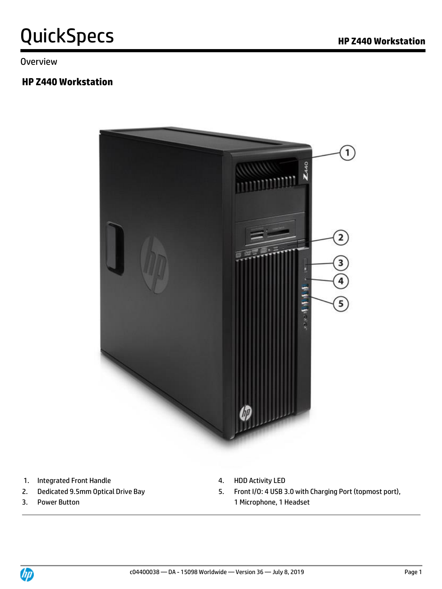Overview

#### **HP Z440 Workstation**



- 1. Integrated Front Handle **4. HDD Activity LED**
- 
- 
- 
- 2. Dedicated 9.5mm Optical Drive Bay 6. Front I/O: 4 USB 3.0 with Charging Port (topmost port), 3. Power Button **1 Microphone**, 1 Headset

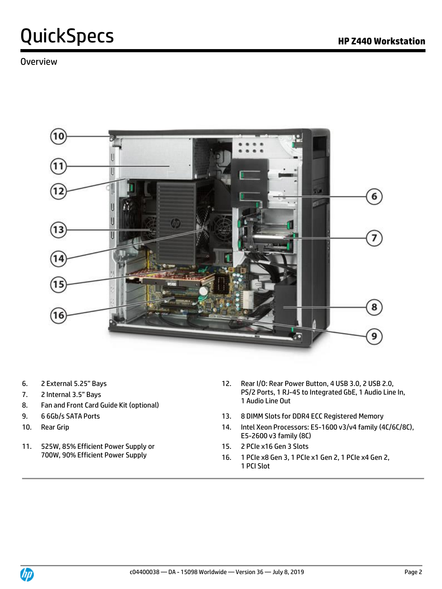

- 
- 7. 2 Internal 3.5" Bays
- 8. Fan and Front Card Guide Kit (optional)
- 
- 
- 11. 525W, 85% Efficient Power Supply or 700W, 90% Efficient Power Supply
- 6. 2 External 5.25" Bays 12. Rear I/O: Rear Power Button, 4 USB 3.0, 2 USB 2.0, PS/2 Ports, 1 RJ-45 to Integrated GbE, 1 Audio Line In, 1 Audio Line Out
- 9. 6 6Gb/s SATA Ports 13. 8 DIMM Slots for DDR4 ECC Registered Memory
- 10. Rear Grip 14. Intel Xeon Processors: E5-1600 v3/v4 family (4C/6C/8C), E5-2600 v3 family (8C)
	- 15. 2 PCIe x16 Gen 3 Slots
	- 16. 1 PCIe x8 Gen 3, 1 PCIe x1 Gen 2, 1 PCIe x4 Gen 2, 1 PCI Slot

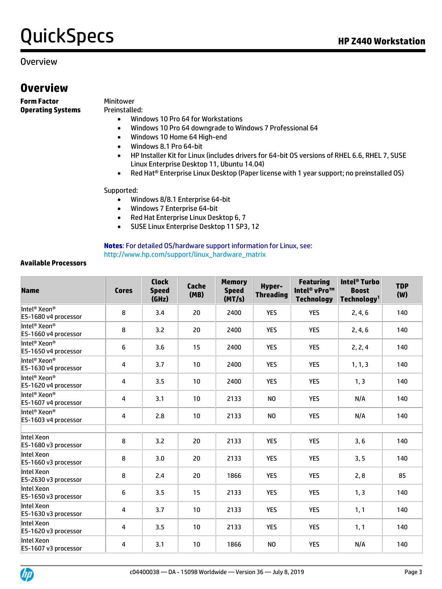#### Overview

### **Overview**

**Form Factor** Minitower **Operating Systems** Preinstalled:

- Windows 10 Pro 64 for Workstations
- Windows 10 Pro 64 downgrade to Windows 7 Professional 64
- Windows 10 Home 64 High-end
- Windows 8.1 Pro 64-bit
- HP Installer Kit for Linux (includes drivers for 64-bit OS versions of RHEL 6.6, RHEL 7, SUSE Linux Enterprise Desktop 11, Ubuntu 14.04)
- Red Hat® Enterprise Linux Desktop (Paper license with 1 year support; no preinstalled OS)

#### Supported:

- Windows 8/8.1 Enterprise 64-bit
- Windows 7 Enterprise 64-bit
- Red Hat Enterprise Linux Desktop 6, 7
- SUSE Linux Enterprise Desktop 11 SP3, 12

**Notes**: For detailed OS/hardware support information for Linux, see: [http://www.hp.com/support/linux\\_hardware\\_matrix](http://www.hp.com/support/linux_hardware_matrix)

#### **Available Processors**

| <b>Name</b>                                                  | <b>Cores</b> | <b>Clock</b><br><b>Speed</b><br>(GHz) | <b>Cache</b><br>(MB) | <b>Memory</b><br><b>Speed</b><br>(MT/s) | <b>Hyper-</b><br><b>Threading</b> | <b>Featuring</b><br>Intel <sup>®</sup> vPro™<br><b>Technology</b> | Intel <sup>®</sup> Turbo<br><b>Boost</b><br>Technology <sup>1</sup> | <b>TDP</b><br>(W) |
|--------------------------------------------------------------|--------------|---------------------------------------|----------------------|-----------------------------------------|-----------------------------------|-------------------------------------------------------------------|---------------------------------------------------------------------|-------------------|
| Intel <sup>®</sup> Xeon <sup>®</sup><br>E5-1680 v4 processor | 8            | 3.4                                   | 20                   | 2400                                    | <b>YES</b>                        | <b>YES</b>                                                        | 2, 4, 6                                                             | 140               |
| Intel® Xeon®<br>E5-1660 v4 processor                         | 8            | 3.2                                   | 20                   | 2400                                    | <b>YES</b>                        | <b>YES</b>                                                        | 2, 4, 6                                                             | 140               |
| Intel <sup>®</sup> Xeon <sup>®</sup><br>E5-1650 v4 processor | 6            | 3.6                                   | 15                   | 2400                                    | <b>YES</b>                        | <b>YES</b>                                                        | 2, 2, 4                                                             | 140               |
| Intel <sup>®</sup> Xeon <sup>®</sup><br>E5-1630 v4 processor | 4            | 3.7                                   | 10                   | 2400                                    | <b>YES</b>                        | <b>YES</b>                                                        | 1, 1, 3                                                             | 140               |
| Intel® Xeon®<br>E5-1620 v4 processor                         | 4            | 3.5                                   | 10                   | 2400                                    | <b>YES</b>                        | <b>YES</b>                                                        | 1, 3                                                                | 140               |
| Intel <sup>®</sup> Xeon®<br>E5-1607 v4 processor             | 4            | 3.1                                   | 10                   | 2133                                    | N <sub>0</sub>                    | <b>YES</b>                                                        | N/A                                                                 | 140               |
| Intel <sup>®</sup> Xeon <sup>®</sup><br>E5-1603 v4 processor | 4            | 2.8                                   | 10                   | 2133                                    | N <sub>0</sub>                    | <b>YES</b>                                                        | N/A                                                                 | 140               |
| Intel Xeon<br>E5-1680 v3 processor                           | 8            | 3.2                                   | 20                   | 2133                                    | <b>YES</b>                        | <b>YES</b>                                                        | 3, 6                                                                | 140               |
| Intel Xeon<br>E5-1660 v3 processor                           | 8            | 3.0                                   | 20                   | 2133                                    | <b>YES</b>                        | <b>YES</b>                                                        | 3, 5                                                                | 140               |
| Intel Xeon<br>E5-2630 v3 processor                           | 8            | 2.4                                   | 20                   | 1866                                    | <b>YES</b>                        | <b>YES</b>                                                        | 2, 8                                                                | 85                |
| Intel Xeon<br>E5-1650 v3 processor                           | 6            | 3.5                                   | 15                   | 2133                                    | <b>YES</b>                        | <b>YES</b>                                                        | 1, 3                                                                | 140               |
| Intel Xeon<br>E5-1630 v3 processor                           | 4            | 3.7                                   | 10                   | 2133                                    | <b>YES</b>                        | <b>YES</b>                                                        | 1, 1                                                                | 140               |
| Intel Xeon<br>E5-1620 v3 processor                           | 4            | 3.5                                   | 10                   | 2133                                    | <b>YES</b>                        | <b>YES</b>                                                        | 1, 1                                                                | 140               |
| Intel Xeon<br>E5-1607 v3 processor                           | 4            | 3.1                                   | 10                   | 1866                                    | N <sub>0</sub>                    | <b>YES</b>                                                        | N/A                                                                 | 140               |

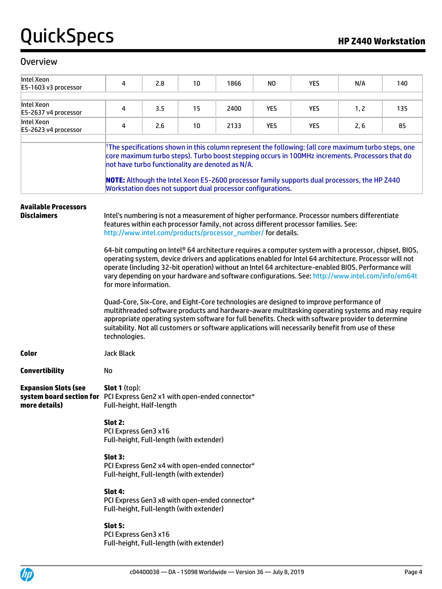| Intel Xeon<br>E5-1603 v3 processor                                                                                      | 4                                                                                                                                                                                                                                                                                                                                                                                                                                                       | 2.8 | 10 | 1866 | NO.        | <b>YES</b>                                                                                                                                                                            | N/A  | 140 |  |  |
|-------------------------------------------------------------------------------------------------------------------------|---------------------------------------------------------------------------------------------------------------------------------------------------------------------------------------------------------------------------------------------------------------------------------------------------------------------------------------------------------------------------------------------------------------------------------------------------------|-----|----|------|------------|---------------------------------------------------------------------------------------------------------------------------------------------------------------------------------------|------|-----|--|--|
| Intel Xeon<br>E5-2637 v4 processor                                                                                      | 4                                                                                                                                                                                                                                                                                                                                                                                                                                                       | 3.5 | 15 | 2400 | <b>YES</b> | <b>YES</b>                                                                                                                                                                            | 1, 2 | 135 |  |  |
| Intel Xeon<br>E5-2623 v4 processor                                                                                      | 4                                                                                                                                                                                                                                                                                                                                                                                                                                                       | 2.6 | 10 | 2133 | <b>YES</b> | <b>YES</b>                                                                                                                                                                            | 2, 6 | 85  |  |  |
|                                                                                                                         | The specifications shown in this column represent the following: (all core maximum turbo steps, one<br>core maximum turbo steps). Turbo boost stepping occurs in 100MHz increments. Processors that do<br>not have turbo functionality are denoted as N/A.<br>NOTE: Although the Intel Xeon E5-2600 processor family supports dual processors, the HP Z440<br>Workstation does not support dual processor configurations.                               |     |    |      |            |                                                                                                                                                                                       |      |     |  |  |
| <b>Available Processors</b><br><b>Disclaimers</b>                                                                       | http://www.intel.com/products/processor_number/ for details.                                                                                                                                                                                                                                                                                                                                                                                            |     |    |      |            | Intel's numbering is not a measurement of higher performance. Processor numbers differentiate<br>features within each processor family, not across different processor families. See: |      |     |  |  |
|                                                                                                                         | 64-bit computing on Intel® 64 architecture requires a computer system with a processor, chipset, BIOS,<br>operating system, device drivers and applications enabled for Intel 64 architecture. Processor will not<br>operate (including 32-bit operation) without an Intel 64 architecture-enabled BIOS. Performance will<br>vary depending on your hardware and software configurations. See: http://www.intel.com/info/em64t<br>for more information. |     |    |      |            |                                                                                                                                                                                       |      |     |  |  |
|                                                                                                                         | Quad-Core, Six-Core, and Eight-Core technologies are designed to improve performance of<br>multithreaded software products and hardware-aware multitasking operating systems and may require<br>appropriate operating system software for full benefits. Check with software provider to determine<br>suitability. Not all customers or software applications will necessarily benefit from use of these<br>technologies.                               |     |    |      |            |                                                                                                                                                                                       |      |     |  |  |
| Color                                                                                                                   | <b>Jack Black</b>                                                                                                                                                                                                                                                                                                                                                                                                                                       |     |    |      |            |                                                                                                                                                                                       |      |     |  |  |
| <b>Convertibility</b>                                                                                                   | No                                                                                                                                                                                                                                                                                                                                                                                                                                                      |     |    |      |            |                                                                                                                                                                                       |      |     |  |  |
| <b>Expansion Slots (see</b><br>system board section for PCI Express Gen2 x1 with open-ended connector*<br>more details) | <b>Slot 1</b> (top):<br>Full-height, Half-length                                                                                                                                                                                                                                                                                                                                                                                                        |     |    |      |            |                                                                                                                                                                                       |      |     |  |  |
|                                                                                                                         | Slot 2:<br>PCI Express Gen3 x16<br>Full-height, Full-length (with extender)                                                                                                                                                                                                                                                                                                                                                                             |     |    |      |            |                                                                                                                                                                                       |      |     |  |  |
|                                                                                                                         | Slot 3:<br>PCI Express Gen2 x4 with open-ended connector*<br>Full-height, Full-length (with extender)                                                                                                                                                                                                                                                                                                                                                   |     |    |      |            |                                                                                                                                                                                       |      |     |  |  |
|                                                                                                                         | Slot 4:<br>PCI Express Gen3 x8 with open-ended connector*<br>Full-height, Full-length (with extender)                                                                                                                                                                                                                                                                                                                                                   |     |    |      |            |                                                                                                                                                                                       |      |     |  |  |
|                                                                                                                         | Slot 5:<br>PCI Express Gen3 x16<br>Full-height, Full-length (with extender)                                                                                                                                                                                                                                                                                                                                                                             |     |    |      |            |                                                                                                                                                                                       |      |     |  |  |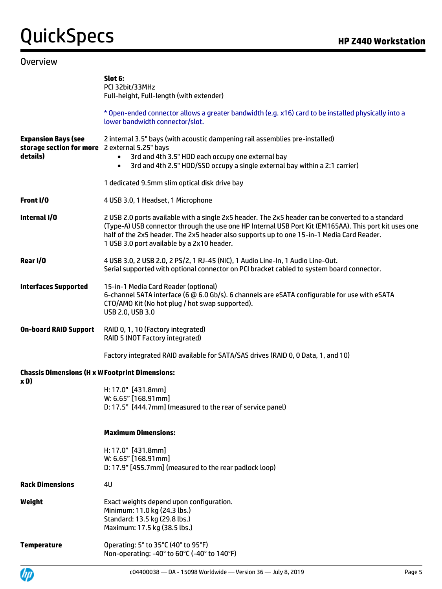|                                                                                          | Slot 6:<br>PCI 32bit/33MHz<br>Full-height, Full-length (with extender)                                                                                                                                                                                                                                                                                |
|------------------------------------------------------------------------------------------|-------------------------------------------------------------------------------------------------------------------------------------------------------------------------------------------------------------------------------------------------------------------------------------------------------------------------------------------------------|
|                                                                                          | * Open-ended connector allows a greater bandwidth (e.g. x16) card to be installed physically into a<br>lower bandwidth connector/slot.                                                                                                                                                                                                                |
| <b>Expansion Bays (see</b><br>storage section for more 2 external 5.25" bays<br>details) | 2 internal 3.5" bays (with acoustic dampening rail assemblies pre-installed)<br>3rd and 4th 3.5" HDD each occupy one external bay<br>$\bullet$<br>3rd and 4th 2.5" HDD/SSD occupy a single external bay within a 2:1 carrier)<br>$\bullet$                                                                                                            |
|                                                                                          | 1 dedicated 9.5mm slim optical disk drive bay                                                                                                                                                                                                                                                                                                         |
| Front I/O                                                                                | 4 USB 3.0, 1 Headset, 1 Microphone                                                                                                                                                                                                                                                                                                                    |
| Internal I/O                                                                             | 2 USB 2.0 ports available with a single 2x5 header. The 2x5 header can be converted to a standard<br>(Type-A) USB connector through the use one HP Internal USB Port Kit (EM165AA). This port kit uses one<br>half of the 2x5 header. The 2x5 header also supports up to one 15-in-1 Media Card Reader.<br>1 USB 3.0 port available by a 2x10 header. |
| Rear I/O                                                                                 | 4 USB 3.0, 2 USB 2.0, 2 PS/2, 1 RJ-45 (NIC), 1 Audio Line-In, 1 Audio Line-Out.<br>Serial supported with optional connector on PCI bracket cabled to system board connector.                                                                                                                                                                          |
| <b>Interfaces Supported</b>                                                              | 15-in-1 Media Card Reader (optional)<br>6-channel SATA interface (6 @ 6.0 Gb/s). 6 channels are eSATA configurable for use with eSATA<br>CTO/AMO Kit (No hot plug / hot swap supported).<br>USB 2.0, USB 3.0                                                                                                                                          |
| <b>On-board RAID Support</b>                                                             | RAID 0, 1, 10 (Factory integrated)<br>RAID 5 (NOT Factory integrated)                                                                                                                                                                                                                                                                                 |
|                                                                                          | Factory integrated RAID available for SATA/SAS drives (RAID 0, 0 Data, 1, and 10)                                                                                                                                                                                                                                                                     |
| <b>Chassis Dimensions (H x W Footprint Dimensions:</b>                                   |                                                                                                                                                                                                                                                                                                                                                       |
| xD)                                                                                      | H: 17.0" [431.8mm]<br>W: 6.65" [168.91mm]<br>D: 17.5" [444.7mm] (measured to the rear of service panel)                                                                                                                                                                                                                                               |
|                                                                                          | <b>Maximum Dimensions:</b>                                                                                                                                                                                                                                                                                                                            |
|                                                                                          | H: 17.0" [431.8mm]<br>W: 6.65" [168.91mm]<br>D: 17.9" [455.7mm] (measured to the rear padlock loop)                                                                                                                                                                                                                                                   |
| <b>Rack Dimensions</b>                                                                   | 4U                                                                                                                                                                                                                                                                                                                                                    |
| Weight                                                                                   | Exact weights depend upon configuration.<br>Minimum: 11.0 kg (24.3 lbs.)<br>Standard: 13.5 kg (29.8 lbs.)<br>Maximum: 17.5 kg (38.5 lbs.)                                                                                                                                                                                                             |
| <b>Temperature</b>                                                                       | Operating: 5° to 35°C (40° to 95°F)<br>Non-operating: -40° to 60°C (-40° to 140°F)                                                                                                                                                                                                                                                                    |

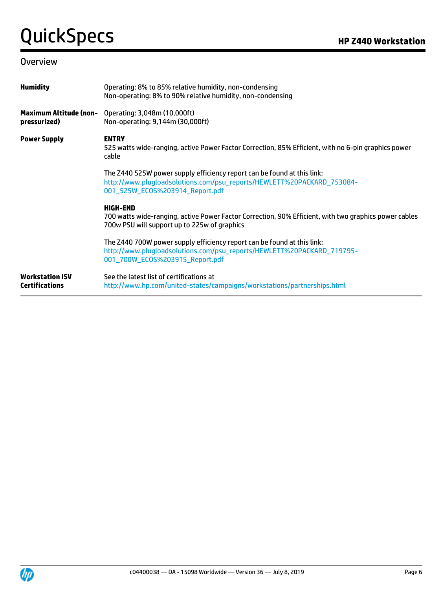| <b>Humidity</b>                                 | Operating: 8% to 85% relative humidity, non-condensing<br>Non-operating: 8% to 90% relative humidity, non-condensing                                                                 |
|-------------------------------------------------|--------------------------------------------------------------------------------------------------------------------------------------------------------------------------------------|
| <b>Maximum Altitude (non-</b><br>pressurized)   | Operating: 3,048m (10,000ft)<br>Non-operating: 9,144m (30,000ft)                                                                                                                     |
| <b>Power Supply</b>                             | <b>ENTRY</b><br>525 watts wide-ranging, active Power Factor Correction, 85% Efficient, with no 6-pin graphics power<br>cable                                                         |
|                                                 | The Z440 525W power supply efficiency report can be found at this link:<br>http://www.plugloadsolutions.com/psu_reports/HEWLETT%20PACKARD_753084-<br>001_525W_EC0S%203914_Report.pdf |
|                                                 | <b>HIGH-END</b><br>700 watts wide-ranging, active Power Factor Correction, 90% Efficient, with two graphics power cables<br>700w PSU will support up to 225w of graphics             |
|                                                 | The Z440 700W power supply efficiency report can be found at this link:<br>http://www.pluqloadsolutions.com/psu_reports/HEWLETT%20PACKARD_719795-<br>001_700W_EC0S%203915_Report.pdf |
| <b>Workstation ISV</b><br><b>Certifications</b> | See the latest list of certifications at<br>http://www.hp.com/united-states/campaigns/workstations/partnerships.html                                                                 |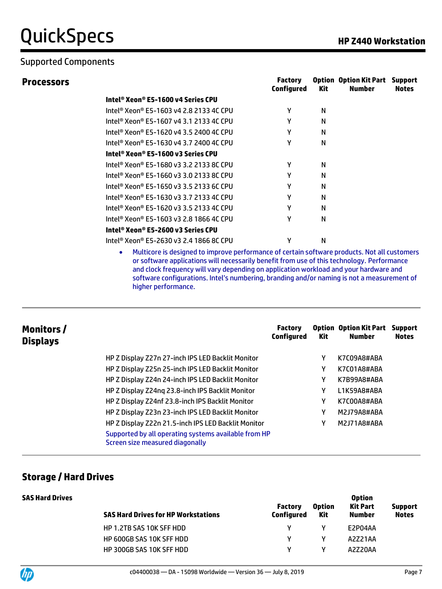**Processors** 

|                                         | <b>Factory</b><br>Configured | <b>Kit</b> | <b>Option Option Kit Part</b><br>Number | <b>Support</b><br><b>Notes</b> |
|-----------------------------------------|------------------------------|------------|-----------------------------------------|--------------------------------|
| Intel® Xeon® E5-1600 v4 Series CPU      |                              |            |                                         |                                |
| Intel® Xeon® E5-1603 v4 2.8 2133 4C CPU | γ                            | N          |                                         |                                |
| Intel® Xeon® E5-1607 v4 3.1 2133 4C CPU | γ                            | N          |                                         |                                |
| Intel® Xeon® E5-1620 v4 3.5 2400 4C CPU | γ                            | N          |                                         |                                |
| Intel® Xeon® E5-1630 v4 3.7 2400 4C CPU | γ                            | N          |                                         |                                |
| Intel® Xeon® E5-1600 v3 Series CPU      |                              |            |                                         |                                |
| Intel® Xeon® E5-1680 v3 3.2 2133 8C CPU | γ                            | N          |                                         |                                |
| Intel® Xeon® E5-1660 v3 3.0 2133 8C CPU | γ                            | N          |                                         |                                |
| Intel® Xeon® E5-1650 v3 3.5 2133 6C CPU | Υ                            | N          |                                         |                                |
| Intel® Xeon® E5-1630 v3 3.7 2133 4C CPU | γ                            | N          |                                         |                                |
| Intel® Xeon® E5-1620 v3 3.5 2133 4C CPU | γ                            | N          |                                         |                                |
| Intel® Xeon® E5-1603 v3 2.8 1866 4C CPU | γ                            | N          |                                         |                                |
| Intel® Xeon® E5-2600 v3 Series CPU      |                              |            |                                         |                                |
| Intel® Xeon® E5-2630 v3 2.4 1866 8C CPU | γ                            | N          |                                         |                                |

• Multicore is designed to improve performance of certain software products. Not all customers or software applications will necessarily benefit from use of this technology. Performance and clock frequency will vary depending on application workload and your hardware and software configurations. Intel's numbering, branding and/or naming is not a measurement of higher performance.

| Monitors/<br><b>Displays</b> |                                                                                         | <b>Factory</b><br><b>Configured</b> | Kit | <b>Option Option Kit Part</b><br><b>Number</b> | <b>Support</b><br><b>Notes</b> |
|------------------------------|-----------------------------------------------------------------------------------------|-------------------------------------|-----|------------------------------------------------|--------------------------------|
|                              | HP Z Display Z27n 27-inch IPS LED Backlit Monitor                                       |                                     | γ   | K7C09A8#ABA                                    |                                |
|                              | HP Z Display Z25n 25-inch IPS LED Backlit Monitor                                       |                                     | Υ   | K7C01A8#ABA                                    |                                |
|                              | HP Z Display Z24n 24-inch IPS LED Backlit Monitor                                       |                                     | Υ   | K7B99A8#ABA                                    |                                |
|                              | HP Z Display Z24ng 23.8-inch IPS Backlit Monitor                                        |                                     | Υ   | L1K59A8#ABA                                    |                                |
|                              | HP Z Display Z24nf 23.8-inch IPS Backlit Monitor                                        |                                     | Υ   | K7C00A8#ABA                                    |                                |
|                              | HP Z Display Z23n 23-inch IPS LED Backlit Monitor                                       |                                     | Υ   | M2J79A8#ABA                                    |                                |
|                              | HP Z Display Z22n 21.5-inch IPS LED Backlit Monitor                                     |                                     | Υ   | M2J71A8#ABA                                    |                                |
|                              | Supported by all operating systems available from HP<br>Screen size measured diagonally |                                     |     |                                                |                                |

#### **Storage / Hard Drives**

| <b>SAS Hard Drives</b> | <b>SAS Hard Drives for HP Workstations</b> | <b>Factory</b><br>Configured | <b>Option</b><br>Kit | <b>Option</b><br><b>Kit Part</b><br><b>Number</b> | <b>Support</b><br><b>Notes</b> |
|------------------------|--------------------------------------------|------------------------------|----------------------|---------------------------------------------------|--------------------------------|
|                        | HP 1.2TB SAS 10K SFF HDD                   | V.                           | v                    | E2P04AA                                           |                                |
|                        | <b>HP 600GB SAS 10K SFF HDD</b>            |                              | ν                    | A2Z21AA                                           |                                |
|                        | <b>HP 300GB SAS 10K SFF HDD</b>            |                              | ν                    | A2Z20AA                                           |                                |

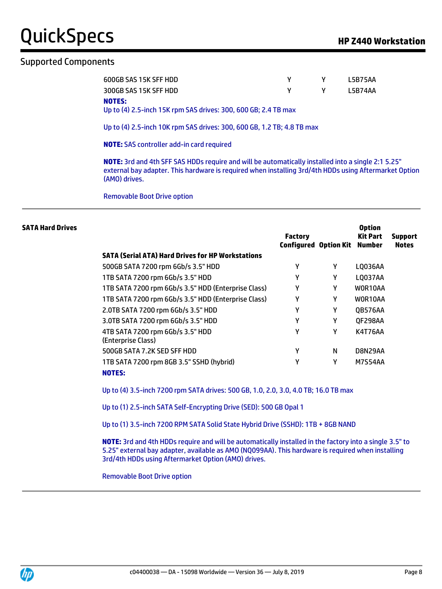#### Supported Components

| 600GB SAS 15K SFF HDD |              | L5B75AA |
|-----------------------|--------------|---------|
| 300GB SAS 15K SFF HDD | $\mathsf{Y}$ | L5B74AA |
| <b>NOTES:</b>         |              |         |

Up to (4) 2.5-inch 15K rpm SAS drives: 300, 600 GB; 2.4 TB max

Up to (4) 2.5-inch 10K rpm SAS drives: 300, 600 GB, 1.2 TB; 4.8 TB max

**NOTE:** SAS controller add-in card required

**NOTE:** 3rd and 4th SFF SAS HDDs require and will be automatically installed into a single 2:1 5.25" external bay adapter. This hardware is required when installing 3rd/4th HDDs using Aftermarket Option (AMO) drives.

Removable Boot Drive option

| <b>SATA Hard Drives</b> |                                                          | <b>Factory</b><br><b>Configured Option Kit Number</b> |   | <b>Option</b><br>Kit Part | <b>Support</b><br><b>Notes</b> |
|-------------------------|----------------------------------------------------------|-------------------------------------------------------|---|---------------------------|--------------------------------|
|                         | <b>SATA (Serial ATA) Hard Drives for HP Workstations</b> |                                                       |   |                           |                                |
|                         | 500GB SATA 7200 rpm 6Gb/s 3.5" HDD                       | γ                                                     | Υ | LQ036AA                   |                                |
|                         | 1TB SATA 7200 rpm 6Gb/s 3.5" HDD                         | γ                                                     | γ | LQ037AA                   |                                |
|                         | 1TB SATA 7200 rpm 6Gb/s 3.5" HDD (Enterprise Class)      | γ                                                     | Υ | WOR10AA                   |                                |
|                         | 1TB SATA 7200 rpm 6Gb/s 3.5" HDD (Enterprise Class)      | γ                                                     | Υ | WOR10AA                   |                                |
|                         | 2.0TB SATA 7200 rpm 6Gb/s 3.5" HDD                       | γ                                                     | Υ | <b>OB576AA</b>            |                                |
|                         | 3.0TB SATA 7200 rpm 6Gb/s 3.5" HDD                       | γ                                                     | Υ | QF298AA                   |                                |
|                         | 4TB SATA 7200 rpm 6Gb/s 3.5" HDD<br>(Enterprise Class)   | γ                                                     | Υ | K4T76AA                   |                                |
|                         | 500GB SATA 7.2K SED SFF HDD                              | γ                                                     | N | D8N29AA                   |                                |
|                         | 1TB SATA 7200 rpm 8GB 3.5" SSHD (hybrid)                 | γ                                                     | γ | M7S54AA                   |                                |
|                         | <b>NOTES:</b>                                            |                                                       |   |                           |                                |

Up to (4) 3.5-inch 7200 rpm SATA drives: 500 GB, 1.0, 2.0, 3.0, 4.0 TB; 16.0 TB max

Up to (1) 2.5-inch SATA Self-Encrypting Drive (SED): 500 GB Opal 1

Up to (1) 3.5-inch 7200 RPM SATA Solid State Hybrid Drive (SSHD): 1TB + 8GB NAND

**NOTE:** 3rd and 4th HDDs require and will be automatically installed in the factory into a single 3.5" to 5.25" external bay adapter, available as AMO (NQ099AA). This hardware is required when installing 3rd/4th HDDs using Aftermarket Option (AMO) drives.

Removable Boot Drive option

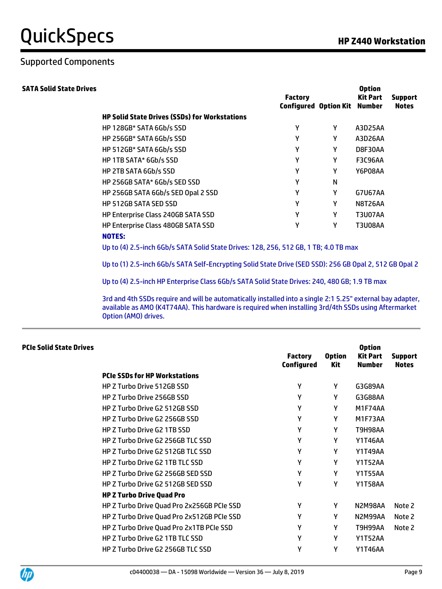**Option**

#### Supported Components

| <b>SATA Solid State Drives</b> |                                                                                                         | <b>Factory</b><br><b>Configured Option Kit</b> |   | <b>Option</b><br>Kit Part<br>Number | <b>Support</b><br><b>Notes</b> |
|--------------------------------|---------------------------------------------------------------------------------------------------------|------------------------------------------------|---|-------------------------------------|--------------------------------|
|                                | <b>HP Solid State Drives (SSDs) for Workstations</b>                                                    |                                                |   |                                     |                                |
|                                | HP 128GB* SATA 6Gb/s SSD                                                                                | Y                                              | Υ | A3D25AA                             |                                |
|                                | HP 256GB* SATA 6Gb/s SSD                                                                                | Υ                                              | Υ | A3D26AA                             |                                |
|                                | HP 512GB* SATA 6Gb/s SSD                                                                                | Υ                                              | Υ | D8F30AA                             |                                |
|                                | HP 1TB SATA* 6Gb/s SSD                                                                                  | Υ                                              | Υ | <b>F3C96AA</b>                      |                                |
|                                | HP 2TB SATA 6Gb/s SSD                                                                                   | Υ                                              | Υ | Y6P08AA                             |                                |
|                                | HP 256GB SATA* 6Gb/s SED SSD                                                                            | Υ                                              | N |                                     |                                |
|                                | HP 256GB SATA 6Gb/s SED Opal 2 SSD                                                                      | Υ                                              | Υ | G7U67AA                             |                                |
|                                | HP 512GB SATA SED SSD                                                                                   | Υ                                              | Υ | <b>N8T26AA</b>                      |                                |
|                                | HP Enterprise Class 240GB SATA SSD                                                                      | Υ                                              | Υ | <b>T3U07AA</b>                      |                                |
|                                | HP Enterprise Class 480GB SATA SSD                                                                      | Υ                                              | Υ | <b>T3U08AA</b>                      |                                |
|                                | <b>NOTES:</b><br>Up to (4) 2.5-inch 6Gb/s SATA Solid State Drives: 128, 256, 512 GB, 1 TB; 4.0 TB max   |                                                |   |                                     |                                |
|                                | Up to (1) 2.5-inch 6Gb/s SATA Self-Encrypting Solid State Drive (SED SSD): 256 GB Opal 2, 512 GB Opal 2 |                                                |   |                                     |                                |
|                                | Up to (4) 2.5-inch HP Enterprise Class 6Gb/s SATA Solid State Drives: 240, 480 GB; 1.9 TB max           |                                                |   |                                     |                                |

3rd and 4th SSDs require and will be automatically installed into a single 2:1 5.25" external bay adapter, available as AMO (K4T74AA). This hardware is required when installing 3rd/4th SSDs using Aftermarket Option (AMO) drives.

#### **PCIe Solid State Drives**

| <b>PCIe SSDs for HP Workstations</b><br>γ<br><b>HP Z Turbo Drive 512GB SSD</b><br>Υ<br>G3G89AA<br>γ<br>γ<br><b>HP Z Turbo Drive 256GB SSD</b><br>G3G88AA<br>γ<br>γ<br><b>HP Z Turbo Drive G2 512GB SSD</b><br>M1F74AA<br>γ<br>HP Z Turbo Drive G2 256GB SSD<br>Υ<br>M1F73AA<br>γ<br>HP Z Turbo Drive G2 1TB SSD<br>Υ<br>AA8eHeT<br>γ<br>HP Z Turbo Drive G2 256GB TLC SSD<br>Υ<br>Y1T46AA<br>γ<br>HP Z Turbo Drive G2 512GB TLC SSD<br>Υ<br>Y1T49AA<br>γ<br>Υ<br><b>HP Z Turbo Drive G2 1TB TLC SSD</b><br><b>Y1T52AA</b><br>γ<br>Υ<br>HP Z Turbo Drive G2 256GB SED SSD<br><b>Y1T55AA</b><br>γ<br>Υ<br>HP Z Turbo Drive G2 512GB SED SSD<br><b>Y1T58AA</b><br><b>HP Z Turbo Drive Quad Pro</b><br>γ<br>HP Z Turbo Drive Quad Pro 2x256GB PCIe SSD<br>Υ<br>N2M98AA |                                            | <b>Factory</b><br><b>Configured</b> | <b>Option</b><br>Kit | <b>Kit Part</b><br>Number | <b>Support</b><br><b>Notes</b> |
|--------------------------------------------------------------------------------------------------------------------------------------------------------------------------------------------------------------------------------------------------------------------------------------------------------------------------------------------------------------------------------------------------------------------------------------------------------------------------------------------------------------------------------------------------------------------------------------------------------------------------------------------------------------------------------------------------------------------------------------------------------------------|--------------------------------------------|-------------------------------------|----------------------|---------------------------|--------------------------------|
|                                                                                                                                                                                                                                                                                                                                                                                                                                                                                                                                                                                                                                                                                                                                                                    |                                            |                                     |                      |                           |                                |
|                                                                                                                                                                                                                                                                                                                                                                                                                                                                                                                                                                                                                                                                                                                                                                    |                                            |                                     |                      |                           |                                |
|                                                                                                                                                                                                                                                                                                                                                                                                                                                                                                                                                                                                                                                                                                                                                                    |                                            |                                     |                      |                           |                                |
|                                                                                                                                                                                                                                                                                                                                                                                                                                                                                                                                                                                                                                                                                                                                                                    |                                            |                                     |                      |                           |                                |
|                                                                                                                                                                                                                                                                                                                                                                                                                                                                                                                                                                                                                                                                                                                                                                    |                                            |                                     |                      |                           |                                |
|                                                                                                                                                                                                                                                                                                                                                                                                                                                                                                                                                                                                                                                                                                                                                                    |                                            |                                     |                      |                           |                                |
|                                                                                                                                                                                                                                                                                                                                                                                                                                                                                                                                                                                                                                                                                                                                                                    |                                            |                                     |                      |                           |                                |
|                                                                                                                                                                                                                                                                                                                                                                                                                                                                                                                                                                                                                                                                                                                                                                    |                                            |                                     |                      |                           |                                |
|                                                                                                                                                                                                                                                                                                                                                                                                                                                                                                                                                                                                                                                                                                                                                                    |                                            |                                     |                      |                           |                                |
|                                                                                                                                                                                                                                                                                                                                                                                                                                                                                                                                                                                                                                                                                                                                                                    |                                            |                                     |                      |                           |                                |
|                                                                                                                                                                                                                                                                                                                                                                                                                                                                                                                                                                                                                                                                                                                                                                    |                                            |                                     |                      |                           |                                |
|                                                                                                                                                                                                                                                                                                                                                                                                                                                                                                                                                                                                                                                                                                                                                                    |                                            |                                     |                      |                           |                                |
|                                                                                                                                                                                                                                                                                                                                                                                                                                                                                                                                                                                                                                                                                                                                                                    |                                            |                                     |                      |                           | Note 2                         |
|                                                                                                                                                                                                                                                                                                                                                                                                                                                                                                                                                                                                                                                                                                                                                                    | HP Z Turbo Drive Quad Pro 2x512GB PCIe SSD | γ                                   | γ                    | N2M99AA                   | Note 2                         |
| γ<br>Υ<br>HP Z Turbo Drive Quad Pro 2x1TB PCIe SSD<br>AAPSH9T                                                                                                                                                                                                                                                                                                                                                                                                                                                                                                                                                                                                                                                                                                      |                                            |                                     |                      |                           | Note 2                         |
| γ<br><b>HP Z Turbo Drive G2 1TB TLC SSD</b><br>Υ<br><b>Y1T52AA</b>                                                                                                                                                                                                                                                                                                                                                                                                                                                                                                                                                                                                                                                                                                 |                                            |                                     |                      |                           |                                |
| γ<br>Υ<br><b>HP Z Turbo Drive G2 256GB TLC SSD</b><br>Y1T46AA                                                                                                                                                                                                                                                                                                                                                                                                                                                                                                                                                                                                                                                                                                      |                                            |                                     |                      |                           |                                |

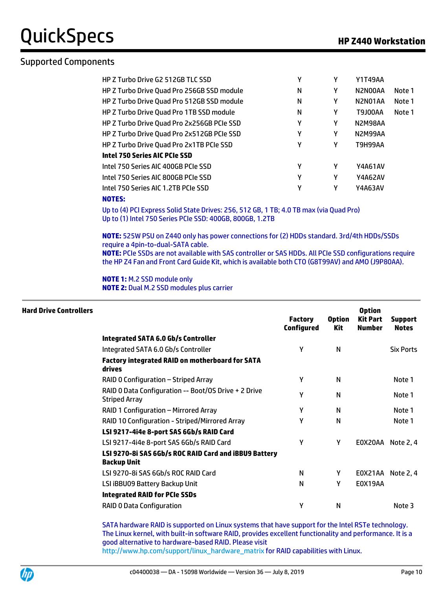#### Supported Components

| HP Z Turbo Drive G2 512GB TLC SSD          | γ | γ | <b>Y1T49AA</b> |        |
|--------------------------------------------|---|---|----------------|--------|
| HP Z Turbo Drive Quad Pro 256GB SSD module | N | γ | N2N00AA        | Note 1 |
| HP Z Turbo Drive Quad Pro 512GB SSD module | N | γ | N2N01AA        | Note 1 |
| HP Z Turbo Drive Quad Pro 1TB SSD module   | N | Υ | <b>T9J00AA</b> | Note 1 |
| HP Z Turbo Drive Quad Pro 2x256GB PCIe SSD | γ | γ | N2M98AA        |        |
| HP Z Turbo Drive Quad Pro 2x512GB PCIe SSD | γ | Υ | N2M99AA        |        |
| HP Z Turbo Drive Quad Pro 2x1TB PCIe SSD   | γ | γ | AAPSH9T        |        |
| <b>Intel 750 Series AIC PCIe SSD</b>       |   |   |                |        |
| Intel 750 Series AIC 400GB PCIe SSD        | γ | Υ | <b>Y4A61AV</b> |        |
| Intel 750 Series AIC 800GB PCIe SSD        | γ | γ | <b>Y4A62AV</b> |        |
| Intel 750 Series AIC 1.2TB PCIe SSD        | γ | γ | Y4A63AV        |        |

#### **NOTES:**

Up to (4) PCI Express Solid State Drives: 256, 512 GB, 1 TB; 4.0 TB max (via Quad Pro) Up to (1) Intel 750 Series PCIe SSD: 400GB, 800GB, 1.2TB

**NOTE:** 525W PSU on Z440 only has power connections for (2) HDDs standard. 3rd/4th HDDs/SSDs require a 4pin-to-dual-SATA cable.

**NOTE:** PCIe SSDs are not available with SAS controller or SAS HDDs. All PCIe SSD configurations require the HP Z4 Fan and Front Card Guide Kit, which is available both CTO (G8T99AV) and AMO (J9P80AA).

**NOTE 1:** M.2 SSD module only **NOTE 2:** Dual M.2 SSD modules plus carrier

| <b>Hard Drive Controllers</b> |                                                                             | <b>Factory</b><br><b>Configured</b> | <b>Option</b><br>Kit | <b>Option</b><br><b>Kit Part</b><br><b>Number</b> | <b>Support</b><br><b>Notes</b> |
|-------------------------------|-----------------------------------------------------------------------------|-------------------------------------|----------------------|---------------------------------------------------|--------------------------------|
|                               | Integrated SATA 6.0 Gb/s Controller                                         |                                     |                      |                                                   |                                |
|                               | Integrated SATA 6.0 Gb/s Controller                                         | γ                                   | N                    |                                                   | <b>Six Ports</b>               |
|                               | <b>Factory integrated RAID on motherboard for SATA</b><br>drives            |                                     |                      |                                                   |                                |
|                               | RAID 0 Configuration – Striped Array                                        | Υ                                   | N                    |                                                   | Note 1                         |
|                               | RAID 0 Data Configuration -- Boot/OS Drive + 2 Drive<br>Striped Array       | Υ                                   | N                    |                                                   | Note 1                         |
|                               | RAID 1 Configuration - Mirrored Array                                       | γ                                   | N                    |                                                   | Note 1                         |
|                               | RAID 10 Configuration - Striped/Mirrored Array                              | γ                                   | N                    |                                                   | Note 1                         |
|                               | LSI 9217-4i4e 8-port SAS 6Gb/s RAID Card                                    |                                     |                      |                                                   |                                |
|                               | LSI 9217-4i4e 8-port SAS 6Gb/s RAID Card                                    | Υ                                   | Υ                    |                                                   | EOX20AA Note 2, 4              |
|                               | LSI 9270-8i SAS 6Gb/s ROC RAID Card and iBBU9 Battery<br><b>Backup Unit</b> |                                     |                      |                                                   |                                |
|                               | LSI 9270-8i SAS 6Gb/s ROC RAID Card                                         | N                                   | Υ                    |                                                   | EOX21AA Note 2, 4              |
|                               | LSI iBBU09 Battery Backup Unit                                              | N                                   | Υ                    | E0X19AA                                           |                                |
|                               | <b>Integrated RAID for PCIe SSDs</b>                                        |                                     |                      |                                                   |                                |
|                               | <b>RAID 0 Data Configuration</b>                                            | γ                                   | N                    |                                                   | Note 3                         |

SATA hardware RAID is supported on Linux systems that have support for the Intel RSTe technology. The Linux kernel, with built-in software RAID, provides excellent functionality and performance. It is a good alternative to hardware-based RAID. Please visit [http://www.hp.com/support/linux\\_hardware\\_matrix](http://www.hp.com/support/linux_hardware_matrix) for RAID capabilities with Linux.

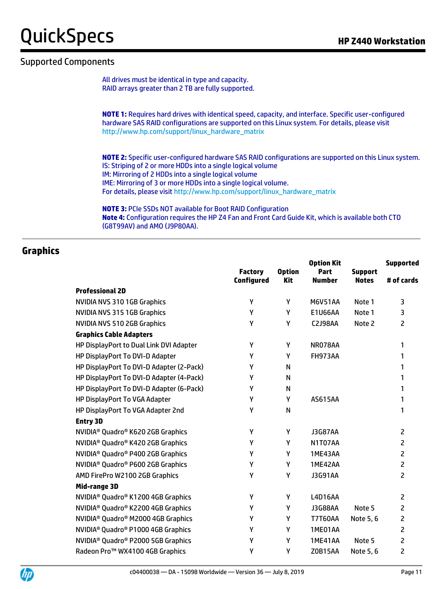**Supported**

#### Supported Components

All drives must be identical in type and capacity. RAID arrays greater than 2 TB are fully supported.

**NOTE 1:** Requires hard drives with identical speed, capacity, and interface. Specific user-configured hardware SAS RAID configurations are supported on this Linux system. For details, please visit [http://www.hp.com/support/linux\\_hardware\\_matrix](http://www.hp.com/support/linux_hardware_matrix)

**NOTE 2:** Specific user-configured hardware SAS RAID configurations are supported on this Linux system. IS: Striping of 2 or more HDDs into a single logical volume IM: Mirroring of 2 HDDs into a single logical volume IME: Mirroring of 3 or more HDDs into a single logical volume. For details, please visit [http://www.hp.com/support/linux\\_hardware\\_matrix](http://www.hp.com/support/linux_hardware_matrix)

**Option Kit** 

**NOTE 3:** PCIe SSDs NOT available for Boot RAID Configuration **Note 4:** Configuration requires the HP Z4 Fan and Front Card Guide Kit, which is available both CTO (G8T99AV) and AMO (J9P80AA).

#### **Graphics**

|                                                            | <b>Factory</b><br><b>Configured</b> | <b>Option</b><br><b>Kit</b> | Part<br><b>Number</b> | <b>Support</b><br><b>Notes</b> | # of cards     |
|------------------------------------------------------------|-------------------------------------|-----------------------------|-----------------------|--------------------------------|----------------|
| <b>Professional 2D</b>                                     |                                     |                             |                       |                                |                |
| NVIDIA NVS 310 1GB Graphics                                | Υ                                   | Υ                           | <b>M6V51AA</b>        | Note 1                         | 3              |
| <b>NVIDIA NVS 315 1GB Graphics</b>                         | Υ                                   | Υ                           | E1U66AA               | Note 1                         | 3              |
| NVIDIA NVS 510 2GB Graphics                                | Υ                                   | Υ                           | C2J98AA               | Note 2                         | $\overline{c}$ |
| <b>Graphics Cable Adapters</b>                             |                                     |                             |                       |                                |                |
| HP DisplayPort to Dual Link DVI Adapter                    | Υ                                   | Υ                           | NR078AA               |                                | 1              |
| HP DisplayPort To DVI-D Adapter                            | Υ                                   | Υ                           | <b>FH973AA</b>        |                                | 1              |
| HP DisplayPort To DVI-D Adapter (2-Pack)                   | Υ                                   | N                           |                       |                                | 1              |
| HP DisplayPort To DVI-D Adapter (4-Pack)                   | Υ                                   | N                           |                       |                                | 1              |
| HP DisplayPort To DVI-D Adapter (6-Pack)                   | Υ                                   | N                           |                       |                                | 1              |
| HP DisplayPort To VGA Adapter                              | Υ                                   | Y                           | <b>AS615AA</b>        |                                | 1              |
| HP DisplayPort To VGA Adapter 2nd                          | Υ                                   | $\mathsf{N}$                |                       |                                | 1              |
| <b>Entry 3D</b>                                            |                                     |                             |                       |                                |                |
| NVIDIA <sup>®</sup> Quadro® K620 2GB Graphics              | Υ                                   | Y                           | <b>J3G87AA</b>        |                                | $\overline{c}$ |
| NVIDIA <sup>®</sup> Quadro® K420 2GB Graphics              | Υ                                   | Υ                           | N1T07AA               |                                | $\overline{2}$ |
| NVIDIA <sup>®</sup> Quadro® P400 2GB Graphics              | Υ                                   | Υ                           | 1ME43AA               |                                | $\overline{c}$ |
| NVIDIA <sup>®</sup> Quadro® P600 2GB Graphics              | Υ                                   | Υ                           | 1ME42AA               |                                | $\overline{c}$ |
| AMD FirePro W2100 2GB Graphics                             | Υ                                   | Υ                           | <b>J3G91AA</b>        |                                | $\overline{c}$ |
| Mid-range 3D                                               |                                     |                             |                       |                                |                |
| NVIDIA <sup>®</sup> Quadro <sup>®</sup> K1200 4GB Graphics | Υ                                   | Υ                           | L4D16AA               |                                | $\mathsf{Z}$   |
| NVIDIA <sup>®</sup> Quadro® K2200 4GB Graphics             | Υ                                   | Υ                           | <b>J3G88AA</b>        | Note 5                         | $\overline{2}$ |
| NVIDIA <sup>®</sup> Quadro® M2000 4GB Graphics             | Υ                                   | Υ                           | <b>T7T60AA</b>        | Note 5, 6                      | 2              |
| NVIDIA <sup>®</sup> Quadro <sup>®</sup> P1000 4GB Graphics | Υ                                   | Υ                           | 1ME01AA               |                                | $\overline{c}$ |
| NVIDIA <sup>®</sup> Quadro® P2000 5GB Graphics             | Υ                                   | Υ                           | 1ME41AA               | Note 5                         | $\overline{c}$ |
| Radeon Pro™ WX4100 4GB Graphics                            | Υ                                   | Υ                           | <b>ZOB15AA</b>        | Note 5, 6                      | 2              |

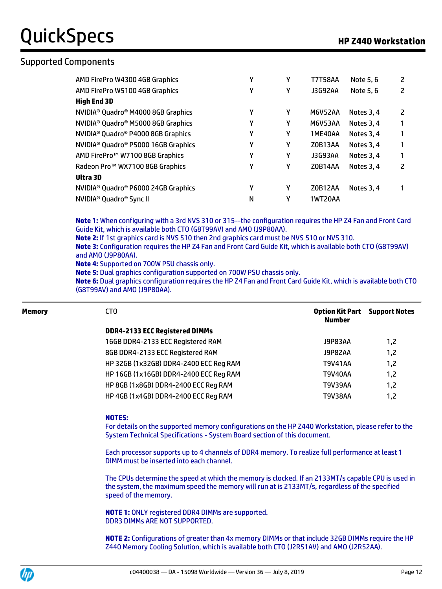#### Supported Components

| AMD FirePro W4300 4GB Graphics                              | γ | Υ | <b>T7T58AA</b> | Note 5, 6  | 2 |
|-------------------------------------------------------------|---|---|----------------|------------|---|
| AMD FirePro W5100 4GB Graphics                              | γ | γ | J3G92AA        | Note 5, 6  | 2 |
| <b>High End 3D</b>                                          |   |   |                |            |   |
| NVIDIA <sup>®</sup> Quadro <sup>®</sup> M4000 8GB Graphics  | γ | Y | <b>M6V52AA</b> | Notes 3, 4 | 2 |
| NVIDIA <sup>®</sup> Quadro <sup>®</sup> M5000 8GB Graphics  | γ | Υ | M6V53AA        | Notes 3, 4 |   |
| NVIDIA <sup>®</sup> Quadro <sup>®</sup> P4000 8GB Graphics  | γ | γ | 1ME40AA        | Notes 3, 4 |   |
| NVIDIA <sup>®</sup> Quadro <sup>®</sup> P5000 16GB Graphics | γ | γ | Z0B13AA        | Notes 3.4  |   |
| AMD FirePro™ W7100 8GB Graphics                             | γ | γ | J3G93AA        | Notes 3.4  | 1 |
| Radeon Pro™ WX7100 8GB Graphics                             | γ | Υ | Z0B14AA        | Notes 3.4  | 2 |
| Ultra 3D                                                    |   |   |                |            |   |
| NVIDIA <sup>®</sup> Quadro <sup>®</sup> P6000 24GB Graphics | γ | Υ | Z0B12AA        | Notes 3.4  |   |
| NVIDIA <sup>®</sup> Quadro <sup>®</sup> Sync II             | N | γ | <b>1WT20AA</b> |            |   |

**Note 1:** When configuring with a 3rd NVS 310 or 315--the configuration requires the HP Z4 Fan and Front Card Guide Kit, which is available both CTO (G8T99AV) and AMO (J9P80AA).

**Note 2:** If 1st graphics card is NVS 510 then 2nd graphics card must be NVS 510 or NVS 310.

**Note 3:** Configuration requires the HP Z4 Fan and Front Card Guide Kit, which is available both CTO (G8T99AV) and AMO (J9P80AA).

**Note 4:** Supported on 700W PSU chassis only.

**Note 5:** Dual graphics configuration supported on 700W PSU chassis only.

**Note 6:** Dual graphics configuration requires the HP Z4 Fan and Front Card Guide Kit, which is available both CTO (G8T99AV) and AMO (J9P80AA).

| Memory | CT <sub>0</sub>                        | Option Kit Part<br><b>Number</b> | <b>Support Notes</b> |
|--------|----------------------------------------|----------------------------------|----------------------|
|        | <b>DDR4-2133 ECC Registered DIMMs</b>  |                                  |                      |
|        | 16GB DDR4-2133 ECC Registered RAM      | J9P83AA                          | 1,2                  |
|        | 8GB DDR4-2133 ECC Registered RAM       | J9P82AA                          | 1,2                  |
|        | HP 32GB (1x32GB) DDR4-2400 ECC Reg RAM | T9V41AA                          | 1,2                  |
|        | HP 16GB (1x16GB) DDR4-2400 ECC Reg RAM | T9V40AA                          | 1,2                  |
|        | HP 8GB (1x8GB) DDR4-2400 ECC Reg RAM   | T9V39AA                          | 1,2                  |
|        | HP 4GB (1x4GB) DDR4-2400 ECC Reg RAM   | T9V38AA                          | 1,2                  |
|        |                                        |                                  |                      |

#### **NOTES:**

For details on the supported memory configurations on the HP Z440 Workstation, please refer to the System Technical Specifications - System Board section of this document.

Each processor supports up to 4 channels of DDR4 memory. To realize full performance at least 1 DIMM must be inserted into each channel.

The CPUs determine the speed at which the memory is clocked. If an 2133MT/s capable CPU is used in the system, the maximum speed the memory will run at is 2133MT/s, regardless of the specified speed of the memory.

**NOTE 1:** ONLY registered DDR4 DIMMs are supported. DDR3 DIMMs ARE NOT SUPPORTED.

**NOTE 2:** Configurations of greater than 4x memory DIMMs or that include 32GB DIMMs require the HP Z440 Memory Cooling Solution, which is available both CTO (J2R51AV) and AMO (J2R52AA).

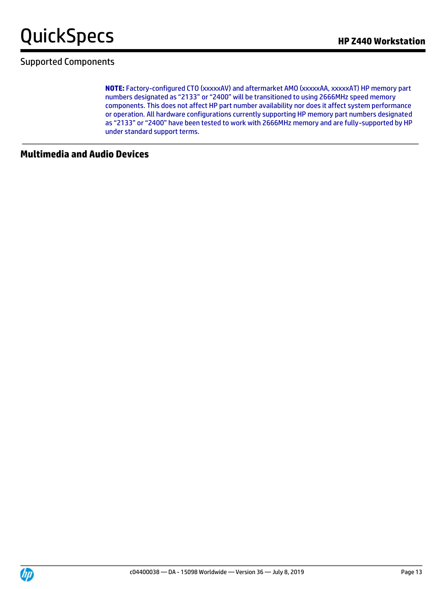

#### Supported Components

**NOTE:** Factory-configured CTO (xxxxxAV) and aftermarket AMO (xxxxxAA, xxxxxAT) HP memory part numbers designated as "2133" or "2400" will be transitioned to using 2666MHz speed memory components. This does not affect HP part number availability nor does it affect system performance or operation. All hardware configurations currently supporting HP memory part numbers designated as "2133" or "2400" have been tested to work with 2666MHz memory and are fully-supported by HP under standard support terms.

#### **Multimedia and Audio Devices**

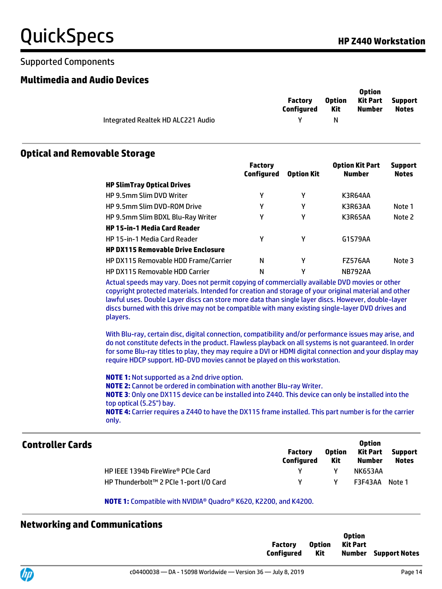#### Supported Components

#### **Multimedia and Audio Devices**

**Option** 

|                                    | Factory<br>Configured | <b>Option</b><br>Kit | <b>UDTION</b><br>Kit Part Support<br>Number | <b>Notes</b> |
|------------------------------------|-----------------------|----------------------|---------------------------------------------|--------------|
| Integrated Realtek HD ALC221 Audio |                       |                      |                                             |              |

#### **Optical and Removable Storage**

|                                           | <b>Factory</b><br>Configured | <b>Option Kit</b> | <b>Option Kit Part</b><br><b>Number</b> | <b>Support</b><br><b>Notes</b> |
|-------------------------------------------|------------------------------|-------------------|-----------------------------------------|--------------------------------|
| <b>HP SlimTray Optical Drives</b>         |                              |                   |                                         |                                |
| <b>HP 9.5mm Slim DVD Writer</b>           | γ                            | γ                 | K3R64AA                                 |                                |
| <b>HP 9.5mm Slim DVD-ROM Drive</b>        | γ                            | γ                 | K3R63AA                                 | Note 1                         |
| HP 9.5mm Slim BDXL Blu-Ray Writer         | γ                            | γ                 | K3R65AA                                 | Note 2                         |
| <b>HP 15-in-1 Media Card Reader</b>       |                              |                   |                                         |                                |
| HP 15-in-1 Media Card Reader              | γ                            | γ                 | G1S79AA                                 |                                |
| <b>HP DX115 Removable Drive Enclosure</b> |                              |                   |                                         |                                |
| HP DX115 Removable HDD Frame/Carrier      | N                            | γ                 | <b>FZ576AA</b>                          | Note 3                         |
| <b>HP DX115 Removable HDD Carrier</b>     | N                            | γ                 | <b>NB792AA</b>                          |                                |

Actual speeds may vary. Does not permit copying of commercially available DVD movies or other copyright protected materials. Intended for creation and storage of your original material and other lawful uses. Double Layer discs can store more data than single layer discs. However, double-layer discs burned with this drive may not be compatible with many existing single-layer DVD drives and players.

With Blu-ray, certain disc, digital connection, compatibility and/or performance issues may arise, and do not constitute defects in the product. Flawless playback on all systems is not guaranteed. In order for some Blu-ray titles to play, they may require a DVI or HDMI digital connection and your display may require HDCP support. HD-DVD movies cannot be played on this workstation.

**NOTE 1:** Not supported as a 2nd drive option. **NOTE 2:** Cannot be ordered in combination with another Blu-ray Writer. **NOTE 3**: Only one DX115 device can be installed into Z440. This device can only be installed into the top optical (5.25") bay. **NOTE 4:** Carrier requires a Z440 to have the DX115 frame installed. This part number is for the carrier only.

| <b>Controller Cards</b> |                                        | <b>Factory</b><br><b>Configured</b> | <b>Option</b><br>Kit | <b>Option</b><br>Kit Part<br>Number | <b>Support</b><br><b>Notes</b> |
|-------------------------|----------------------------------------|-------------------------------------|----------------------|-------------------------------------|--------------------------------|
|                         | HP IEEE 1394b FireWire® PCIe Card      |                                     |                      | <b>NK653AA</b>                      |                                |
|                         | HP Thunderbolt™ 2 PCIe 1-port I/O Card |                                     | v                    | F3F43AA                             | Note 1                         |

#### **NOTE 1:** Compatible with NVIDIA® Quadro® K620, K2200, and K4200.

#### **Networking and Communications**

|                |  | <b>Option</b>   |                             |
|----------------|--|-----------------|-----------------------------|
| Factory        |  | Option Kit Part |                             |
| Configured Kit |  |                 | <b>Number</b> Support Notes |
|                |  |                 |                             |

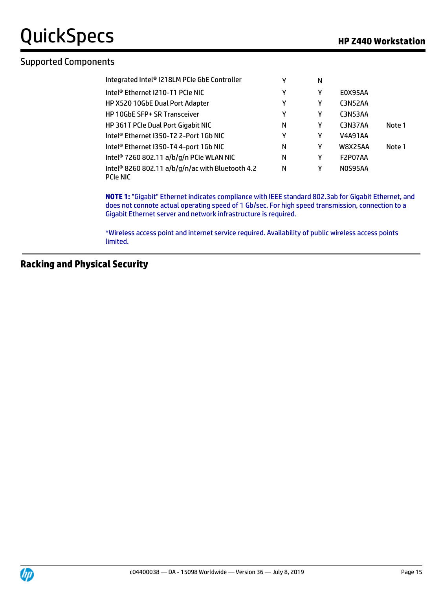#### Supported Components

| Integrated Intel® I218LM PCIe GbE Controller                                    | γ | N |                |        |
|---------------------------------------------------------------------------------|---|---|----------------|--------|
| Intel® Ethernet I210-T1 PCIe NIC                                                | Υ | γ | E0X95AA        |        |
| HP X520 10GbE Dual Port Adapter                                                 | γ | γ | C3N52AA        |        |
| HP 10GbE SFP+ SR Transceiver                                                    | γ | γ | <b>C3N53AA</b> |        |
| HP 361T PCIe Dual Port Gigabit NIC                                              | N | γ | C3N37AA        | Note 1 |
| Intel® Ethernet I350-T2 2-Port 1Gb NIC                                          | γ | γ | <b>V4A91AA</b> |        |
| Intel® Ethernet I350-T4 4-port 1Gb NIC                                          | N | γ | <b>W8X25AA</b> | Note 1 |
| Intel <sup>®</sup> 7260 802.11 a/b/g/n PCIe WLAN NIC                            | N | γ | F2P07AA        |        |
| Intel <sup>®</sup> 8260 802.11 a/b/g/n/ac with Bluetooth 4.2<br><b>PCIE NIC</b> | N | γ | NOS95AA        |        |

**NOTE 1:** "Gigabit" Ethernet indicates compliance with IEEE standard 802.3ab for Gigabit Ethernet, and does not connote actual operating speed of 1 Gb/sec. For high speed transmission, connection to a Gigabit Ethernet server and network infrastructure is required.

\*Wireless access point and internet service required. Availability of public wireless access points limited.

#### **Racking and Physical Security**

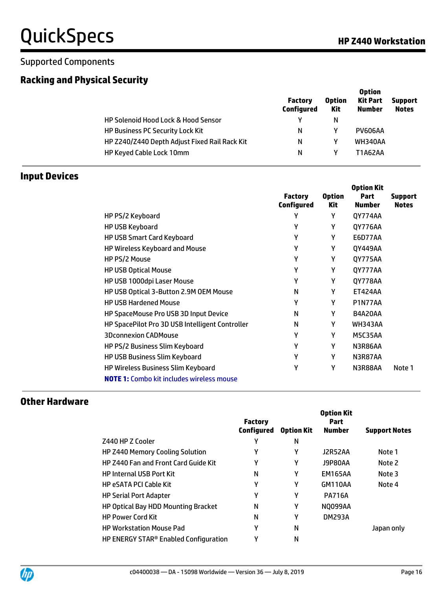#### Supported Components

### **Racking and Physical Security**

|                                                | <b>Factory</b><br>Configured | <b>Option</b><br>Kit | <b>Option</b><br><b>Kit Part</b><br><b>Number</b> | <b>Support</b><br><b>Notes</b> |
|------------------------------------------------|------------------------------|----------------------|---------------------------------------------------|--------------------------------|
| <b>HP Solenoid Hood Lock &amp; Hood Sensor</b> | γ                            | N                    |                                                   |                                |
| <b>HP Business PC Security Lock Kit</b>        | N                            |                      | <b>PV606AA</b>                                    |                                |
| HP Z240/Z440 Depth Adjust Fixed Rail Rack Kit  | N                            | γ                    | <b>WH340AA</b>                                    |                                |
| <b>HP Keyed Cable Lock 10mm</b>                | N                            |                      | <b>T1A62AA</b>                                    |                                |

#### **Input Devices**

|                                                  | <b>Factory</b><br><b>Configured</b> | <b>Option</b><br>Kit | <b>Option Kit</b><br>Part<br><b>Number</b> | <b>Support</b><br><b>Notes</b> |
|--------------------------------------------------|-------------------------------------|----------------------|--------------------------------------------|--------------------------------|
| HP PS/2 Keyboard                                 | Υ                                   | Y                    | QY774AA                                    |                                |
| HP USB Keyboard                                  | γ                                   | Υ                    | QY776AA                                    |                                |
| <b>HP USB Smart Card Keyboard</b>                | γ                                   | Υ                    | <b>E6D77AA</b>                             |                                |
| HP Wireless Keyboard and Mouse                   | γ                                   | Υ                    | QY449AA                                    |                                |
| HP PS/2 Mouse                                    | γ                                   | Υ                    | QY775AA                                    |                                |
| <b>HP USB Optical Mouse</b>                      | γ                                   | Υ                    | QY777AA                                    |                                |
| HP USB 1000dpi Laser Mouse                       | γ                                   | Υ                    | QY778AA                                    |                                |
| HP USB Optical 3-Button 2.9M OEM Mouse           | N                                   | Υ                    | <b>ET424AA</b>                             |                                |
| <b>HP USB Hardened Mouse</b>                     | γ                                   | Υ                    | <b>P1N77AA</b>                             |                                |
| HP SpaceMouse Pro USB 3D Input Device            | N                                   | Υ                    | <b>B4A20AA</b>                             |                                |
| HP SpacePilot Pro 3D USB Intelligent Controller  | N                                   | Υ                    | <b>WH343AA</b>                             |                                |
| <b>3Dconnexion CADMouse</b>                      | Υ                                   | Y                    | M5C35AA                                    |                                |
| HP PS/2 Business Slim Keyboard                   | Υ                                   | Y                    | N3R86AA                                    |                                |
| HP USB Business Slim Keyboard                    | γ                                   | Υ                    | N3R87AA                                    |                                |
| HP Wireless Business Slim Keyboard               | Υ                                   | Υ                    | N3R88AA                                    | Note 1                         |
| <b>NOTE 1:</b> Combo kit includes wireless mouse |                                     |                      |                                            |                                |

#### **Other Hardware**

|                                                   | <b>Factory</b>    |                   | <b>Option Kit</b><br>Part |                      |
|---------------------------------------------------|-------------------|-------------------|---------------------------|----------------------|
|                                                   | <b>Configured</b> | <b>Option Kit</b> | <b>Number</b>             | <b>Support Notes</b> |
| Z440 HP Z Cooler                                  | γ                 | N                 |                           |                      |
| <b>HP Z440 Memory Cooling Solution</b>            | γ                 | γ                 | J2R52AA                   | Note 1               |
| <b>HP Z440 Fan and Front Card Guide Kit</b>       | γ                 | γ                 | J9P80AA                   | Note 2               |
| <b>HP Internal USB Port Kit</b>                   | N                 | γ                 | <b>EM165AA</b>            | Note 3               |
| <b>HP eSATA PCI Cable Kit</b>                     | Υ                 | γ                 | GM110AA                   | Note 4               |
| <b>HP Serial Port Adapter</b>                     | γ                 | γ                 | <b>PA716A</b>             |                      |
| <b>HP Optical Bay HDD Mounting Bracket</b>        | N                 | γ                 | <b>NO099AA</b>            |                      |
| <b>HP Power Cord Kit</b>                          | N                 | γ                 | <b>DM293A</b>             |                      |
| <b>HP Workstation Mouse Pad</b>                   | γ                 | N                 |                           | Japan only           |
| HP ENERGY STAR <sup>®</sup> Enabled Configuration | γ                 | N                 |                           |                      |

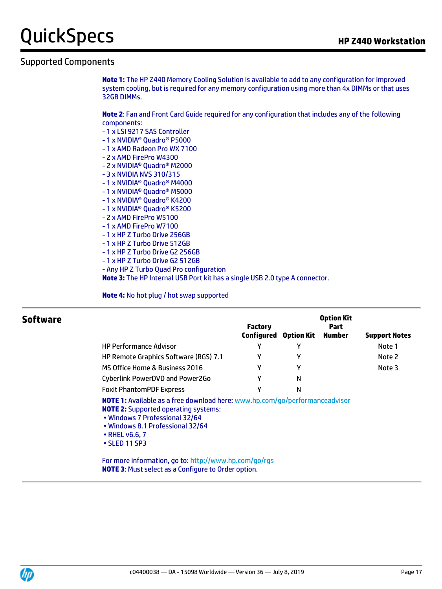#### Supported Components

**Note 1:** The HP Z440 Memory Cooling Solution is available to add to any configuration for improved system cooling, but is required for any memory configuration using more than 4x DIMMs or that uses 32GB DIMMs.

**Note 2**: Fan and Front Card Guide required for any configuration that includes any of the following components:

- 1 x LSI 9217 SAS Controller
- 1 x NVIDIA® Quadro® P5000
- 1 x AMD Radeon Pro WX 7100
- 2 x AMD FirePro W4300
- 2 x NVIDIA® Quadro® M2000
- 3 x NVIDIA NVS 310/315
- 1 x NVIDIA® Quadro® M4000
- 1 x NVIDIA® Quadro® M5000
- 1 x NVIDIA® Quadro® K4200
- 1 x NVIDIA® Quadro® K5200
- 2 x AMD FirePro W5100
- 1 x AMD FirePro W7100
- 1 x HP Z Turbo Drive 256GB
- 1 x HP Z Turbo Drive 512GB
- 1 x HP Z Turbo Drive G2 256GB
- 1 x HP Z Turbo Drive G2 512GB
- Any HP Z Turbo Quad Pro configuration

**Note 3:** The HP Internal USB Port kit has a single USB 2.0 type A connector.

**Note 4:** No hot plug / hot swap supported

| Software |                                                                                                                                                                                                                                                 | <b>Factory</b><br>Configured | <b>Option Kit</b> | <b>Option Kit</b><br><b>Part</b><br><b>Number</b> | <b>Support Notes</b> |
|----------|-------------------------------------------------------------------------------------------------------------------------------------------------------------------------------------------------------------------------------------------------|------------------------------|-------------------|---------------------------------------------------|----------------------|
|          | <b>HP Performance Advisor</b>                                                                                                                                                                                                                   | Υ                            | γ                 |                                                   | Note 1               |
|          | <b>HP Remote Graphics Software (RGS) 7.1</b>                                                                                                                                                                                                    | γ                            | γ                 |                                                   | Note 2               |
|          | MS Office Home & Business 2016                                                                                                                                                                                                                  | γ                            | γ                 |                                                   | Note 3               |
|          | Cyberlink PowerDVD and Power2Go                                                                                                                                                                                                                 | γ                            | N                 |                                                   |                      |
|          | <b>Foxit PhantomPDF Express</b>                                                                                                                                                                                                                 | γ                            | N                 |                                                   |                      |
|          | NOTE 1: Available as a free download here: www.hp.com/go/performanceadvisor<br><b>NOTE 2:</b> Supported operating systems:<br>• Windows 7 Professional 32/64<br>• Windows 8.1 Professional 32/64<br>$\cdot$ RHEL v6.6, 7<br>$\cdot$ SLED 11 SP3 |                              |                   |                                                   |                      |

For more information, go to: http://www.hp.com/go/rgs **NOTE 3**: Must select as a Configure to Order option.

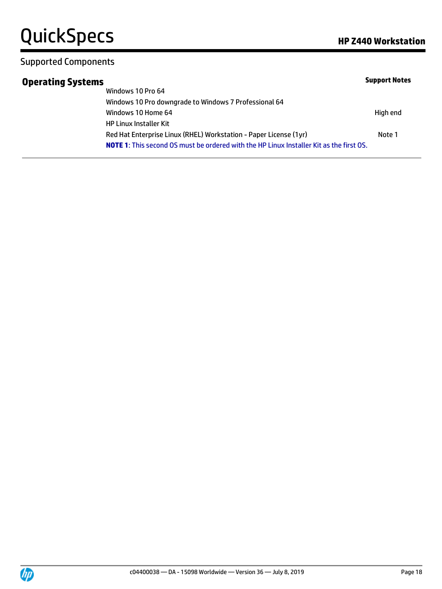#### Supported Components

### **Operating Systems**

|                                                                                                | <b>Support Notes</b> |
|------------------------------------------------------------------------------------------------|----------------------|
| Windows 10 Pro 64                                                                              |                      |
| Windows 10 Pro downgrade to Windows 7 Professional 64                                          |                      |
| Windows 10 Home 64                                                                             | High end             |
| <b>HP Linux Installer Kit</b>                                                                  |                      |
| Red Hat Enterprise Linux (RHEL) Workstation - Paper License (1yr)                              | Note 1               |
| <b>NOTE 1:</b> This second OS must be ordered with the HP Linux Installer Kit as the first OS. |                      |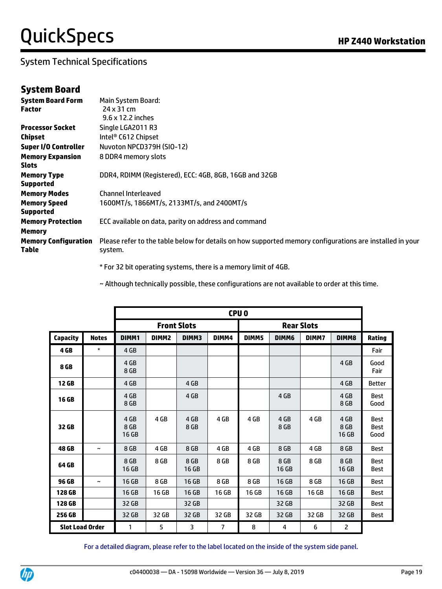#### System Technical Specifications

#### **System Board**

| <b>System Board Form</b>    | <b>Main System Board:</b>                                                                                |
|-----------------------------|----------------------------------------------------------------------------------------------------------|
| <b>Factor</b>               | 24 x 31 cm                                                                                               |
|                             | $9.6 \times 12.2$ inches                                                                                 |
| <b>Processor Socket</b>     | Single LGA2011 R3                                                                                        |
| Chipset                     | Intel® C612 Chipset                                                                                      |
| <b>Super I/O Controller</b> | Nuvoton NPCD379H (SIO-12)                                                                                |
| <b>Memory Expansion</b>     | 8 DDR4 memory slots                                                                                      |
| <b>Slots</b>                |                                                                                                          |
| <b>Memory Type</b>          | DDR4, RDIMM (Registered), ECC: 4GB, 8GB, 16GB and 32GB                                                   |
| <b>Supported</b>            |                                                                                                          |
| <b>Memory Modes</b>         | <b>Channel Interleaved</b>                                                                               |
| <b>Memory Speed</b>         | 1600MT/s, 1866MT/s, 2133MT/s, and 2400MT/s                                                               |
| <b>Supported</b>            |                                                                                                          |
| <b>Memory Protection</b>    | ECC available on data, parity on address and command                                                     |
| <b>Memory</b>               |                                                                                                          |
| <b>Memory Configuration</b> | Please refer to the table below for details on how supported memory configurations are installed in your |
| Table                       | system.                                                                                                  |
|                             |                                                                                                          |

\* For 32 bit operating systems, there is a memory limit of 4GB.

~ Although technically possible, these configurations are not available to order at this time.

|                        |                       |                       |                   |                    |       | CPU <sub>0</sub> |               |                   |                       |                                    |
|------------------------|-----------------------|-----------------------|-------------------|--------------------|-------|------------------|---------------|-------------------|-----------------------|------------------------------------|
|                        |                       |                       |                   | <b>Front Slots</b> |       |                  |               | <b>Rear Slots</b> |                       |                                    |
| Capacity               | <b>Notes</b>          | DIMM1                 | DIMM <sub>2</sub> | DIMM3              | DIMM4 | DIMM5            | DIMM6         | DIMM7             | DIMM8                 | Rating                             |
| 4 GB                   | $\star$               | 4 GB                  |                   |                    |       |                  |               |                   |                       | Fair                               |
| 8 GB                   |                       | 4 GB<br>8 GB          |                   |                    |       |                  |               |                   | 4 GB                  | Good<br>Fair                       |
| 12 GB                  |                       | 4 GB                  |                   | 4 GB               |       |                  |               |                   | 4 GB                  | <b>Better</b>                      |
| <b>16 GB</b>           |                       | 4 GB<br>8 GB          |                   | 4 GB               |       |                  | 4 GB          |                   | 4 GB<br>8 GB          | <b>Best</b><br>Good                |
| 32 GB                  |                       | 4 GB<br>8 GB<br>16 GB | 4 GB              | 4 GB<br>8 GB       | 4 GB  | 4 GB             | 4 GB<br>8 GB  | 4 GB              | 4 GB<br>8 GB<br>16 GB | <b>Best</b><br><b>Best</b><br>Good |
| <b>48 GB</b>           | $\tilde{\phantom{a}}$ | 8 GB                  | 4 GB              | 8 GB               | 4 GB  | 4 GB             | 8 GB          | 4 GB              | 8 GB                  | <b>Best</b>                        |
| 64 GB                  |                       | 8 GB<br>16 GB         | 8 GB              | 8 GB<br>16 GB      | 8 GB  | 8 GB             | 8 GB<br>16 GB | 8 GB              | 8 GB<br>16 GB         | <b>Best</b><br><b>Best</b>         |
| 96 GB                  | $\tilde{\phantom{a}}$ | 16 GB                 | 8 GB              | 16 GB              | 8 GB  | 8 GB             | 16 GB         | 8 GB              | 16 GB                 | <b>Best</b>                        |
| 128 GB                 |                       | 16 GB                 | 16 GB             | 16 GB              | 16 GB | 16 GB            | 16 GB         | 16 GB             | 16 GB                 | <b>Best</b>                        |
| 128 GB                 |                       | 32 GB                 |                   | 32 GB              |       |                  | 32 GB         |                   | 32 GB                 | <b>Best</b>                        |
| 256 GB                 |                       | 32 GB                 | 32 GB             | 32 GB              | 32 GB | 32 GB            | 32 GB         | 32 GB             | 32 GB                 | <b>Best</b>                        |
| <b>Slot Load Order</b> |                       | 1                     | 5                 | 3                  | 7     | 8                | 4             | 6                 | 2                     |                                    |

For a detailed diagram, please refer to the label located on the inside of the system side panel.

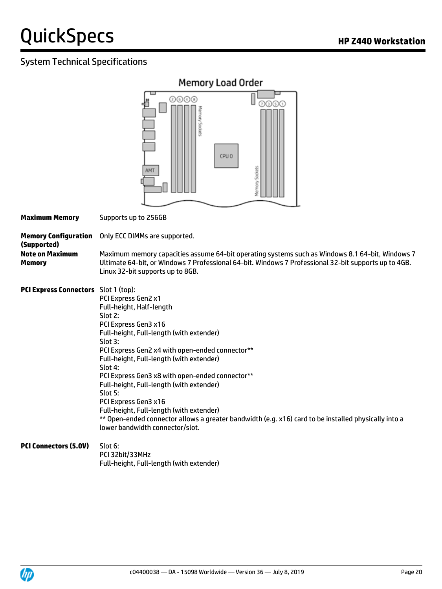#### System Technical Specifications



**Maximum Memory** Supports up to 256GB

**Memory Configuration (Supported)** Only ECC DIMMs are supported. **Note on Maximum Memory** Maximum memory capacities assume 64-bit operating systems such as Windows 8.1 64-bit, Windows 7 Ultimate 64-bit, or Windows 7 Professional 64-bit. Windows 7 Professional 32-bit supports up to 4GB. Linux 32-bit supports up to 8GB.

**PCI Express Connectors** Slot 1 (top): PCI Express Gen2 x1 Full-height, Half-length Slot 2: PCI Express Gen3 x16 Full-height, Full-length (with extender) Slot 3: PCI Express Gen2 x4 with open-ended connector\*\* Full-height, Full-length (with extender) Slot 4: PCI Express Gen3 x8 with open-ended connector\*\* Full-height, Full-length (with extender) Slot 5: PCI Express Gen3 x16 Full-height, Full-length (with extender) \*\* Open-ended connector allows a greater bandwidth (e.g. x16) card to be installed physically into a lower bandwidth connector/slot.

#### **PCI Connectors (5.0V)** Slot 6: PCI 32bit/33MHz Full-height, Full-length (with extender)

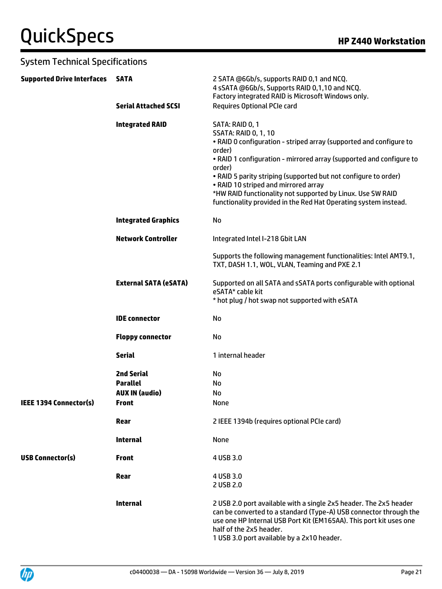| <b>System Technical Specifications</b> |                                                                               |                                                                                                                                                                                                                                                                                                                                                                                                                                                             |
|----------------------------------------|-------------------------------------------------------------------------------|-------------------------------------------------------------------------------------------------------------------------------------------------------------------------------------------------------------------------------------------------------------------------------------------------------------------------------------------------------------------------------------------------------------------------------------------------------------|
| <b>Supported Drive Interfaces</b>      | <b>SATA</b>                                                                   | 2 SATA @6Gb/s, supports RAID 0,1 and NCQ.<br>4 sSATA @6Gb/s, Supports RAID 0,1,10 and NCQ.<br>Factory integrated RAID is Microsoft Windows only.                                                                                                                                                                                                                                                                                                            |
|                                        | <b>Serial Attached SCSI</b>                                                   | <b>Requires Optional PCIe card</b>                                                                                                                                                                                                                                                                                                                                                                                                                          |
|                                        | <b>Integrated RAID</b>                                                        | SATA: RAID 0, 1<br><b>SSATA: RAID 0, 1, 10</b><br>. RAID 0 configuration - striped array (supported and configure to<br>order)<br>• RAID 1 configuration - mirrored array (supported and configure to<br>order)<br>. RAID 5 parity striping (supported but not configure to order)<br>• RAID 10 striped and mirrored array<br>*HW RAID functionality not supported by Linux. Use SW RAID<br>functionality provided in the Red Hat Operating system instead. |
|                                        | <b>Integrated Graphics</b>                                                    | No                                                                                                                                                                                                                                                                                                                                                                                                                                                          |
|                                        | <b>Network Controller</b>                                                     | Integrated Intel I-218 Gbit LAN                                                                                                                                                                                                                                                                                                                                                                                                                             |
|                                        |                                                                               | Supports the following management functionalities: Intel AMT9.1,<br>TXT, DASH 1.1, WOL, VLAN, Teaming and PXE 2.1                                                                                                                                                                                                                                                                                                                                           |
|                                        | <b>External SATA (eSATA)</b>                                                  | Supported on all SATA and sSATA ports configurable with optional<br>eSATA* cable kit<br>* hot plug / hot swap not supported with eSATA                                                                                                                                                                                                                                                                                                                      |
|                                        | <b>IDE</b> connector                                                          | No                                                                                                                                                                                                                                                                                                                                                                                                                                                          |
|                                        | <b>Floppy connector</b>                                                       | No                                                                                                                                                                                                                                                                                                                                                                                                                                                          |
|                                        | <b>Serial</b>                                                                 | 1 internal header                                                                                                                                                                                                                                                                                                                                                                                                                                           |
| IEEE 1394 Connector(s)                 | <b>2nd Serial</b><br><b>Parallel</b><br><b>AUX IN (audio)</b><br><b>Front</b> | No<br>No<br>No<br><b>None</b>                                                                                                                                                                                                                                                                                                                                                                                                                               |
|                                        | Rear                                                                          | 2 IEEE 1394b (requires optional PCIe card)                                                                                                                                                                                                                                                                                                                                                                                                                  |
|                                        | <b>Internal</b>                                                               | None                                                                                                                                                                                                                                                                                                                                                                                                                                                        |
| <b>USB Connector(s)</b>                | <b>Front</b>                                                                  | 4 USB 3.0                                                                                                                                                                                                                                                                                                                                                                                                                                                   |
|                                        | Rear                                                                          | 4 USB 3.0<br>2 USB 2.0                                                                                                                                                                                                                                                                                                                                                                                                                                      |
|                                        | <b>Internal</b>                                                               | 2 USB 2.0 port available with a single 2x5 header. The 2x5 header<br>can be converted to a standard (Type-A) USB connector through the<br>use one HP Internal USB Port Kit (EM165AA). This port kit uses one<br>half of the 2x5 header.<br>1 USB 3.0 port available by a 2x10 header.                                                                                                                                                                       |

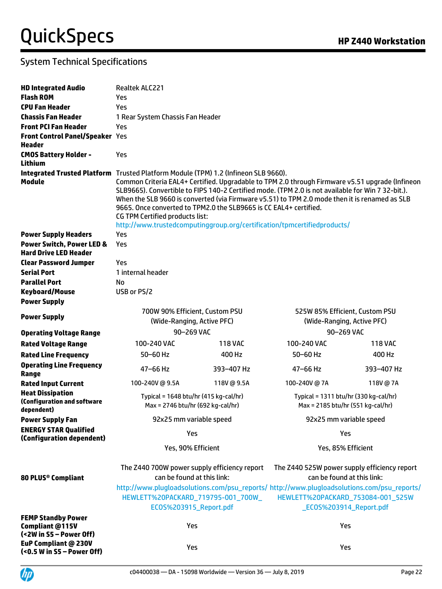| <b>HD Integrated Audio</b>                                              | Realtek ALC221                                                                                                                                                                                                                                                                                                                                                                                                                                                                                                                                                                         |            |                                                                                                                                                                                                                                          |                |  |  |  |  |  |
|-------------------------------------------------------------------------|----------------------------------------------------------------------------------------------------------------------------------------------------------------------------------------------------------------------------------------------------------------------------------------------------------------------------------------------------------------------------------------------------------------------------------------------------------------------------------------------------------------------------------------------------------------------------------------|------------|------------------------------------------------------------------------------------------------------------------------------------------------------------------------------------------------------------------------------------------|----------------|--|--|--|--|--|
| <b>Flash ROM</b>                                                        | Yes                                                                                                                                                                                                                                                                                                                                                                                                                                                                                                                                                                                    |            |                                                                                                                                                                                                                                          |                |  |  |  |  |  |
| <b>CPU Fan Header</b>                                                   | Yes                                                                                                                                                                                                                                                                                                                                                                                                                                                                                                                                                                                    |            |                                                                                                                                                                                                                                          |                |  |  |  |  |  |
| <b>Chassis Fan Header</b>                                               | 1 Rear System Chassis Fan Header                                                                                                                                                                                                                                                                                                                                                                                                                                                                                                                                                       |            |                                                                                                                                                                                                                                          |                |  |  |  |  |  |
| <b>Front PCI Fan Header</b>                                             | Yes                                                                                                                                                                                                                                                                                                                                                                                                                                                                                                                                                                                    |            |                                                                                                                                                                                                                                          |                |  |  |  |  |  |
| <b>Front Control Panel/Speaker Yes</b>                                  |                                                                                                                                                                                                                                                                                                                                                                                                                                                                                                                                                                                        |            |                                                                                                                                                                                                                                          |                |  |  |  |  |  |
| Header                                                                  |                                                                                                                                                                                                                                                                                                                                                                                                                                                                                                                                                                                        |            |                                                                                                                                                                                                                                          |                |  |  |  |  |  |
| <b>CMOS Battery Holder -</b><br>Lithium                                 | Yes                                                                                                                                                                                                                                                                                                                                                                                                                                                                                                                                                                                    |            |                                                                                                                                                                                                                                          |                |  |  |  |  |  |
| Module                                                                  | Integrated Trusted Platform Trusted Platform Module (TPM) 1.2 (Infineon SLB 9660).<br>Common Criteria EAL4+ Certified. Upgradable to TPM 2.0 through Firmware v5.51 upgrade (Infineon<br>SLB9665). Convertible to FIPS 140-2 Certified mode. (TPM 2.0 is not available for Win 7 32-bit.).<br>When the SLB 9660 is converted (via Firmware v5.51) to TPM 2.0 mode then it is renamed as SLB<br>9665. Once converted to TPM2.0 the SLB9665 is CC EAL4+ certified.<br><b>CG TPM Certified products list:</b><br>http://www.trustedcomputinggroup.org/certification/tpmcertifiedproducts/ |            |                                                                                                                                                                                                                                          |                |  |  |  |  |  |
| <b>Power Supply Headers</b>                                             | Yes                                                                                                                                                                                                                                                                                                                                                                                                                                                                                                                                                                                    |            |                                                                                                                                                                                                                                          |                |  |  |  |  |  |
| <b>Power Switch, Power LED &amp;</b><br><b>Hard Drive LED Header</b>    | Yes                                                                                                                                                                                                                                                                                                                                                                                                                                                                                                                                                                                    |            |                                                                                                                                                                                                                                          |                |  |  |  |  |  |
| <b>Clear Password Jumper</b>                                            | Yes                                                                                                                                                                                                                                                                                                                                                                                                                                                                                                                                                                                    |            |                                                                                                                                                                                                                                          |                |  |  |  |  |  |
| <b>Serial Port</b>                                                      | 1 internal header                                                                                                                                                                                                                                                                                                                                                                                                                                                                                                                                                                      |            |                                                                                                                                                                                                                                          |                |  |  |  |  |  |
| <b>Parallel Port</b>                                                    | No                                                                                                                                                                                                                                                                                                                                                                                                                                                                                                                                                                                     |            |                                                                                                                                                                                                                                          |                |  |  |  |  |  |
| <b>Keyboard/Mouse</b>                                                   | USB or PS/2                                                                                                                                                                                                                                                                                                                                                                                                                                                                                                                                                                            |            |                                                                                                                                                                                                                                          |                |  |  |  |  |  |
| <b>Power Supply</b>                                                     |                                                                                                                                                                                                                                                                                                                                                                                                                                                                                                                                                                                        |            |                                                                                                                                                                                                                                          |                |  |  |  |  |  |
| <b>Power Supply</b>                                                     | 700W 90% Efficient, Custom PSU<br>(Wide-Ranging, Active PFC)                                                                                                                                                                                                                                                                                                                                                                                                                                                                                                                           |            | 525W 85% Efficient, Custom PSU<br>(Wide-Ranging, Active PFC)                                                                                                                                                                             |                |  |  |  |  |  |
| <b>Operating Voltage Range</b>                                          | 90-269 VAC                                                                                                                                                                                                                                                                                                                                                                                                                                                                                                                                                                             |            | 90-269 VAC                                                                                                                                                                                                                               |                |  |  |  |  |  |
| <b>Rated Voltage Range</b>                                              | 100-240 VAC                                                                                                                                                                                                                                                                                                                                                                                                                                                                                                                                                                            | 118 VAC    | 100-240 VAC                                                                                                                                                                                                                              | <b>118 VAC</b> |  |  |  |  |  |
| <b>Rated Line Frequency</b>                                             | $50 - 60$ Hz                                                                                                                                                                                                                                                                                                                                                                                                                                                                                                                                                                           | 400 Hz     | $50 - 60$ Hz                                                                                                                                                                                                                             | 400 Hz         |  |  |  |  |  |
| <b>Operating Line Frequency</b><br>Range                                | 47-66 Hz                                                                                                                                                                                                                                                                                                                                                                                                                                                                                                                                                                               | 393-407 Hz | 47-66 Hz                                                                                                                                                                                                                                 | 393-407 Hz     |  |  |  |  |  |
| <b>Rated Input Current</b>                                              | 100-240V@9.5A                                                                                                                                                                                                                                                                                                                                                                                                                                                                                                                                                                          | 118V@9.5A  | 100-240V@7A                                                                                                                                                                                                                              | 118V@7A        |  |  |  |  |  |
| <b>Heat Dissipation</b><br>(Configuration and software<br>dependent)    | Typical = $1648$ btu/hr (415 kg-cal/hr)<br>Max = 2746 btu/hr (692 kg-cal/hr)                                                                                                                                                                                                                                                                                                                                                                                                                                                                                                           |            | Typical = 1311 btu/hr (330 kg-cal/hr)<br>Max = 2185 btu/hr (551 kg-cal/hr)                                                                                                                                                               |                |  |  |  |  |  |
| <b>Power Supply Fan</b>                                                 | 92x25 mm variable speed                                                                                                                                                                                                                                                                                                                                                                                                                                                                                                                                                                |            | 92x25 mm variable speed                                                                                                                                                                                                                  |                |  |  |  |  |  |
| <b>ENERGY STAR Qualified</b><br>(Configuration dependent)               | Yes                                                                                                                                                                                                                                                                                                                                                                                                                                                                                                                                                                                    |            | Yes                                                                                                                                                                                                                                      |                |  |  |  |  |  |
|                                                                         | Yes, 90% Efficient                                                                                                                                                                                                                                                                                                                                                                                                                                                                                                                                                                     |            | Yes, 85% Efficient                                                                                                                                                                                                                       |                |  |  |  |  |  |
| 80 PLUS® Compliant                                                      | The Z440 700W power supply efficiency report<br>can be found at this link:<br>HEWLETT%20PACKARD_719795-001_700W_<br>ECOS%203915_Report.pdf                                                                                                                                                                                                                                                                                                                                                                                                                                             |            | The Z440 525W power supply efficiency report<br>can be found at this link:<br>http://www.plugloadsolutions.com/psu_reports/ http://www.plugloadsolutions.com/psu_reports/<br>HEWLETT%20PACKARD_753084-001_525W<br>ECOS%203914_Report.pdf |                |  |  |  |  |  |
| <b>FEMP Standby Power</b><br>Compliant @115V<br>(<2W in S5 - Power Off) | Yes                                                                                                                                                                                                                                                                                                                                                                                                                                                                                                                                                                                    |            | Yes                                                                                                                                                                                                                                      |                |  |  |  |  |  |
| EuP Compliant @ 230V<br>(<0.5 W in S5 - Power Off)                      | Yes                                                                                                                                                                                                                                                                                                                                                                                                                                                                                                                                                                                    |            | Yes                                                                                                                                                                                                                                      |                |  |  |  |  |  |

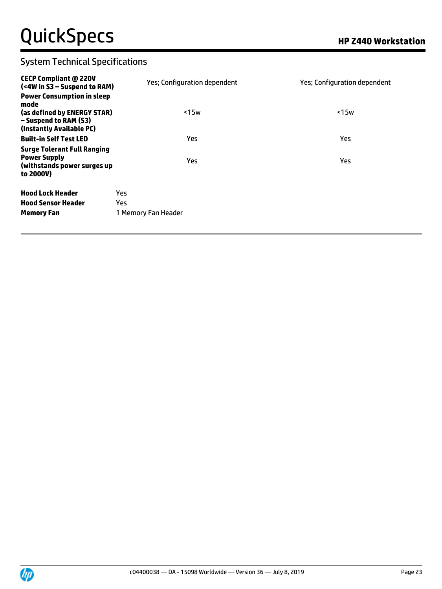| <b>CECP Compliant @ 220V</b><br>(<4W in S3 - Suspend to RAM)                                                                  | Yes; Configuration dependent | Yes; Configuration dependent |
|-------------------------------------------------------------------------------------------------------------------------------|------------------------------|------------------------------|
| <b>Power Consumption in sleep</b><br>mode<br>(as defined by ENERGY STAR)<br>- Suspend to RAM (S3)<br>(Instantly Available PC) | $15w$                        | $15w$                        |
| <b>Built-in Self Test LED</b>                                                                                                 | Yes                          | Yes                          |
| <b>Surge Tolerant Full Ranging</b><br><b>Power Supply</b><br>(withstands power surges up<br>to 2000V)                         | <b>Yes</b>                   | <b>Yes</b>                   |
| <b>Hood Lock Header</b>                                                                                                       | Yes.                         |                              |
| <b>Hood Sensor Header</b>                                                                                                     | Yes.                         |                              |
| <b>Memory Fan</b>                                                                                                             | 1 Memory Fan Header          |                              |
|                                                                                                                               |                              |                              |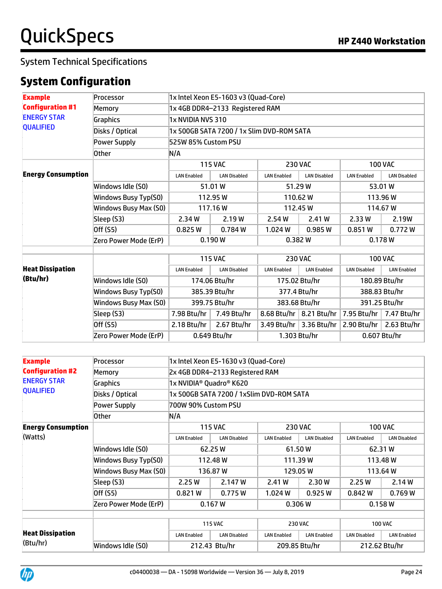### **System Configuration**

| <b>Example</b>            | Processor             | 1x Intel Xeon E5-1603 v3 (Quad-Core)      |                                 |                    |                           |                     |                     |  |  |  |
|---------------------------|-----------------------|-------------------------------------------|---------------------------------|--------------------|---------------------------|---------------------|---------------------|--|--|--|
| <b>Configuration #1</b>   | Memory                |                                           | 1x 4GB DDR4-2133 Registered RAM |                    |                           |                     |                     |  |  |  |
| <b>ENERGY STAR</b>        | Graphics              |                                           | 1x NVIDIA NVS 310               |                    |                           |                     |                     |  |  |  |
| <b>QUALIFIED</b>          | Disks / Optical       | 1x 500GB SATA 7200 / 1x Slim DVD-ROM SATA |                                 |                    |                           |                     |                     |  |  |  |
|                           | <b>Power Supply</b>   | 525W 85% Custom PSU                       |                                 |                    |                           |                     |                     |  |  |  |
|                           | <b>Other</b>          | N/A                                       |                                 |                    |                           |                     |                     |  |  |  |
|                           |                       |                                           | <b>115 VAC</b>                  |                    | <b>230 VAC</b>            |                     | <b>100 VAC</b>      |  |  |  |
| <b>Energy Consumption</b> |                       | <b>LAN Enabled</b>                        | <b>LAN Disabled</b>             | <b>LAN Enabled</b> | <b>LAN Disabled</b>       | <b>LAN Enabled</b>  | <b>LAN Disabled</b> |  |  |  |
|                           | Windows Idle (SO)     |                                           | 51.01 W                         |                    | 51.29 W                   |                     | 53.01 W             |  |  |  |
|                           | Windows Busy Typ(S0)  |                                           | 112.95 W                        |                    | 110.62W                   | 113.96W             |                     |  |  |  |
|                           | Windows Busy Max (S0) | 117.16W                                   |                                 | 112.45 W           |                           | 114.67 W            |                     |  |  |  |
|                           | Sleep (S3)            | 2.34 W                                    | 2.19 W                          | 2.54 W             | 2.41 W                    | 2.33 W              | 2.19W               |  |  |  |
|                           | Off (S5)              | 0.825W                                    | 0.784W                          | 1.024W             | 0.985 W                   | 0.851 W             | 0.772W              |  |  |  |
|                           | Zero Power Mode (ErP) |                                           | 0.190W                          |                    | 0.382W                    |                     | 0.178W              |  |  |  |
|                           |                       |                                           |                                 |                    |                           | <b>100 VAC</b>      |                     |  |  |  |
|                           |                       |                                           | <b>115 VAC</b>                  |                    | <b>230 VAC</b>            |                     |                     |  |  |  |
| <b>Heat Dissipation</b>   |                       | <b>LAN Enabled</b>                        | <b>LAN Disabled</b>             | <b>LAN Enabled</b> | <b>LAN Enabled</b>        | <b>LAN Disabled</b> | <b>LAN Enabled</b>  |  |  |  |
| (Btu/hr)                  | Windows Idle (SO)     |                                           | 174.06 Btu/hr                   |                    | 175.02 Btu/hr             |                     | 180.89 Btu/hr       |  |  |  |
|                           | Windows Busy Typ(S0)  |                                           | 385.39 Btu/hr                   |                    | 377.4 Btu/hr              |                     | 388.83 Btu/hr       |  |  |  |
|                           | Windows Busy Max (S0) |                                           | 399.75 Btu/hr                   |                    | 383.68 Btu/hr             |                     | 391.25 Btu/hr       |  |  |  |
|                           | Sleep (S3)            | 7.98 Btu/hr                               | 7.49 Btu/hr                     |                    | 8.68 Btu/hr   8.21 Btu/hr | 7.95 Btu/hr         | 7.47 Btu/hr         |  |  |  |
|                           | Off (S5)              | $2.18$ Btu/hr                             | 2.67 Btu/hr                     | 3.49 Btu/hr        | 3.36 Btu/hr               | 2.90 Btu/hr         | 2.63 Btu/hr         |  |  |  |
|                           | Zero Power Mode (ErP) |                                           | 0.649 Btu/hr                    |                    | 1.303 Btu/hr              | 0.607 Btu/hr        |                     |  |  |  |

| <b>Example</b>            | Processor             | 1x Intel Xeon E5-1630 v3 (Quad-Core) |                                          |                    |                     |                     |                     |  |  |
|---------------------------|-----------------------|--------------------------------------|------------------------------------------|--------------------|---------------------|---------------------|---------------------|--|--|
| <b>Configuration #2</b>   | Memory                | 2x 4GB DDR4-2133 Registered RAM      |                                          |                    |                     |                     |                     |  |  |
| <b>ENERGY STAR</b>        | Graphics              | 1x NVIDIA® Quadro® K620              |                                          |                    |                     |                     |                     |  |  |
| <b>QUALIFIED</b>          | Disks / Optical       |                                      | 1x 500GB SATA 7200 / 1xSlim DVD-ROM SATA |                    |                     |                     |                     |  |  |
|                           | Power Supply          | 700W 90% Custom PSU                  |                                          |                    |                     |                     |                     |  |  |
|                           | <b>Other</b>          | N/A                                  |                                          |                    |                     |                     |                     |  |  |
| <b>Energy Consumption</b> |                       |                                      | <b>115 VAC</b>                           |                    | <b>230 VAC</b>      |                     | <b>100 VAC</b>      |  |  |
| (Watts)                   |                       | <b>LAN Enabled</b>                   | <b>LAN Disabled</b>                      | <b>LAN Enabled</b> | <b>LAN Disabled</b> | <b>LAN Enabled</b>  | <b>LAN Disabled</b> |  |  |
|                           | Windows Idle (S0)     | 62.25 W                              |                                          | 61.50W             |                     | 62.31 W             |                     |  |  |
|                           | Windows Busy Typ(S0)  | 112.48 W                             |                                          | 111.39W            |                     | 113.48 W            |                     |  |  |
|                           | Windows Busy Max (S0) |                                      | 136.87W                                  | 129.05W            |                     | 113.64W             |                     |  |  |
|                           | Sleep (S3)            | 2.25 W                               | 2.147 W                                  | 2.41 W             | 2.30 W              | 2.25 W              | 2.14 W              |  |  |
|                           | Off (S5)              | 0.821W                               | 0.775W                                   | 1.024W             | 0.925 W             | 0.842 W             | 0.769W              |  |  |
|                           | Zero Power Mode (ErP) |                                      | 0.167 W                                  |                    | 0.306 W             |                     | 0.158W              |  |  |
|                           |                       |                                      | <b>115 VAC</b>                           |                    | <b>230 VAC</b>      | <b>100 VAC</b>      |                     |  |  |
| <b>Heat Dissipation</b>   |                       | <b>LAN Enabled</b>                   | <b>LAN Disabled</b>                      | <b>LAN Enabled</b> | <b>LAN Enabled</b>  | <b>LAN Disabled</b> | <b>LAN Enabled</b>  |  |  |
| (Btu/hr)                  | Windows Idle (S0)     |                                      | 212.43 Btu/hr                            |                    | 209.85 Btu/hr       | 212.62 Btu/hr       |                     |  |  |

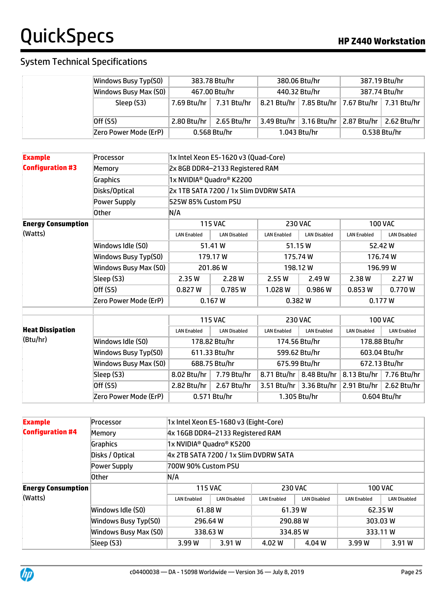### System Technical Specifications

| Windows Busy Typ(S0)  | 383.78 Btu/hr |               | 380.06 Btu/hr                  |                                     | 387.19 Btu/hr |                                                       |
|-----------------------|---------------|---------------|--------------------------------|-------------------------------------|---------------|-------------------------------------------------------|
| Windows Busy Max (S0) |               | 467.00 Btu/hr | 440.32 Btu/hr<br>387.74 Btu/hr |                                     |               |                                                       |
| Sleep (S3)            | 7.69 Btu/hr   | 7.31 Btu/hr   |                                |                                     |               | 8.21 Btu/hr   7.85 Btu/hr   7.67 Btu/hr   7.31 Btu/hr |
| Off $(55)$            | 2.80 Btu/hr   | 2.65 Btu/hr   |                                | 3.49 Btu/hr 3.16 Btu/hr 2.87 Btu/hr |               | 2.62 Btu/hr $\vert$                                   |
| Zero Power Mode (ErP) |               | 0.568 Btu/hr  |                                | 1.043 Btu/hr                        |               | 0.538 Btu/hr                                          |

| <b>Example</b>                      | Processor             |                                      | 1x Intel Xeon E5-1620 v3 (Quad-Core)  |                    |                                 |                     |                     |  |  |
|-------------------------------------|-----------------------|--------------------------------------|---------------------------------------|--------------------|---------------------------------|---------------------|---------------------|--|--|
| <b>Configuration #3</b>             | Memorv                |                                      | 2x 8GB DDR4-2133 Registered RAM       |                    |                                 |                     |                     |  |  |
|                                     | Graphics              | 1x NVIDIA <sup>®</sup> Quadro® K2200 |                                       |                    |                                 |                     |                     |  |  |
|                                     | Disks/Optical         |                                      | 2x 1TB SATA 7200 / 1x Slim DVDRW SATA |                    |                                 |                     |                     |  |  |
|                                     | Power Supply          | 525W 85% Custom PSU                  |                                       |                    |                                 |                     |                     |  |  |
|                                     | <b>Other</b>          | N/A                                  |                                       |                    |                                 |                     |                     |  |  |
| <b>Energy Consumption</b>           |                       |                                      | <b>115 VAC</b>                        |                    | <b>230 VAC</b>                  |                     | <b>100 VAC</b>      |  |  |
| (Watts)                             |                       | <b>LAN Enabled</b>                   | <b>LAN Disabled</b>                   | <b>LAN Enabled</b> | <b>LAN Disabled</b>             | <b>LAN Enabled</b>  | <b>LAN Disabled</b> |  |  |
|                                     | Windows Idle (S0)     |                                      | 51.41 W                               |                    | 51.15W                          |                     | 52.42 W             |  |  |
|                                     | Windows Busy Typ(S0)  |                                      | 179.17W                               |                    | 175.74W                         | 176.74W             |                     |  |  |
|                                     | Windows Busy Max (S0) | 201.86 W                             |                                       | 198.12W            |                                 | 196.99 W            |                     |  |  |
|                                     | Sleep (S3)            | 2.35 W                               | 2.28 W                                | 2.55 W             | 2.49 W                          | 2.38 W              | 2.27 W              |  |  |
|                                     | Off (S5)              | 0.827 W                              | 0.785W                                | 1.028W             | 0.986 W                         | 0.853W              | 0.770W              |  |  |
|                                     | Zero Power Mode (ErP) |                                      | 0.167 W                               | 0.382W             |                                 | 0.177 W             |                     |  |  |
|                                     |                       |                                      |                                       |                    | <b>230 VAC</b>                  | <b>100 VAC</b>      |                     |  |  |
|                                     |                       |                                      | <b>115 VAC</b>                        |                    |                                 |                     |                     |  |  |
| <b>Heat Dissipation</b><br>(Btu/hr) |                       | <b>LAN Enabled</b>                   | <b>LAN Disabled</b>                   | <b>LAN Enabled</b> | <b>LAN Enabled</b>              | <b>LAN Disabled</b> | <b>LAN Enabled</b>  |  |  |
|                                     | Windows Idle (S0)     |                                      | 178.82 Btu/hr                         |                    | 174.56 Btu/hr                   |                     | 178.88 Btu/hr       |  |  |
|                                     | Windows Busy Typ(S0)  |                                      | 611.33 Btu/hr                         |                    | 599.62 Btu/hr                   |                     | 603.04 Btu/hr       |  |  |
|                                     | Windows Busy Max (S0) |                                      | 688.75 Btu/hr                         |                    | 675.99 Btu/hr                   |                     | 672.13 Btu/hr       |  |  |
|                                     | Sleep (S3)            | 8.02 Btu/hr                          | 7.79 Btu/hr                           |                    | 8.71 Btu/hr   8.48 Btu/hr       | 8.13 Btu/hr         | 7.76 Btu/hr         |  |  |
|                                     | Off (S5)              | 2.82 Btu/hr                          | 2.67 Btu/hr                           |                    | 3.51 Btu/hr $\vert$ 3.36 Btu/hr | 2.91 Btu/hr         | 2.62 Btu/hr         |  |  |
|                                     | Zero Power Mode (ErP) |                                      | 0.571 Btu/hr                          |                    | 1.305 Btu/hr                    | 0.604 Btu/hr        |                     |  |  |

| <b>Example</b>            | Processor             | 1x Intel Xeon E5-1680 v3 (Eight-Core) |                                       |                    |                     |                    |                     |  |  |  |
|---------------------------|-----------------------|---------------------------------------|---------------------------------------|--------------------|---------------------|--------------------|---------------------|--|--|--|
| <b>Configuration #4</b>   | Memory                | 4x 16GB DDR4-2133 Registered RAM      |                                       |                    |                     |                    |                     |  |  |  |
|                           | Graphics              |                                       | 1x NVIDIA <sup>®</sup> Quadro® K5200  |                    |                     |                    |                     |  |  |  |
|                           | Disks / Optical       |                                       | 4x 2TB SATA 7200 / 1x Slim DVDRW SATA |                    |                     |                    |                     |  |  |  |
|                           | Power Supply          |                                       | 700W 90% Custom PSU                   |                    |                     |                    |                     |  |  |  |
|                           | 0ther                 | N/A                                   |                                       |                    |                     |                    |                     |  |  |  |
| <b>Energy Consumption</b> |                       | <b>115 VAC</b>                        |                                       | <b>230 VAC</b>     |                     | <b>100 VAC</b>     |                     |  |  |  |
| (Watts)                   |                       | <b>LAN Enabled</b>                    | <b>LAN Disabled</b>                   | <b>LAN Enabled</b> | <b>LAN Disabled</b> | <b>LAN Enabled</b> | <b>LAN Disabled</b> |  |  |  |
|                           | Windows Idle (S0)     | 61.88W                                |                                       | 61.39W             |                     | 62.35 W            |                     |  |  |  |
|                           | Windows Busy Typ(S0)  | 296.64 W                              |                                       |                    | 290.88 W            | 303.03 W           |                     |  |  |  |
|                           | Windows Busy Max (S0) | 338.63W                               |                                       |                    | 334.85 W            | 333.11 W           |                     |  |  |  |
|                           | Sleep (S3)            | 3.99 W                                | 3.91 W                                | 4.02 W             | 4.04 W              | 3.99 W             | 3.91 W              |  |  |  |

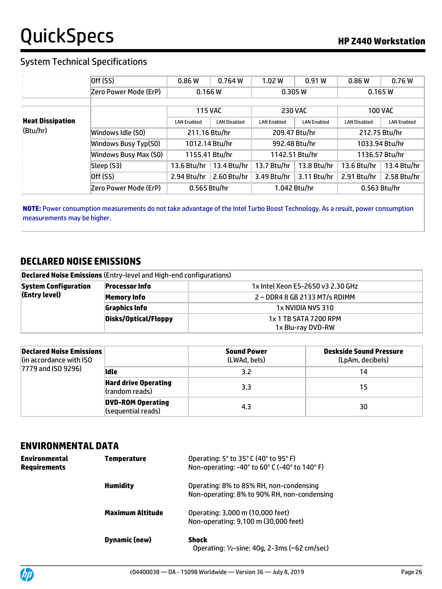#### System Technical Specifications

|                         | Off (S5)              | 0.86W              | 0.764W              | 1.02 W             | 0.91W              | 0.86W               | 0.76W              |
|-------------------------|-----------------------|--------------------|---------------------|--------------------|--------------------|---------------------|--------------------|
|                         | Zero Power Mode (ErP) | 0.166 W            |                     |                    | 0.305 W            | 0.165 W             |                    |
|                         |                       |                    |                     |                    |                    |                     |                    |
|                         |                       | <b>115 VAC</b>     |                     |                    | <b>230 VAC</b>     |                     | <b>100 VAC</b>     |
| <b>Heat Dissipation</b> |                       | <b>LAN Enabled</b> | <b>LAN Disabled</b> | <b>LAN Enabled</b> | <b>LAN Enabled</b> | <b>LAN Disabled</b> | <b>LAN Enabled</b> |
| (Btu/hr)                | Windows Idle (S0)     | 211.16 Btu/hr      |                     |                    | 209.47 Btu/hr      |                     | 212.75 Btu/hr      |
|                         | Windows Busy Typ(S0)  | 1012.14 Btu/hr     |                     |                    | 992.48 Btu/hr      |                     | 1033.94 Btu/hr     |
|                         | Windows Busy Max (S0) | 1155.41 Btu/hr     |                     |                    | 1142.51 Btu/hr     |                     | 1136.57 Btu/hr     |
|                         | Sleep (S3)            | 13.6 Btu/hr        | 13.4 Btu/hr         | 13.7 Btu/hr        | 13.8 Btu/hr        | 13.6 Btu/hr         | 13.4 Btu/hr        |
|                         | Off (S5)              | 2.94 Btu/hr        | 2.60 Btu/hr         | 3.49 Btu/hr        | 3.11 Btu/hr        | 2.91 Btu/hr         | 2.58 Btu/hr        |
|                         | Zero Power Mode (ErP) | 0.565 Btu/hr       |                     |                    | 1.042 Btu/hr       |                     | 0.563 Btu/hr       |

**NOTE:** Power consumption measurements do not take advantage of the Intel Turbo Boost Technology. As a result, power consumption measurements may be higher.

#### **DECLARED NOISE EMISSIONS**

| <b>Declared Noise Emissions (Entry-level and High-end configurations)</b> |                       |                                   |
|---------------------------------------------------------------------------|-----------------------|-----------------------------------|
| <b>System Configuration</b><br>(Entry level)                              | <b>Processor Info</b> | 1x Intel Xeon E5-2650 v3 2.30 GHz |
|                                                                           | Memory Info           | 2-DDR4 8 GB 2133 MT/s RDIMM       |
|                                                                           | <b>Graphics Info</b>  | 1x NVIDIA NVS 310                 |
|                                                                           | Disks/Optical/Floppy  | 1x 1 TB SATA 7200 RPM             |
|                                                                           |                       | 1x Blu-ray DVD-RW                 |

| <b>Declared Noise Emissions</b><br>(in accordance with ISO)<br>$ 7779$ and ISO 9296) |                                                | <b>Sound Power</b><br>(LWAd, bels) | <b>Deskside Sound Pressure</b><br>(LpAm, decibels) |
|--------------------------------------------------------------------------------------|------------------------------------------------|------------------------------------|----------------------------------------------------|
|                                                                                      | lidle                                          | 3.2                                | 14                                                 |
|                                                                                      | <b>Hard drive Operating</b><br>(random reads)  | 3.3                                | 15                                                 |
|                                                                                      | <b>DVD-ROM Operating</b><br>(sequential reads) | 4.3                                | 30                                                 |

#### **ENVIRONMENTAL DATA**

| <b>Environmental</b><br><b>Requirements</b> | Temperature      | Operating: 5° to 35° C (40° to 95° F)<br>Non-operating: -40° to 60° C (-40° to 140° F) |
|---------------------------------------------|------------------|----------------------------------------------------------------------------------------|
|                                             | <b>Humidity</b>  | Operating: 8% to 85% RH, non-condensing<br>Non-operating: 8% to 90% RH, non-condensing |
|                                             | Maximum Altitude | Operating: 3,000 m (10,000 feet)<br>Non-operating: 9,100 m (30,000 feet)               |
|                                             | Dynamic (new)    | Shock<br>Operating: 1/2-sine: 40g, 2-3ms (~62 cm/sec)                                  |

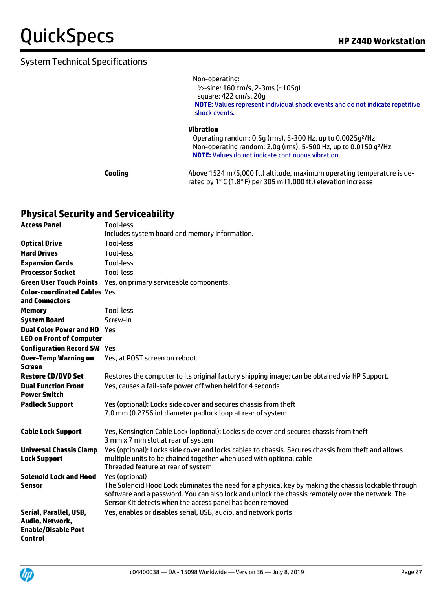Non-operating:

 ½-sine: 160 cm/s, 2-3ms (~105g) square: 422 cm/s, 20g **NOTE:** Values represent individual shock events and do not indicate repetitive shock events.

#### **Vibration**

 Operating random: 0.5g (rms), 5-300 Hz, up to 0.0025g²/Hz Non-operating random: 2.0g (rms), 5-500 Hz, up to 0.0150 g²/Hz **NOTE:** Values do not indicate continuous vibration.

**Cooling** Above 1524 m (5,000 ft.) altitude, maximum operating temperature is derated by 1° C (1.8° F) per 305 m (1,000 ft.) elevation increase

#### **Physical Security and Serviceability**

| <b>Access Panel</b>                                                                | Tool-less                                                                                                                                                                                                                                                                               |
|------------------------------------------------------------------------------------|-----------------------------------------------------------------------------------------------------------------------------------------------------------------------------------------------------------------------------------------------------------------------------------------|
|                                                                                    | Includes system board and memory information.                                                                                                                                                                                                                                           |
| <b>Optical Drive</b>                                                               | Tool-less                                                                                                                                                                                                                                                                               |
| <b>Hard Drives</b>                                                                 | Tool-less                                                                                                                                                                                                                                                                               |
| <b>Expansion Cards</b>                                                             | Tool-less                                                                                                                                                                                                                                                                               |
| <b>Processor Socket</b>                                                            | Tool-less                                                                                                                                                                                                                                                                               |
|                                                                                    | <b>Green User Touch Points</b> Yes, on primary serviceable components.                                                                                                                                                                                                                  |
| <b>Color-coordinated Cables Yes</b>                                                |                                                                                                                                                                                                                                                                                         |
| and Connectors                                                                     |                                                                                                                                                                                                                                                                                         |
| <b>Memory</b>                                                                      | <b>Tool-less</b>                                                                                                                                                                                                                                                                        |
| <b>System Board</b>                                                                | Screw-In                                                                                                                                                                                                                                                                                |
| <b>Dual Color Power and HD</b> Yes                                                 |                                                                                                                                                                                                                                                                                         |
| <b>LED on Front of Computer</b>                                                    |                                                                                                                                                                                                                                                                                         |
| <b>Configuration Record SW Yes</b>                                                 |                                                                                                                                                                                                                                                                                         |
| <b>Over-Temp Warning on</b><br><b>Screen</b>                                       | Yes, at POST screen on reboot                                                                                                                                                                                                                                                           |
| <b>Restore CD/DVD Set</b>                                                          | Restores the computer to its original factory shipping image; can be obtained via HP Support.                                                                                                                                                                                           |
| <b>Dual Function Front</b><br><b>Power Switch</b>                                  | Yes, causes a fail-safe power off when held for 4 seconds                                                                                                                                                                                                                               |
| <b>Padlock Support</b>                                                             | Yes (optional): Locks side cover and secures chassis from theft                                                                                                                                                                                                                         |
|                                                                                    | 7.0 mm (0.2756 in) diameter padlock loop at rear of system                                                                                                                                                                                                                              |
| <b>Cable Lock Support</b>                                                          | Yes, Kensington Cable Lock (optional): Locks side cover and secures chassis from theft<br>3 mm x 7 mm slot at rear of system                                                                                                                                                            |
| <b>Universal Chassis Clamp</b><br><b>Lock Support</b>                              | Yes (optional): Locks side cover and locks cables to chassis. Secures chassis from theft and allows<br>multiple units to be chained together when used with optional cable<br>Threaded feature at rear of system                                                                        |
| <b>Solenoid Lock and Hood</b><br>Sensor                                            | Yes (optional)<br>The Solenoid Hood Lock eliminates the need for a physical key by making the chassis lockable through<br>software and a password. You can also lock and unlock the chassis remotely over the network. The<br>Sensor Kit detects when the access panel has been removed |
| Serial, Parallel, USB,<br>Audio, Network,<br><b>Enable/Disable Port</b><br>Control | Yes, enables or disables serial, USB, audio, and network ports                                                                                                                                                                                                                          |

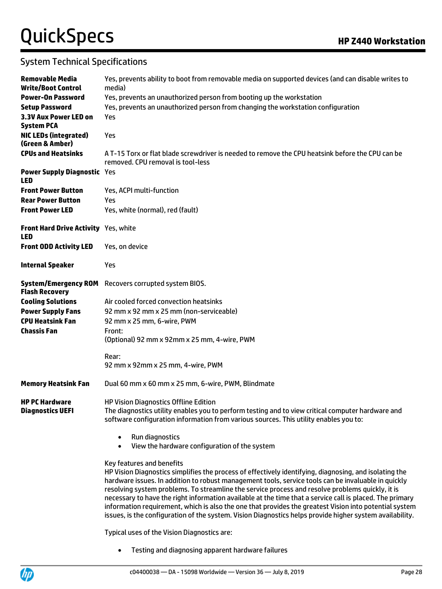### System Technical Specifications

| Removable Media<br><b>Write/Boot Control</b>         | Yes, prevents ability to boot from removable media on supported devices (and can disable writes to<br>media)                                                                                                                                                                                                                                                                                                                                                                                                                                                                                                                                                                     |  |
|------------------------------------------------------|----------------------------------------------------------------------------------------------------------------------------------------------------------------------------------------------------------------------------------------------------------------------------------------------------------------------------------------------------------------------------------------------------------------------------------------------------------------------------------------------------------------------------------------------------------------------------------------------------------------------------------------------------------------------------------|--|
| <b>Power-On Password</b>                             | Yes, prevents an unauthorized person from booting up the workstation                                                                                                                                                                                                                                                                                                                                                                                                                                                                                                                                                                                                             |  |
| <b>Setup Password</b>                                | Yes, prevents an unauthorized person from changing the workstation configuration                                                                                                                                                                                                                                                                                                                                                                                                                                                                                                                                                                                                 |  |
| 3.3V Aux Power LED on<br><b>System PCA</b>           | Yes                                                                                                                                                                                                                                                                                                                                                                                                                                                                                                                                                                                                                                                                              |  |
| <b>NIC LEDs (integrated)</b><br>(Green & Amber)      | Yes                                                                                                                                                                                                                                                                                                                                                                                                                                                                                                                                                                                                                                                                              |  |
| <b>CPUs and Heatsinks</b>                            | A T-15 Torx or flat blade screwdriver is needed to remove the CPU heatsink before the CPU can be<br>removed. CPU removal is tool-less                                                                                                                                                                                                                                                                                                                                                                                                                                                                                                                                            |  |
| <b>Power Supply Diagnostic Yes</b><br><b>LED</b>     |                                                                                                                                                                                                                                                                                                                                                                                                                                                                                                                                                                                                                                                                                  |  |
| <b>Front Power Button</b>                            | Yes, ACPI multi-function                                                                                                                                                                                                                                                                                                                                                                                                                                                                                                                                                                                                                                                         |  |
| <b>Rear Power Button</b>                             | Yes                                                                                                                                                                                                                                                                                                                                                                                                                                                                                                                                                                                                                                                                              |  |
| <b>Front Power LED</b>                               | Yes, white (normal), red (fault)                                                                                                                                                                                                                                                                                                                                                                                                                                                                                                                                                                                                                                                 |  |
| Front Hard Drive Activity Yes, white<br><b>LED</b>   |                                                                                                                                                                                                                                                                                                                                                                                                                                                                                                                                                                                                                                                                                  |  |
| <b>Front ODD Activity LED</b>                        | Yes, on device                                                                                                                                                                                                                                                                                                                                                                                                                                                                                                                                                                                                                                                                   |  |
| <b>Internal Speaker</b>                              | Yes                                                                                                                                                                                                                                                                                                                                                                                                                                                                                                                                                                                                                                                                              |  |
| <b>System/Emergency ROM</b><br><b>Flash Recovery</b> | Recovers corrupted system BIOS.                                                                                                                                                                                                                                                                                                                                                                                                                                                                                                                                                                                                                                                  |  |
| <b>Cooling Solutions</b>                             | Air cooled forced convection heatsinks                                                                                                                                                                                                                                                                                                                                                                                                                                                                                                                                                                                                                                           |  |
| <b>Power Supply Fans</b>                             | 92 mm x 92 mm x 25 mm (non-serviceable)                                                                                                                                                                                                                                                                                                                                                                                                                                                                                                                                                                                                                                          |  |
| <b>CPU Heatsink Fan</b>                              | 92 mm x 25 mm, 6-wire, PWM                                                                                                                                                                                                                                                                                                                                                                                                                                                                                                                                                                                                                                                       |  |
| <b>Chassis Fan</b>                                   | Front:                                                                                                                                                                                                                                                                                                                                                                                                                                                                                                                                                                                                                                                                           |  |
|                                                      | (Optional) 92 mm x 92mm x 25 mm, 4-wire, PWM                                                                                                                                                                                                                                                                                                                                                                                                                                                                                                                                                                                                                                     |  |
|                                                      | Rear:<br>92 mm x 92mm x 25 mm, 4-wire, PWM                                                                                                                                                                                                                                                                                                                                                                                                                                                                                                                                                                                                                                       |  |
|                                                      |                                                                                                                                                                                                                                                                                                                                                                                                                                                                                                                                                                                                                                                                                  |  |
| <b>Memory Heatsink Fan</b>                           | Dual 60 mm x 60 mm x 25 mm, 6-wire, PWM, Blindmate                                                                                                                                                                                                                                                                                                                                                                                                                                                                                                                                                                                                                               |  |
| <b>HP PC Hardware</b>                                | <b>HP Vision Diagnostics Offline Edition</b>                                                                                                                                                                                                                                                                                                                                                                                                                                                                                                                                                                                                                                     |  |
| <b>Diagnostics UEFI</b>                              | The diagnostics utility enables you to perform testing and to view critical computer hardware and<br>software configuration information from various sources. This utility enables you to:                                                                                                                                                                                                                                                                                                                                                                                                                                                                                       |  |
|                                                      | Run diagnostics<br>$\bullet$<br>View the hardware configuration of the system<br>$\bullet$                                                                                                                                                                                                                                                                                                                                                                                                                                                                                                                                                                                       |  |
|                                                      | Key features and benefits<br>HP Vision Diagnostics simplifies the process of effectively identifying, diagnosing, and isolating the<br>hardware issues. In addition to robust management tools, service tools can be invaluable in quickly<br>resolving system problems. To streamline the service process and resolve problems quickly, it is<br>necessary to have the right information available at the time that a service call is placed. The primary<br>information requirement, which is also the one that provides the greatest Vision into potential system<br>issues, is the configuration of the system. Vision Diagnostics helps provide higher system availability. |  |
|                                                      | Typical uses of the Vision Diagnostics are:                                                                                                                                                                                                                                                                                                                                                                                                                                                                                                                                                                                                                                      |  |
|                                                      | Testing and diagnosing apparent hardware failures                                                                                                                                                                                                                                                                                                                                                                                                                                                                                                                                                                                                                                |  |

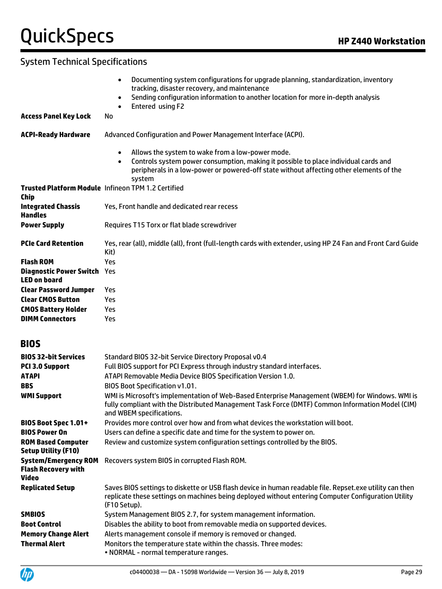### System Technical Specifications

|                                                           | Documenting system configurations for upgrade planning, standardization, inventory<br>$\bullet$<br>tracking, disaster recovery, and maintenance                                                       |
|-----------------------------------------------------------|-------------------------------------------------------------------------------------------------------------------------------------------------------------------------------------------------------|
|                                                           | Sending configuration information to another location for more in-depth analysis<br>$\bullet$<br>Entered using F2                                                                                     |
| <b>Access Panel Key Lock</b>                              | No                                                                                                                                                                                                    |
| <b>ACPI-Ready Hardware</b>                                | Advanced Configuration and Power Management Interface (ACPI).                                                                                                                                         |
|                                                           | Allows the system to wake from a low-power mode.<br>$\bullet$                                                                                                                                         |
|                                                           | Controls system power consumption, making it possible to place individual cards and<br>$\bullet$<br>peripherals in a low-power or powered-off state without affecting other elements of the<br>system |
| <b>Chip</b>                                               | <b>Trusted Platform Module Infineon TPM 1.2 Certified</b>                                                                                                                                             |
| <b>Integrated Chassis</b><br><b>Handles</b>               | Yes, Front handle and dedicated rear recess                                                                                                                                                           |
| <b>Power Supply</b>                                       | Requires T15 Torx or flat blade screwdriver                                                                                                                                                           |
| <b>PCIe Card Retention</b>                                | Yes, rear (all), middle (all), front (full-length cards with extender, using HP Z4 Fan and Front Card Guide<br>Kit)                                                                                   |
| <b>Flash ROM</b>                                          | Yes                                                                                                                                                                                                   |
| <b>Diagnostic Power Switch Yes</b><br><b>LED on board</b> |                                                                                                                                                                                                       |
| <b>Clear Password Jumper</b>                              | Yes                                                                                                                                                                                                   |
| <b>Clear CMOS Button</b>                                  | Yes                                                                                                                                                                                                   |
| <b>CMOS Battery Holder</b>                                | Yes                                                                                                                                                                                                   |
| <b>DIMM Connectors</b>                                    | Yes                                                                                                                                                                                                   |

#### **BIOS**

| <b>BIOS 32-bit Services</b>                                        | Standard BIOS 32-bit Service Directory Proposal v0.4                                                                                                                                                                            |
|--------------------------------------------------------------------|---------------------------------------------------------------------------------------------------------------------------------------------------------------------------------------------------------------------------------|
| <b>PCI 3.0 Support</b>                                             | Full BIOS support for PCI Express through industry standard interfaces.                                                                                                                                                         |
| <b>ATAPI</b>                                                       | ATAPI Removable Media Device BIOS Specification Version 1.0.                                                                                                                                                                    |
| <b>BBS</b>                                                         | <b>BIOS Boot Specification v1.01.</b>                                                                                                                                                                                           |
| <b>WMI Support</b>                                                 | WMI is Microsoft's implementation of Web-Based Enterprise Management (WBEM) for Windows. WMI is<br>fully compliant with the Distributed Management Task Force (DMTF) Common Information Model (CIM)<br>and WBEM specifications. |
| <b>BIOS Boot Spec 1.01+</b>                                        | Provides more control over how and from what devices the workstation will boot.                                                                                                                                                 |
| <b>BIOS Power On</b>                                               | Users can define a specific date and time for the system to power on.                                                                                                                                                           |
| <b>ROM Based Computer</b><br><b>Setup Utility (F10)</b>            | Review and customize system configuration settings controlled by the BIOS.                                                                                                                                                      |
| <b>System/Emergency ROM</b><br><b>Flash Recovery with</b><br>Video | Recovers system BIOS in corrupted Flash ROM.                                                                                                                                                                                    |
| <b>Replicated Setup</b>                                            | Saves BIOS settings to diskette or USB flash device in human readable file. Repset.exe utility can then<br>replicate these settings on machines being deployed without entering Computer Configuration Utility<br>(F10 Setup).  |
| <b>SMBIOS</b>                                                      | System Management BIOS 2.7, for system management information.                                                                                                                                                                  |
| <b>Boot Control</b>                                                | Disables the ability to boot from removable media on supported devices.                                                                                                                                                         |
| <b>Memory Change Alert</b>                                         | Alerts management console if memory is removed or changed.                                                                                                                                                                      |
| <b>Thermal Alert</b>                                               | Monitors the temperature state within the chassis. Three modes:<br>• NORMAL - normal temperature ranges.                                                                                                                        |

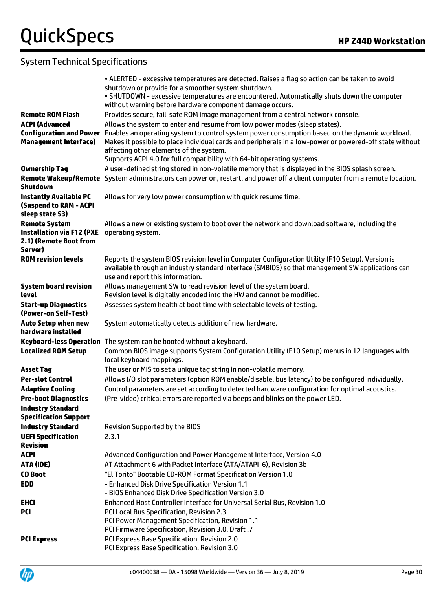|                                                          | . ALERTED - excessive temperatures are detected. Raises a flag so action can be taken to avoid                                                         |
|----------------------------------------------------------|--------------------------------------------------------------------------------------------------------------------------------------------------------|
|                                                          | shutdown or provide for a smoother system shutdown.                                                                                                    |
|                                                          | . SHUTDOWN - excessive temperatures are encountered. Automatically shuts down the computer<br>without warning before hardware component damage occurs. |
| <b>Remote ROM Flash</b>                                  | Provides secure, fail-safe ROM image management from a central network console.                                                                        |
| <b>ACPI (Advanced</b>                                    | Allows the system to enter and resume from low power modes (sleep states).                                                                             |
| <b>Configuration and Power</b>                           | Enables an operating system to control system power consumption based on the dynamic workload.                                                         |
| <b>Management Interface)</b>                             | Makes it possible to place individual cards and peripherals in a low-power or powered-off state without                                                |
|                                                          | affecting other elements of the system.                                                                                                                |
|                                                          | Supports ACPI 4.0 for full compatibility with 64-bit operating systems.                                                                                |
| <b>Ownership Tag</b>                                     | A user-defined string stored in non-volatile memory that is displayed in the BIOS splash screen.                                                       |
| Shutdown                                                 | Remote Wakeup/Remote System administrators can power on, restart, and power off a client computer from a remote location.                              |
| <b>Instantly Available PC</b>                            | Allows for very low power consumption with quick resume time.                                                                                          |
| <b>(Suspend to RAM - ACPI</b>                            |                                                                                                                                                        |
| sleep state S3)<br><b>Remote System</b>                  | Allows a new or existing system to boot over the network and download software, including the                                                          |
| <b>Installation via F12 (PXE</b>                         | operating system.                                                                                                                                      |
| 2.1) (Remote Boot from                                   |                                                                                                                                                        |
| Server)                                                  |                                                                                                                                                        |
| <b>ROM revision levels</b>                               | Reports the system BIOS revision level in Computer Configuration Utility (F10 Setup). Version is                                                       |
|                                                          | available through an industry standard interface (SMBIOS) so that management SW applications can                                                       |
| <b>System board revision</b>                             | use and report this information.<br>Allows management SW to read revision level of the system board.                                                   |
| level                                                    | Revision level is digitally encoded into the HW and cannot be modified.                                                                                |
| <b>Start-up Diagnostics</b>                              | Assesses system health at boot time with selectable levels of testing.                                                                                 |
| (Power-on Self-Test)                                     |                                                                                                                                                        |
| <b>Auto Setup when new</b>                               | System automatically detects addition of new hardware.                                                                                                 |
| hardware installed                                       |                                                                                                                                                        |
| <b>Keyboard-less Operation</b>                           | The system can be booted without a keyboard.                                                                                                           |
| <b>Localized ROM Setup</b>                               | Common BIOS image supports System Configuration Utility (F10 Setup) menus in 12 languages with<br>local keyboard mappings.                             |
| <b>Asset Tag</b>                                         | The user or MIS to set a unique tag string in non-volatile memory.                                                                                     |
| <b>Per-slot Control</b>                                  | Allows I/O slot parameters (option ROM enable/disable, bus latency) to be configured individually.                                                     |
| <b>Adaptive Cooling</b>                                  | Control parameters are set according to detected hardware configuration for optimal acoustics.                                                         |
| <b>Pre-boot Diagnostics</b>                              | (Pre-video) critical errors are reported via beeps and blinks on the power LED.                                                                        |
| <b>Industry Standard</b><br><b>Specification Support</b> |                                                                                                                                                        |
| <b>Industry Standard</b>                                 | <b>Revision Supported by the BIOS</b>                                                                                                                  |
| <b>UEFI Specification</b>                                | 2.3.1                                                                                                                                                  |
| <b>Revision</b>                                          |                                                                                                                                                        |
| <b>ACPI</b>                                              | Advanced Configuration and Power Management Interface, Version 4.0                                                                                     |
| ATA (IDE)                                                | AT Attachment 6 with Packet Interface (ATA/ATAPI-6), Revision 3b                                                                                       |
| <b>CD Boot</b>                                           | "El Torito" Bootable CD-ROM Format Specification Version 1.0                                                                                           |
| <b>EDD</b>                                               | - Enhanced Disk Drive Specification Version 1.1                                                                                                        |
|                                                          | - BIOS Enhanced Disk Drive Specification Version 3.0                                                                                                   |
| <b>EHCI</b>                                              | Enhanced Host Controller Interface for Universal Serial Bus, Revision 1.0                                                                              |
| PCI                                                      | PCI Local Bus Specification, Revision 2.3<br>PCI Power Management Specification, Revision 1.1                                                          |
|                                                          | PCI Firmware Specification, Revision 3.0, Draft .7                                                                                                     |
| <b>PCI Express</b>                                       | PCI Express Base Specification, Revision 2.0                                                                                                           |
|                                                          | PCI Express Base Specification, Revision 3.0                                                                                                           |
|                                                          |                                                                                                                                                        |

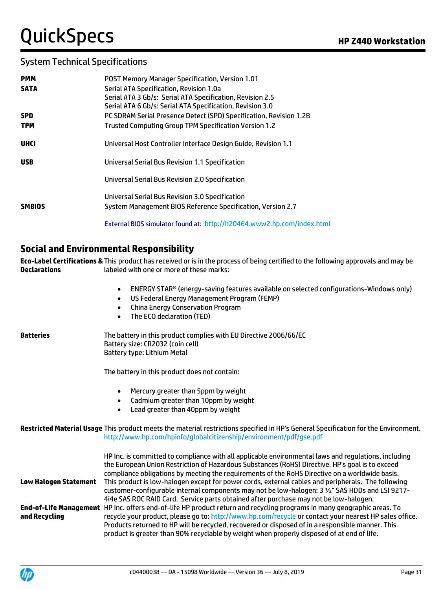| <b>PMM</b>    | <b>POST Memory Manager Specification, Version 1.01</b>                 |
|---------------|------------------------------------------------------------------------|
| <b>SATA</b>   | Serial ATA Specification, Revision 1.0a                                |
|               | Serial ATA 3 Gb/s: Serial ATA Specification, Revision 2.5              |
|               | Serial ATA 6 Gb/s: Serial ATA Specification, Revision 3.0              |
| <b>SPD</b>    | PC SDRAM Serial Presence Detect (SPD) Specification, Revision 1.2B     |
| <b>TPM</b>    | Trusted Computing Group TPM Specification Version 1.2                  |
|               |                                                                        |
| <b>UHCI</b>   | Universal Host Controller Interface Design Guide, Revision 1.1         |
| <b>USB</b>    | Universal Serial Bus Revision 1.1 Specification                        |
|               |                                                                        |
|               | Universal Serial Bus Revision 2.0 Specification                        |
|               |                                                                        |
|               | Universal Serial Bus Revision 3.0 Specification                        |
| <b>SMBIOS</b> | System Management BIOS Reference Specification, Version 2.7            |
|               | External BIOS simulator found at: http://h20464.www2.hp.com/index.html |
|               |                                                                        |

#### **Social and Environmental Responsibility**

**Eco-Label Certifications &**  This product has received or is in the process of being certified to the following approvals and may be **Declarations** labeled with one or more of these marks:

- ENERGY STAR® (energy-saving features available on selected configurations-Windows only)
- US Federal Energy Management Program (FEMP)
- China Energy Conservation Program
- The ECO declaration (TED)

| Batteries             | The battery in this product complies with EU Directive 2006/66/EC<br>Battery size: CR2032 (coin cell)<br>Battery type: Lithium Metal                                                                                                                                                                                                                                                                                                |  |
|-----------------------|-------------------------------------------------------------------------------------------------------------------------------------------------------------------------------------------------------------------------------------------------------------------------------------------------------------------------------------------------------------------------------------------------------------------------------------|--|
|                       | The battery in this product does not contain:                                                                                                                                                                                                                                                                                                                                                                                       |  |
|                       | Mercury greater than 5ppm by weight<br>$\bullet$<br>Cadmium greater than 10ppm by weight<br>$\bullet$<br>Lead greater than 40ppm by weight<br>$\bullet$                                                                                                                                                                                                                                                                             |  |
|                       | Restricted Material Usage This product meets the material restrictions specified in HP's General Specification for the Environment.<br>http://www.hp.com/hpinfo/globalcitizenship/environment/pdf/gse.pdf                                                                                                                                                                                                                           |  |
|                       | HP Inc. is committed to compliance with all applicable environmental laws and regulations, including<br>the European Union Restriction of Hazardous Substances (RoHS) Directive. HP's goal is to exceed<br>compliance obligations by meeting the requirements of the RoHS Directive on a worldwide basis.                                                                                                                           |  |
| Low Halogen Statement | This product is low-halogen except for power cords, external cables and peripherals. The following<br>customer-configurable internal components may not be low-halogen: 3 1/2" SAS HDDs and LSI 9217-<br>4i4e SAS ROC RAID Card. Service parts obtained after purchase may not be low-halogen.                                                                                                                                      |  |
| and Recycling         | End-of-Life Management HP Inc. offers end-of-life HP product return and recycling programs in many geographic areas. To<br>recycle your product, please go to: http://www.hp.com/recycle or contact your nearest HP sales office.<br>Products returned to HP will be recycled, recovered or disposed of in a responsible manner. This<br>product is greater than 90% recyclable by weight when properly disposed of at end of life. |  |

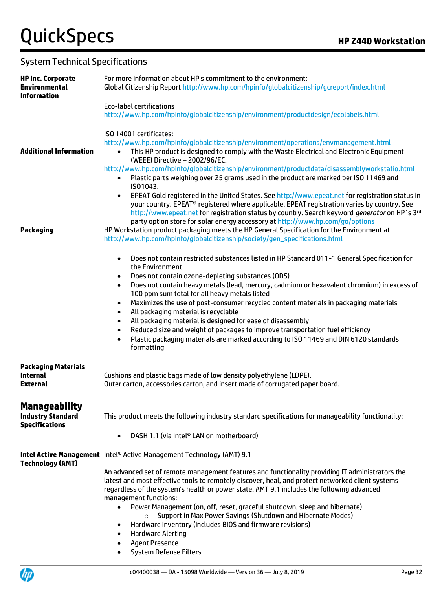### System Technical Specifications

| <b>HP Inc. Corporate</b><br><b>Environmental</b><br><b>Information</b>    | For more information about HP's commitment to the environment:<br>Global Citizenship Report http://www.hp.com/hpinfo/globalcitizenship/gcreport/index.html                                                                                                                                                                                                                                                                                                                                                                                                                                                                                                                                                                                                                                                       |  |
|---------------------------------------------------------------------------|------------------------------------------------------------------------------------------------------------------------------------------------------------------------------------------------------------------------------------------------------------------------------------------------------------------------------------------------------------------------------------------------------------------------------------------------------------------------------------------------------------------------------------------------------------------------------------------------------------------------------------------------------------------------------------------------------------------------------------------------------------------------------------------------------------------|--|
|                                                                           | <b>Eco-label certifications</b><br>http://www.hp.com/hpinfo/globalcitizenship/environment/productdesign/ecolabels.html                                                                                                                                                                                                                                                                                                                                                                                                                                                                                                                                                                                                                                                                                           |  |
| <b>Additional Information</b>                                             | ISO 14001 certificates:<br>http://www.hp.com/hpinfo/globalcitizenship/environment/operations/envmanagement.html<br>This HP product is designed to comply with the Waste Electrical and Electronic Equipment<br>$\bullet$<br>(WEEE) Directive - 2002/96/EC.<br>http://www.hp.com/hpinfo/globalcitizenship/environment/productdata/disassemblyworkstatio.html<br>Plastic parts weighing over 25 grams used in the product are marked per ISO 11469 and<br>$\bullet$<br>IS01043.                                                                                                                                                                                                                                                                                                                                    |  |
| Packaging                                                                 | EPEAT Gold registered in the United States. See http://www.epeat.net for registration status in<br>$\bullet$<br>your country. EPEAT® registered where applicable. EPEAT registration varies by country. See<br>http://www.epeat.net for registration status by country. Search keyword generator on HP's 3rd<br>party option store for solar energy accessory at http://www.hp.com/go/options<br>HP Workstation product packaging meets the HP General Specification for the Environment at<br>http://www.hp.com/hpinfo/globalcitizenship/society/gen_specifications.html                                                                                                                                                                                                                                        |  |
|                                                                           | Does not contain restricted substances listed in HP Standard 011-1 General Specification for<br>$\bullet$<br>the Environment<br>Does not contain ozone-depleting substances (ODS)<br>$\bullet$<br>Does not contain heavy metals (lead, mercury, cadmium or hexavalent chromium) in excess of<br>$\bullet$<br>100 ppm sum total for all heavy metals listed<br>Maximizes the use of post-consumer recycled content materials in packaging materials<br>$\bullet$<br>All packaging material is recyclable<br>$\bullet$<br>All packaging material is designed for ease of disassembly<br>$\bullet$<br>Reduced size and weight of packages to improve transportation fuel efficiency<br>$\bullet$<br>Plastic packaging materials are marked according to ISO 11469 and DIN 6120 standards<br>$\bullet$<br>formatting |  |
| <b>Packaging Materials</b><br><b>Internal</b><br><b>External</b>          | Cushions and plastic bags made of low density polyethylene (LDPE).<br>Outer carton, accessories carton, and insert made of corrugated paper board.                                                                                                                                                                                                                                                                                                                                                                                                                                                                                                                                                                                                                                                               |  |
| <b>Manageability</b><br><b>Industry Standard</b><br><b>Specifications</b> | This product meets the following industry standard specifications for manageability functionality:<br>DASH 1.1 (via Intel® LAN on motherboard)<br>$\bullet$                                                                                                                                                                                                                                                                                                                                                                                                                                                                                                                                                                                                                                                      |  |
| <b>Technology (AMT)</b>                                                   | Intel Active Management Intel® Active Management Technology (AMT) 9.1<br>An advanced set of remote management features and functionality providing IT administrators the<br>latest and most effective tools to remotely discover, heal, and protect networked client systems<br>regardless of the system's health or power state. AMT 9.1 includes the following advanced<br>management functions:<br>Power Management (on, off, reset, graceful shutdown, sleep and hibernate)<br>$\bullet$<br>Support in Max Power Savings (Shutdown and Hibernate Modes)<br>$\circ$<br>Hardware Inventory (includes BIOS and firmware revisions)<br>٠<br><b>Hardware Alerting</b><br>٠<br><b>Agent Presence</b><br><b>System Defense Filters</b>                                                                              |  |

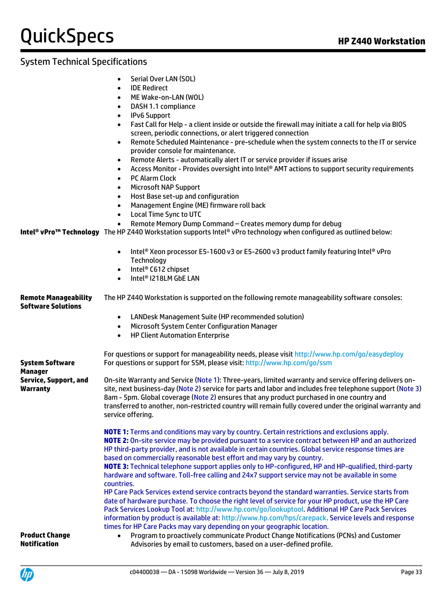### System Technical Specifications

• Serial Over LAN (SOL)

|                                                          | <b>IDE Redirect</b><br>$\bullet$                                                                                                                                                                                                                                                                                                                                                                                                                  |  |  |
|----------------------------------------------------------|---------------------------------------------------------------------------------------------------------------------------------------------------------------------------------------------------------------------------------------------------------------------------------------------------------------------------------------------------------------------------------------------------------------------------------------------------|--|--|
|                                                          | ME Wake-on-LAN (WOL)<br>$\bullet$                                                                                                                                                                                                                                                                                                                                                                                                                 |  |  |
|                                                          | DASH 1.1 compliance<br>$\bullet$                                                                                                                                                                                                                                                                                                                                                                                                                  |  |  |
|                                                          | <b>IPv6 Support</b><br>$\bullet$                                                                                                                                                                                                                                                                                                                                                                                                                  |  |  |
|                                                          | Fast Call for Help - a client inside or outside the firewall may initiate a call for help via BIOS<br>$\bullet$<br>screen, periodic connections, or alert triggered connection                                                                                                                                                                                                                                                                    |  |  |
|                                                          | Remote Scheduled Maintenance - pre-schedule when the system connects to the IT or service<br>$\bullet$<br>provider console for maintenance.                                                                                                                                                                                                                                                                                                       |  |  |
|                                                          | Remote Alerts - automatically alert IT or service provider if issues arise<br>$\bullet$                                                                                                                                                                                                                                                                                                                                                           |  |  |
|                                                          | Access Monitor - Provides oversight into Intel® AMT actions to support security requirements<br>٠                                                                                                                                                                                                                                                                                                                                                 |  |  |
|                                                          | <b>PC Alarm Clock</b><br>$\bullet$                                                                                                                                                                                                                                                                                                                                                                                                                |  |  |
|                                                          | <b>Microsoft NAP Support</b><br>$\bullet$                                                                                                                                                                                                                                                                                                                                                                                                         |  |  |
|                                                          | Host Base set-up and configuration<br>$\bullet$                                                                                                                                                                                                                                                                                                                                                                                                   |  |  |
|                                                          | Management Engine (ME) firmware roll back<br>$\bullet$                                                                                                                                                                                                                                                                                                                                                                                            |  |  |
|                                                          | <b>Local Time Sync to UTC</b><br>$\bullet$                                                                                                                                                                                                                                                                                                                                                                                                        |  |  |
|                                                          | Remote Memory Dump Command - Creates memory dump for debug<br>$\bullet$                                                                                                                                                                                                                                                                                                                                                                           |  |  |
|                                                          | <b>Intel® vPro™ Technology</b> The HP Z440 Workstation supports Intel® vPro technology when configured as outlined below:                                                                                                                                                                                                                                                                                                                         |  |  |
|                                                          | Intel® Xeon processor E5-1600 v3 or E5-2600 v3 product family featuring Intel® vPro<br>$\bullet$<br>Technology                                                                                                                                                                                                                                                                                                                                    |  |  |
|                                                          | Intel <sup>®</sup> C612 chipset<br>$\bullet$                                                                                                                                                                                                                                                                                                                                                                                                      |  |  |
|                                                          | Intel <sup>®</sup> I218LM GbE LAN<br>$\bullet$                                                                                                                                                                                                                                                                                                                                                                                                    |  |  |
| <b>Remote Manageability</b><br><b>Software Solutions</b> | The HP Z440 Workstation is supported on the following remote manageability software consoles:                                                                                                                                                                                                                                                                                                                                                     |  |  |
|                                                          | LANDesk Management Suite (HP recommended solution)<br>$\bullet$                                                                                                                                                                                                                                                                                                                                                                                   |  |  |
|                                                          | Microsoft System Center Configuration Manager<br>$\bullet$                                                                                                                                                                                                                                                                                                                                                                                        |  |  |
|                                                          | <b>HP Client Automation Enterprise</b><br>$\bullet$                                                                                                                                                                                                                                                                                                                                                                                               |  |  |
|                                                          | For questions or support for manageability needs, please visit http://www.hp.com/go/easydeploy                                                                                                                                                                                                                                                                                                                                                    |  |  |
| System Software<br>Manager                               | For questions or support for SSM, please visit: http://www.hp.com/go/ssm                                                                                                                                                                                                                                                                                                                                                                          |  |  |
| Service, Support, and<br>Warranty                        | On-site Warranty and Service (Note 1): Three-years, limited warranty and service offering delivers on-<br>site, next business-day (Note 2) service for parts and labor and includes free telephone support (Note 3)<br>8am - 5pm. Global coverage (Note 2) ensures that any product purchased in one country and<br>transferred to another, non-restricted country will remain fully covered under the original warranty and<br>service offering. |  |  |
|                                                          | <b>NOTE 1:</b> Terms and conditions may vary by country. Certain restrictions and exclusions apply.                                                                                                                                                                                                                                                                                                                                               |  |  |
|                                                          | NOTE 2: On-site service may be provided pursuant to a service contract between HP and an authorized<br>HP third-party provider, and is not available in certain countries. Global service response times are                                                                                                                                                                                                                                      |  |  |
|                                                          | based on commercially reasonable best effort and may vary by country.<br>NOTE 3: Technical telephone support applies only to HP-configured, HP and HP-qualified, third-party                                                                                                                                                                                                                                                                      |  |  |
|                                                          | hardware and software. Toll-free calling and 24x7 support service may not be available in some                                                                                                                                                                                                                                                                                                                                                    |  |  |
|                                                          | countries.                                                                                                                                                                                                                                                                                                                                                                                                                                        |  |  |
|                                                          | HP Care Pack Services extend service contracts beyond the standard warranties. Service starts from                                                                                                                                                                                                                                                                                                                                                |  |  |
|                                                          | date of hardware purchase. To choose the right level of service for your HP product, use the HP Care                                                                                                                                                                                                                                                                                                                                              |  |  |
|                                                          | Pack Services Lookup Tool at: http://www.hp.com/go/lookuptool. Additional HP Care Pack Services                                                                                                                                                                                                                                                                                                                                                   |  |  |
|                                                          | information by product is available at: http://www.hp.com/hps/carepack. Service levels and response                                                                                                                                                                                                                                                                                                                                               |  |  |
|                                                          | times for HP Care Packs may vary depending on your geographic location.                                                                                                                                                                                                                                                                                                                                                                           |  |  |
| <b>Product Change</b>                                    | Program to proactively communicate Product Change Notifications (PCNs) and Customer                                                                                                                                                                                                                                                                                                                                                               |  |  |
| Notification                                             | Advisories by email to customers, based on a user-defined profile.                                                                                                                                                                                                                                                                                                                                                                                |  |  |

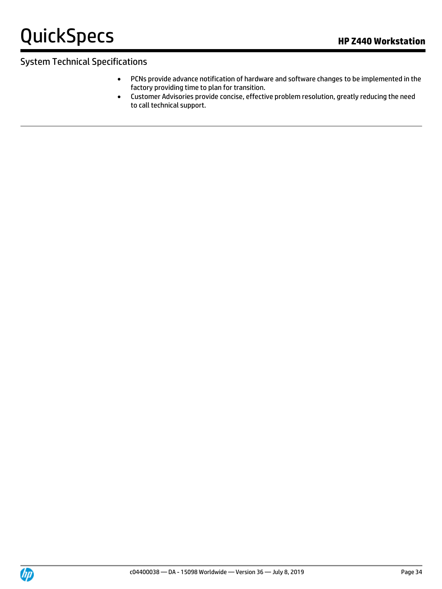- PCNs provide advance notification of hardware and software changes to be implemented in the factory providing time to plan for transition.
- Customer Advisories provide concise, effective problem resolution, greatly reducing the need to call technical support.

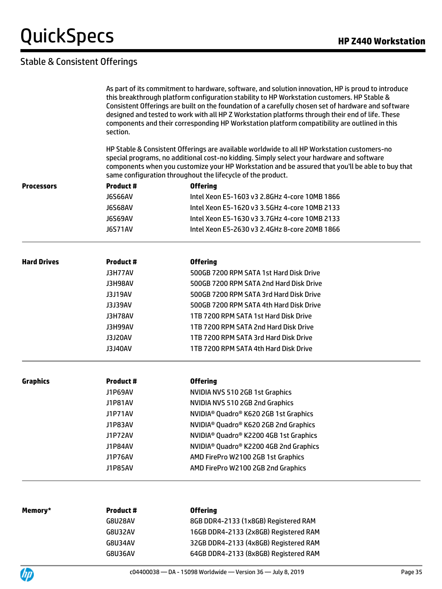### Stable & Consistent Offerings

|                    | As part of its commitment to hardware, software, and solution innovation, HP is proud to introduce<br>this breakthrough platform configuration stability to HP Workstation customers. HP Stable &<br>Consistent Offerings are built on the foundation of a carefully chosen set of hardware and software<br>designed and tested to work with all HP Z Workstation platforms through their end of life. These<br>components and their corresponding HP Workstation platform compatibility are outlined in this<br>section.<br>HP Stable & Consistent Offerings are available worldwide to all HP Workstation customers-no<br>special programs, no additional cost-no kidding. Simply select your hardware and software<br>components when you customize your HP Workstation and be assured that you'll be able to buy that<br>same configuration throughout the lifecycle of the product. |                                                               |  |  |
|--------------------|------------------------------------------------------------------------------------------------------------------------------------------------------------------------------------------------------------------------------------------------------------------------------------------------------------------------------------------------------------------------------------------------------------------------------------------------------------------------------------------------------------------------------------------------------------------------------------------------------------------------------------------------------------------------------------------------------------------------------------------------------------------------------------------------------------------------------------------------------------------------------------------|---------------------------------------------------------------|--|--|
|                    |                                                                                                                                                                                                                                                                                                                                                                                                                                                                                                                                                                                                                                                                                                                                                                                                                                                                                          |                                                               |  |  |
| Processors         | <b>Product#</b>                                                                                                                                                                                                                                                                                                                                                                                                                                                                                                                                                                                                                                                                                                                                                                                                                                                                          | <b>Offering</b>                                               |  |  |
|                    | <b>J6S66AV</b>                                                                                                                                                                                                                                                                                                                                                                                                                                                                                                                                                                                                                                                                                                                                                                                                                                                                           | Intel Xeon E5-1603 v3 2.8GHz 4-core 10MB 1866                 |  |  |
|                    | <b>J6S68AV</b>                                                                                                                                                                                                                                                                                                                                                                                                                                                                                                                                                                                                                                                                                                                                                                                                                                                                           | Intel Xeon E5-1620 v3 3.5GHz 4-core 10MB 2133                 |  |  |
|                    | J6S69AV                                                                                                                                                                                                                                                                                                                                                                                                                                                                                                                                                                                                                                                                                                                                                                                                                                                                                  | Intel Xeon E5-1630 v3 3.7GHz 4-core 10MB 2133                 |  |  |
|                    | <b>J6S71AV</b>                                                                                                                                                                                                                                                                                                                                                                                                                                                                                                                                                                                                                                                                                                                                                                                                                                                                           | Intel Xeon E5-2630 v3 2.4GHz 8-core 20MB 1866                 |  |  |
| <b>Hard Drives</b> | <b>Product#</b>                                                                                                                                                                                                                                                                                                                                                                                                                                                                                                                                                                                                                                                                                                                                                                                                                                                                          | <b>Offering</b>                                               |  |  |
|                    | <b>J3H77AV</b>                                                                                                                                                                                                                                                                                                                                                                                                                                                                                                                                                                                                                                                                                                                                                                                                                                                                           | 500GB 7200 RPM SATA 1st Hard Disk Drive                       |  |  |
|                    | J3H98AV                                                                                                                                                                                                                                                                                                                                                                                                                                                                                                                                                                                                                                                                                                                                                                                                                                                                                  | 500GB 7200 RPM SATA 2nd Hard Disk Drive                       |  |  |
|                    | <b>J3J19AV</b>                                                                                                                                                                                                                                                                                                                                                                                                                                                                                                                                                                                                                                                                                                                                                                                                                                                                           | 500GB 7200 RPM SATA 3rd Hard Disk Drive                       |  |  |
|                    | <b>J3J39AV</b>                                                                                                                                                                                                                                                                                                                                                                                                                                                                                                                                                                                                                                                                                                                                                                                                                                                                           | 500GB 7200 RPM SATA 4th Hard Disk Drive                       |  |  |
|                    | <b>J3H78AV</b>                                                                                                                                                                                                                                                                                                                                                                                                                                                                                                                                                                                                                                                                                                                                                                                                                                                                           | 1TB 7200 RPM SATA 1st Hard Disk Drive                         |  |  |
|                    | J3H99AV                                                                                                                                                                                                                                                                                                                                                                                                                                                                                                                                                                                                                                                                                                                                                                                                                                                                                  | 1TB 7200 RPM SATA 2nd Hard Disk Drive                         |  |  |
|                    | J3J20AV                                                                                                                                                                                                                                                                                                                                                                                                                                                                                                                                                                                                                                                                                                                                                                                                                                                                                  | 1TB 7200 RPM SATA 3rd Hard Disk Drive                         |  |  |
|                    | <b>J3J40AV</b>                                                                                                                                                                                                                                                                                                                                                                                                                                                                                                                                                                                                                                                                                                                                                                                                                                                                           | 1TB 7200 RPM SATA 4th Hard Disk Drive                         |  |  |
| <b>Graphics</b>    | <b>Product#</b>                                                                                                                                                                                                                                                                                                                                                                                                                                                                                                                                                                                                                                                                                                                                                                                                                                                                          | <b>Offering</b>                                               |  |  |
|                    | <b>J1P69AV</b>                                                                                                                                                                                                                                                                                                                                                                                                                                                                                                                                                                                                                                                                                                                                                                                                                                                                           | NVIDIA NVS 510 2GB 1st Graphics                               |  |  |
|                    | <b>J1P81AV</b>                                                                                                                                                                                                                                                                                                                                                                                                                                                                                                                                                                                                                                                                                                                                                                                                                                                                           | NVIDIA NVS 510 2GB 2nd Graphics                               |  |  |
|                    | J1P71AV                                                                                                                                                                                                                                                                                                                                                                                                                                                                                                                                                                                                                                                                                                                                                                                                                                                                                  | NVIDIA <sup>®</sup> Quadro® K620 2GB 1st Graphics             |  |  |
|                    | J1P83AV                                                                                                                                                                                                                                                                                                                                                                                                                                                                                                                                                                                                                                                                                                                                                                                                                                                                                  | NVIDIA <sup>®</sup> Quadro <sup>®</sup> K620 2GB 2nd Graphics |  |  |
|                    | <b>J1P72AV</b>                                                                                                                                                                                                                                                                                                                                                                                                                                                                                                                                                                                                                                                                                                                                                                                                                                                                           | NVIDIA <sup>®</sup> Quadro® K2200 4GB 1st Graphics            |  |  |
|                    | <b>J1P84AV</b>                                                                                                                                                                                                                                                                                                                                                                                                                                                                                                                                                                                                                                                                                                                                                                                                                                                                           | NVIDIA <sup>®</sup> Quadro® K2200 4GB 2nd Graphics            |  |  |
|                    | <b>J1P76AV</b>                                                                                                                                                                                                                                                                                                                                                                                                                                                                                                                                                                                                                                                                                                                                                                                                                                                                           | AMD FirePro W2100 2GB 1st Graphics                            |  |  |
|                    | <b>J1P85AV</b>                                                                                                                                                                                                                                                                                                                                                                                                                                                                                                                                                                                                                                                                                                                                                                                                                                                                           | AMD FirePro W2100 2GB 2nd Graphics                            |  |  |
|                    |                                                                                                                                                                                                                                                                                                                                                                                                                                                                                                                                                                                                                                                                                                                                                                                                                                                                                          |                                                               |  |  |
| Memory*            | Product#                                                                                                                                                                                                                                                                                                                                                                                                                                                                                                                                                                                                                                                                                                                                                                                                                                                                                 | <b>Offering</b>                                               |  |  |
|                    | <b>G8U28AV</b>                                                                                                                                                                                                                                                                                                                                                                                                                                                                                                                                                                                                                                                                                                                                                                                                                                                                           | 8GB DDR4-2133 (1x8GB) Registered RAM                          |  |  |
|                    | <b>G8U32AV</b>                                                                                                                                                                                                                                                                                                                                                                                                                                                                                                                                                                                                                                                                                                                                                                                                                                                                           | 16GB DDR4-2133 (2x8GB) Registered RAM                         |  |  |
|                    | <b>G8U34AV</b>                                                                                                                                                                                                                                                                                                                                                                                                                                                                                                                                                                                                                                                                                                                                                                                                                                                                           | 32GB DDR4-2133 (4x8GB) Registered RAM                         |  |  |



G8U36AV 64GB DDR4-2133 (8x8GB) Registered RAM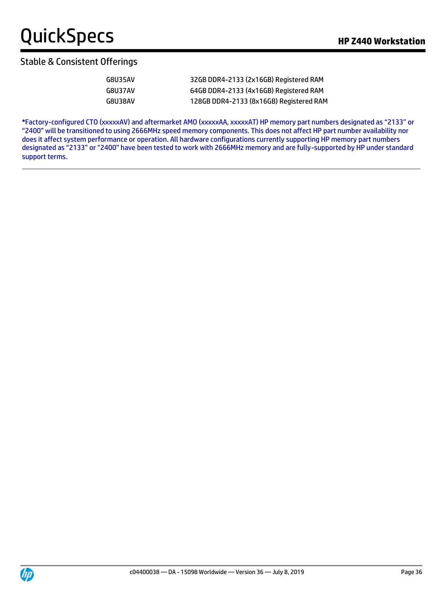#### Stable & Consistent Offerings

| G8U35AV | 32GB DDR4-2133 (2x16GB) Registered RAM  |
|---------|-----------------------------------------|
| G8U37AV | 64GB DDR4-2133 (4x16GB) Registered RAM  |
| G8U38AV | 128GB DDR4-2133 (8x16GB) Registered RAM |

**\***Factory-configured CTO (xxxxxAV) and aftermarket AMO (xxxxxAA, xxxxxAT) HP memory part numbers designated as "2133" or "2400" will be transitioned to using 2666MHz speed memory components. This does not affect HP part number availability nor does it affect system performance or operation. All hardware configurations currently supporting HP memory part numbers designated as "2133" or "2400" have been tested to work with 2666MHz memory and are fully-supported by HP under standard support terms.

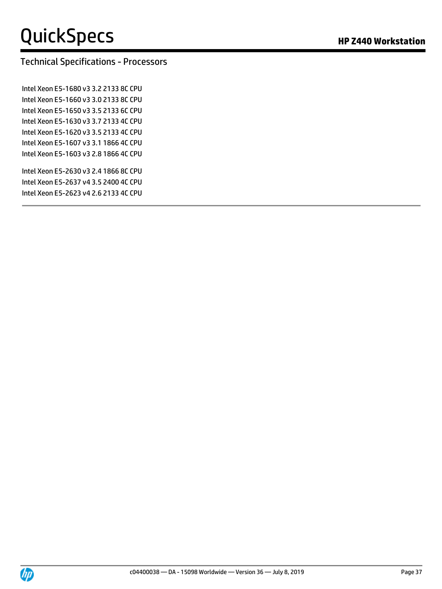# Technical Specifications - Processors

Intel Xeon E5-1680 v3 3.2 2133 8C CPU Intel Xeon E5-1660 v3 3.0 2133 8C CPU Intel Xeon E5-1650 v3 3.5 2133 6C CPU Intel Xeon E5-1630 v3 3.7 2133 4C CPU Intel Xeon E5-1620 v3 3.5 2133 4C CPU Intel Xeon E5-1607 v3 3.1 1866 4C CPU Intel Xeon E5-1603 v3 2.8 1866 4C CPU

Intel Xeon E5-2630 v3 2.4 1866 8C CPU Intel Xeon E5-2637 v4 3.5 2400 4C CPU Intel Xeon E5-2623 v4 2.6 2133 4C CPU

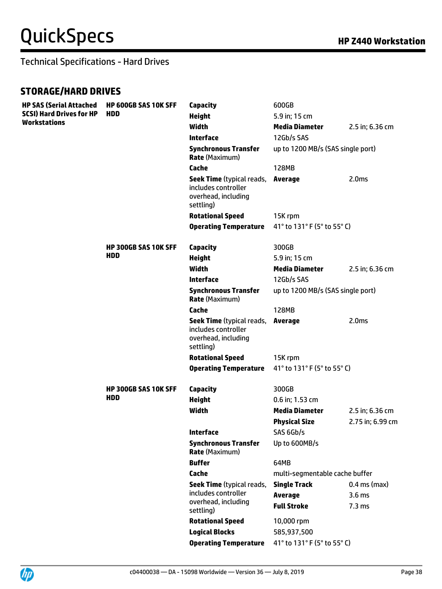#### **STORAGE/HARD DRIVES**

| <b>HP SAS (Serial Attached</b><br><b>SCSI) Hard Drives for HP</b><br>Workstations | <b>HP 600GB SAS 10K SFF</b><br><b>HDD</b> | Capacity                                                                                    | 600GB                             |                   |
|-----------------------------------------------------------------------------------|-------------------------------------------|---------------------------------------------------------------------------------------------|-----------------------------------|-------------------|
|                                                                                   |                                           | <b>Height</b>                                                                               | 5.9 in; 15 cm                     |                   |
|                                                                                   |                                           | <b>Width</b>                                                                                | <b>Media Diameter</b>             | 2.5 in; 6.36 cm   |
|                                                                                   |                                           | <b>Interface</b>                                                                            | 12Gb/s SAS                        |                   |
|                                                                                   |                                           | <b>Synchronous Transfer</b><br><b>Rate (Maximum)</b>                                        | up to 1200 MB/s (SAS single port) |                   |
|                                                                                   |                                           | Cache                                                                                       | <b>128MB</b>                      |                   |
|                                                                                   |                                           | <b>Seek Time</b> (typical reads,<br>includes controller<br>overhead, including<br>settling) | Average                           | 2.0 <sub>ms</sub> |
|                                                                                   |                                           | <b>Rotational Speed</b>                                                                     | 15K rpm                           |                   |
|                                                                                   |                                           | <b>Operating Temperature</b>                                                                | 41° to 131° F (5° to 55° C)       |                   |
|                                                                                   | <b>HP 300GB SAS 10K SFF</b>               | Capacity                                                                                    | 300GB                             |                   |
|                                                                                   | <b>HDD</b>                                | <b>Height</b>                                                                               | 5.9 in; 15 cm                     |                   |
|                                                                                   |                                           | <b>Width</b>                                                                                | <b>Media Diameter</b>             | 2.5 in; 6.36 cm   |
|                                                                                   |                                           | <b>Interface</b>                                                                            | 12Gb/s SAS                        |                   |
|                                                                                   |                                           | <b>Synchronous Transfer</b><br><b>Rate (Maximum)</b>                                        | up to 1200 MB/s (SAS single port) |                   |
|                                                                                   |                                           | Cache                                                                                       | 128MB                             |                   |
|                                                                                   |                                           | <b>Seek Time</b> (typical reads,<br>includes controller<br>overhead, including<br>settling) | <b>Average</b>                    | 2.0 <sub>ms</sub> |
|                                                                                   |                                           | <b>Rotational Speed</b>                                                                     | 15K rpm                           |                   |
|                                                                                   |                                           | <b>Operating Temperature</b>                                                                | 41° to 131° F (5° to 55° C)       |                   |
|                                                                                   | <b>HP 300GB SAS 10K SFF</b><br>HDD        | <b>Capacity</b>                                                                             | 300GB                             |                   |
|                                                                                   |                                           | <b>Height</b>                                                                               | 0.6 in; 1.53 cm                   |                   |
|                                                                                   |                                           | <b>Width</b>                                                                                | <b>Media Diameter</b>             | 2.5 in; 6.36 cm   |
|                                                                                   |                                           |                                                                                             | <b>Physical Size</b>              | 2.75 in; 6.99 cm  |
|                                                                                   |                                           | <b>Interface</b>                                                                            | SAS 6Gb/s                         |                   |
|                                                                                   |                                           | <b>Synchronous Transfer</b><br><b>Rate (Maximum)</b>                                        | Up to 600MB/s                     |                   |
|                                                                                   |                                           | <b>Buffer</b>                                                                               | 64MB                              |                   |
|                                                                                   |                                           | Cache                                                                                       | multi-segmentable cache buffer    |                   |
|                                                                                   |                                           | <b>Seek Time</b> (typical reads,                                                            | <b>Single Track</b>               | $0.4$ ms (max)    |
|                                                                                   |                                           | includes controller<br>overhead, including                                                  | <b>Average</b>                    | 3.6 <sub>ms</sub> |
|                                                                                   |                                           | settling)                                                                                   | <b>Full Stroke</b>                | 7.3 <sub>ms</sub> |
|                                                                                   |                                           | <b>Rotational Speed</b>                                                                     | 10,000 rpm                        |                   |
|                                                                                   |                                           | <b>Logical Blocks</b>                                                                       | 585,937,500                       |                   |
|                                                                                   |                                           | <b>Operating Temperature</b>                                                                | 41° to 131° F (5° to 55° C)       |                   |

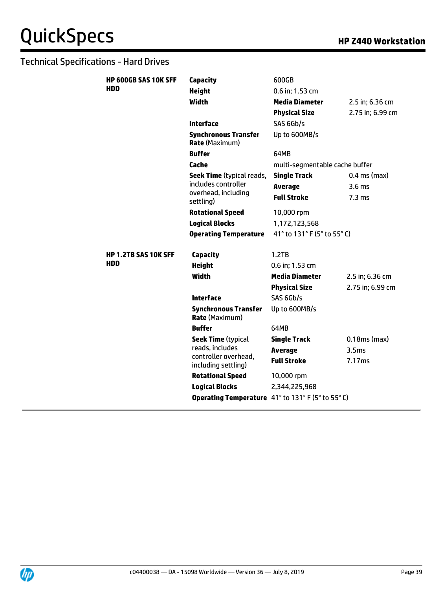| <b>HP 600GB SAS 10K SFF</b> | <b>Capacity</b>                                      | 600GB                          |                   |
|-----------------------------|------------------------------------------------------|--------------------------------|-------------------|
| <b>HDD</b>                  | <b>Height</b>                                        | 0.6 in; 1.53 cm                |                   |
|                             | <b>Width</b>                                         | <b>Media Diameter</b>          | 2.5 in; 6.36 cm   |
|                             |                                                      | <b>Physical Size</b>           | 2.75 in; 6.99 cm  |
|                             | <b>Interface</b>                                     | SAS 6Gb/s                      |                   |
|                             | <b>Synchronous Transfer</b><br><b>Rate (Maximum)</b> | Up to 600MB/s                  |                   |
|                             | <b>Buffer</b>                                        | 64MB                           |                   |
|                             | Cache                                                | multi-segmentable cache buffer |                   |
|                             | <b>Seek Time</b> (typical reads,                     | <b>Single Track</b>            | $0.4$ ms (max)    |
|                             | includes controller                                  | <b>Average</b>                 | 3.6 <sub>ms</sub> |
|                             | overhead, including<br>settling)                     | <b>Full Stroke</b>             | 7.3 <sub>ms</sub> |
|                             | <b>Rotational Speed</b>                              | 10,000 rpm                     |                   |
|                             | <b>Logical Blocks</b>                                | 1,172,123,568                  |                   |
|                             | <b>Operating Temperature</b>                         | 41° to 131° F (5° to 55° C)    |                   |
| <b>HP 1.2TB SAS 10K SFF</b> | <b>Capacity</b>                                      | 1.2TB                          |                   |
| <b>HDD</b>                  | <b>Height</b>                                        | 0.6 in; 1.53 cm                |                   |
|                             | <b>Width</b>                                         | <b>Media Diameter</b>          | 2.5 in; 6.36 cm   |
|                             |                                                      | <b>Physical Size</b>           | 2.75 in; 6.99 cm  |
|                             | <b>Interface</b>                                     | SAS 6Gb/s                      |                   |
|                             | <b>Synchronous Transfer</b><br><b>Rate (Maximum)</b> | Up to 600MB/s                  |                   |
|                             | <b>Buffer</b>                                        | 64MB                           |                   |
|                             | <b>Seek Time (typical</b>                            | <b>Single Track</b>            | $0.18ms$ (max)    |
|                             | reads, includes                                      | <b>Average</b>                 | 3.5 <sub>ms</sub> |
|                             | controller overhead,<br>including settling)          | <b>Full Stroke</b>             | 7.17ms            |
|                             |                                                      |                                |                   |
|                             | <b>Rotational Speed</b>                              | 10,000 rpm                     |                   |
|                             | <b>Logical Blocks</b>                                | 2,344,225,968                  |                   |

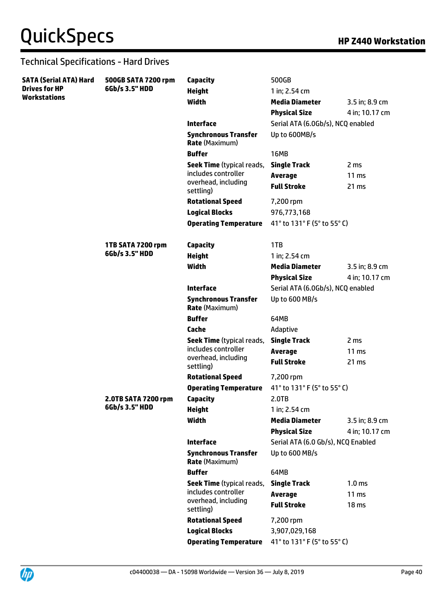| <b>SATA (Serial ATA) Hard</b><br><b>Drives for HP</b> | 500GB SATA 7200 rpm<br>6Gb/s 3.5" HDD | Capacity                                                | 500GB                                |                           |
|-------------------------------------------------------|---------------------------------------|---------------------------------------------------------|--------------------------------------|---------------------------|
|                                                       |                                       | <b>Height</b>                                           | 1 in; 2.54 cm                        |                           |
| <b>Workstations</b>                                   |                                       | <b>Width</b>                                            | <b>Media Diameter</b>                | 3.5 in; 8.9 cm            |
|                                                       |                                       |                                                         | <b>Physical Size</b>                 | 4 in; 10.17 cm            |
|                                                       |                                       | <b>Interface</b>                                        | Serial ATA (6.0Gb/s), NCQ enabled    |                           |
|                                                       |                                       | <b>Synchronous Transfer</b><br><b>Rate (Maximum)</b>    | Up to 600MB/s                        |                           |
|                                                       |                                       | <b>Buffer</b>                                           | <b>16MB</b>                          |                           |
|                                                       |                                       | <b>Seek Time</b> (typical reads,                        | <b>Single Track</b>                  | 2 <sub>ms</sub>           |
|                                                       |                                       | includes controller<br>overhead, including<br>settling) | <b>Average</b><br><b>Full Stroke</b> | 11 <sub>ms</sub><br>21 ms |
|                                                       |                                       | <b>Rotational Speed</b>                                 | 7,200 rpm                            |                           |
|                                                       |                                       | <b>Logical Blocks</b>                                   | 976,773,168                          |                           |
|                                                       |                                       | <b>Operating Temperature</b>                            | 41° to 131° F (5° to 55° C)          |                           |
|                                                       |                                       |                                                         |                                      |                           |
|                                                       | 1TB SATA 7200 rpm                     | <b>Capacity</b>                                         | 1TB                                  |                           |
|                                                       | 6Gb/s 3.5" HDD                        | <b>Height</b>                                           | 1 in; 2.54 cm                        |                           |
|                                                       |                                       | Width                                                   | <b>Media Diameter</b>                | 3.5 in; 8.9 cm            |
|                                                       |                                       |                                                         | <b>Physical Size</b>                 | 4 in; 10.17 cm            |
|                                                       |                                       | <b>Interface</b>                                        | Serial ATA (6.0Gb/s), NCQ enabled    |                           |
|                                                       |                                       | <b>Synchronous Transfer</b><br><b>Rate (Maximum)</b>    | Up to 600 MB/s                       |                           |
|                                                       |                                       | <b>Buffer</b>                                           | 64MB                                 |                           |
|                                                       |                                       | Cache                                                   | Adaptive                             |                           |
|                                                       |                                       | <b>Seek Time</b> (typical reads,                        | <b>Single Track</b>                  | 2 <sub>ms</sub>           |
|                                                       |                                       | includes controller                                     | <b>Average</b>                       | 11 <sub>ms</sub>          |
|                                                       |                                       | overhead, including<br>settling)                        | <b>Full Stroke</b>                   | 21 ms                     |
|                                                       |                                       | <b>Rotational Speed</b>                                 | 7,200 rpm                            |                           |
|                                                       |                                       | <b>Operating Temperature</b>                            | 41° to 131° F (5° to 55° C)          |                           |
|                                                       | 2.0TB SATA 7200 rpm<br>6Gb/s 3.5" HDD | <b>Capacity</b>                                         | 2.0TB                                |                           |
|                                                       |                                       | <b>Height</b>                                           | 1 in; 2.54 cm                        |                           |
|                                                       |                                       | Width                                                   | <b>Media Diameter</b>                | 3.5 in; 8.9 cm            |
|                                                       |                                       |                                                         | <b>Physical Size</b>                 | 4 in: 10.17 cm            |
|                                                       |                                       | <b>Interface</b>                                        | Serial ATA (6.0 Gb/s), NCQ Enabled   |                           |
|                                                       |                                       | <b>Synchronous Transfer</b><br><b>Rate (Maximum)</b>    | Up to 600 MB/s                       |                           |
|                                                       |                                       | <b>Buffer</b>                                           | 64MB                                 |                           |
|                                                       |                                       | <b>Seek Time</b> (typical reads,<br>includes controller | <b>Single Track</b>                  | 1.0 <sub>ms</sub>         |
|                                                       |                                       | overhead, including                                     | <b>Average</b>                       | 11 <sub>ms</sub>          |
|                                                       |                                       | settling)                                               | <b>Full Stroke</b>                   | 18 <sub>ms</sub>          |
|                                                       |                                       | <b>Rotational Speed</b>                                 | 7,200 rpm                            |                           |
|                                                       |                                       | <b>Logical Blocks</b>                                   | 3,907,029,168                        |                           |
|                                                       |                                       | <b>Operating Temperature</b>                            | 41° to 131° F (5° to 55° C)          |                           |

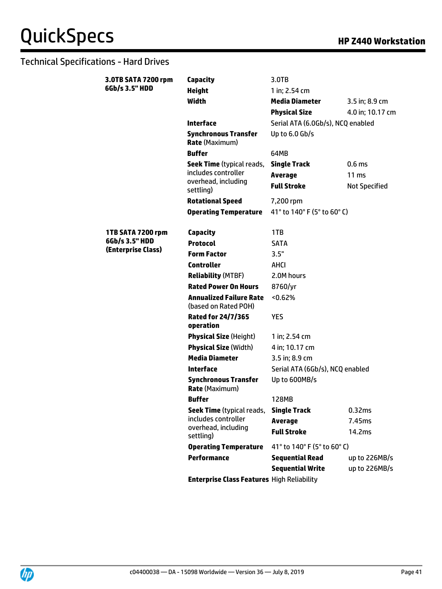| 3.0TB SATA 7200 rpm                  | Capacity                                               | 3.0TB                             |                      |  |
|--------------------------------------|--------------------------------------------------------|-----------------------------------|----------------------|--|
| 6Gb/s 3.5" HDD                       | <b>Height</b>                                          | 1 in; 2.54 cm                     |                      |  |
|                                      | Width                                                  | <b>Media Diameter</b>             | 3.5 in; 8.9 cm       |  |
|                                      |                                                        | <b>Physical Size</b>              | 4.0 in; 10.17 cm     |  |
|                                      | <b>Interface</b>                                       | Serial ATA (6.0Gb/s), NCQ enabled |                      |  |
|                                      | <b>Synchronous Transfer</b><br><b>Rate (Maximum)</b>   | Up to 6.0 Gb/s                    |                      |  |
|                                      | <b>Buffer</b>                                          | 64MB                              |                      |  |
|                                      | <b>Seek Time</b> (typical reads,                       | <b>Single Track</b>               | 0.6 <sub>ms</sub>    |  |
|                                      | includes controller                                    | <b>Average</b>                    | 11 <sub>ms</sub>     |  |
|                                      | overhead, including<br>settling)                       | <b>Full Stroke</b>                | <b>Not Specified</b> |  |
|                                      | <b>Rotational Speed</b>                                | 7,200 rpm                         |                      |  |
|                                      | <b>Operating Temperature</b>                           | 41° to 140° F (5° to 60° C)       |                      |  |
|                                      |                                                        |                                   |                      |  |
| 1TB SATA 7200 rpm                    | <b>Capacity</b>                                        | 1TB                               |                      |  |
| 6Gb/s 3.5" HDD<br>(Enterprise Class) | <b>Protocol</b>                                        | <b>SATA</b>                       |                      |  |
|                                      | <b>Form Factor</b>                                     | 3.5"                              |                      |  |
|                                      | <b>Controller</b>                                      | AHCI                              |                      |  |
|                                      | <b>Reliability (MTBF)</b>                              | 2.0M hours                        |                      |  |
|                                      | <b>Rated Power On Hours</b>                            | 8760/yr                           |                      |  |
|                                      | <b>Annualized Failure Rate</b><br>(based on Rated POH) | < 0.62%                           |                      |  |
|                                      | <b>Rated for 24/7/365</b><br>operation                 | <b>YES</b>                        |                      |  |
|                                      | <b>Physical Size (Height)</b>                          | 1 in; 2.54 cm                     |                      |  |
|                                      | <b>Physical Size (Width)</b>                           | 4 in; 10.17 cm                    |                      |  |
|                                      | <b>Media Diameter</b>                                  | 3.5 in; 8.9 cm                    |                      |  |
|                                      | <b>Interface</b>                                       | Serial ATA (6Gb/s), NCQ enabled   |                      |  |
|                                      | <b>Synchronous Transfer</b><br><b>Rate (Maximum)</b>   | Up to 600MB/s                     |                      |  |
|                                      | <b>Buffer</b>                                          | <b>128MB</b>                      |                      |  |
|                                      | Seek Time (typical reads,                              | <b>Single Track</b>               | 0.32ms               |  |
|                                      | includes controller                                    | Average                           | 7.45ms               |  |
|                                      | overhead, including<br>settling)                       | <b>Full Stroke</b>                | 14.2ms               |  |
|                                      | <b>Operating Temperature</b>                           | 41° to 140° F (5° to 60° C)       |                      |  |
|                                      | <b>Performance</b>                                     | <b>Sequential Read</b>            | up to 226MB/s        |  |
|                                      |                                                        | <b>Sequential Write</b>           | up to 226MB/s        |  |
|                                      | <b>Enterprise Class Features High Reliability</b>      |                                   |                      |  |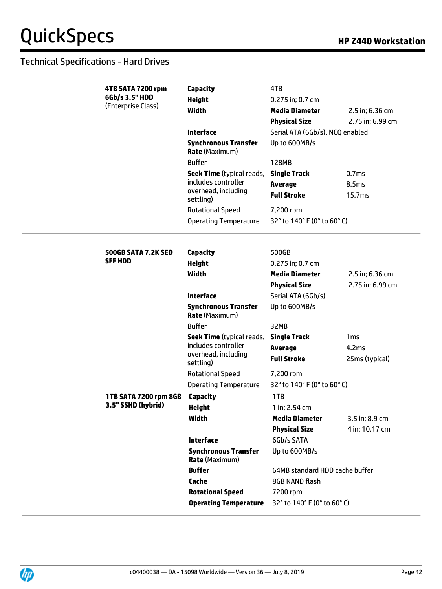**4TB SATA 7200 rpm** 

| 6Gb/s 3.5" HDD<br><b>Height</b><br>0.275 in; 0.7 cm                   |                                 |
|-----------------------------------------------------------------------|---------------------------------|
| (Enterprise Class)<br><b>Width</b><br><b>Media Diameter</b>           | 2.5 in; 6.36 cm                 |
| <b>Physical Size</b>                                                  | 2.75 in; 6.99 cm                |
| <b>Interface</b>                                                      | Serial ATA (6Gb/s), NCQ enabled |
| <b>Synchronous Transfer</b><br>Up to 600MB/s<br><b>Rate (Maximum)</b> |                                 |
| <b>Buffer</b><br><b>128MB</b>                                         |                                 |
| <b>Seek Time</b> (typical reads,<br><b>Single Track</b>               | 0.7ms                           |
| includes controller<br><b>Average</b>                                 | 8.5ms                           |
| overhead, including<br><b>Full Stroke</b><br>settling)                | 15.7ms                          |
| <b>Rotational Speed</b><br>7,200 rpm                                  |                                 |
| 32° to 140° F (0° to 60° C)<br><b>Operating Temperature</b>           |                                 |
|                                                                       |                                 |
| <b>Capacity</b><br>500GB<br><b>500GB SATA 7.2K SED</b>                |                                 |
| <b>SFF HDD</b><br><b>Height</b><br>0.275 in; 0.7 cm                   |                                 |
| <b>Width</b><br><b>Media Diameter</b>                                 | 2.5 in; 6.36 cm                 |
| <b>Physical Size</b>                                                  | 2.75 in; 6.99 cm                |
| <b>Interface</b><br>Serial ATA (6Gb/s)                                |                                 |
| <b>Synchronous Transfer</b><br>Up to 600MB/s<br><b>Rate (Maximum)</b> |                                 |
| <b>Buffer</b><br>32MB                                                 |                                 |
| <b>Seek Time</b> (typical reads,<br><b>Single Track</b>               | 1 <sub>ms</sub>                 |
| includes controller<br><b>Average</b>                                 | 4.2ms                           |
| overhead, including<br><b>Full Stroke</b><br>settling)                | 25ms (typical)                  |
| <b>Rotational Speed</b><br>7,200 rpm                                  |                                 |
| 32° to 140° F (0° to 60° C)<br><b>Operating Temperature</b>           |                                 |
| 1TB SATA 7200 rpm 8GB<br>Capacity<br>1TB                              |                                 |
| 3.5" SSHD (hybrid)<br><b>Height</b><br>1 in; 2.54 cm                  |                                 |
| Width<br><b>Media Diameter</b>                                        | 3.5 in; 8.9 cm                  |
| <b>Physical Size</b>                                                  | 4 in; 10.17 cm                  |
| <b>Interface</b><br>6Gb/s SATA                                        |                                 |
|                                                                       |                                 |
| <b>Synchronous Transfer</b><br>Up to 600MB/s<br><b>Rate (Maximum)</b> |                                 |
| <b>Buffer</b>                                                         | 64MB standard HDD cache buffer  |
| Cache<br>8GB NAND flash                                               |                                 |
| <b>Rotational Speed</b><br>7200 rpm                                   |                                 |

**Capacity** 4TB

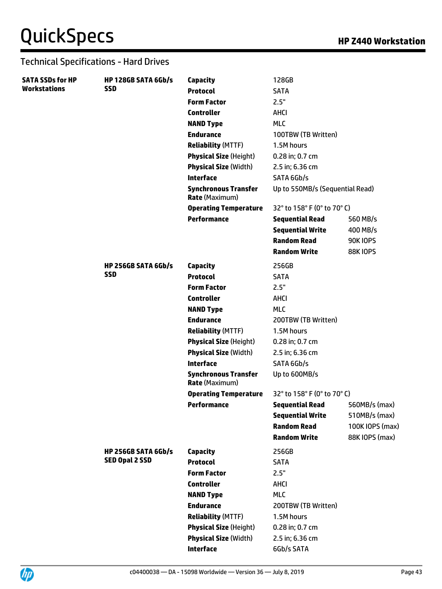| <b>SATA SSDs for HP</b> | <b>HP 128GB SATA 6Gb/s</b> | Capacity                                             | 128GB                           |                 |
|-------------------------|----------------------------|------------------------------------------------------|---------------------------------|-----------------|
| <b>Workstations</b>     | <b>SSD</b>                 | <b>Protocol</b>                                      | <b>SATA</b>                     |                 |
|                         |                            | <b>Form Factor</b>                                   | 2.5"                            |                 |
|                         |                            | <b>Controller</b>                                    | AHCI                            |                 |
|                         |                            | <b>NAND Type</b>                                     | <b>MLC</b>                      |                 |
|                         |                            | <b>Endurance</b>                                     | 100TBW (TB Written)             |                 |
|                         |                            | <b>Reliability (MTTF)</b>                            | 1.5M hours                      |                 |
|                         |                            | <b>Physical Size (Height)</b>                        | 0.28 in; 0.7 cm                 |                 |
|                         |                            | <b>Physical Size (Width)</b>                         | 2.5 in; 6.36 cm                 |                 |
|                         |                            | <b>Interface</b>                                     | SATA 6Gb/s                      |                 |
|                         |                            | <b>Synchronous Transfer</b><br><b>Rate (Maximum)</b> | Up to 550MB/s (Sequential Read) |                 |
|                         |                            | <b>Operating Temperature</b>                         | 32° to 158° F (0° to 70° C)     |                 |
|                         |                            | <b>Performance</b>                                   | <b>Sequential Read</b>          | 560 MB/s        |
|                         |                            |                                                      | <b>Sequential Write</b>         | 400 MB/s        |
|                         |                            |                                                      | <b>Random Read</b>              | <b>90K IOPS</b> |
|                         |                            |                                                      | <b>Random Write</b>             | <b>88K10PS</b>  |
|                         | HP 256GB SATA 6Gb/s        | Capacity                                             | 256GB                           |                 |
|                         | <b>SSD</b>                 | <b>Protocol</b>                                      | <b>SATA</b>                     |                 |
|                         |                            | <b>Form Factor</b>                                   | 2.5"                            |                 |
|                         |                            | <b>Controller</b>                                    | AHCI                            |                 |
|                         |                            | <b>NAND Type</b>                                     | <b>MLC</b>                      |                 |
|                         |                            | <b>Endurance</b>                                     | 200TBW (TB Written)             |                 |
|                         |                            | <b>Reliability (MTTF)</b>                            | 1.5M hours                      |                 |
|                         |                            | <b>Physical Size (Height)</b>                        | 0.28 in; 0.7 cm                 |                 |
|                         |                            | <b>Physical Size (Width)</b>                         | 2.5 in; 6.36 cm                 |                 |
|                         |                            | <b>Interface</b>                                     | SATA 6Gb/s                      |                 |
|                         |                            | <b>Synchronous Transfer</b><br><b>Rate (Maximum)</b> | Up to 600MB/s                   |                 |
|                         |                            | <b>Operating Temperature</b>                         | 32° to 158° F (0° to 70° C)     |                 |
|                         |                            | <b>Performance</b>                                   | <b>Sequential Read</b>          | 560MB/s (max)   |
|                         |                            |                                                      | <b>Sequential Write</b>         | 510MB/s (max)   |
|                         |                            |                                                      | <b>Random Read</b>              | 100K IOPS (max) |
|                         |                            |                                                      | <b>Random Write</b>             | 88K IOPS (max)  |
|                         | <b>HP 256GB SATA 6Gb/s</b> | <b>Capacity</b>                                      | 256GB                           |                 |
|                         | <b>SED Opal 2 SSD</b>      | <b>Protocol</b>                                      | <b>SATA</b>                     |                 |
|                         |                            | <b>Form Factor</b>                                   | 2.5"                            |                 |
|                         |                            | <b>Controller</b>                                    | AHCI                            |                 |
|                         |                            | <b>NAND Type</b>                                     | <b>MLC</b>                      |                 |
|                         |                            | <b>Endurance</b>                                     | 200TBW (TB Written)             |                 |
|                         |                            | <b>Reliability (MTTF)</b>                            | 1.5M hours                      |                 |
|                         |                            | <b>Physical Size (Height)</b>                        | 0.28 in; 0.7 cm                 |                 |
|                         |                            | <b>Physical Size (Width)</b>                         | 2.5 in; 6.36 cm                 |                 |
|                         |                            | <b>Interface</b>                                     | 6Gb/s SATA                      |                 |
|                         |                            |                                                      |                                 |                 |

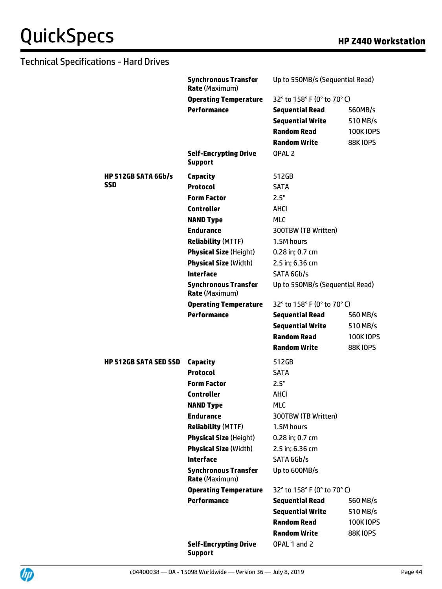|                              | <b>Synchronous Transfer</b><br>Rate (Maximum)        | Up to 550MB/s (Sequential Read) |                  |
|------------------------------|------------------------------------------------------|---------------------------------|------------------|
|                              | <b>Operating Temperature</b>                         | 32° to 158° F (0° to 70° C)     |                  |
|                              | <b>Performance</b>                                   | <b>Sequential Read</b>          | 560MB/s          |
|                              |                                                      | <b>Sequential Write</b>         | 510 MB/s         |
|                              |                                                      | <b>Random Read</b>              | <b>100K IOPS</b> |
|                              |                                                      | <b>Random Write</b>             | <b>88K10PS</b>   |
|                              | <b>Self-Encrypting Drive</b><br><b>Support</b>       | OPAL <sub>2</sub>               |                  |
| <b>HP 512GB SATA 6Gb/s</b>   | Capacity                                             | 512GB                           |                  |
| SSD                          | <b>Protocol</b>                                      | <b>SATA</b>                     |                  |
|                              | <b>Form Factor</b>                                   | 2.5"                            |                  |
|                              | <b>Controller</b>                                    | AHCI                            |                  |
|                              | <b>NAND Type</b>                                     | <b>MLC</b>                      |                  |
|                              | <b>Endurance</b>                                     | 300TBW (TB Written)             |                  |
|                              | <b>Reliability (MTTF)</b>                            | 1.5M hours                      |                  |
|                              | <b>Physical Size (Height)</b>                        | 0.28 in; 0.7 cm                 |                  |
|                              | <b>Physical Size (Width)</b>                         | 2.5 in; 6.36 cm                 |                  |
|                              | <b>Interface</b>                                     | SATA 6Gb/s                      |                  |
|                              | <b>Synchronous Transfer</b><br>Rate (Maximum)        | Up to 550MB/s (Sequential Read) |                  |
|                              | <b>Operating Temperature</b>                         | 32° to 158° F (0° to 70° C)     |                  |
|                              | <b>Performance</b>                                   | <b>Sequential Read</b>          | 560 MB/s         |
|                              |                                                      | <b>Sequential Write</b>         | 510 MB/s         |
|                              |                                                      | <b>Random Read</b>              | <b>100K IOPS</b> |
|                              |                                                      | <b>Random Write</b>             | <b>88K10PS</b>   |
| <b>HP 512GB SATA SED SSD</b> | Capacity                                             | 512GB                           |                  |
|                              | <b>Protocol</b>                                      | <b>SATA</b>                     |                  |
|                              | <b>Form Factor</b>                                   | 2.5"                            |                  |
|                              | <b>Controller</b>                                    | <b>AHCI</b>                     |                  |
|                              | <b>NAND Type</b>                                     | <b>MLC</b>                      |                  |
|                              | <b>Endurance</b>                                     | 300TBW (TB Written)             |                  |
|                              | <b>Reliability (MTTF)</b>                            | 1.5M hours                      |                  |
|                              | <b>Physical Size (Height)</b>                        | 0.28 in; 0.7 cm                 |                  |
|                              | <b>Physical Size (Width)</b>                         | 2.5 in; 6.36 cm                 |                  |
|                              | <b>Interface</b>                                     | SATA 6Gb/s                      |                  |
|                              | <b>Synchronous Transfer</b><br><b>Rate (Maximum)</b> | Up to 600MB/s                   |                  |
|                              | <b>Operating Temperature</b>                         | 32° to 158° F (0° to 70° C)     |                  |
|                              | <b>Performance</b>                                   | <b>Sequential Read</b>          | 560 MB/s         |
|                              |                                                      | <b>Sequential Write</b>         | 510 MB/s         |
|                              |                                                      | <b>Random Read</b>              | <b>100KIOPS</b>  |
|                              |                                                      | <b>Random Write</b>             | <b>88K IOPS</b>  |
|                              | <b>Self-Encrypting Drive</b><br><b>Support</b>       | OPAL 1 and 2                    |                  |

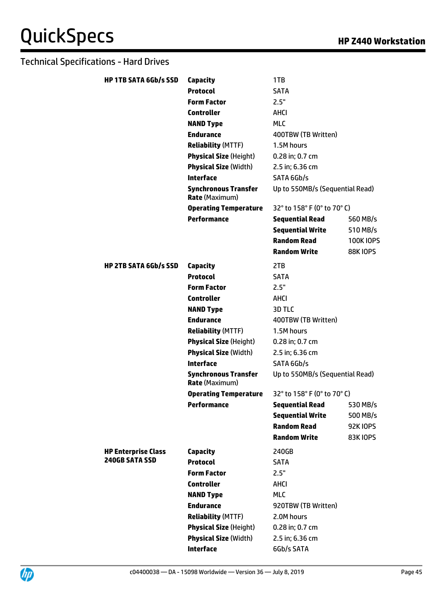| Capacity                                             | 1TB                     |                                                                                                                                                         |
|------------------------------------------------------|-------------------------|---------------------------------------------------------------------------------------------------------------------------------------------------------|
| <b>Protocol</b>                                      | <b>SATA</b>             |                                                                                                                                                         |
| <b>Form Factor</b>                                   | 2.5"                    |                                                                                                                                                         |
| <b>Controller</b>                                    | AHCI                    |                                                                                                                                                         |
| <b>NAND Type</b>                                     | <b>MLC</b>              |                                                                                                                                                         |
| <b>Endurance</b>                                     | 400TBW (TB Written)     |                                                                                                                                                         |
| <b>Reliability (MTTF)</b>                            | 1.5M hours              |                                                                                                                                                         |
| <b>Physical Size (Height)</b>                        | 0.28 in; 0.7 cm         |                                                                                                                                                         |
| <b>Physical Size (Width)</b>                         | 2.5 in; 6.36 cm         |                                                                                                                                                         |
| <b>Interface</b>                                     | SATA 6Gb/s              |                                                                                                                                                         |
| <b>Synchronous Transfer</b><br><b>Rate (Maximum)</b> |                         |                                                                                                                                                         |
| <b>Operating Temperature</b>                         |                         |                                                                                                                                                         |
| <b>Performance</b>                                   | <b>Sequential Read</b>  | 560 MB/s                                                                                                                                                |
|                                                      | <b>Sequential Write</b> | 510 MB/s                                                                                                                                                |
|                                                      | <b>Random Read</b>      | <b>100KIOPS</b>                                                                                                                                         |
|                                                      | <b>Random Write</b>     | <b>88K10PS</b>                                                                                                                                          |
| Capacity                                             | 2TB                     |                                                                                                                                                         |
| <b>Protocol</b>                                      | <b>SATA</b>             |                                                                                                                                                         |
| <b>Form Factor</b>                                   | 2.5"                    |                                                                                                                                                         |
| <b>Controller</b>                                    | AHCI                    |                                                                                                                                                         |
| <b>NAND Type</b>                                     | 3D TLC                  |                                                                                                                                                         |
| <b>Endurance</b>                                     | 400TBW (TB Written)     |                                                                                                                                                         |
| <b>Reliability (MTTF)</b>                            | 1.5M hours              |                                                                                                                                                         |
| <b>Physical Size (Height)</b>                        | 0.28 in; 0.7 cm         |                                                                                                                                                         |
| <b>Physical Size (Width)</b>                         | 2.5 in; 6.36 cm         |                                                                                                                                                         |
| <b>Interface</b>                                     | SATA 6Gb/s              |                                                                                                                                                         |
| <b>Synchronous Transfer</b><br><b>Rate</b> (Maximum) |                         |                                                                                                                                                         |
| <b>Operating Temperature</b>                         |                         |                                                                                                                                                         |
| Performance                                          | <b>Sequential Read</b>  | 530 MB/s                                                                                                                                                |
|                                                      | <b>Sequential Write</b> | 500 MB/s                                                                                                                                                |
|                                                      | <b>Random Read</b>      | <b>92K10PS</b>                                                                                                                                          |
|                                                      |                         | <b>83K10PS</b>                                                                                                                                          |
| Capacity                                             | 240GB                   |                                                                                                                                                         |
| <b>Protocol</b>                                      | <b>SATA</b>             |                                                                                                                                                         |
|                                                      |                         |                                                                                                                                                         |
| <b>Form Factor</b>                                   | 2.5"                    |                                                                                                                                                         |
| <b>Controller</b>                                    | AHCI                    |                                                                                                                                                         |
| <b>NAND Type</b>                                     | <b>MLC</b>              |                                                                                                                                                         |
| <b>Endurance</b>                                     | 920TBW (TB Written)     |                                                                                                                                                         |
| <b>Reliability (MTTF)</b>                            | 2.0M hours              |                                                                                                                                                         |
| <b>Physical Size (Height)</b>                        | 0.28 in; 0.7 cm         |                                                                                                                                                         |
| <b>Physical Size (Width)</b>                         | 2.5 in; 6.36 cm         |                                                                                                                                                         |
|                                                      |                         | Up to 550MB/s (Sequential Read)<br>32° to 158° F (0° to 70° C)<br>Up to 550MB/s (Sequential Read)<br>32° to 158° F (0° to 70° C)<br><b>Random Write</b> |

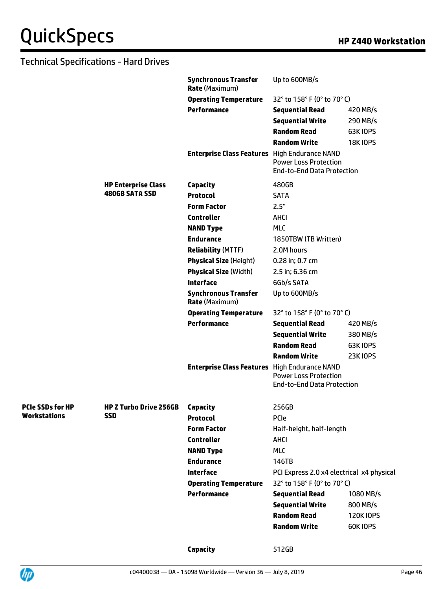|                         |                               | <b>Synchronous Transfer</b><br><b>Rate (Maximum)</b> | Up to 600MB/s                                                     |                  |
|-------------------------|-------------------------------|------------------------------------------------------|-------------------------------------------------------------------|------------------|
|                         |                               | <b>Operating Temperature</b>                         | 32° to 158° F (0° to 70° C)                                       |                  |
|                         |                               | <b>Performance</b>                                   | <b>Sequential Read</b>                                            | 420 MB/s         |
|                         |                               |                                                      | <b>Sequential Write</b>                                           | 290 MB/s         |
|                         |                               |                                                      | <b>Random Read</b>                                                | <b>63K IOPS</b>  |
|                         |                               |                                                      | <b>Random Write</b>                                               | <b>18K IOPS</b>  |
|                         |                               | <b>Enterprise Class Features</b> High Endurance NAND | <b>Power Loss Protection</b><br><b>End-to-End Data Protection</b> |                  |
|                         | <b>HP Enterprise Class</b>    | Capacity                                             | 480GB                                                             |                  |
|                         | <b>480GB SATA SSD</b>         | <b>Protocol</b>                                      | <b>SATA</b>                                                       |                  |
|                         |                               | <b>Form Factor</b>                                   | 2.5"                                                              |                  |
|                         |                               | <b>Controller</b>                                    | <b>AHCI</b>                                                       |                  |
|                         |                               | <b>NAND Type</b>                                     | <b>MLC</b>                                                        |                  |
|                         |                               | <b>Endurance</b>                                     | 1850TBW (TB Written)                                              |                  |
|                         |                               | <b>Reliability (MTTF)</b>                            | 2.0M hours                                                        |                  |
|                         |                               | <b>Physical Size (Height)</b>                        | 0.28 in; 0.7 cm                                                   |                  |
|                         |                               | <b>Physical Size (Width)</b>                         | 2.5 in; 6.36 cm                                                   |                  |
|                         |                               | Interface                                            | 6Gb/s SATA                                                        |                  |
|                         |                               | <b>Synchronous Transfer</b><br><b>Rate (Maximum)</b> | Up to 600MB/s                                                     |                  |
|                         |                               | <b>Operating Temperature</b>                         | 32° to 158° F (0° to 70° C)                                       |                  |
|                         |                               | <b>Performance</b>                                   | <b>Sequential Read</b>                                            | 420 MB/s         |
|                         |                               |                                                      | <b>Sequential Write</b>                                           | 380 MB/s         |
|                         |                               |                                                      | <b>Random Read</b>                                                | <b>63K IOPS</b>  |
|                         |                               |                                                      | <b>Random Write</b>                                               | <b>23K10PS</b>   |
|                         |                               | <b>Enterprise Class Features</b> High Endurance NAND | <b>Power Loss Protection</b><br><b>End-to-End Data Protection</b> |                  |
| <b>PCIe SSDs for HP</b> | <b>HP Z Turbo Drive 256GB</b> | Capacity                                             | 256GB                                                             |                  |
| <b>Workstations</b>     | <b>SSD</b>                    | <b>Protocol</b>                                      | PCIe                                                              |                  |
|                         |                               | <b>Form Factor</b>                                   | Half-height, half-length                                          |                  |
|                         |                               | <b>Controller</b>                                    | <b>AHCI</b>                                                       |                  |
|                         |                               | <b>NAND Type</b>                                     | <b>MLC</b>                                                        |                  |
|                         |                               | <b>Endurance</b>                                     | 146TB                                                             |                  |
|                         |                               | <b>Interface</b>                                     | PCI Express 2.0 x4 electrical x4 physical                         |                  |
|                         |                               | <b>Operating Temperature</b>                         | 32° to 158° F (0° to 70° C)                                       |                  |
|                         |                               | <b>Performance</b>                                   | <b>Sequential Read</b>                                            | 1080 MB/s        |
|                         |                               |                                                      | <b>Sequential Write</b>                                           | 800 MB/s         |
|                         |                               |                                                      | <b>Random Read</b>                                                | <b>120K IOPS</b> |
|                         |                               |                                                      | <b>Random Write</b>                                               | <b>60K IOPS</b>  |
|                         |                               | Capacity                                             | 512GB                                                             |                  |

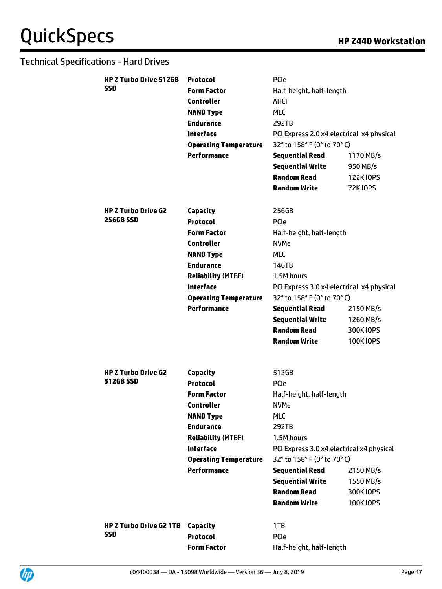| <b>HP Z Turbo Drive 512GB</b>  | <b>Protocol</b>              | <b>PCIe</b>                               |                  |  |
|--------------------------------|------------------------------|-------------------------------------------|------------------|--|
| SSD                            | <b>Form Factor</b>           | Half-height, half-length                  |                  |  |
|                                | <b>Controller</b>            | <b>AHCI</b>                               |                  |  |
|                                | <b>NAND Type</b>             | <b>MLC</b>                                |                  |  |
|                                | <b>Endurance</b>             | 292TB                                     |                  |  |
|                                | <b>Interface</b>             | PCI Express 2.0 x4 electrical x4 physical |                  |  |
|                                | <b>Operating Temperature</b> | 32° to 158° F (0° to 70° C)               |                  |  |
|                                | <b>Performance</b>           | <b>Sequential Read</b>                    | 1170 MB/s        |  |
|                                |                              | <b>Sequential Write</b>                   | 950 MB/s         |  |
|                                |                              | <b>Random Read</b>                        | <b>122K IOPS</b> |  |
|                                |                              | Random Write                              | <b>72K10PS</b>   |  |
|                                |                              |                                           |                  |  |
| <b>HP Z Turbo Drive G2</b>     | Capacity                     | 256GB                                     |                  |  |
| <b>256GB SSD</b>               | <b>Protocol</b>              | PCIe                                      |                  |  |
|                                | <b>Form Factor</b>           | Half-height, half-length                  |                  |  |
|                                | <b>Controller</b>            | <b>NVMe</b>                               |                  |  |
|                                | <b>NAND Type</b>             | <b>MLC</b>                                |                  |  |
|                                | <b>Endurance</b>             | 146TB                                     |                  |  |
|                                | <b>Reliability (MTBF)</b>    | 1.5M hours                                |                  |  |
|                                | <b>Interface</b>             | PCI Express 3.0 x4 electrical x4 physical |                  |  |
|                                | <b>Operating Temperature</b> | 32° to 158° F (0° to 70° C)               |                  |  |
|                                | <b>Performance</b>           | <b>Sequential Read</b>                    | 2150 MB/s        |  |
|                                |                              | <b>Sequential Write</b>                   | 1260 MB/s        |  |
|                                |                              | <b>Random Read</b>                        | 300K IOPS        |  |
|                                |                              | <b>Random Write</b>                       | <b>100K IOPS</b> |  |
|                                |                              |                                           |                  |  |
| <b>HP Z Turbo Drive G2</b>     | Capacity                     | 512GB                                     |                  |  |
| <b>512GB SSD</b>               | <b>Protocol</b>              | <b>PCIe</b>                               |                  |  |
|                                | <b>Form Factor</b>           | Half-height, half-length                  |                  |  |
|                                | <b>Controller</b>            | <b>NVMe</b>                               |                  |  |
|                                | <b>NAND Type</b>             | <b>MLC</b>                                |                  |  |
|                                | <b>Endurance</b>             | 292TB                                     |                  |  |
|                                | <b>Reliability (MTBF)</b>    | 1.5M hours                                |                  |  |
|                                | <b>Interface</b>             | PCI Express 3.0 x4 electrical x4 physical |                  |  |
|                                | <b>Operating Temperature</b> | 32° to 158° F (0° to 70° C)               |                  |  |
|                                | <b>Performance</b>           | <b>Sequential Read</b>                    | 2150 MB/s        |  |
|                                |                              | <b>Sequential Write</b>                   | 1550 MB/s        |  |
|                                |                              | <b>Random Read</b>                        | 300K IOPS        |  |
|                                |                              | <b>Random Write</b>                       | <b>100KIOPS</b>  |  |
|                                |                              |                                           |                  |  |
| <b>HP Z Turbo Drive G2 1TB</b> | Capacity                     | 1TB                                       |                  |  |
| <b>SSD</b>                     | <b>Protocol</b>              | <b>PCIe</b>                               |                  |  |
|                                | <b>Form Factor</b>           | Half-height, half-length                  |                  |  |
|                                |                              |                                           |                  |  |

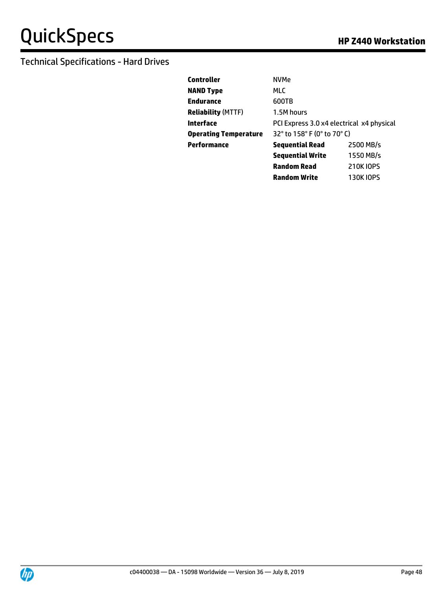| Controller                | <b>NVMe</b>                               |                  |  |
|---------------------------|-------------------------------------------|------------------|--|
| <b>NAND Type</b>          | <b>MLC</b>                                |                  |  |
| Endurance                 | 600TB                                     |                  |  |
| <b>Reliability</b> (MTTF) | 1.5M hours                                |                  |  |
| Interface                 | PCI Express 3.0 x4 electrical x4 physical |                  |  |
| Operating Temperature     | 32° to 158° F (0° to 70° C)               |                  |  |
| Performance               | <b>Sequential Read</b>                    | 2500 MB/s        |  |
|                           | <b>Sequential Write</b>                   | 1550 MB/s        |  |
|                           | <b>Random Read</b>                        | <b>210K IOPS</b> |  |

**Random Write** 130K IOPS

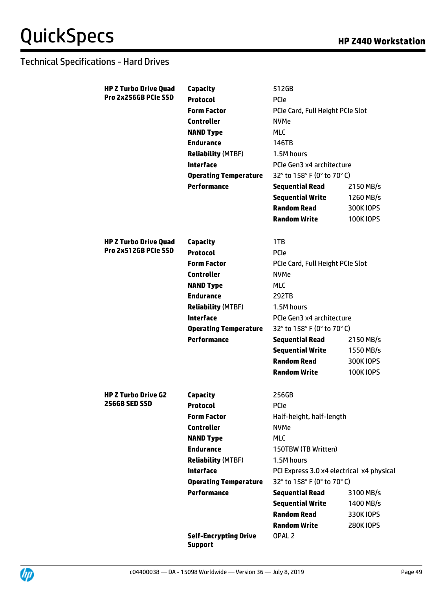| <b>HP Z Turbo Drive Quad</b> | Capacity                                       | 512GB                                     |                  |  |
|------------------------------|------------------------------------------------|-------------------------------------------|------------------|--|
| Pro 2x256GB PCIe SSD         | <b>Protocol</b>                                | PCIe                                      |                  |  |
|                              | <b>Form Factor</b>                             | PCIe Card, Full Height PCIe Slot          |                  |  |
|                              | <b>Controller</b>                              | <b>NVMe</b>                               |                  |  |
|                              | <b>NAND Type</b>                               | <b>MLC</b>                                |                  |  |
|                              | <b>Endurance</b>                               | 146TB                                     |                  |  |
|                              | <b>Reliability (MTBF)</b>                      | 1.5M hours                                |                  |  |
|                              | <b>Interface</b>                               | PCIe Gen3 x4 architecture                 |                  |  |
|                              | <b>Operating Temperature</b>                   | 32° to 158° F (0° to 70° C)               |                  |  |
|                              | <b>Performance</b>                             | <b>Sequential Read</b>                    | 2150 MB/s        |  |
|                              |                                                | <b>Sequential Write</b>                   | 1260 MB/s        |  |
|                              |                                                | <b>Random Read</b>                        | 300K IOPS        |  |
|                              |                                                | <b>Random Write</b>                       | <b>100KIOPS</b>  |  |
| <b>HP Z Turbo Drive Quad</b> | Capacity                                       | 1TB                                       |                  |  |
| Pro 2x512GB PCIe SSD         | <b>Protocol</b>                                | <b>PCIe</b>                               |                  |  |
|                              | <b>Form Factor</b>                             | PCIe Card, Full Height PCIe Slot          |                  |  |
|                              | <b>Controller</b>                              | <b>NVMe</b>                               |                  |  |
|                              | <b>NAND Type</b>                               | <b>MLC</b>                                |                  |  |
|                              | <b>Endurance</b>                               | 292TB                                     |                  |  |
|                              | <b>Reliability (MTBF)</b>                      | 1.5M hours                                |                  |  |
|                              | <b>Interface</b>                               | PCIe Gen3 x4 architecture                 |                  |  |
|                              | <b>Operating Temperature</b>                   | 32° to 158° F (0° to 70° C)               |                  |  |
|                              | <b>Performance</b>                             | <b>Sequential Read</b>                    | 2150 MB/s        |  |
|                              |                                                | <b>Sequential Write</b>                   | 1550 MB/s        |  |
|                              |                                                | <b>Random Read</b>                        | 300K IOPS        |  |
|                              |                                                | <b>Random Write</b>                       | <b>100K IOPS</b> |  |
| <b>HP Z Turbo Drive G2</b>   | Capacity                                       | 256GB                                     |                  |  |
| 256GB SED SSD                | <b>Protocol</b>                                | <b>PCIe</b>                               |                  |  |
|                              | <b>Form Factor</b>                             | Half-height, half-length                  |                  |  |
|                              | <b>Controller</b>                              | <b>NVMe</b>                               |                  |  |
|                              | <b>NAND Type</b>                               | <b>MLC</b>                                |                  |  |
|                              | <b>Endurance</b>                               | 150TBW (TB Written)                       |                  |  |
|                              | <b>Reliability (MTBF)</b>                      | 1.5M hours                                |                  |  |
|                              | <b>Interface</b>                               | PCI Express 3.0 x4 electrical x4 physical |                  |  |
|                              | <b>Operating Temperature</b>                   | 32° to 158° F (0° to 70° C)               |                  |  |
|                              | <b>Performance</b>                             | <b>Sequential Read</b>                    | 3100 MB/s        |  |
|                              |                                                | <b>Sequential Write</b>                   | 1400 MB/s        |  |
|                              |                                                | <b>Random Read</b>                        | 330K IOPS        |  |
|                              |                                                | <b>Random Write</b>                       | <b>280K IOPS</b> |  |
|                              | <b>Self-Encrypting Drive</b><br><b>Support</b> | OPAL <sub>2</sub>                         |                  |  |
|                              |                                                |                                           |                  |  |

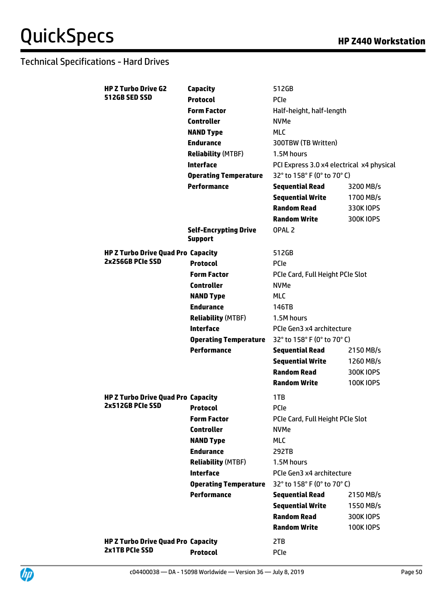| <b>HP Z Turbo Drive G2</b>                | Capacity                                       | 512GB                                     |                  |
|-------------------------------------------|------------------------------------------------|-------------------------------------------|------------------|
| <b>512GB SED SSD</b>                      | <b>Protocol</b>                                | PCIe                                      |                  |
|                                           | <b>Form Factor</b>                             | Half-height, half-length                  |                  |
|                                           | <b>Controller</b>                              | <b>NVMe</b>                               |                  |
|                                           | <b>NAND Type</b>                               | <b>MLC</b>                                |                  |
|                                           | <b>Endurance</b>                               | 300TBW (TB Written)                       |                  |
|                                           | <b>Reliability (MTBF)</b>                      | 1.5M hours                                |                  |
|                                           | <b>Interface</b>                               | PCI Express 3.0 x4 electrical x4 physical |                  |
|                                           | <b>Operating Temperature</b>                   | 32° to 158° F (0° to 70° C)               |                  |
|                                           | <b>Performance</b>                             | <b>Sequential Read</b>                    | 3200 MB/s        |
|                                           |                                                | <b>Sequential Write</b>                   | 1700 MB/s        |
|                                           |                                                | <b>Random Read</b>                        | 330K IOPS        |
|                                           |                                                | <b>Random Write</b>                       | 300K IOPS        |
|                                           | <b>Self-Encrypting Drive</b><br><b>Support</b> | OPAL <sub>2</sub>                         |                  |
| <b>HP Z Turbo Drive Quad Pro Capacity</b> |                                                | 512GB                                     |                  |
| 2x256GB PCIe SSD                          | <b>Protocol</b>                                | <b>PCIe</b>                               |                  |
|                                           | <b>Form Factor</b>                             | PCIe Card, Full Height PCIe Slot          |                  |
|                                           | <b>Controller</b>                              | <b>NVMe</b>                               |                  |
|                                           | <b>NAND Type</b>                               | <b>MLC</b>                                |                  |
|                                           | <b>Endurance</b>                               | 146TB                                     |                  |
|                                           | <b>Reliability (MTBF)</b>                      | 1.5M hours                                |                  |
|                                           | <b>Interface</b>                               | PCIe Gen3 x4 architecture                 |                  |
|                                           | <b>Operating Temperature</b>                   | 32° to 158° F (0° to 70° C)               |                  |
|                                           | <b>Performance</b>                             | <b>Sequential Read</b>                    | 2150 MB/s        |
|                                           |                                                | <b>Sequential Write</b>                   | 1260 MB/s        |
|                                           |                                                | <b>Random Read</b>                        | 300K IOPS        |
|                                           |                                                | <b>Random Write</b>                       | <b>100K IOPS</b> |
| <b>HP Z Turbo Drive Quad Pro Capacity</b> |                                                | 1TB                                       |                  |
| 2x512GB PCIe SSD                          | <b>Protocol</b>                                | PCIe                                      |                  |
|                                           | <b>Form Factor</b>                             | PCIe Card, Full Height PCIe Slot          |                  |
|                                           | <b>Controller</b>                              | <b>NVMe</b>                               |                  |
|                                           | <b>NAND Type</b>                               | <b>MLC</b>                                |                  |
|                                           | <b>Endurance</b>                               | 292TB                                     |                  |
|                                           | <b>Reliability (MTBF)</b>                      | 1.5M hours                                |                  |
|                                           | <b>Interface</b>                               | PCIe Gen3 x4 architecture                 |                  |
|                                           | <b>Operating Temperature</b>                   | 32° to 158° F (0° to 70° C)               |                  |
|                                           | <b>Performance</b>                             | <b>Sequential Read</b>                    | 2150 MB/s        |
|                                           |                                                | <b>Sequential Write</b>                   | 1550 MB/s        |
|                                           |                                                | <b>Random Read</b>                        | 300K IOPS        |
|                                           |                                                | <b>Random Write</b>                       | <b>100K IOPS</b> |
| <b>HP Z Turbo Drive Quad Pro Capacity</b> |                                                | 2TB                                       |                  |
| 2x1TB PCIe SSD                            | <b>Protocol</b>                                | <b>PCIe</b>                               |                  |
|                                           |                                                |                                           |                  |

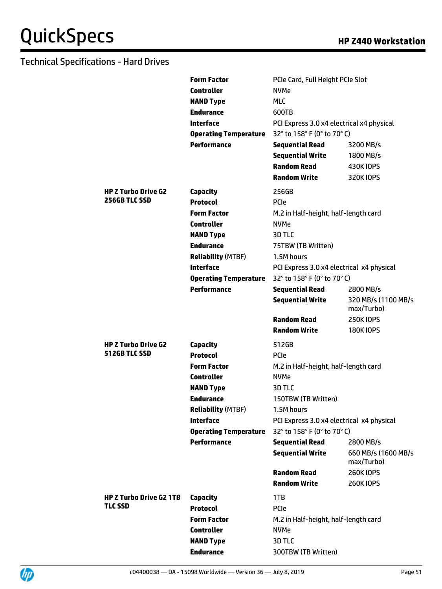|                                           | <b>Form Factor</b>           | PCIe Card, Full Height PCIe Slot          |                                    |
|-------------------------------------------|------------------------------|-------------------------------------------|------------------------------------|
|                                           | <b>Controller</b>            | <b>NVMe</b>                               |                                    |
|                                           | <b>NAND Type</b>             | <b>MLC</b>                                |                                    |
|                                           | <b>Endurance</b>             | 600TB                                     |                                    |
|                                           | <b>Interface</b>             | PCI Express 3.0 x4 electrical x4 physical |                                    |
|                                           | <b>Operating Temperature</b> | 32° to 158° F (0° to 70° C)               |                                    |
|                                           | <b>Performance</b>           | <b>Sequential Read</b>                    | 3200 MB/s                          |
|                                           |                              | <b>Sequential Write</b>                   | 1800 MB/s                          |
|                                           |                              | <b>Random Read</b>                        | 430K IOPS                          |
|                                           |                              | <b>Random Write</b>                       | 320K IOPS                          |
|                                           |                              |                                           |                                    |
| HP Z Turbo Drive G2<br>256GB TLC SSD      | Capacity                     | 256GB                                     |                                    |
|                                           | <b>Protocol</b>              | <b>PCIe</b>                               |                                    |
|                                           | <b>Form Factor</b>           | M.2 in Half-height, half-length card      |                                    |
|                                           | <b>Controller</b>            | <b>NVMe</b>                               |                                    |
|                                           | <b>NAND Type</b>             | 3D TLC                                    |                                    |
|                                           | <b>Endurance</b>             | 75TBW (TB Written)                        |                                    |
|                                           | <b>Reliability (MTBF)</b>    | 1.5M hours                                |                                    |
|                                           | <b>Interface</b>             | PCI Express 3.0 x4 electrical x4 physical |                                    |
|                                           | <b>Operating Temperature</b> | 32° to 158° F (0° to 70° C)               |                                    |
|                                           | <b>Performance</b>           | <b>Sequential Read</b>                    | 2800 MB/s                          |
|                                           |                              | <b>Sequential Write</b>                   | 320 MB/s (1100 MB/s)<br>max/Turbo) |
|                                           |                              | <b>Random Read</b>                        | <b>250KIOPS</b>                    |
|                                           |                              | <b>Random Write</b>                       | <b>180K IOPS</b>                   |
| HP Z Turbo Drive G2                       | Capacity                     | 512GB                                     |                                    |
| 512GB TLC SSD                             | <b>Protocol</b>              | <b>PCIe</b>                               |                                    |
|                                           | <b>Form Factor</b>           | M.2 in Half-height, half-length card      |                                    |
|                                           | <b>Controller</b>            | <b>NVMe</b>                               |                                    |
|                                           | <b>NAND Type</b>             | 3D TLC                                    |                                    |
|                                           | <b>Endurance</b>             | 150TBW (TB Written)                       |                                    |
|                                           | <b>Reliability (MTBF)</b>    | 1.5M hours                                |                                    |
|                                           | <b>Interface</b>             | PCI Express 3.0 x4 electrical x4 physical |                                    |
|                                           | <b>Operating Temperature</b> | 32° to 158° F (0° to 70° C)               |                                    |
|                                           | <b>Performance</b>           | <b>Sequential Read</b>                    | 2800 MB/s                          |
|                                           |                              | <b>Sequential Write</b>                   | 660 MB/s (1600 MB/s                |
|                                           |                              |                                           | max/Turbo)                         |
|                                           |                              | <b>Random Read</b>                        | <b>260K IOPS</b>                   |
|                                           |                              | <b>Random Write</b>                       | <b>260KIOPS</b>                    |
|                                           |                              |                                           |                                    |
| <b>HP Z Turbo Drive G2 1TB</b><br>TLC SSD | Capacity                     | 1TB                                       |                                    |
|                                           | <b>Protocol</b>              | <b>PCIe</b>                               |                                    |
|                                           | <b>Form Factor</b>           | M.2 in Half-height, half-length card      |                                    |
|                                           | <b>Controller</b>            | <b>NVMe</b>                               |                                    |
|                                           | <b>NAND Type</b>             | 3D TLC                                    |                                    |
|                                           | <b>Endurance</b>             | 300TBW (TB Written)                       |                                    |
|                                           |                              |                                           |                                    |

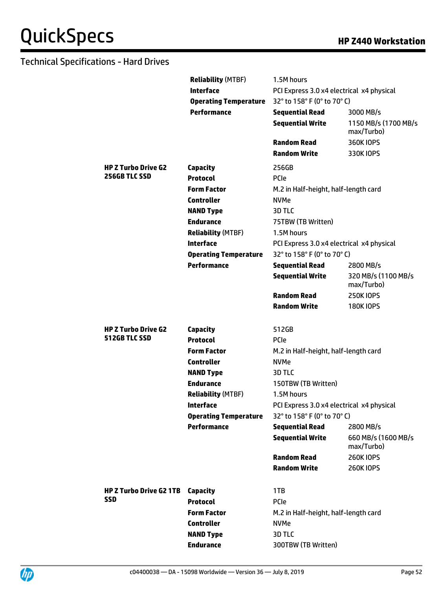|                                             | <b>Reliability (MTBF)</b>    | 1.5M hours                                        |                                                |
|---------------------------------------------|------------------------------|---------------------------------------------------|------------------------------------------------|
|                                             | <b>Interface</b>             | PCI Express 3.0 x4 electrical x4 physical         |                                                |
|                                             | <b>Operating Temperature</b> | 32° to 158° F (0° to 70° C)                       |                                                |
|                                             | <b>Performance</b>           | <b>Sequential Read</b>                            | 3000 MB/s                                      |
|                                             |                              | <b>Sequential Write</b>                           | 1150 MB/s (1700 MB/s<br>max/Turbo)             |
|                                             |                              | <b>Random Read</b>                                | 360K IOPS                                      |
|                                             |                              | <b>Random Write</b>                               | 330K IOPS                                      |
| <b>HP Z Turbo Drive G2</b>                  | <b>Capacity</b>              | 256GB                                             |                                                |
| 256GB TLC SSD                               | <b>Protocol</b>              | <b>PCIe</b>                                       |                                                |
|                                             | <b>Form Factor</b>           | M.2 in Half-height, half-length card              |                                                |
|                                             | <b>Controller</b>            | <b>NVMe</b>                                       |                                                |
|                                             | <b>NAND Type</b>             | 3D TLC                                            |                                                |
|                                             | <b>Endurance</b>             | 75TBW (TB Written)                                |                                                |
|                                             | <b>Reliability (MTBF)</b>    | 1.5M hours                                        |                                                |
|                                             | <b>Interface</b>             | PCI Express 3.0 x4 electrical x4 physical         |                                                |
|                                             | <b>Operating Temperature</b> | 32° to 158° F (0° to 70° C)                       |                                                |
|                                             | <b>Performance</b>           | <b>Sequential Read</b>                            | 2800 MB/s                                      |
|                                             |                              | <b>Sequential Write</b>                           | 320 MB/s (1100 MB/s<br>max/Turbo)              |
|                                             |                              | <b>Random Read</b>                                | <b>250K IOPS</b>                               |
|                                             |                              | <b>Random Write</b>                               | <b>180K IOPS</b>                               |
|                                             |                              |                                                   |                                                |
| <b>HP Z Turbo Drive G2</b><br>512GB TLC SSD | Capacity                     | 512GB                                             |                                                |
|                                             | <b>Protocol</b>              | <b>PCIe</b>                                       |                                                |
|                                             | <b>Form Factor</b>           | M.2 in Half-height, half-length card              |                                                |
|                                             | <b>Controller</b>            | <b>NVMe</b>                                       |                                                |
|                                             | <b>NAND Type</b>             | 3D TLC                                            |                                                |
|                                             | <b>Endurance</b>             | 150TBW (TB Written)                               |                                                |
|                                             | <b>Reliability (MTBF)</b>    | 1.5M hours                                        |                                                |
|                                             | <b>Interface</b>             | PCI Express 3.0 x4 electrical x4 physical         |                                                |
|                                             | <b>Operating Temperature</b> | 32° to 158° F (0° to 70° C)                       |                                                |
|                                             | <b>Performance</b>           | <b>Sequential Read</b><br><b>Sequential Write</b> | 2800 MB/s<br>660 MB/s (1600 MB/s<br>max/Turbo) |
|                                             |                              | <b>Random Read</b>                                | <b>260K IOPS</b>                               |
|                                             |                              | <b>Random Write</b>                               | <b>260KIOPS</b>                                |
|                                             |                              |                                                   |                                                |
|                                             |                              |                                                   |                                                |
| <b>HP Z Turbo Drive G2 1TB</b>              | <b>Capacity</b>              | 1TB                                               |                                                |
| <b>SSD</b>                                  | <b>Protocol</b>              | PCIe                                              |                                                |
|                                             | <b>Form Factor</b>           | M.2 in Half-height, half-length card              |                                                |
|                                             | <b>Controller</b>            | <b>NVMe</b>                                       |                                                |
|                                             | <b>NAND Type</b>             | <b>3D TLC</b>                                     |                                                |

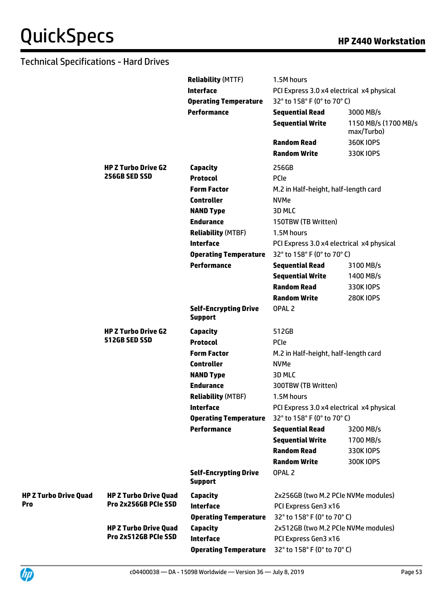|                              |                                                      | <b>Reliability (MTTF)</b>                      | 1.5M hours                                |                                    |
|------------------------------|------------------------------------------------------|------------------------------------------------|-------------------------------------------|------------------------------------|
|                              |                                                      | <b>Interface</b>                               | PCI Express 3.0 x4 electrical x4 physical |                                    |
|                              |                                                      | <b>Operating Temperature</b>                   | 32° to 158° F (0° to 70° C)               |                                    |
|                              |                                                      | <b>Performance</b>                             | <b>Sequential Read</b>                    | 3000 MB/s                          |
|                              |                                                      |                                                | <b>Sequential Write</b>                   | 1150 MB/s (1700 MB/s<br>max/Turbo) |
|                              |                                                      |                                                | <b>Random Read</b>                        | <b>360K IOPS</b>                   |
|                              |                                                      |                                                | <b>Random Write</b>                       | 330K IOPS                          |
|                              | <b>HP Z Turbo Drive G2</b>                           | Capacity                                       | 256GB                                     |                                    |
|                              | 256GB SED SSD                                        | <b>Protocol</b>                                | PCIe                                      |                                    |
|                              |                                                      | <b>Form Factor</b>                             | M.2 in Half-height, half-length card      |                                    |
|                              |                                                      | <b>Controller</b>                              | <b>NVMe</b>                               |                                    |
|                              |                                                      | <b>NAND Type</b>                               | 3D MLC                                    |                                    |
|                              |                                                      | <b>Endurance</b>                               | 150TBW (TB Written)                       |                                    |
|                              |                                                      | <b>Reliability (MTBF)</b>                      | 1.5M hours                                |                                    |
|                              |                                                      | <b>Interface</b>                               | PCI Express 3.0 x4 electrical x4 physical |                                    |
|                              |                                                      | <b>Operating Temperature</b>                   | 32° to 158° F (0° to 70° C)               |                                    |
|                              |                                                      | <b>Performance</b>                             | <b>Sequential Read</b>                    | 3100 MB/s                          |
|                              |                                                      |                                                | <b>Sequential Write</b>                   | 1400 MB/s                          |
|                              |                                                      |                                                | <b>Random Read</b>                        | 330K IOPS                          |
|                              |                                                      |                                                | <b>Random Write</b>                       | <b>280K IOPS</b>                   |
|                              |                                                      | <b>Self-Encrypting Drive</b><br><b>Support</b> | OPAL <sub>2</sub>                         |                                    |
|                              | <b>HP Z Turbo Drive G2</b>                           | <b>Capacity</b>                                | 512GB                                     |                                    |
|                              | 512GB SED SSD                                        | <b>Protocol</b>                                | <b>PCIe</b>                               |                                    |
|                              |                                                      | <b>Form Factor</b>                             | M.2 in Half-height, half-length card      |                                    |
|                              |                                                      | <b>Controller</b>                              | <b>NVMe</b>                               |                                    |
|                              |                                                      | <b>NAND Type</b>                               | 3D MLC                                    |                                    |
|                              |                                                      | <b>Endurance</b>                               | 300TBW (TB Written)                       |                                    |
|                              |                                                      | <b>Reliability (MTBF)</b>                      | 1.5M hours                                |                                    |
|                              |                                                      | Interface                                      | PCI Express 3.0 x4 electrical x4 physical |                                    |
|                              |                                                      | <b>Operating Temperature</b>                   | 32° to 158° F (0° to 70° C)               |                                    |
|                              |                                                      | <b>Performance</b>                             | <b>Sequential Read</b>                    | 3200 MB/s                          |
|                              |                                                      |                                                | <b>Sequential Write</b>                   | 1700 MB/s                          |
|                              |                                                      |                                                | <b>Random Read</b>                        | 330K IOPS                          |
|                              |                                                      |                                                | <b>Random Write</b>                       | 300K IOPS                          |
|                              |                                                      | <b>Self-Encrypting Drive</b><br><b>Support</b> | OPAL <sub>2</sub>                         |                                    |
| <b>HP Z Turbo Drive Quad</b> | <b>HP Z Turbo Drive Quad</b>                         | <b>Capacity</b>                                | 2x256GB (two M.2 PCIe NVMe modules)       |                                    |
| <b>Pro</b>                   | Pro 2x256GB PCIe SSD                                 | <b>Interface</b>                               | PCI Express Gen3 x16                      |                                    |
|                              |                                                      | <b>Operating Temperature</b>                   | 32° to 158° F (0° to 70° C)               |                                    |
|                              | <b>HP Z Turbo Drive Quad</b><br>Pro 2x512GB PCIe SSD | <b>Capacity</b>                                | 2x512GB (two M.2 PCIe NVMe modules)       |                                    |
|                              |                                                      | <b>Interface</b>                               | PCI Express Gen3 x16                      |                                    |
|                              |                                                      | <b>Operating Temperature</b>                   | 32° to 158° F (0° to 70° C)               |                                    |

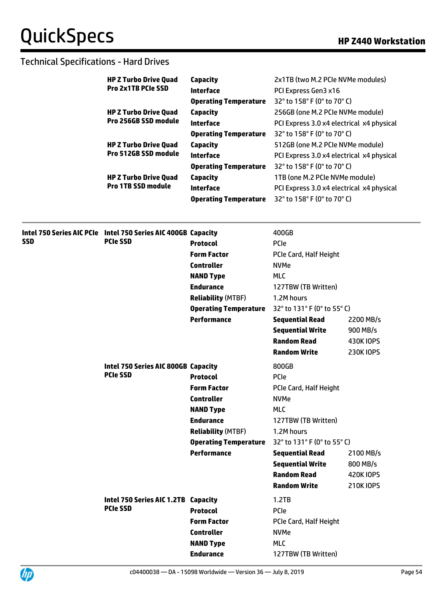|            | <b>HP Z Turbo Drive Quad</b><br><b>Pro 2x1TB PCIe SSD</b>     | <b>Capacity</b>              | 2x1TB (two M.2 PCIe NVMe modules)         |                  |
|------------|---------------------------------------------------------------|------------------------------|-------------------------------------------|------------------|
|            |                                                               | <b>Interface</b>             | PCI Express Gen3 x16                      |                  |
|            |                                                               | <b>Operating Temperature</b> | 32° to 158° F (0° to 70° C)               |                  |
|            | <b>HP Z Turbo Drive Quad</b>                                  | Capacity                     | 256GB (one M.2 PCIe NVMe module)          |                  |
|            | Pro 256GB SSD module                                          | <b>Interface</b>             | PCI Express 3.0 x4 electrical x4 physical |                  |
|            |                                                               | <b>Operating Temperature</b> | 32° to 158° F (0° to 70° C)               |                  |
|            | <b>HP Z Turbo Drive Quad</b>                                  | <b>Capacity</b>              | 512GB (one M.2 PCIe NVMe module)          |                  |
|            | Pro 512GB SSD module                                          | <b>Interface</b>             | PCI Express 3.0 x4 electrical x4 physical |                  |
|            |                                                               | <b>Operating Temperature</b> | 32° to 158° F (0° to 70° C)               |                  |
|            | <b>HP Z Turbo Drive Quad</b>                                  | <b>Capacity</b>              | 1TB (one M.2 PCIe NVMe module)            |                  |
|            | <b>Pro 1TB SSD module</b>                                     | <b>Interface</b>             | PCI Express 3.0 x4 electrical x4 physical |                  |
|            |                                                               | <b>Operating Temperature</b> | 32° to 158° F (0° to 70° C)               |                  |
|            | Intel 750 Series AIC PCIe Intel 750 Series AIC 400GB Capacity |                              | 400GB                                     |                  |
| <b>SSD</b> | <b>PCIe SSD</b>                                               | <b>Protocol</b>              | PCIe                                      |                  |
|            |                                                               | <b>Form Factor</b>           | PCIe Card, Half Height                    |                  |
|            |                                                               | <b>Controller</b>            | <b>NVMe</b>                               |                  |
|            |                                                               | <b>NAND Type</b>             | <b>MLC</b>                                |                  |
|            |                                                               | <b>Endurance</b>             | 127TBW (TB Written)                       |                  |
|            |                                                               | <b>Reliability (MTBF)</b>    | 1.2M hours                                |                  |
|            |                                                               | <b>Operating Temperature</b> | 32° to 131° F (0° to 55° C)               |                  |
|            |                                                               | <b>Performance</b>           | <b>Sequential Read</b>                    | 2200 MB/s        |
|            |                                                               |                              | <b>Sequential Write</b>                   | 900 MB/s         |
|            |                                                               |                              | <b>Random Read</b>                        | 430K IOPS        |
|            |                                                               |                              | <b>Random Write</b>                       | <b>230K IOPS</b> |
|            | Intel 750 Series AIC 800GB Capacity                           |                              | 800GB                                     |                  |
|            | <b>PCIe SSD</b>                                               | <b>Protocol</b>              | PCIe                                      |                  |
|            |                                                               | <b>Form Factor</b>           | PCIe Card, Half Height                    |                  |
|            |                                                               | <b>Controller</b>            | <b>NVMe</b>                               |                  |
|            |                                                               | <b>NAND Type</b>             | <b>MLC</b>                                |                  |
|            |                                                               | <b>Endurance</b>             | 127TBW (TB Written)                       |                  |
|            |                                                               | <b>Reliability (MTBF)</b>    | 1.2M hours                                |                  |
|            |                                                               | <b>Operating Temperature</b> | 32° to 131° F (0° to 55° C)               |                  |
|            |                                                               | <b>Performance</b>           | <b>Sequential Read</b>                    | 2100 MB/s        |
|            |                                                               |                              | <b>Sequential Write</b>                   | 800 MB/s         |
|            |                                                               |                              | <b>Random Read</b>                        | <b>420K IOPS</b> |
|            |                                                               |                              | <b>Random Write</b>                       | 210K IOPS        |
|            | Intel 750 Series AIC 1.2TB Capacity                           |                              | 1.2TB                                     |                  |
|            | <b>PCIe SSD</b>                                               | <b>Protocol</b>              | PCIe                                      |                  |
|            |                                                               | <b>Form Factor</b>           | PCIe Card, Half Height                    |                  |
|            |                                                               | <b>Controller</b>            | <b>NVMe</b>                               |                  |
|            |                                                               | <b>NAND Type</b>             | <b>MLC</b>                                |                  |
|            |                                                               | <b>Endurance</b>             | 127TBW (TB Written)                       |                  |
|            |                                                               |                              |                                           |                  |

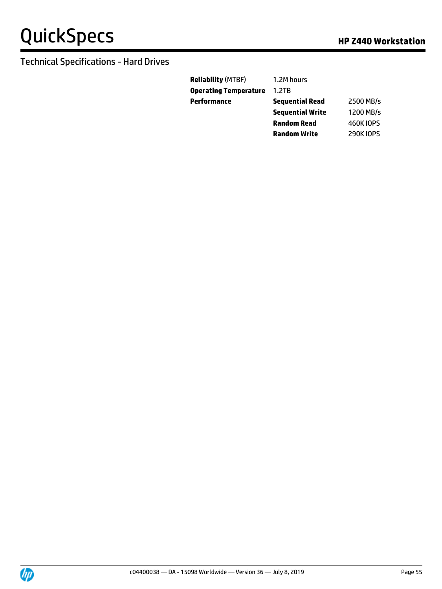| <b>Reliability</b> (MTBF) | 1.2M hours              |                  |
|---------------------------|-------------------------|------------------|
| Operating Temperature     | 1.2TB                   |                  |
| Performance               | <b>Sequential Read</b>  | 2500 MB/s        |
|                           | <b>Sequential Write</b> | 1200 MB/s        |
|                           | <b>Random Read</b>      | <b>460K IOPS</b> |
|                           | <b>Random Write</b>     | <b>290KIOPS</b>  |

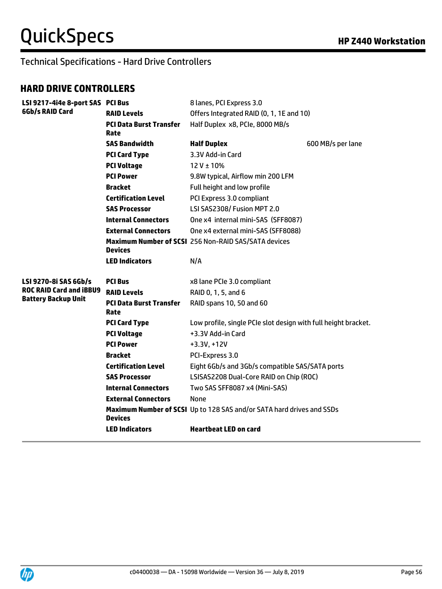# Technical Specifications - Hard Drive Controllers

#### **HARD DRIVE CONTROLLERS**

| LSI 9217-4i4e 8-port SAS PCI Bus |                                        | 8 lanes, PCI Express 3.0                                              |                   |
|----------------------------------|----------------------------------------|-----------------------------------------------------------------------|-------------------|
| 6Gb/s RAID Card                  | <b>RAID Levels</b>                     | Offers Integrated RAID (0, 1, 1E and 10)                              |                   |
|                                  | <b>PCI Data Burst Transfer</b><br>Rate | Half Duplex x8, PCIe, 8000 MB/s                                       |                   |
|                                  | <b>SAS Bandwidth</b>                   | <b>Half Duplex</b>                                                    | 600 MB/s per lane |
|                                  | <b>PCI Card Type</b>                   | 3.3V Add-in Card                                                      |                   |
|                                  | <b>PCI Voltage</b>                     | $12V \pm 10%$                                                         |                   |
|                                  | <b>PCI Power</b>                       | 9.8W typical, Airflow min 200 LFM                                     |                   |
|                                  | <b>Bracket</b>                         | Full height and low profile                                           |                   |
|                                  | <b>Certification Level</b>             | PCI Express 3.0 compliant                                             |                   |
|                                  | <b>SAS Processor</b>                   | LSI SAS2308/ Fusion MPT 2.0                                           |                   |
|                                  | <b>Internal Connectors</b>             | One x4 internal mini-SAS (SFF8087)                                    |                   |
|                                  | <b>External Connectors</b>             | One x4 external mini-SAS (SFF8088)                                    |                   |
|                                  | Devices                                | Maximum Number of SCSI 256 Non-RAID SAS/SATA devices                  |                   |
|                                  | <b>LED Indicators</b>                  | N/A                                                                   |                   |
| LSI 9270-8i SAS 6Gb/s            | <b>PCI Bus</b>                         | x8 lane PCIe 3.0 compliant                                            |                   |
| <b>ROC RAID Card and iBBU9</b>   | <b>RAID Levels</b>                     | RAID 0, 1, 5, and 6                                                   |                   |
| <b>Battery Backup Unit</b>       | <b>PCI Data Burst Transfer</b><br>Rate | RAID spans 10, 50 and 60                                              |                   |
|                                  | <b>PCI Card Type</b>                   | Low profile, single PCIe slot design with full height bracket.        |                   |
|                                  | <b>PCI Voltage</b>                     | +3.3V Add-in Card                                                     |                   |
|                                  | <b>PCI Power</b>                       | $+3.3V, +12V$                                                         |                   |
|                                  | <b>Bracket</b>                         | PCI-Express 3.0                                                       |                   |
|                                  | <b>Certification Level</b>             | Eight 6Gb/s and 3Gb/s compatible SAS/SATA ports                       |                   |
|                                  |                                        |                                                                       |                   |
|                                  | <b>SAS Processor</b>                   | LSISAS2208 Dual-Core RAID on Chip (ROC)                               |                   |
|                                  | <b>Internal Connectors</b>             | Two SAS SFF8087 x4 (Mini-SAS)                                         |                   |
|                                  | <b>External Connectors</b>             | None                                                                  |                   |
|                                  | <b>Devices</b>                         | Maximum Number of SCSI Up to 128 SAS and/or SATA hard drives and SSDs |                   |

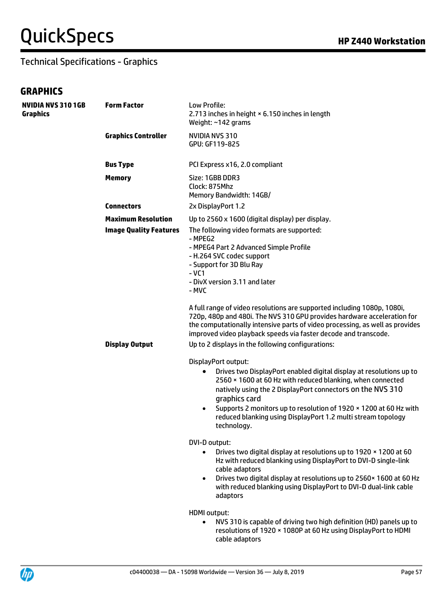# $QuickSpecs$  **HP Z440** Workstation

#### Technical Specifications - Graphics

#### **GRAPHICS**

| <b>NVIDIA NVS 310 1GB</b><br><b>Graphics</b> | <b>Form Factor</b>            | Low Profile:<br>2.713 inches in height × 6.150 inches in length<br>Weight: ~142 grams                                                                                                                                                                                                                                                                                |
|----------------------------------------------|-------------------------------|----------------------------------------------------------------------------------------------------------------------------------------------------------------------------------------------------------------------------------------------------------------------------------------------------------------------------------------------------------------------|
|                                              | <b>Graphics Controller</b>    | NVIDIA NVS 310<br>GPU: GF119-825                                                                                                                                                                                                                                                                                                                                     |
|                                              | <b>Bus Type</b>               | PCI Express x16, 2.0 compliant                                                                                                                                                                                                                                                                                                                                       |
|                                              | <b>Memory</b>                 | Size: 1GBB DDR3<br>Clock: 875Mhz<br>Memory Bandwidth: 14GB/                                                                                                                                                                                                                                                                                                          |
|                                              | <b>Connectors</b>             | 2x DisplayPort 1.2                                                                                                                                                                                                                                                                                                                                                   |
|                                              | <b>Maximum Resolution</b>     | Up to 2560 x 1600 (digital display) per display.                                                                                                                                                                                                                                                                                                                     |
|                                              | <b>Image Quality Features</b> | The following video formats are supported:<br>- MPEG2<br>- MPEG4 Part 2 Advanced Simple Profile<br>- H.264 SVC codec support<br>- Support for 3D Blu Ray<br>$-VC1$<br>- DivX version 3.11 and later<br>- MVC                                                                                                                                                         |
|                                              |                               | A full range of video resolutions are supported including 1080p, 1080i,<br>720p, 480p and 480i. The NVS 310 GPU provides hardware acceleration for<br>the computationally intensive parts of video processing, as well as provides<br>improved video playback speeds via faster decode and transcode.                                                                |
|                                              | <b>Display Output</b>         | Up to 2 displays in the following configurations:                                                                                                                                                                                                                                                                                                                    |
|                                              |                               | DisplayPort output:                                                                                                                                                                                                                                                                                                                                                  |
|                                              |                               | Drives two DisplayPort enabled digital display at resolutions up to<br>2560 × 1600 at 60 Hz with reduced blanking, when connected<br>natively using the 2 DisplayPort connectors on the NVS 310<br>graphics card<br>Supports 2 monitors up to resolution of 1920 × 1200 at 60 Hz with<br>reduced blanking using DisplayPort 1.2 multi stream topology<br>technology. |
|                                              |                               | DVI-D output:<br>Drives two digital display at resolutions up to 1920 x 1200 at 60<br>Hz with reduced blanking using DisplayPort to DVI-D single-link<br>cable adaptors<br>Drives two digital display at resolutions up to 2560 x 1600 at 60 Hz<br>$\bullet$<br>with reduced blanking using DisplayPort to DVI-D dual-link cable<br>adaptors                         |
|                                              |                               | <b>HDMI</b> output:<br>NVS 310 is capable of driving two high definition (HD) panels up to<br>$\bullet$<br>resolutions of 1920 × 1080P at 60 Hz using DisplayPort to HDMI<br>cable adaptors                                                                                                                                                                          |

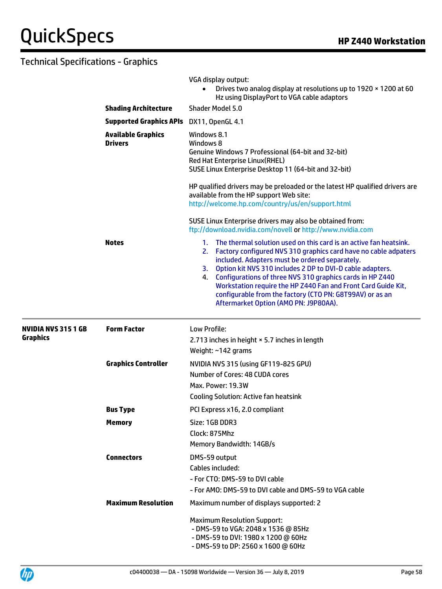|                                              |                                                 | VGA display output:<br>Drives two analog display at resolutions up to 1920 x 1200 at 60<br>$\bullet$<br>Hz using DisplayPort to VGA cable adaptors                                                                                                                                                                                                                                                                                                                                                    |  |  |
|----------------------------------------------|-------------------------------------------------|-------------------------------------------------------------------------------------------------------------------------------------------------------------------------------------------------------------------------------------------------------------------------------------------------------------------------------------------------------------------------------------------------------------------------------------------------------------------------------------------------------|--|--|
|                                              | <b>Shading Architecture</b>                     | Shader Model 5.0                                                                                                                                                                                                                                                                                                                                                                                                                                                                                      |  |  |
|                                              | <b>Supported Graphics APIs</b> DX11, OpenGL 4.1 |                                                                                                                                                                                                                                                                                                                                                                                                                                                                                                       |  |  |
|                                              | <b>Available Graphics</b><br><b>Drivers</b>     | Windows 8.1<br>Windows 8<br>Genuine Windows 7 Professional (64-bit and 32-bit)<br>Red Hat Enterprise Linux(RHEL)<br>SUSE Linux Enterprise Desktop 11 (64-bit and 32-bit)                                                                                                                                                                                                                                                                                                                              |  |  |
|                                              |                                                 | HP qualified drivers may be preloaded or the latest HP qualified drivers are<br>available from the HP support Web site:<br>http://welcome.hp.com/country/us/en/support.html                                                                                                                                                                                                                                                                                                                           |  |  |
|                                              |                                                 | SUSE Linux Enterprise drivers may also be obtained from:<br>ftp://download.nvidia.com/novell or http://www.nvidia.com                                                                                                                                                                                                                                                                                                                                                                                 |  |  |
|                                              | <b>Notes</b>                                    | The thermal solution used on this card is an active fan heatsink.<br>1.<br>2. Factory configured NVS 310 graphics card have no cable adpaters<br>included. Adapters must be ordered separately.<br>3. Option kit NVS 310 includes 2 DP to DVI-D cable adapters.<br>4. Configurations of three NVS 310 graphics cards in HP Z440<br>Workstation require the HP Z440 Fan and Front Card Guide Kit,<br>configurable from the factory (CTO PN: G8T99AV) or as an<br>Aftermarket Option (AMO PN: J9P80AA). |  |  |
| <b>NVIDIA NVS 3151 GB</b><br><b>Graphics</b> | <b>Form Factor</b>                              | Low Profile:<br>2.713 inches in height × 5.7 inches in length<br>Weight: ~142 grams                                                                                                                                                                                                                                                                                                                                                                                                                   |  |  |
|                                              | <b>Graphics Controller</b>                      | NVIDIA NVS 315 (using GF119-825 GPU)<br>Number of Cores: 48 CUDA cores<br>Max. Power: 19.3W<br><b>Cooling Solution: Active fan heatsink</b>                                                                                                                                                                                                                                                                                                                                                           |  |  |
|                                              | <b>Bus Type</b>                                 | PCI Express x16, 2.0 compliant                                                                                                                                                                                                                                                                                                                                                                                                                                                                        |  |  |
|                                              | <b>Memory</b>                                   | Size: 1GB DDR3<br>Clock: 875Mhz<br>Memory Bandwidth: 14GB/s                                                                                                                                                                                                                                                                                                                                                                                                                                           |  |  |
|                                              | <b>Connectors</b>                               | DMS-59 output<br>Cables included:<br>- For CTO: DMS-59 to DVI cable<br>- For AMO: DMS-59 to DVI cable and DMS-59 to VGA cable                                                                                                                                                                                                                                                                                                                                                                         |  |  |
|                                              | <b>Maximum Resolution</b>                       | Maximum number of displays supported: 2                                                                                                                                                                                                                                                                                                                                                                                                                                                               |  |  |
|                                              |                                                 | <b>Maximum Resolution Support:</b><br>- DMS-59 to VGA: 2048 x 1536 @ 85Hz<br>- DMS-59 to DVI: 1980 x 1200 @ 60Hz<br>- DMS-59 to DP: 2560 x 1600 @ 60Hz                                                                                                                                                                                                                                                                                                                                                |  |  |

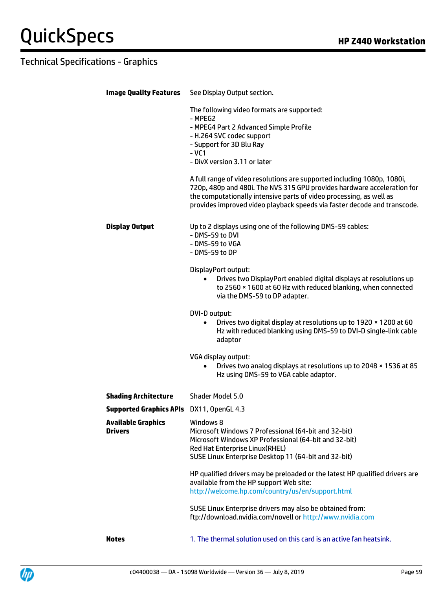| <b>Image Quality Features</b>            | See Display Output section.                                                                                                                                                                                                                                                                           |
|------------------------------------------|-------------------------------------------------------------------------------------------------------------------------------------------------------------------------------------------------------------------------------------------------------------------------------------------------------|
|                                          | The following video formats are supported:<br>- MPEG2                                                                                                                                                                                                                                                 |
|                                          | - MPEG4 Part 2 Advanced Simple Profile<br>- H.264 SVC codec support                                                                                                                                                                                                                                   |
|                                          | - Support for 3D Blu Ray                                                                                                                                                                                                                                                                              |
|                                          | $-VC1$<br>- DivX version 3.11 or later                                                                                                                                                                                                                                                                |
|                                          |                                                                                                                                                                                                                                                                                                       |
|                                          | A full range of video resolutions are supported including 1080p, 1080i,<br>720p, 480p and 480i. The NVS 315 GPU provides hardware acceleration for<br>the computationally intensive parts of video processing, as well as<br>provides improved video playback speeds via faster decode and transcode. |
| <b>Display Output</b>                    | Up to 2 displays using one of the following DMS-59 cables:                                                                                                                                                                                                                                            |
|                                          | - DMS-59 to DVI                                                                                                                                                                                                                                                                                       |
|                                          | - DMS-59 to VGA<br>- DMS-59 to DP                                                                                                                                                                                                                                                                     |
|                                          |                                                                                                                                                                                                                                                                                                       |
|                                          | DisplayPort output:<br>Drives two DisplayPort enabled digital displays at resolutions up<br>$\bullet$                                                                                                                                                                                                 |
|                                          | to 2560 × 1600 at 60 Hz with reduced blanking, when connected                                                                                                                                                                                                                                         |
|                                          | via the DMS-59 to DP adapter.                                                                                                                                                                                                                                                                         |
|                                          | DVI-D output:                                                                                                                                                                                                                                                                                         |
|                                          | Drives two digital display at resolutions up to 1920 x 1200 at 60<br>Hz with reduced blanking using DMS-59 to DVI-D single-link cable<br>adaptor                                                                                                                                                      |
|                                          | VGA display output:                                                                                                                                                                                                                                                                                   |
|                                          | Drives two analog displays at resolutions up to 2048 x 1536 at 85<br>$\bullet$<br>Hz using DMS-59 to VGA cable adaptor.                                                                                                                                                                               |
| <b>Shading Architecture</b>              | Shader Model 5.0                                                                                                                                                                                                                                                                                      |
| Supported Graphics APIs DX11, OpenGL 4.3 |                                                                                                                                                                                                                                                                                                       |
| <b>Available Graphics</b>                | Windows 8                                                                                                                                                                                                                                                                                             |
| <b>Drivers</b>                           | Microsoft Windows 7 Professional (64-bit and 32-bit)<br>Microsoft Windows XP Professional (64-bit and 32-bit)                                                                                                                                                                                         |
|                                          | Red Hat Enterprise Linux(RHEL)                                                                                                                                                                                                                                                                        |
|                                          | SUSE Linux Enterprise Desktop 11 (64-bit and 32-bit)                                                                                                                                                                                                                                                  |
|                                          | HP qualified drivers may be preloaded or the latest HP qualified drivers are                                                                                                                                                                                                                          |
|                                          | available from the HP support Web site:<br>http://welcome.hp.com/country/us/en/support.html                                                                                                                                                                                                           |
|                                          |                                                                                                                                                                                                                                                                                                       |
|                                          | SUSE Linux Enterprise drivers may also be obtained from:                                                                                                                                                                                                                                              |
|                                          | ftp://download.nvidia.com/novell or http://www.nvidia.com                                                                                                                                                                                                                                             |
| <b>Notes</b>                             | 1. The thermal solution used on this card is an active fan heatsink.                                                                                                                                                                                                                                  |
|                                          |                                                                                                                                                                                                                                                                                                       |

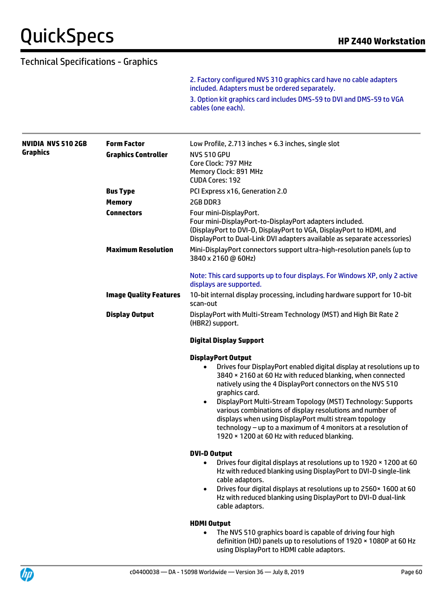2. Factory configured NVS 310 graphics card have no cable adapters included. Adapters must be ordered separately. 3. Option kit graphics card includes DMS-59 to DVI and DMS-59 to VGA cables (one each).

| <b>NVIDIA NVS 510 2GB</b> | <b>Form Factor</b>            | Low Profile, 2.713 inches × 6.3 inches, single slot                                                                                                                                                                                                                                                             |
|---------------------------|-------------------------------|-----------------------------------------------------------------------------------------------------------------------------------------------------------------------------------------------------------------------------------------------------------------------------------------------------------------|
| <b>Graphics</b>           | <b>Graphics Controller</b>    | <b>NVS 510 GPU</b>                                                                                                                                                                                                                                                                                              |
|                           |                               | Core Clock: 797 MHz                                                                                                                                                                                                                                                                                             |
|                           |                               | Memory Clock: 891 MHz<br><b>CUDA Cores: 192</b>                                                                                                                                                                                                                                                                 |
|                           | <b>Bus Type</b>               | PCI Express x16, Generation 2.0                                                                                                                                                                                                                                                                                 |
|                           | <b>Memory</b>                 | 2GB DDR3                                                                                                                                                                                                                                                                                                        |
|                           | <b>Connectors</b>             | Four mini-DisplayPort.                                                                                                                                                                                                                                                                                          |
|                           |                               | Four mini-DisplayPort-to-DisplayPort adapters included.<br>(DisplayPort to DVI-D, DisplayPort to VGA, DisplayPort to HDMI, and<br>DisplayPort to Dual-Link DVI adapters available as separate accessories)                                                                                                      |
|                           | <b>Maximum Resolution</b>     | Mini-DisplayPort connectors support ultra-high-resolution panels (up to<br>3840 x 2160 @ 60Hz)                                                                                                                                                                                                                  |
|                           |                               | Note: This card supports up to four displays. For Windows XP, only 2 active<br>displays are supported.                                                                                                                                                                                                          |
|                           | <b>Image Quality Features</b> | 10-bit internal display processing, including hardware support for 10-bit<br>scan-out                                                                                                                                                                                                                           |
|                           | <b>Display Output</b>         | DisplayPort with Multi-Stream Technology (MST) and High Bit Rate 2<br>(HBR2) support.                                                                                                                                                                                                                           |
|                           |                               | <b>Digital Display Support</b>                                                                                                                                                                                                                                                                                  |
|                           |                               | <b>DisplayPort Output</b>                                                                                                                                                                                                                                                                                       |
|                           |                               | Drives four DisplayPort enabled digital display at resolutions up to<br>٠<br>3840 × 2160 at 60 Hz with reduced blanking, when connected<br>natively using the 4 DisplayPort connectors on the NVS 510<br>graphics card.                                                                                         |
|                           |                               | DisplayPort Multi-Stream Topology (MST) Technology: Supports<br>$\bullet$<br>various combinations of display resolutions and number of<br>displays when using DisplayPort multi stream topology<br>technology - up to a maximum of 4 monitors at a resolution of<br>1920 × 1200 at 60 Hz with reduced blanking. |
|                           |                               | <b>DVI-D Output</b>                                                                                                                                                                                                                                                                                             |
|                           |                               | Drives four digital displays at resolutions up to 1920 x 1200 at 60<br>$\bullet$<br>Hz with reduced blanking using DisplayPort to DVI-D single-link<br>cable adaptors.                                                                                                                                          |
|                           |                               | Drives four digital displays at resolutions up to 2560 x 1600 at 60<br>$\bullet$<br>Hz with reduced blanking using DisplayPort to DVI-D dual-link<br>cable adaptors.                                                                                                                                            |
|                           |                               | <b>HDMI Output</b>                                                                                                                                                                                                                                                                                              |
|                           |                               | The NVS 510 graphics board is capable of driving four high<br>$\bullet$<br>definition (HD) panels up to resolutions of 1920 × 1080P at 60 Hz                                                                                                                                                                    |

using DisplayPort to HDMI cable adaptors.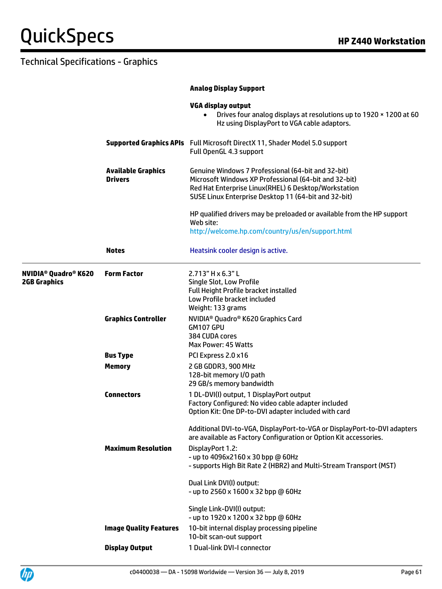|                                                                          |                                             | <b>Analog Display Support</b>                                                                                                                                                                                               |  |  |
|--------------------------------------------------------------------------|---------------------------------------------|-----------------------------------------------------------------------------------------------------------------------------------------------------------------------------------------------------------------------------|--|--|
|                                                                          |                                             | <b>VGA display output</b><br>Drives four analog displays at resolutions up to 1920 x 1200 at 60<br>$\bullet$<br>Hz using DisplayPort to VGA cable adaptors.                                                                 |  |  |
|                                                                          |                                             | <b>Supported Graphics APIs</b> Full Microsoft DirectX 11, Shader Model 5.0 support<br>Full OpenGL 4.3 support                                                                                                               |  |  |
|                                                                          | <b>Available Graphics</b><br><b>Drivers</b> | Genuine Windows 7 Professional (64-bit and 32-bit)<br>Microsoft Windows XP Professional (64-bit and 32-bit)<br>Red Hat Enterprise Linux(RHEL) 6 Desktop/Workstation<br>SUSE Linux Enterprise Desktop 11 (64-bit and 32-bit) |  |  |
|                                                                          |                                             | HP qualified drivers may be preloaded or available from the HP support<br>Web site:<br>http://welcome.hp.com/country/us/en/support.html                                                                                     |  |  |
|                                                                          | <b>Notes</b>                                | Heatsink cooler design is active.                                                                                                                                                                                           |  |  |
| <b>NVIDIA<sup>®</sup> Quadro<sup>®</sup> K620</b><br><b>2GB Graphics</b> | <b>Form Factor</b>                          | 2.713" H x 6.3" L<br>Single Slot, Low Profile<br><b>Full Height Profile bracket installed</b><br>Low Profile bracket included<br>Weight: 133 grams                                                                          |  |  |
|                                                                          | <b>Graphics Controller</b>                  | NVIDIA <sup>®</sup> Quadro® K620 Graphics Card<br>GM107 GPU<br>384 CUDA cores<br>Max Power: 45 Watts                                                                                                                        |  |  |
|                                                                          | <b>Bus Type</b>                             | PCI Express 2.0 x16                                                                                                                                                                                                         |  |  |
|                                                                          | <b>Memory</b>                               | 2 GB GDDR3, 900 MHz<br>128-bit memory I/O path<br>29 GB/s memory bandwidth                                                                                                                                                  |  |  |
|                                                                          | <b>Connectors</b>                           | 1 DL-DVI(I) output, 1 DisplayPort output<br>Factory Configured: No video cable adapter included<br>Option Kit: One DP-to-DVI adapter included with card                                                                     |  |  |
|                                                                          |                                             | Additional DVI-to-VGA, DisplayPort-to-VGA or DisplayPort-to-DVI adapters<br>are available as Factory Configuration or Option Kit accessories.                                                                               |  |  |
|                                                                          | <b>Maximum Resolution</b>                   | DisplayPort 1.2:<br>- up to 4096x2160 x 30 bpp @ 60Hz<br>- supports High Bit Rate 2 (HBR2) and Multi-Stream Transport (MST)                                                                                                 |  |  |
|                                                                          |                                             | Dual Link DVI(I) output:<br>- up to 2560 x 1600 x 32 bpp @ 60Hz                                                                                                                                                             |  |  |
|                                                                          |                                             | Single Link-DVI(I) output:<br>- up to 1920 x 1200 x 32 bpp @ 60Hz                                                                                                                                                           |  |  |
|                                                                          | <b>Image Quality Features</b>               | 10-bit internal display processing pipeline<br>10-bit scan-out support                                                                                                                                                      |  |  |
|                                                                          | <b>Display Output</b>                       | 1 Dual-link DVI-I connector                                                                                                                                                                                                 |  |  |

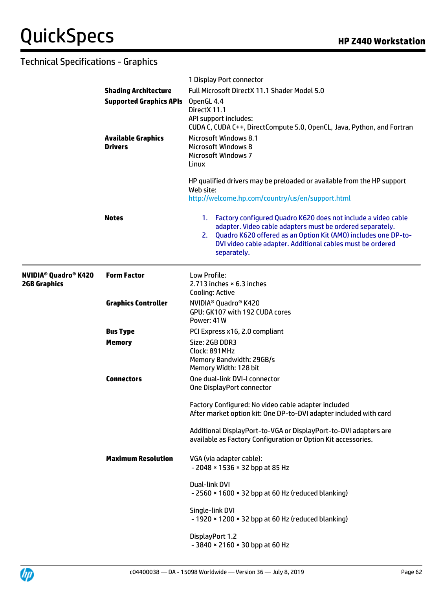|                                                                               |                                                                                                   | 1 Display Port connector                                                                                                                                                                                                                                                           |
|-------------------------------------------------------------------------------|---------------------------------------------------------------------------------------------------|------------------------------------------------------------------------------------------------------------------------------------------------------------------------------------------------------------------------------------------------------------------------------------|
|                                                                               | <b>Shading Architecture</b>                                                                       | Full Microsoft DirectX 11.1 Shader Model 5.0                                                                                                                                                                                                                                       |
| <b>Supported Graphics APIs</b><br><b>Available Graphics</b><br><b>Drivers</b> |                                                                                                   | OpenGL 4.4<br>DirectX 11.1<br>API support includes:<br>CUDA C, CUDA C++, DirectCompute 5.0, OpenCL, Java, Python, and Fortran                                                                                                                                                      |
|                                                                               | <b>Microsoft Windows 8.1</b><br><b>Microsoft Windows 8</b><br><b>Microsoft Windows 7</b><br>Linux |                                                                                                                                                                                                                                                                                    |
|                                                                               |                                                                                                   | HP qualified drivers may be preloaded or available from the HP support<br>Web site:<br>http://welcome.hp.com/country/us/en/support.html                                                                                                                                            |
|                                                                               | <b>Notes</b>                                                                                      | 1. Factory configured Quadro K620 does not include a video cable<br>adapter. Video cable adapters must be ordered separately.<br>Quadro K620 offered as an Option Kit (AMO) includes one DP-to-<br>2.<br>DVI video cable adapter. Additional cables must be ordered<br>separately. |
| <b>NVIDIA<sup>®</sup> Quadro<sup>®</sup> K420</b><br><b>2GB Graphics</b>      | <b>Form Factor</b>                                                                                | Low Profile:<br>2.713 inches $\times$ 6.3 inches<br>Cooling: Active                                                                                                                                                                                                                |
|                                                                               | <b>Graphics Controller</b>                                                                        | NVIDIA <sup>®</sup> Quadro <sup>®</sup> K420<br>GPU: GK107 with 192 CUDA cores<br>Power: 41W                                                                                                                                                                                       |
|                                                                               | <b>Bus Type</b>                                                                                   | PCI Express x16, 2.0 compliant                                                                                                                                                                                                                                                     |
|                                                                               | <b>Memory</b>                                                                                     | Size: 2GB DDR3<br>Clock: 891MHz<br>Memory Bandwidth: 29GB/s<br>Memory Width: 128 bit                                                                                                                                                                                               |
|                                                                               | <b>Connectors</b>                                                                                 | One dual-link DVI-I connector<br>One DisplayPort connector                                                                                                                                                                                                                         |
|                                                                               |                                                                                                   | Factory Configured: No video cable adapter included<br>After market option kit: One DP-to-DVI adapter included with card                                                                                                                                                           |
|                                                                               |                                                                                                   | Additional DisplayPort-to-VGA or DisplayPort-to-DVI adapters are<br>available as Factory Configuration or Option Kit accessories.                                                                                                                                                  |
|                                                                               | <b>Maximum Resolution</b>                                                                         | VGA (via adapter cable):<br>- 2048 × 1536 × 32 bpp at 85 Hz                                                                                                                                                                                                                        |
|                                                                               |                                                                                                   | Dual-link DVI<br>$-2560 \times 1600 \times 32$ bpp at 60 Hz (reduced blanking)                                                                                                                                                                                                     |
|                                                                               |                                                                                                   | Single-link DVI<br>$-1920 \times 1200 \times 32$ bpp at 60 Hz (reduced blanking)                                                                                                                                                                                                   |
|                                                                               |                                                                                                   | DisplayPort 1.2<br>$-3840 \times 2160 \times 30$ bpp at 60 Hz                                                                                                                                                                                                                      |

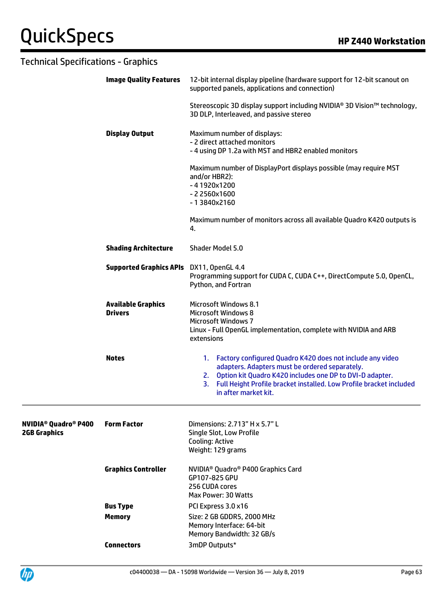| <b>Technical Specifications - Graphics</b>                               |                                                                                                                     |                                                                                                                                                                                                                                                                                    |  |  |
|--------------------------------------------------------------------------|---------------------------------------------------------------------------------------------------------------------|------------------------------------------------------------------------------------------------------------------------------------------------------------------------------------------------------------------------------------------------------------------------------------|--|--|
|                                                                          | <b>Image Quality Features</b>                                                                                       | 12-bit internal display pipeline (hardware support for 12-bit scanout on<br>supported panels, applications and connection)                                                                                                                                                         |  |  |
|                                                                          | Stereoscopic 3D display support including NVIDIA® 3D Vision™ technology,<br>3D DLP, Interleaved, and passive stereo |                                                                                                                                                                                                                                                                                    |  |  |
|                                                                          | <b>Display Output</b>                                                                                               | Maximum number of displays:<br>- 2 direct attached monitors<br>-4 using DP 1.2a with MST and HBR2 enabled monitors                                                                                                                                                                 |  |  |
|                                                                          |                                                                                                                     | Maximum number of DisplayPort displays possible (may require MST<br>and/or HBR2):<br>$-41920x1200$<br>$-22560x1600$<br>$-13840x2160$                                                                                                                                               |  |  |
|                                                                          |                                                                                                                     | Maximum number of monitors across all available Quadro K420 outputs is<br>4.                                                                                                                                                                                                       |  |  |
|                                                                          | <b>Shading Architecture</b>                                                                                         | Shader Model 5.0                                                                                                                                                                                                                                                                   |  |  |
| Supported Graphics APIs DX11, OpenGL 4.4                                 | Programming support for CUDA C, CUDA C++, DirectCompute 5.0, OpenCL,<br>Python, and Fortran                         |                                                                                                                                                                                                                                                                                    |  |  |
|                                                                          | <b>Available Graphics</b><br><b>Drivers</b>                                                                         | <b>Microsoft Windows 8.1</b><br><b>Microsoft Windows 8</b><br><b>Microsoft Windows 7</b><br>Linux - Full OpenGL implementation, complete with NVIDIA and ARB<br>extensions                                                                                                         |  |  |
|                                                                          | <b>Notes</b>                                                                                                        | 1. Factory configured Quadro K420 does not include any video<br>adapters. Adapters must be ordered separately.<br>2. Option kit Quadro K420 includes one DP to DVI-D adapter.<br>Full Height Profile bracket installed. Low Profile bracket included<br>3.<br>in after market kit. |  |  |
| <b>NVIDIA<sup>®</sup> Quadro<sup>®</sup> P400</b><br><b>2GB Graphics</b> | <b>Form Factor</b>                                                                                                  | Dimensions: 2.713" H x 5.7" L<br>Single Slot, Low Profile<br>Cooling: Active<br>Weight: 129 grams                                                                                                                                                                                  |  |  |
|                                                                          | <b>Graphics Controller</b>                                                                                          | NVIDIA <sup>®</sup> Quadro® P400 Graphics Card<br>GP107-825 GPU<br>256 CUDA cores<br>Max Power: 30 Watts                                                                                                                                                                           |  |  |
|                                                                          | <b>Bus Type</b>                                                                                                     | PCI Express 3.0 x16                                                                                                                                                                                                                                                                |  |  |
|                                                                          | <b>Memory</b>                                                                                                       | Size: 2 GB GDDR5, 2000 MHz<br>Memory Interface: 64-bit<br>Memory Bandwidth: 32 GB/s                                                                                                                                                                                                |  |  |



**Connectors** 3mDP Outputs\*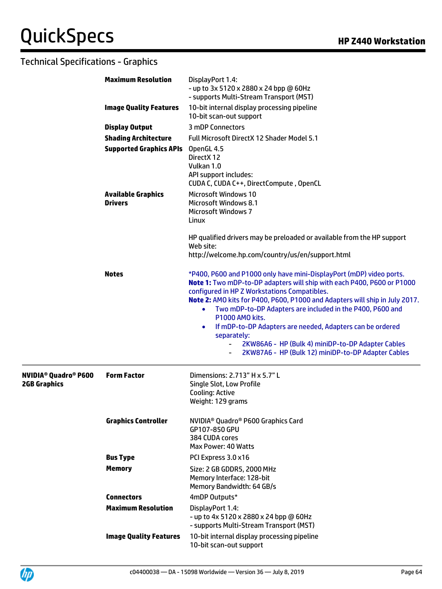|                                                                          | <b>Maximum Resolution</b>                   | DisplayPort 1.4:<br>- up to 3x 5120 x 2880 x 24 bpp @ 60Hz<br>- supports Multi-Stream Transport (MST)                                                                                                                                                                                                                                                                                                                                                                                                                                                            |
|--------------------------------------------------------------------------|---------------------------------------------|------------------------------------------------------------------------------------------------------------------------------------------------------------------------------------------------------------------------------------------------------------------------------------------------------------------------------------------------------------------------------------------------------------------------------------------------------------------------------------------------------------------------------------------------------------------|
|                                                                          | <b>Image Quality Features</b>               | 10-bit internal display processing pipeline<br>10-bit scan-out support                                                                                                                                                                                                                                                                                                                                                                                                                                                                                           |
|                                                                          | <b>Display Output</b>                       | 3 mDP Connectors                                                                                                                                                                                                                                                                                                                                                                                                                                                                                                                                                 |
|                                                                          | <b>Shading Architecture</b>                 | Full Microsoft DirectX 12 Shader Model 5.1                                                                                                                                                                                                                                                                                                                                                                                                                                                                                                                       |
|                                                                          | <b>Supported Graphics APIs</b>              | OpenGL 4.5<br>DirectX 12<br>Vulkan 1.0<br>API support includes:<br>CUDA C, CUDA C++, DirectCompute, OpenCL                                                                                                                                                                                                                                                                                                                                                                                                                                                       |
|                                                                          | <b>Available Graphics</b><br><b>Drivers</b> | <b>Microsoft Windows 10</b><br><b>Microsoft Windows 8.1</b><br><b>Microsoft Windows 7</b><br>Linux                                                                                                                                                                                                                                                                                                                                                                                                                                                               |
|                                                                          |                                             | HP qualified drivers may be preloaded or available from the HP support<br>Web site:<br>http://welcome.hp.com/country/us/en/support.html                                                                                                                                                                                                                                                                                                                                                                                                                          |
|                                                                          | <b>Notes</b>                                | *P400, P600 and P1000 only have mini-DisplayPort (mDP) video ports.<br>Note 1: Two mDP-to-DP adapters will ship with each P400, P600 or P1000<br>configured in HP Z Workstations Compatibles.<br>Note 2: AMO kits for P400, P600, P1000 and Adapters will ship in July 2017.<br>Two mDP-to-DP Adapters are included in the P400, P600 and<br>P1000 AMO kits.<br>If mDP-to-DP Adapters are needed, Adapters can be ordered<br>$\bullet$<br>separately:<br>2KW86A6 - HP (Bulk 4) miniDP-to-DP Adapter Cables<br>2KW87A6 - HP (Bulk 12) miniDP-to-DP Adapter Cables |
| <b>NVIDIA<sup>®</sup> Quadro<sup>®</sup> P600</b><br><b>2GB Graphics</b> | <b>Form Factor</b>                          | Dimensions: 2.713" H x 5.7" L<br>Single Slot, Low Profile<br><b>Cooling: Active</b><br>Weight: 129 grams                                                                                                                                                                                                                                                                                                                                                                                                                                                         |
|                                                                          | <b>Graphics Controller</b>                  | NVIDIA <sup>®</sup> Quadro® P600 Graphics Card<br>GP107-850 GPU<br>384 CUDA cores<br>Max Power: 40 Watts                                                                                                                                                                                                                                                                                                                                                                                                                                                         |
|                                                                          | <b>Bus Type</b>                             | PCI Express 3.0 x16                                                                                                                                                                                                                                                                                                                                                                                                                                                                                                                                              |
|                                                                          | <b>Memory</b>                               | Size: 2 GB GDDR5, 2000 MHz<br>Memory Interface: 128-bit<br>Memory Bandwidth: 64 GB/s                                                                                                                                                                                                                                                                                                                                                                                                                                                                             |
|                                                                          | <b>Connectors</b>                           | 4mDP Outputs*                                                                                                                                                                                                                                                                                                                                                                                                                                                                                                                                                    |
|                                                                          | <b>Maximum Resolution</b>                   | DisplayPort 1.4:<br>- up to 4x 5120 x 2880 x 24 bpp @ 60Hz<br>- supports Multi-Stream Transport (MST)                                                                                                                                                                                                                                                                                                                                                                                                                                                            |
|                                                                          | <b>Image Quality Features</b>               | 10-bit internal display processing pipeline<br>10-bit scan-out support                                                                                                                                                                                                                                                                                                                                                                                                                                                                                           |

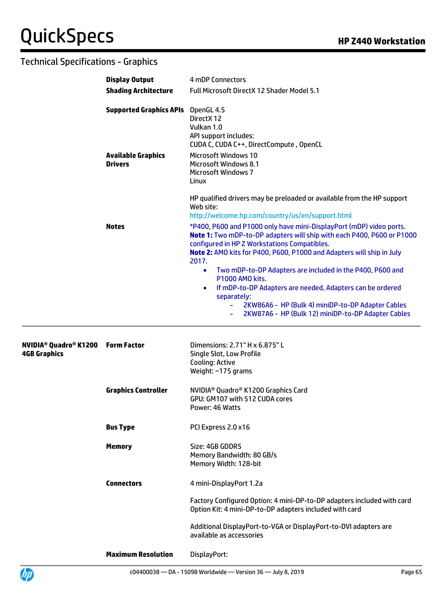|                                                                           | <b>Display Output</b>                       | 4 mDP Connectors                                                                                                                                                                                                                                                                                                                                          |
|---------------------------------------------------------------------------|---------------------------------------------|-----------------------------------------------------------------------------------------------------------------------------------------------------------------------------------------------------------------------------------------------------------------------------------------------------------------------------------------------------------|
|                                                                           | <b>Shading Architecture</b>                 | Full Microsoft DirectX 12 Shader Model 5.1                                                                                                                                                                                                                                                                                                                |
|                                                                           | <b>Supported Graphics APIs</b>              | OpenGL 4.5<br>DirectX 12<br>Vulkan 1.0<br>API support includes:<br>CUDA C, CUDA C++, DirectCompute, OpenCL                                                                                                                                                                                                                                                |
|                                                                           | <b>Available Graphics</b><br><b>Drivers</b> | <b>Microsoft Windows 10</b><br><b>Microsoft Windows 8.1</b><br><b>Microsoft Windows 7</b><br>Linux                                                                                                                                                                                                                                                        |
|                                                                           |                                             | HP qualified drivers may be preloaded or available from the HP support<br>Web site:<br>http://welcome.hp.com/country/us/en/support.html                                                                                                                                                                                                                   |
|                                                                           | <b>Notes</b>                                | *P400, P600 and P1000 only have mini-DisplayPort (mDP) video ports.<br>Note 1: Two mDP-to-DP adapters will ship with each P400, P600 or P1000<br>configured in HP Z Workstations Compatibles.<br>Note 2: AMO kits for P400, P600, P1000 and Adapters will ship in July<br>2017.<br>Two mDP-to-DP Adapters are included in the P400, P600 and<br>$\bullet$ |
|                                                                           |                                             | P1000 AMO kits.<br>If mDP-to-DP Adapters are needed, Adapters can be ordered<br>$\bullet$                                                                                                                                                                                                                                                                 |
|                                                                           |                                             | separately:                                                                                                                                                                                                                                                                                                                                               |
|                                                                           |                                             | 2KW86A6 - HP (Bulk 4) miniDP-to-DP Adapter Cables<br>$\sim$<br>2KW87A6 - HP (Bulk 12) miniDP-to-DP Adapter Cables                                                                                                                                                                                                                                         |
| <b>NVIDIA<sup>®</sup> Quadro<sup>®</sup> K1200</b><br><b>4GB Graphics</b> | <b>Form Factor</b>                          | Dimensions: 2.71" H x 6.875" L<br>Single Slot, Low Profile<br><b>Cooling: Active</b><br>Weight: ~175 grams                                                                                                                                                                                                                                                |
|                                                                           | <b>Graphics Controller</b>                  | NVIDIA <sup>®</sup> Quadro® K1200 Graphics Card<br>GPU: GM107 with 512 CUDA cores<br>Power: 46 Watts                                                                                                                                                                                                                                                      |
|                                                                           |                                             |                                                                                                                                                                                                                                                                                                                                                           |
|                                                                           | <b>Bus Type</b>                             | PCI Express 2.0 x16                                                                                                                                                                                                                                                                                                                                       |
|                                                                           | <b>Memory</b>                               | Size: 4GB GDDR5<br>Memory Bandwidth: 80 GB/s<br>Memory Width: 128-bit                                                                                                                                                                                                                                                                                     |
|                                                                           | <b>Connectors</b>                           | 4 mini-DisplayPort 1.2a                                                                                                                                                                                                                                                                                                                                   |
|                                                                           |                                             | Factory Configured Option: 4 mini-DP-to-DP adapters included with card<br>Option Kit: 4 mini-DP-to-DP adapters included with card                                                                                                                                                                                                                         |
|                                                                           |                                             | Additional DisplayPort-to-VGA or DisplayPort-to-DVI adapters are<br>available as accessories                                                                                                                                                                                                                                                              |
|                                                                           | <b>Maximum Resolution</b>                   | DisplayPort:                                                                                                                                                                                                                                                                                                                                              |

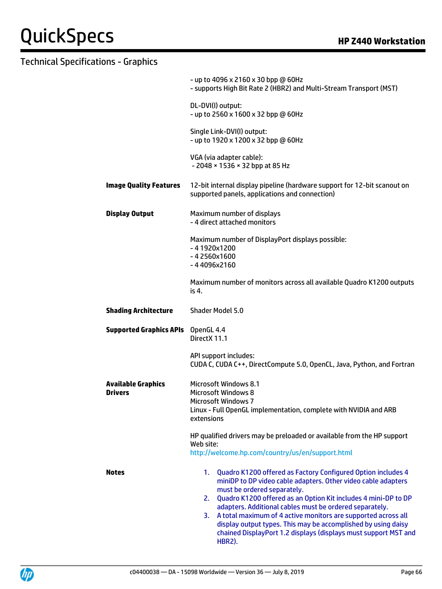| - up to 4096 x 2160 x 30 bpp @ 60Hz<br>- supports High Bit Rate 2 (HBR2) and Multi-Stream Transport (MST)                                                                                                                                                                                                                                                                                                                                                                                                        |  |  |
|------------------------------------------------------------------------------------------------------------------------------------------------------------------------------------------------------------------------------------------------------------------------------------------------------------------------------------------------------------------------------------------------------------------------------------------------------------------------------------------------------------------|--|--|
| DL-DVI(I) output:<br>- up to 2560 x 1600 x 32 bpp @ 60Hz                                                                                                                                                                                                                                                                                                                                                                                                                                                         |  |  |
| Single Link-DVI(I) output:<br>- up to 1920 x 1200 x 32 bpp @ 60Hz                                                                                                                                                                                                                                                                                                                                                                                                                                                |  |  |
| VGA (via adapter cable):<br>$-2048 \times 1536 \times 32$ bpp at 85 Hz                                                                                                                                                                                                                                                                                                                                                                                                                                           |  |  |
| 12-bit internal display pipeline (hardware support for 12-bit scanout on<br>supported panels, applications and connection)                                                                                                                                                                                                                                                                                                                                                                                       |  |  |
| Maximum number of displays<br>- 4 direct attached monitors                                                                                                                                                                                                                                                                                                                                                                                                                                                       |  |  |
| Maximum number of DisplayPort displays possible:<br>$-41920x1200$<br>$-42560x1600$<br>$-44096x2160$                                                                                                                                                                                                                                                                                                                                                                                                              |  |  |
| Maximum number of monitors across all available Quadro K1200 outputs<br>is 4.                                                                                                                                                                                                                                                                                                                                                                                                                                    |  |  |
| Shader Model 5.0                                                                                                                                                                                                                                                                                                                                                                                                                                                                                                 |  |  |
| <b>Supported Graphics APIs</b><br>OpenGL 4.4<br>DirectX 11.1                                                                                                                                                                                                                                                                                                                                                                                                                                                     |  |  |
| API support includes:<br>CUDA C, CUDA C++, DirectCompute 5.0, OpenCL, Java, Python, and Fortran                                                                                                                                                                                                                                                                                                                                                                                                                  |  |  |
| <b>Microsoft Windows 8.1</b><br><b>Microsoft Windows 8</b><br><b>Microsoft Windows 7</b><br>Linux - Full OpenGL implementation, complete with NVIDIA and ARB<br>extensions                                                                                                                                                                                                                                                                                                                                       |  |  |
| HP qualified drivers may be preloaded or available from the HP support<br>Web site:<br>http://welcome.hp.com/country/us/en/support.html                                                                                                                                                                                                                                                                                                                                                                          |  |  |
| Quadro K1200 offered as Factory Configured Option includes 4<br>1.<br>miniDP to DP video cable adapters. Other video cable adapters<br>must be ordered separately.<br>Quadro K1200 offered as an Option Kit includes 4 mini-DP to DP<br>2.<br>adapters. Additional cables must be ordered separately.<br>A total maximum of 4 active monitors are supported across all<br>3.<br>display output types. This may be accomplished by using daisy<br>chained DisplayPort 1.2 displays (displays must support MST and |  |  |
|                                                                                                                                                                                                                                                                                                                                                                                                                                                                                                                  |  |  |

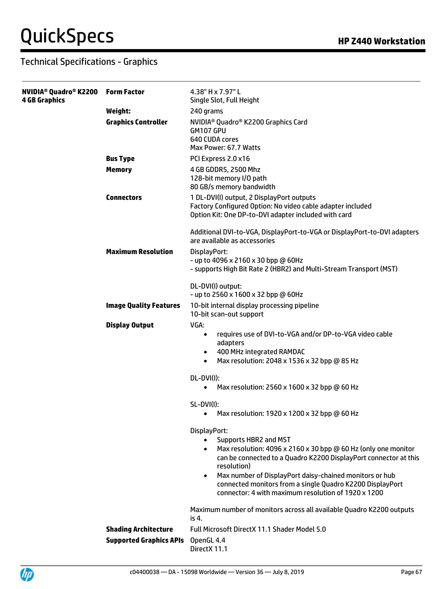| 4 GB Graphics |                                | 4.38" H x 7.97" L<br>Single Slot, Full Height                                                                                                                                                                                                                                                                                                                                                                    |
|---------------|--------------------------------|------------------------------------------------------------------------------------------------------------------------------------------------------------------------------------------------------------------------------------------------------------------------------------------------------------------------------------------------------------------------------------------------------------------|
|               | Weight:                        | 240 grams                                                                                                                                                                                                                                                                                                                                                                                                        |
|               | <b>Graphics Controller</b>     | NVIDIA <sup>®</sup> Quadro® K2200 Graphics Card<br>GM107 GPU<br>640 CUDA cores<br>Max Power: 67.7 Watts                                                                                                                                                                                                                                                                                                          |
|               | <b>Bus Type</b>                | PCI Express 2.0 x16                                                                                                                                                                                                                                                                                                                                                                                              |
|               | <b>Memory</b>                  | 4 GB GDDR5, 2500 Mhz<br>128-bit memory I/O path<br>80 GB/s memory bandwidth                                                                                                                                                                                                                                                                                                                                      |
|               | <b>Connectors</b>              | 1 DL-DVI(I) output, 2 DisplayPort outputs<br>Factory Configured Option: No video cable adapter included<br>Option Kit: One DP-to-DVI adapter included with card                                                                                                                                                                                                                                                  |
|               |                                | Additional DVI-to-VGA, DisplayPort-to-VGA or DisplayPort-to-DVI adapters<br>are available as accessories                                                                                                                                                                                                                                                                                                         |
|               | <b>Maximum Resolution</b>      | DisplayPort:<br>- up to 4096 x 2160 x 30 bpp @ 60Hz<br>- supports High Bit Rate 2 (HBR2) and Multi-Stream Transport (MST)                                                                                                                                                                                                                                                                                        |
|               |                                | DL-DVI(I) output:<br>- up to 2560 x 1600 x 32 bpp @ 60Hz                                                                                                                                                                                                                                                                                                                                                         |
|               | <b>Image Quality Features</b>  | 10-bit internal display processing pipeline<br>10-bit scan-out support                                                                                                                                                                                                                                                                                                                                           |
|               | <b>Display Output</b>          | VGA:<br>requires use of DVI-to-VGA and/or DP-to-VGA video cable<br>$\bullet$<br>adapters<br>400 MHz integrated RAMDAC<br>$\bullet$<br>Max resolution: 2048 x 1536 x 32 bpp @ 85 Hz<br>$\bullet$                                                                                                                                                                                                                  |
|               |                                | DL-DVI(I):                                                                                                                                                                                                                                                                                                                                                                                                       |
|               |                                | Max resolution: 2560 x 1600 x 32 bpp @ 60 Hz<br>$\bullet$                                                                                                                                                                                                                                                                                                                                                        |
|               |                                | $SL-DVI(I)$ :<br>Max resolution: 1920 x 1200 x 32 bpp @ 60 Hz<br>$\bullet$                                                                                                                                                                                                                                                                                                                                       |
|               |                                | DisplayPort:<br>Supports HBR2 and MST<br>$\bullet$<br>Max resolution: 4096 x 2160 x 30 bpp @ 60 Hz (only one monitor<br>$\bullet$<br>can be connected to a Quadro K2200 DisplayPort connector at this<br>resolution)<br>Max number of DisplayPort daisy-chained monitors or hub<br>$\bullet$<br>connected monitors from a single Quadro K2200 DisplayPort<br>connector: 4 with maximum resolution of 1920 x 1200 |
|               |                                | Maximum number of monitors across all available Quadro K2200 outputs<br>is 4.                                                                                                                                                                                                                                                                                                                                    |
|               | <b>Shading Architecture</b>    | Full Microsoft DirectX 11.1 Shader Model 5.0                                                                                                                                                                                                                                                                                                                                                                     |
|               | <b>Supported Graphics APIs</b> | OpenGL 4.4<br>DirectX 11.1                                                                                                                                                                                                                                                                                                                                                                                       |

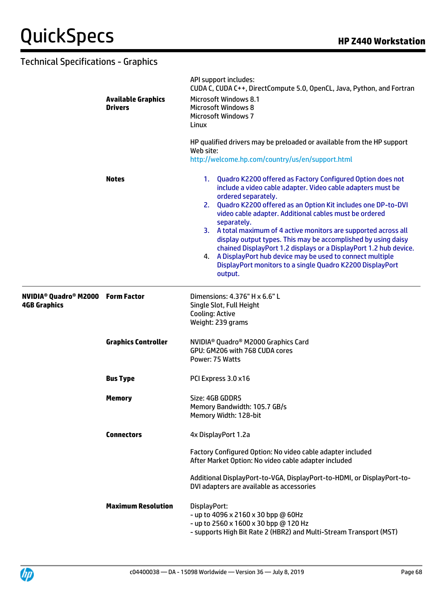|                                                                                       | <b>Available Graphics</b><br><b>Drivers</b><br><b>Notes</b> | API support includes:<br>CUDA C, CUDA C++, DirectCompute 5.0, OpenCL, Java, Python, and Fortran<br><b>Microsoft Windows 8.1</b><br><b>Microsoft Windows 8</b><br><b>Microsoft Windows 7</b><br>Linux<br>HP qualified drivers may be preloaded or available from the HP support<br>Web site:                                                                                                                                                                                                                         |  |
|---------------------------------------------------------------------------------------|-------------------------------------------------------------|---------------------------------------------------------------------------------------------------------------------------------------------------------------------------------------------------------------------------------------------------------------------------------------------------------------------------------------------------------------------------------------------------------------------------------------------------------------------------------------------------------------------|--|
|                                                                                       |                                                             | http://welcome.hp.com/country/us/en/support.html<br>1. Quadro K2200 offered as Factory Configured Option does not<br>include a video cable adapter. Video cable adapters must be                                                                                                                                                                                                                                                                                                                                    |  |
|                                                                                       |                                                             | ordered separately.<br>2. Quadro K2200 offered as an Option Kit includes one DP-to-DVI<br>video cable adapter. Additional cables must be ordered<br>separately.<br>3. A total maximum of 4 active monitors are supported across all<br>display output types. This may be accomplished by using daisy<br>chained DisplayPort 1.2 displays or a DisplayPort 1.2 hub device.<br>A DisplayPort hub device may be used to connect multiple<br>4.<br>DisplayPort monitors to a single Quadro K2200 DisplayPort<br>output. |  |
| <b>NVIDIA<sup>®</sup> Quadro<sup>®</sup> M2000 Form Factor</b><br><b>4GB Graphics</b> |                                                             | Dimensions: 4.376" H x 6.6" L<br>Single Slot, Full Height<br>Cooling: Active<br>Weight: 239 grams                                                                                                                                                                                                                                                                                                                                                                                                                   |  |
|                                                                                       | <b>Graphics Controller</b>                                  | NVIDIA <sup>®</sup> Quadro <sup>®</sup> M2000 Graphics Card<br>GPU: GM206 with 768 CUDA cores<br>Power: 75 Watts                                                                                                                                                                                                                                                                                                                                                                                                    |  |
|                                                                                       | <b>Bus Type</b>                                             | PCI Express 3.0 x16                                                                                                                                                                                                                                                                                                                                                                                                                                                                                                 |  |
|                                                                                       | <b>Memory</b>                                               | Size: 4GB GDDR5<br>Memory Bandwidth: 105.7 GB/s<br>Memory Width: 128-bit                                                                                                                                                                                                                                                                                                                                                                                                                                            |  |
|                                                                                       | <b>Connectors</b>                                           | 4x DisplayPort 1.2a                                                                                                                                                                                                                                                                                                                                                                                                                                                                                                 |  |
|                                                                                       |                                                             | Factory Configured Option: No video cable adapter included<br>After Market Option: No video cable adapter included                                                                                                                                                                                                                                                                                                                                                                                                  |  |
|                                                                                       |                                                             | Additional DisplayPort-to-VGA, DisplayPort-to-HDMI, or DisplayPort-to-<br>DVI adapters are available as accessories                                                                                                                                                                                                                                                                                                                                                                                                 |  |
|                                                                                       | <b>Maximum Resolution</b>                                   | DisplayPort:<br>- up to 4096 x 2160 x 30 bpp @ 60Hz<br>- up to 2560 x 1600 x 30 bpp @ 120 Hz<br>- supports High Bit Rate 2 (HBR2) and Multi-Stream Transport (MST)                                                                                                                                                                                                                                                                                                                                                  |  |

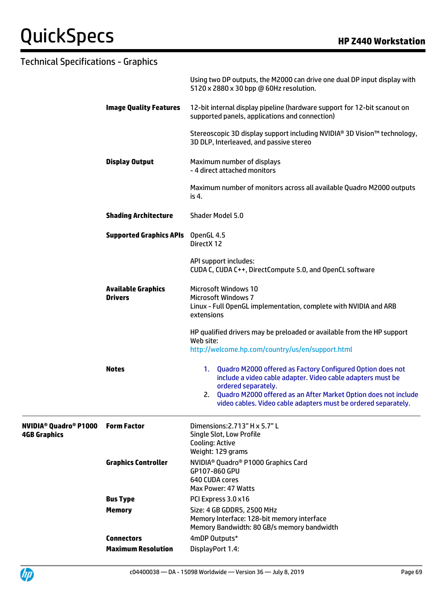|                                                                |                                             | Using two DP outputs, the M2000 can drive one dual DP input display with<br>5120 x 2880 x 30 bpp @ 60Hz resolution.                                                                                                                                                                         |
|----------------------------------------------------------------|---------------------------------------------|---------------------------------------------------------------------------------------------------------------------------------------------------------------------------------------------------------------------------------------------------------------------------------------------|
|                                                                | <b>Image Quality Features</b>               | 12-bit internal display pipeline (hardware support for 12-bit scanout on<br>supported panels, applications and connection)                                                                                                                                                                  |
|                                                                |                                             | Stereoscopic 3D display support including NVIDIA® 3D Vision™ technology,<br>3D DLP, Interleaved, and passive stereo                                                                                                                                                                         |
|                                                                | <b>Display Output</b>                       | Maximum number of displays<br>- 4 direct attached monitors                                                                                                                                                                                                                                  |
|                                                                |                                             | Maximum number of monitors across all available Quadro M2000 outputs<br>is 4.                                                                                                                                                                                                               |
|                                                                | <b>Shading Architecture</b>                 | Shader Model 5.0                                                                                                                                                                                                                                                                            |
|                                                                | <b>Supported Graphics APIs</b> OpenGL 4.5   | DirectX 12                                                                                                                                                                                                                                                                                  |
|                                                                |                                             | API support includes:<br>CUDA C, CUDA C++, DirectCompute 5.0, and OpenCL software                                                                                                                                                                                                           |
|                                                                | <b>Available Graphics</b><br><b>Drivers</b> | <b>Microsoft Windows 10</b><br><b>Microsoft Windows 7</b><br>Linux - Full OpenGL implementation, complete with NVIDIA and ARB<br>extensions                                                                                                                                                 |
|                                                                |                                             | HP qualified drivers may be preloaded or available from the HP support<br>Web site:<br>http://welcome.hp.com/country/us/en/support.html                                                                                                                                                     |
|                                                                | <b>Notes</b>                                | 1. Quadro M2000 offered as Factory Configured Option does not<br>include a video cable adapter. Video cable adapters must be<br>ordered separately.<br>2. Quadro M2000 offered as an After Market Option does not include<br>video cables. Video cable adapters must be ordered separately. |
| <b>NVIDIA<sup>®</sup> Quadro® P1000</b><br><b>4GB Graphics</b> | <b>Form Factor</b>                          | Dimensions: 2.713" H x 5.7" L<br>Single Slot, Low Profile<br>Cooling: Active<br>Weight: 129 grams                                                                                                                                                                                           |
|                                                                | <b>Graphics Controller</b>                  | NVIDIA <sup>®</sup> Quadro® P1000 Graphics Card<br>GP107-860 GPU<br>640 CUDA cores<br>Max Power: 47 Watts                                                                                                                                                                                   |
|                                                                | <b>Bus Type</b>                             | PCI Express 3.0 x16                                                                                                                                                                                                                                                                         |
|                                                                | <b>Memory</b>                               | Size: 4 GB GDDR5, 2500 MHz<br>Memory Interface: 128-bit memory interface<br>Memory Bandwidth: 80 GB/s memory bandwidth                                                                                                                                                                      |
|                                                                | <b>Connectors</b>                           | 4mDP Outputs*                                                                                                                                                                                                                                                                               |
|                                                                | <b>Maximum Resolution</b>                   | DisplayPort 1.4:                                                                                                                                                                                                                                                                            |

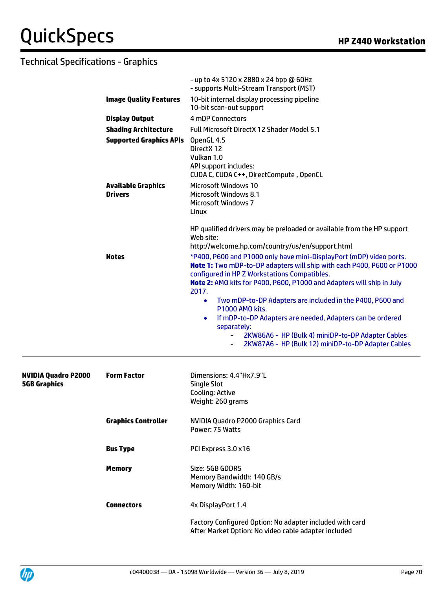|                                                   |                                             | - up to 4x 5120 x 2880 x 24 bpp @ 60Hz<br>- supports Multi-Stream Transport (MST)                                                                                                                                                                                                                                                                         |
|---------------------------------------------------|---------------------------------------------|-----------------------------------------------------------------------------------------------------------------------------------------------------------------------------------------------------------------------------------------------------------------------------------------------------------------------------------------------------------|
|                                                   | <b>Image Quality Features</b>               | 10-bit internal display processing pipeline<br>10-bit scan-out support                                                                                                                                                                                                                                                                                    |
|                                                   | <b>Display Output</b>                       | 4 mDP Connectors                                                                                                                                                                                                                                                                                                                                          |
|                                                   | <b>Shading Architecture</b>                 | <b>Full Microsoft DirectX 12 Shader Model 5.1</b>                                                                                                                                                                                                                                                                                                         |
|                                                   | <b>Supported Graphics APIs</b>              | OpenGL 4.5<br>DirectX 12<br>Vulkan 1.0<br>API support includes:<br>CUDA C, CUDA C++, DirectCompute, OpenCL                                                                                                                                                                                                                                                |
|                                                   | <b>Available Graphics</b><br><b>Drivers</b> | <b>Microsoft Windows 10</b><br><b>Microsoft Windows 8.1</b><br><b>Microsoft Windows 7</b><br>Linux                                                                                                                                                                                                                                                        |
|                                                   |                                             | HP qualified drivers may be preloaded or available from the HP support<br>Web site:<br>http://welcome.hp.com/country/us/en/support.html                                                                                                                                                                                                                   |
|                                                   | <b>Notes</b>                                | *P400, P600 and P1000 only have mini-DisplayPort (mDP) video ports.<br>Note 1: Two mDP-to-DP adapters will ship with each P400, P600 or P1000<br>configured in HP Z Workstations Compatibles.<br>Note 2: AMO kits for P400, P600, P1000 and Adapters will ship in July<br>2017.<br>Two mDP-to-DP Adapters are included in the P400, P600 and<br>$\bullet$ |
|                                                   |                                             | P1000 AMO kits.<br>If mDP-to-DP Adapters are needed, Adapters can be ordered<br>٠<br>separately:                                                                                                                                                                                                                                                          |
|                                                   |                                             | 2KW86A6 - HP (Bulk 4) miniDP-to-DP Adapter Cables<br>2KW87A6 - HP (Bulk 12) miniDP-to-DP Adapter Cables                                                                                                                                                                                                                                                   |
| <b>NVIDIA Quadro P2000</b><br><b>5GB Graphics</b> | <b>Form Factor</b>                          | Dimensions: 4.4"Hx7.9"L<br><b>Single Slot</b><br><b>Cooling: Active</b><br>Weight: 260 grams                                                                                                                                                                                                                                                              |
|                                                   | <b>Graphics Controller</b>                  | NVIDIA Quadro P2000 Graphics Card<br>Power: 75 Watts                                                                                                                                                                                                                                                                                                      |
|                                                   | <b>Bus Type</b>                             | PCI Express 3.0 x16                                                                                                                                                                                                                                                                                                                                       |
|                                                   | <b>Memory</b>                               | Size: 5GB GDDR5<br>Memory Bandwidth: 140 GB/s<br>Memory Width: 160-bit                                                                                                                                                                                                                                                                                    |
|                                                   | <b>Connectors</b>                           | 4x DisplayPort 1.4                                                                                                                                                                                                                                                                                                                                        |
|                                                   |                                             | Factory Configured Option: No adapter included with card<br>After Market Option: No video cable adapter included                                                                                                                                                                                                                                          |

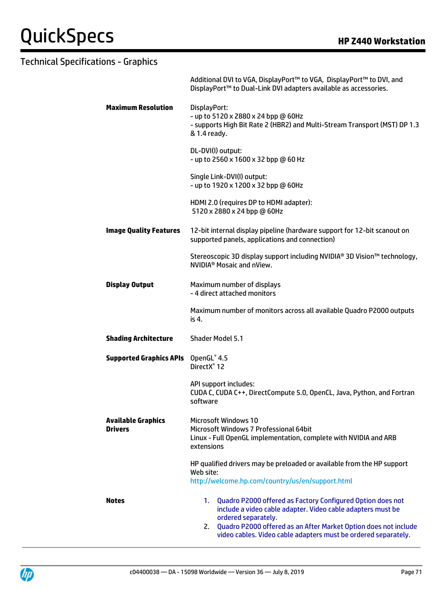|                                      | Additional DVI to VGA, DisplayPort™ to VGA, DisplayPort™ to DVI, and<br>DisplayPort™ to Dual-Link DVI adapters available as accessories.                                                                                                                                                       |  |  |
|--------------------------------------|------------------------------------------------------------------------------------------------------------------------------------------------------------------------------------------------------------------------------------------------------------------------------------------------|--|--|
| <b>Maximum Resolution</b>            | DisplayPort:<br>- up to 5120 x 2880 x 24 bpp @ 60Hz<br>- supports High Bit Rate 2 (HBR2) and Multi-Stream Transport (MST) DP 1.3<br>& 1.4 ready.                                                                                                                                               |  |  |
|                                      | DL-DVI(I) output:<br>- up to 2560 x 1600 x 32 bpp @ 60 Hz                                                                                                                                                                                                                                      |  |  |
|                                      | Single Link-DVI(I) output:<br>- up to 1920 x 1200 x 32 bpp @ 60Hz                                                                                                                                                                                                                              |  |  |
|                                      | HDMI 2.0 (requires DP to HDMI adapter):<br>5120 x 2880 x 24 bpp @ 60Hz                                                                                                                                                                                                                         |  |  |
| <b>Image Quality Features</b>        | 12-bit internal display pipeline (hardware support for 12-bit scanout on<br>supported panels, applications and connection)                                                                                                                                                                     |  |  |
|                                      | Stereoscopic 3D display support including NVIDIA® 3D Vision™ technology,<br>NVIDIA <sup>®</sup> Mosaic and nView.                                                                                                                                                                              |  |  |
| <b>Display Output</b>                | Maximum number of displays<br>- 4 direct attached monitors                                                                                                                                                                                                                                     |  |  |
|                                      | Maximum number of monitors across all available Quadro P2000 outputs<br>is 4.                                                                                                                                                                                                                  |  |  |
| <b>Shading Architecture</b>          | <b>Shader Model 5.1</b>                                                                                                                                                                                                                                                                        |  |  |
| <b>Supported Graphics APIs</b>       | OpenGL® 4.5<br>DirectX <sup>®</sup> 12                                                                                                                                                                                                                                                         |  |  |
|                                      | API support includes:<br>CUDA C, CUDA C++, DirectCompute 5.0, OpenCL, Java, Python, and Fortran<br>software                                                                                                                                                                                    |  |  |
| <b>Available Graphics</b><br>Drivers | <b>Microsoft Windows 10</b><br>Microsoft Windows 7 Professional 64bit<br>Linux - Full OpenGL implementation, complete with NVIDIA and ARB<br>extensions                                                                                                                                        |  |  |
|                                      | HP qualified drivers may be preloaded or available from the HP support<br>Web site:<br>http://welcome.hp.com/country/us/en/support.html                                                                                                                                                        |  |  |
| <b>Notes</b>                         | Quadro P2000 offered as Factory Configured Option does not<br>1.<br>include a video cable adapter. Video cable adapters must be<br>ordered separately.<br>2. Quadro P2000 offered as an After Market Option does not include<br>video cables. Video cable adapters must be ordered separately. |  |  |

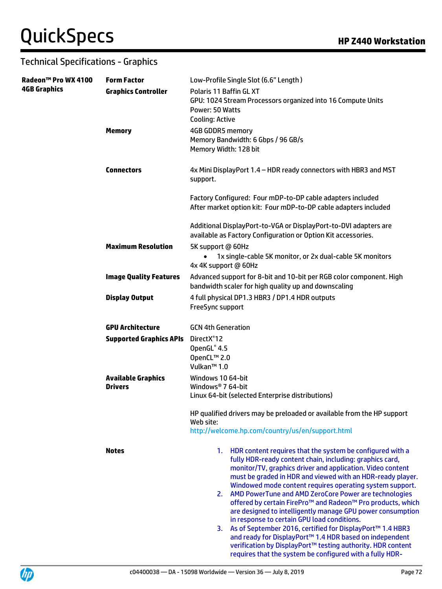# $QuickSpecs$  **HP Z440** Workstation

| Radeon™ Pro WX 4100 | <b>Form Factor</b>                          | Low-Profile Single Slot (6.6" Length)                                                                                                                                                                                                                                                                            |
|---------------------|---------------------------------------------|------------------------------------------------------------------------------------------------------------------------------------------------------------------------------------------------------------------------------------------------------------------------------------------------------------------|
| <b>4GB Graphics</b> | <b>Graphics Controller</b>                  | Polaris 11 Baffin GL XT<br>GPU: 1024 Stream Processors organized into 16 Compute Units<br>Power: 50 Watts<br><b>Cooling: Active</b>                                                                                                                                                                              |
|                     | <b>Memory</b>                               | 4GB GDDR5 memory<br>Memory Bandwidth: 6 Gbps / 96 GB/s<br>Memory Width: 128 bit                                                                                                                                                                                                                                  |
|                     | <b>Connectors</b>                           | 4x Mini DisplayPort 1.4 - HDR ready connectors with HBR3 and MST<br>support.                                                                                                                                                                                                                                     |
|                     |                                             | Factory Configured: Four mDP-to-DP cable adapters included<br>After market option kit: Four mDP-to-DP cable adapters included                                                                                                                                                                                    |
|                     |                                             | Additional DisplayPort-to-VGA or DisplayPort-to-DVI adapters are<br>available as Factory Configuration or Option Kit accessories.                                                                                                                                                                                |
|                     | <b>Maximum Resolution</b>                   | 5K support @ 60Hz<br>1x single-cable 5K monitor, or 2x dual-cable 5K monitors<br>4x 4K support @ 60Hz                                                                                                                                                                                                            |
|                     | <b>Image Quality Features</b>               | Advanced support for 8-bit and 10-bit per RGB color component. High<br>bandwidth scaler for high quality up and downscaling                                                                                                                                                                                      |
|                     | <b>Display Output</b>                       | 4 full physical DP1.3 HBR3 / DP1.4 HDR outputs<br>FreeSync support                                                                                                                                                                                                                                               |
|                     | <b>GPU Architecture</b>                     | <b>GCN 4th Generation</b>                                                                                                                                                                                                                                                                                        |
|                     | <b>Supported Graphics APIs</b>              | DirectX <sup>®</sup> 12<br>OpenGL® 4.5<br>OpenCL™ 2.0<br>Vulkan <sup>™</sup> 1.0                                                                                                                                                                                                                                 |
|                     | <b>Available Graphics</b><br><b>Drivers</b> | Windows 10 64-bit<br>Windows <sup>®</sup> 7 64-bit<br>Linux 64-bit (selected Enterprise distributions)                                                                                                                                                                                                           |
|                     |                                             | HP qualified drivers may be preloaded or available from the HP support<br>Web site:<br>http://welcome.hp.com/country/us/en/support.html                                                                                                                                                                          |
|                     | <b>Notes</b>                                | 1. HDR content requires that the system be configured with a<br>fully HDR-ready content chain, including: graphics card,<br>monitor/TV, graphics driver and application. Video content<br>must be graded in HDR and viewed with an HDR-ready player.<br>Windowed mode content requires operating system support. |
|                     |                                             | 2. AMD PowerTune and AMD ZeroCore Power are technologies<br>offered by certain FirePro™ and Radeon™ Pro products, which<br>are designed to intelligently manage GPU power consumption<br>in response to certain GPU load conditions.                                                                             |
|                     |                                             | As of September 2016, certified for DisplayPort™ 1.4 HBR3<br>3.<br>and ready for DisplayPort™ 1.4 HDR based on independent<br>verification by DisplayPort <sup>™</sup> testing authority. HDR content<br>requires that the system be configured with a fully HDR-                                                |

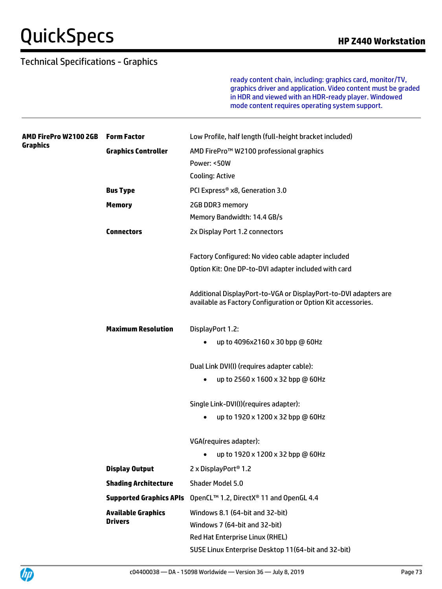#### Technical Specifications - Graphics

ready content chain, including: graphics card, monitor/TV, graphics driver and application. Video content must be graded in HDR and viewed with an HDR-ready player. Windowed mode content requires operating system support.

| AMD FirePro W2100 2GB<br>Graphics | <b>Form Factor</b>             | Low Profile, half length (full-height bracket included)                                                                           |
|-----------------------------------|--------------------------------|-----------------------------------------------------------------------------------------------------------------------------------|
|                                   | <b>Graphics Controller</b>     | AMD FirePro™ W2100 professional graphics                                                                                          |
|                                   |                                | Power: <50W                                                                                                                       |
|                                   |                                | Cooling: Active                                                                                                                   |
|                                   | <b>Bus Type</b>                | PCI Express® x8, Generation 3.0                                                                                                   |
|                                   | <b>Memory</b>                  | 2GB DDR3 memory                                                                                                                   |
|                                   |                                | Memory Bandwidth: 14.4 GB/s                                                                                                       |
|                                   | <b>Connectors</b>              | 2x Display Port 1.2 connectors                                                                                                    |
|                                   |                                | Factory Configured: No video cable adapter included                                                                               |
|                                   |                                | Option Kit: One DP-to-DVI adapter included with card                                                                              |
|                                   |                                | Additional DisplayPort-to-VGA or DisplayPort-to-DVI adapters are<br>available as Factory Configuration or Option Kit accessories. |
|                                   | <b>Maximum Resolution</b>      | DisplayPort 1.2:                                                                                                                  |
|                                   |                                | up to 4096x2160 x 30 bpp @ 60Hz                                                                                                   |
|                                   |                                | Dual Link DVI(I) (requires adapter cable):                                                                                        |
|                                   |                                | up to 2560 x 1600 x 32 bpp @ 60Hz<br>$\bullet$                                                                                    |
|                                   |                                | Single Link-DVI(I)(requires adapter):                                                                                             |
|                                   |                                | up to 1920 x 1200 x 32 bpp @ 60Hz<br>$\bullet$                                                                                    |
|                                   |                                | VGA(requires adapter):                                                                                                            |
|                                   |                                | up to 1920 x 1200 x 32 bpp @ 60Hz<br>$\bullet$                                                                                    |
|                                   | <b>Display Output</b>          | 2 x DisplayPort <sup>®</sup> 1.2                                                                                                  |
|                                   | <b>Shading Architecture</b>    | Shader Model 5.0                                                                                                                  |
|                                   | <b>Supported Graphics APIs</b> | OpenCL™ 1.2, DirectX® 11 and OpenGL 4.4                                                                                           |
|                                   | <b>Available Graphics</b>      | Windows 8.1 (64-bit and 32-bit)                                                                                                   |
|                                   | <b>Drivers</b>                 | Windows 7 (64-bit and 32-bit)                                                                                                     |
|                                   |                                | Red Hat Enterprise Linux (RHEL)                                                                                                   |
|                                   |                                | SUSE Linux Enterprise Desktop 11(64-bit and 32-bit)                                                                               |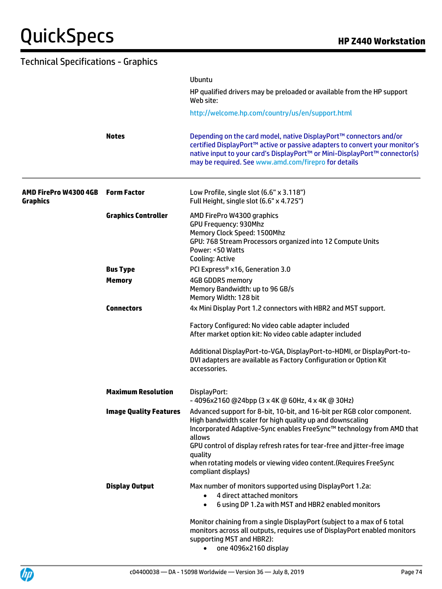| <b>Technical Specifications - Graphics</b> |                               |                                                                                                                                                                                                                                                                                                                                                                                                            |
|--------------------------------------------|-------------------------------|------------------------------------------------------------------------------------------------------------------------------------------------------------------------------------------------------------------------------------------------------------------------------------------------------------------------------------------------------------------------------------------------------------|
|                                            |                               | Ubuntu<br>HP qualified drivers may be preloaded or available from the HP support                                                                                                                                                                                                                                                                                                                           |
|                                            |                               | Web site:<br>http://welcome.hp.com/country/us/en/support.html                                                                                                                                                                                                                                                                                                                                              |
|                                            | <b>Notes</b>                  | Depending on the card model, native DisplayPort™ connectors and/or<br>certified DisplayPort™ active or passive adapters to convert your monitor's<br>native input to your card's DisplayPort™ or Mini-DisplayPort™ connector(s)<br>may be required. See www.amd.com/firepro for details                                                                                                                    |
| AMD FirePro W4300 4GB<br><b>Graphics</b>   | <b>Form Factor</b>            | Low Profile, single slot (6.6" x 3.118")<br>Full Height, single slot (6.6" x 4.725")                                                                                                                                                                                                                                                                                                                       |
|                                            | <b>Graphics Controller</b>    | AMD FirePro W4300 graphics<br><b>GPU Frequency: 930Mhz</b><br>Memory Clock Speed: 1500Mhz<br>GPU: 768 Stream Processors organized into 12 Compute Units<br>Power: <50 Watts<br>Cooling: Active                                                                                                                                                                                                             |
|                                            | <b>Bus Type</b>               | PCI Express® x16, Generation 3.0                                                                                                                                                                                                                                                                                                                                                                           |
|                                            | <b>Memory</b>                 | <b>4GB GDDR5 memory</b><br>Memory Bandwidth: up to 96 GB/s<br>Memory Width: 128 bit                                                                                                                                                                                                                                                                                                                        |
|                                            | <b>Connectors</b>             | 4x Mini Display Port 1.2 connectors with HBR2 and MST support.                                                                                                                                                                                                                                                                                                                                             |
|                                            |                               | Factory Configured: No video cable adapter included<br>After market option kit: No video cable adapter included                                                                                                                                                                                                                                                                                            |
|                                            |                               | Additional DisplayPort-to-VGA, DisplayPort-to-HDMI, or DisplayPort-to-<br>DVI adapters are available as Factory Configuration or Option Kit<br>accessories.                                                                                                                                                                                                                                                |
|                                            | <b>Maximum Resolution</b>     | DisplayPort:<br>-4096x2160 @24bpp (3 x 4K @ 60Hz, 4 x 4K @ 30Hz)                                                                                                                                                                                                                                                                                                                                           |
|                                            | <b>Image Quality Features</b> | Advanced support for 8-bit, 10-bit, and 16-bit per RGB color component.<br>High bandwidth scaler for high quality up and downscaling<br>Incorporated Adaptive-Sync enables FreeSync™ technology from AMD that<br>allows<br>GPU control of display refresh rates for tear-free and jitter-free image<br>quality<br>when rotating models or viewing video content. (Requires FreeSync<br>compliant displays) |
|                                            | <b>Display Output</b>         | Max number of monitors supported using DisplayPort 1.2a:<br>4 direct attached monitors<br>$\bullet$<br>6 using DP 1.2a with MST and HBR2 enabled monitors<br>$\bullet$                                                                                                                                                                                                                                     |
|                                            |                               | Monitor chaining from a single DisplayPort (subject to a max of 6 total<br>monitors across all outputs, requires use of DisplayPort enabled monitors<br>supporting MST and HBR2):<br>one 4096x2160 display<br>$\bullet$                                                                                                                                                                                    |

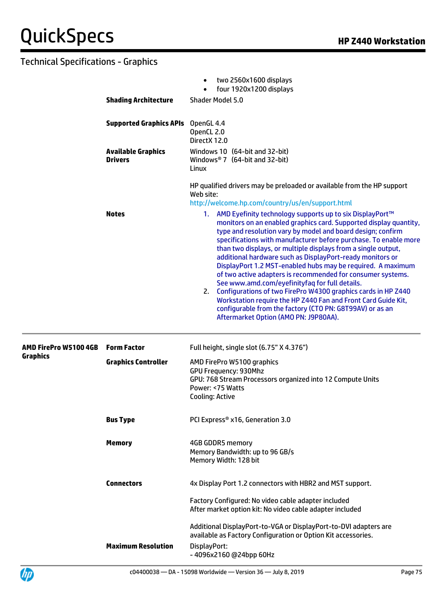|                       | <b>Shading Architecture</b>                 | two 2560x1600 displays<br>$\bullet$<br>four 1920x1200 displays<br>Shader Model 5.0                                                                                                                                                                                                                                                                                                                                                                                                                                                                                                                                                                                                                                                                                                                                          |
|-----------------------|---------------------------------------------|-----------------------------------------------------------------------------------------------------------------------------------------------------------------------------------------------------------------------------------------------------------------------------------------------------------------------------------------------------------------------------------------------------------------------------------------------------------------------------------------------------------------------------------------------------------------------------------------------------------------------------------------------------------------------------------------------------------------------------------------------------------------------------------------------------------------------------|
|                       |                                             |                                                                                                                                                                                                                                                                                                                                                                                                                                                                                                                                                                                                                                                                                                                                                                                                                             |
|                       | <b>Supported Graphics APIs</b>              | OpenGL 4.4<br>OpenCL 2.0<br>DirectX 12.0                                                                                                                                                                                                                                                                                                                                                                                                                                                                                                                                                                                                                                                                                                                                                                                    |
|                       | <b>Available Graphics</b><br><b>Drivers</b> | Windows 10 (64-bit and 32-bit)<br>Windows <sup>®</sup> 7 (64-bit and 32-bit)<br>Linux                                                                                                                                                                                                                                                                                                                                                                                                                                                                                                                                                                                                                                                                                                                                       |
|                       |                                             | HP qualified drivers may be preloaded or available from the HP support<br>Web site:<br>http://welcome.hp.com/country/us/en/support.html                                                                                                                                                                                                                                                                                                                                                                                                                                                                                                                                                                                                                                                                                     |
|                       | <b>Notes</b>                                | 1. AMD Eyefinity technology supports up to six DisplayPort™<br>monitors on an enabled graphics card. Supported display quantity,<br>type and resolution vary by model and board design; confirm<br>specifications with manufacturer before purchase. To enable more<br>than two displays, or multiple displays from a single output,<br>additional hardware such as DisplayPort-ready monitors or<br>DisplayPort 1.2 MST-enabled hubs may be required. A maximum<br>of two active adapters is recommended for consumer systems.<br>See www.amd.com/eyefinityfaq for full details.<br>2. Configurations of two FirePro W4300 graphics cards in HP Z440<br>Workstation require the HP Z440 Fan and Front Card Guide Kit,<br>configurable from the factory (CTO PN: G8T99AV) or as an<br>Aftermarket Option (AMO PN: J9P80AA). |
| AMD FirePro W5100 4GB | <b>Form Factor</b>                          | Full height, single slot (6.75" X 4.376")                                                                                                                                                                                                                                                                                                                                                                                                                                                                                                                                                                                                                                                                                                                                                                                   |
| <b>Graphics</b>       | <b>Graphics Controller</b>                  | AMD FirePro W5100 graphics<br><b>GPU Frequency: 930Mhz</b><br>GPU: 768 Stream Processors organized into 12 Compute Units<br>Power: <75 Watts<br><b>Cooling: Active</b>                                                                                                                                                                                                                                                                                                                                                                                                                                                                                                                                                                                                                                                      |
|                       | <b>Bus Type</b>                             | PCI Express® x16, Generation 3.0                                                                                                                                                                                                                                                                                                                                                                                                                                                                                                                                                                                                                                                                                                                                                                                            |
|                       | <b>Memory</b>                               | 4GB GDDR5 memory<br>Memory Bandwidth: up to 96 GB/s<br>Memory Width: 128 bit                                                                                                                                                                                                                                                                                                                                                                                                                                                                                                                                                                                                                                                                                                                                                |
|                       | <b>Connectors</b>                           | 4x Display Port 1.2 connectors with HBR2 and MST support.                                                                                                                                                                                                                                                                                                                                                                                                                                                                                                                                                                                                                                                                                                                                                                   |
|                       |                                             | Factory Configured: No video cable adapter included<br>After market option kit: No video cable adapter included                                                                                                                                                                                                                                                                                                                                                                                                                                                                                                                                                                                                                                                                                                             |
|                       | <b>Maximum Resolution</b>                   | Additional DisplayPort-to-VGA or DisplayPort-to-DVI adapters are<br>available as Factory Configuration or Option Kit accessories.<br>DisplayPort:<br>-4096x2160 @24bpp 60Hz                                                                                                                                                                                                                                                                                                                                                                                                                                                                                                                                                                                                                                                 |

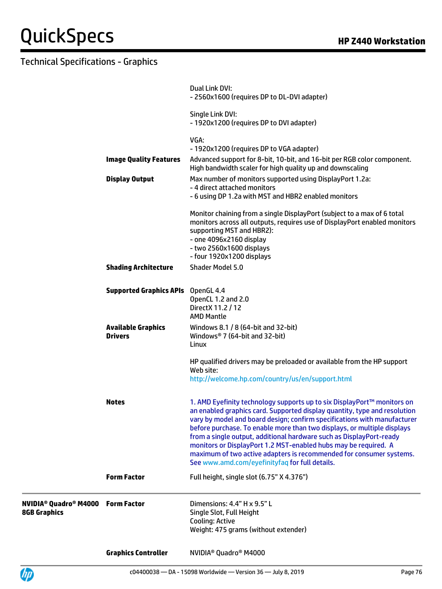|                                       | <b>Graphics Controller</b>                  | NVIDIA <sup>®</sup> Quadro <sup>®</sup> M4000                                                                                                                                                                                                                                                                                                                                                                                                                                                                                                                                  |
|---------------------------------------|---------------------------------------------|--------------------------------------------------------------------------------------------------------------------------------------------------------------------------------------------------------------------------------------------------------------------------------------------------------------------------------------------------------------------------------------------------------------------------------------------------------------------------------------------------------------------------------------------------------------------------------|
| NVIDIA® Quadro® M4000<br>8GB Graphics | <b>Form Factor</b>                          | Dimensions: 4.4" H x 9.5" L<br>Single Slot, Full Height<br>Cooling: Active<br>Weight: 475 grams (without extender)                                                                                                                                                                                                                                                                                                                                                                                                                                                             |
|                                       | <b>Form Factor</b>                          | Full height, single slot (6.75" X 4.376")                                                                                                                                                                                                                                                                                                                                                                                                                                                                                                                                      |
|                                       | <b>Notes</b>                                | 1. AMD Eyefinity technology supports up to six DisplayPort™ monitors on<br>an enabled graphics card. Supported display quantity, type and resolution<br>vary by model and board design; confirm specifications with manufacturer<br>before purchase. To enable more than two displays, or multiple displays<br>from a single output, additional hardware such as DisplayPort-ready<br>monitors or DisplayPort 1.2 MST-enabled hubs may be required. A<br>maximum of two active adapters is recommended for consumer systems.<br>See www.amd.com/eyefinityfaq for full details. |
|                                       |                                             | HP qualified drivers may be preloaded or available from the HP support<br>Web site:<br>http://welcome.hp.com/country/us/en/support.html                                                                                                                                                                                                                                                                                                                                                                                                                                        |
|                                       | <b>Available Graphics</b><br><b>Drivers</b> | Windows 8.1 / 8 (64-bit and 32-bit)<br>Windows <sup>®</sup> 7 (64-bit and 32-bit)<br>Linux                                                                                                                                                                                                                                                                                                                                                                                                                                                                                     |
|                                       | <b>Supported Graphics APIs</b> OpenGL 4.4   | OpenCL 1.2 and 2.0<br>Direct X 11.2 / 12<br><b>AMD Mantle</b>                                                                                                                                                                                                                                                                                                                                                                                                                                                                                                                  |
|                                       | <b>Shading Architecture</b>                 | Shader Model 5.0                                                                                                                                                                                                                                                                                                                                                                                                                                                                                                                                                               |
|                                       |                                             | Monitor chaining from a single DisplayPort (subject to a max of 6 total<br>monitors across all outputs, requires use of DisplayPort enabled monitors<br>supporting MST and HBR2):<br>- one 4096x2160 display<br>- two 2560x1600 displays<br>- four 1920x1200 displays                                                                                                                                                                                                                                                                                                          |
|                                       | <b>Display Output</b>                       | Max number of monitors supported using DisplayPort 1.2a:<br>- 4 direct attached monitors<br>- 6 using DP 1.2a with MST and HBR2 enabled monitors                                                                                                                                                                                                                                                                                                                                                                                                                               |
|                                       | <b>Image Quality Features</b>               | VGA:<br>- 1920x1200 (requires DP to VGA adapter)<br>Advanced support for 8-bit, 10-bit, and 16-bit per RGB color component.<br>High bandwidth scaler for high quality up and downscaling                                                                                                                                                                                                                                                                                                                                                                                       |
|                                       |                                             | Single Link DVI:<br>- 1920x1200 (requires DP to DVI adapter)                                                                                                                                                                                                                                                                                                                                                                                                                                                                                                                   |
|                                       |                                             | Dual Link DVI:<br>- 2560x1600 (requires DP to DL-DVI adapter)                                                                                                                                                                                                                                                                                                                                                                                                                                                                                                                  |

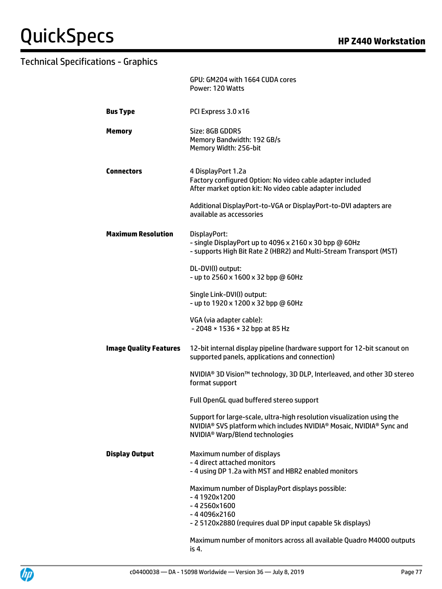|                               | GPU: GM204 with 1664 CUDA cores<br>Power: 120 Watts                                                                                                                                                       |
|-------------------------------|-----------------------------------------------------------------------------------------------------------------------------------------------------------------------------------------------------------|
| <b>Bus Type</b>               | PCI Express 3.0 x16                                                                                                                                                                                       |
| <b>Memory</b>                 | Size: 8GB GDDR5<br>Memory Bandwidth: 192 GB/s<br>Memory Width: 256-bit                                                                                                                                    |
| <b>Connectors</b>             | 4 DisplayPort 1.2a<br>Factory configured Option: No video cable adapter included<br>After market option kit: No video cable adapter included                                                              |
|                               | Additional DisplayPort-to-VGA or DisplayPort-to-DVI adapters are<br>available as accessories                                                                                                              |
| <b>Maximum Resolution</b>     | DisplayPort:<br>- single DisplayPort up to 4096 x 2160 x 30 bpp @ 60Hz<br>- supports High Bit Rate 2 (HBR2) and Multi-Stream Transport (MST)                                                              |
|                               | DL-DVI(I) output:<br>- up to 2560 x 1600 x 32 bpp @ 60Hz                                                                                                                                                  |
|                               | Single Link-DVI(I) output:<br>- up to 1920 x 1200 x 32 bpp @ 60Hz                                                                                                                                         |
|                               | VGA (via adapter cable):<br>- 2048 × 1536 × 32 bpp at 85 Hz                                                                                                                                               |
| <b>Image Quality Features</b> | 12-bit internal display pipeline (hardware support for 12-bit scanout on<br>supported panels, applications and connection)                                                                                |
|                               | NVIDIA <sup>®</sup> 3D Vision™ technology, 3D DLP, Interleaved, and other 3D stereo<br>format support                                                                                                     |
|                               | Full OpenGL quad buffered stereo support                                                                                                                                                                  |
|                               | Support for large-scale, ultra-high resolution visualization using the<br>NVIDIA <sup>®</sup> SVS platform which includes NVIDIA® Mosaic, NVIDIA® Sync and<br>NVIDIA <sup>®</sup> Warp/Blend technologies |
| <b>Display Output</b>         | Maximum number of displays<br>- 4 direct attached monitors<br>- 4 using DP 1.2a with MST and HBR2 enabled monitors                                                                                        |
|                               | Maximum number of DisplayPort displays possible:<br>$-41920x1200$<br>$-42560x1600$<br>$-44096x2160$                                                                                                       |
|                               | - 2 5120x2880 (requires dual DP input capable 5k displays)                                                                                                                                                |
|                               | Maximum number of monitors across all available Quadro M4000 outputs<br>is 4.                                                                                                                             |

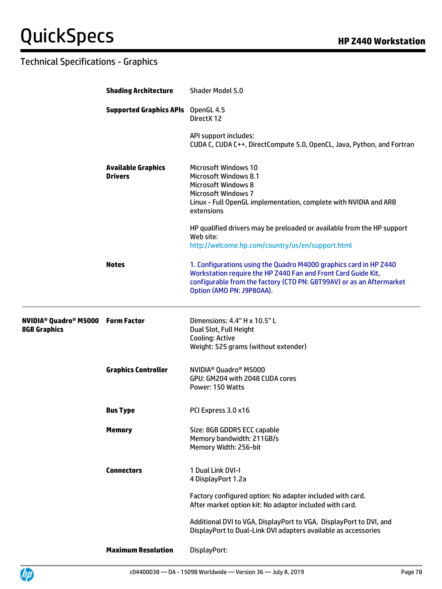|                                                                                       | <b>Shading Architecture</b>                 | Shader Model 5.0                                                                                                                                                                                                                        |
|---------------------------------------------------------------------------------------|---------------------------------------------|-----------------------------------------------------------------------------------------------------------------------------------------------------------------------------------------------------------------------------------------|
|                                                                                       | <b>Supported Graphics APIs</b> OpenGL 4.5   | DirectX 12                                                                                                                                                                                                                              |
|                                                                                       |                                             | API support includes:<br>CUDA C, CUDA C++, DirectCompute 5.0, OpenCL, Java, Python, and Fortran                                                                                                                                         |
|                                                                                       | <b>Available Graphics</b><br><b>Drivers</b> | <b>Microsoft Windows 10</b><br><b>Microsoft Windows 8.1</b><br><b>Microsoft Windows 8</b><br><b>Microsoft Windows 7</b><br>Linux - Full OpenGL implementation, complete with NVIDIA and ARB<br>extensions                               |
|                                                                                       |                                             | HP qualified drivers may be preloaded or available from the HP support<br>Web site:<br>http://welcome.hp.com/country/us/en/support.html                                                                                                 |
|                                                                                       | <b>Notes</b>                                | 1. Configurations using the Quadro M4000 graphics card in HP Z440<br>Workstation require the HP Z440 Fan and Front Card Guide Kit,<br>configurable from the factory (CTO PN: G8T99AV) or as an Aftermarket<br>Option (AMO PN: J9P80AA). |
| <b>NVIDIA<sup>®</sup> Quadro<sup>®</sup> M5000 Form Factor</b><br><b>8GB Graphics</b> |                                             | Dimensions: 4.4" H x 10.5" L<br>Dual Slot, Full Height<br>Cooling: Active<br>Weight: 525 grams (without extender)                                                                                                                       |
|                                                                                       | <b>Graphics Controller</b>                  | NVIDIA <sup>®</sup> Quadro <sup>®</sup> M5000<br>GPU: GM204 with 2048 CUDA cores<br>Power: 150 Watts                                                                                                                                    |
|                                                                                       | <b>Bus Type</b>                             | PCI Express 3.0 x16                                                                                                                                                                                                                     |
|                                                                                       | <b>Memory</b>                               | Size: 8GB GDDR5 ECC capable<br>Memory bandwidth: 211GB/s<br>Memory Width: 256-bit                                                                                                                                                       |
|                                                                                       | <b>Connectors</b>                           | 1 Dual Link DVI-I<br>4 DisplayPort 1.2a                                                                                                                                                                                                 |
|                                                                                       |                                             | Factory configured option: No adapter included with card.<br>After market option kit: No adaptor included with card.                                                                                                                    |
|                                                                                       |                                             | Additional DVI to VGA, DisplayPort to VGA, DisplayPort to DVI, and<br>DisplayPort to Dual-Link DVI adapters available as accessories                                                                                                    |
|                                                                                       | <b>Maximum Resolution</b>                   | DisplayPort:                                                                                                                                                                                                                            |

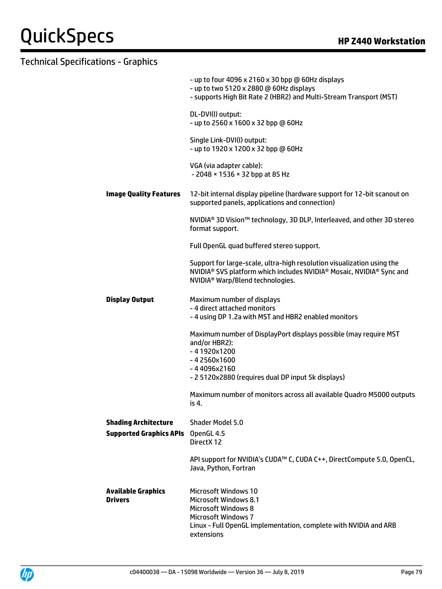|                                                               | - up to four 4096 x 2160 x 30 bpp @ 60Hz displays<br>- up to two 5120 x 2880 @ 60Hz displays<br>- supports High Bit Rate 2 (HBR2) and Multi-Stream Transport (MST)                                                                 |
|---------------------------------------------------------------|------------------------------------------------------------------------------------------------------------------------------------------------------------------------------------------------------------------------------------|
|                                                               | DL-DVI(I) output:<br>- up to 2560 x 1600 x 32 bpp @ 60Hz                                                                                                                                                                           |
|                                                               | Single Link-DVI(I) output:<br>- up to 1920 x 1200 x 32 bpp @ 60Hz                                                                                                                                                                  |
|                                                               | VGA (via adapter cable):<br>- 2048 × 1536 × 32 bpp at 85 Hz                                                                                                                                                                        |
| <b>Image Quality Features</b>                                 | 12-bit internal display pipeline (hardware support for 12-bit scanout on<br>supported panels, applications and connection)                                                                                                         |
|                                                               | NVIDIA <sup>®</sup> 3D Vision™ technology, 3D DLP, Interleaved, and other 3D stereo<br>format support.                                                                                                                             |
|                                                               | Full OpenGL quad buffered stereo support.                                                                                                                                                                                          |
|                                                               | Support for large-scale, ultra-high resolution visualization using the<br>NVIDIA <sup>®</sup> SVS platform which includes NVIDIA <sup>®</sup> Mosaic, NVIDIA <sup>®</sup> Sync and<br>NVIDIA <sup>®</sup> Warp/Blend technologies. |
| <b>Display Output</b>                                         | Maximum number of displays<br>- 4 direct attached monitors<br>- 4 using DP 1.2a with MST and HBR2 enabled monitors                                                                                                                 |
|                                                               | Maximum number of DisplayPort displays possible (may require MST<br>and/or HBR2):<br>$-41920x1200$<br>$-42560x1600$<br>$-44096x2160$<br>- 2 5120x2880 (requires dual DP input 5k displays)                                         |
|                                                               | Maximum number of monitors across all available Quadro M5000 outputs<br>is 4.                                                                                                                                                      |
| <b>Shading Architecture</b><br><b>Supported Graphics APIs</b> | <b>Shader Model 5.0</b><br>OpenGL 4.5<br>DirectX 12                                                                                                                                                                                |
|                                                               | API support for NVIDIA's CUDA™ C, CUDA C++, DirectCompute 5.0, OpenCL,<br>Java, Python, Fortran                                                                                                                                    |
| <b>Available Graphics</b><br><b>Drivers</b>                   | <b>Microsoft Windows 10</b><br>Microsoft Windows 8.1<br><b>Microsoft Windows 8</b><br><b>Microsoft Windows 7</b><br>Linux - Full OpenGL implementation, complete with NVIDIA and ARB<br>extensions                                 |

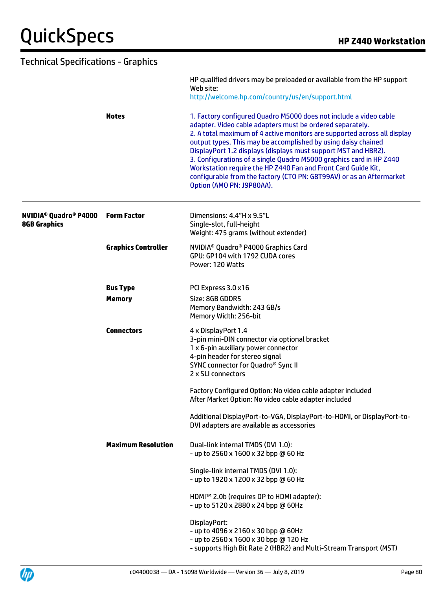| <b>Technical Specifications - Graphics</b>                                |                                  |                                                                                                                                                                                                                                                                                                                                                                                                                                                                                                                                                                                            |
|---------------------------------------------------------------------------|----------------------------------|--------------------------------------------------------------------------------------------------------------------------------------------------------------------------------------------------------------------------------------------------------------------------------------------------------------------------------------------------------------------------------------------------------------------------------------------------------------------------------------------------------------------------------------------------------------------------------------------|
|                                                                           |                                  | HP qualified drivers may be preloaded or available from the HP support<br>Web site:<br>http://welcome.hp.com/country/us/en/support.html                                                                                                                                                                                                                                                                                                                                                                                                                                                    |
|                                                                           | <b>Notes</b>                     | 1. Factory configured Quadro M5000 does not include a video cable<br>adapter. Video cable adapters must be ordered separately.<br>2. A total maximum of 4 active monitors are supported across all display<br>output types. This may be accomplished by using daisy chained<br>DisplayPort 1.2 displays (displays must support MST and HBR2).<br>3. Configurations of a single Quadro M5000 graphics card in HP Z440<br>Workstation require the HP Z440 Fan and Front Card Guide Kit,<br>configurable from the factory (CTO PN: G8T99AV) or as an Aftermarket<br>Option (AMO PN: J9P80AA). |
| <b>NVIDIA<sup>®</sup> Quadro<sup>®</sup> P4000</b><br><b>8GB Graphics</b> | <b>Form Factor</b>               | Dimensions: 4.4"H x 9.5"L<br>Single-slot, full-height<br>Weight: 475 grams (without extender)                                                                                                                                                                                                                                                                                                                                                                                                                                                                                              |
|                                                                           | <b>Graphics Controller</b>       | NVIDIA <sup>®</sup> Quadro® P4000 Graphics Card<br>GPU: GP104 with 1792 CUDA cores<br>Power: 120 Watts                                                                                                                                                                                                                                                                                                                                                                                                                                                                                     |
|                                                                           | <b>Bus Type</b><br><b>Memory</b> | PCI Express 3.0 x16<br>Size: 8GB GDDR5<br>Memory Bandwidth: 243 GB/s<br>Memory Width: 256-bit                                                                                                                                                                                                                                                                                                                                                                                                                                                                                              |
|                                                                           | <b>Connectors</b>                | 4 x DisplayPort 1.4<br>3-pin mini-DIN connector via optional bracket<br>1 x 6-pin auxiliary power connector<br>4-pin header for stereo signal<br>SYNC connector for Quadro® Sync II<br>2 x SLI connectors                                                                                                                                                                                                                                                                                                                                                                                  |
|                                                                           |                                  | Factory Configured Option: No video cable adapter included<br>After Market Option: No video cable adapter included                                                                                                                                                                                                                                                                                                                                                                                                                                                                         |
|                                                                           |                                  | Additional DisplayPort-to-VGA, DisplayPort-to-HDMI, or DisplayPort-to-<br>DVI adapters are available as accessories                                                                                                                                                                                                                                                                                                                                                                                                                                                                        |
|                                                                           | <b>Maximum Resolution</b>        | Dual-link internal TMDS (DVI 1.0):<br>- up to 2560 x 1600 x 32 bpp @ 60 Hz                                                                                                                                                                                                                                                                                                                                                                                                                                                                                                                 |
|                                                                           |                                  | Single-link internal TMDS (DVI 1.0):<br>- up to 1920 x 1200 x 32 bpp @ 60 Hz                                                                                                                                                                                                                                                                                                                                                                                                                                                                                                               |
|                                                                           |                                  | HDMI™ 2.0b (requires DP to HDMI adapter):<br>- up to 5120 x 2880 x 24 bpp @ 60Hz                                                                                                                                                                                                                                                                                                                                                                                                                                                                                                           |
|                                                                           |                                  | DisplayPort:<br>- up to 4096 x 2160 x 30 bpp @ 60Hz<br>- up to 2560 x 1600 x 30 bpp @ 120 Hz<br>- supports High Bit Rate 2 (HBR2) and Multi-Stream Transport (MST)                                                                                                                                                                                                                                                                                                                                                                                                                         |

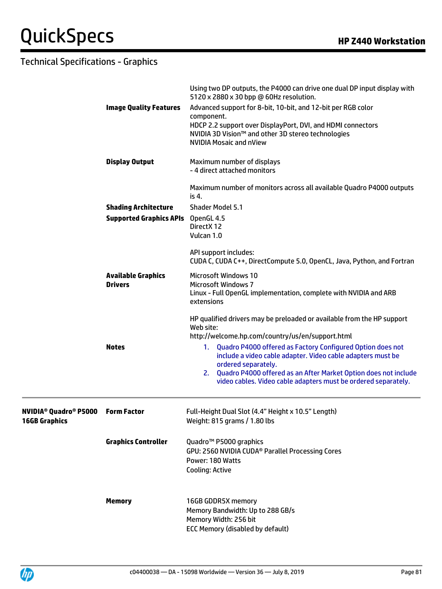|                                                                            |                                             | Using two DP outputs, the P4000 can drive one dual DP input display with<br>5120 x 2880 x 30 bpp @ 60Hz resolution.                                                                                                                                                                                                                                |
|----------------------------------------------------------------------------|---------------------------------------------|----------------------------------------------------------------------------------------------------------------------------------------------------------------------------------------------------------------------------------------------------------------------------------------------------------------------------------------------------|
|                                                                            | <b>Image Quality Features</b>               | Advanced support for 8-bit, 10-bit, and 12-bit per RGB color<br>component.<br>HDCP 2.2 support over DisplayPort, DVI, and HDMI connectors<br>NVIDIA 3D Vision™ and other 3D stereo technologies<br><b>NVIDIA Mosaic and nView</b>                                                                                                                  |
|                                                                            | <b>Display Output</b>                       | Maximum number of displays<br>- 4 direct attached monitors                                                                                                                                                                                                                                                                                         |
|                                                                            |                                             | Maximum number of monitors across all available Quadro P4000 outputs<br>is 4.                                                                                                                                                                                                                                                                      |
|                                                                            | <b>Shading Architecture</b>                 | <b>Shader Model 5.1</b>                                                                                                                                                                                                                                                                                                                            |
|                                                                            | <b>Supported Graphics APIs</b>              | OpenGL 4.5                                                                                                                                                                                                                                                                                                                                         |
|                                                                            |                                             | DirectX 12<br>Vulcan 1.0                                                                                                                                                                                                                                                                                                                           |
|                                                                            |                                             | API support includes:<br>CUDA C, CUDA C++, DirectCompute 5.0, OpenCL, Java, Python, and Fortran                                                                                                                                                                                                                                                    |
|                                                                            | <b>Available Graphics</b><br><b>Drivers</b> | <b>Microsoft Windows 10</b><br><b>Microsoft Windows 7</b><br>Linux - Full OpenGL implementation, complete with NVIDIA and ARB<br>extensions                                                                                                                                                                                                        |
|                                                                            |                                             | HP qualified drivers may be preloaded or available from the HP support<br>Web site:                                                                                                                                                                                                                                                                |
|                                                                            | <b>Notes</b>                                | http://welcome.hp.com/country/us/en/support.html<br>Quadro P4000 offered as Factory Configured Option does not<br>1.<br>include a video cable adapter. Video cable adapters must be<br>ordered separately.<br>2. Quadro P4000 offered as an After Market Option does not include<br>video cables. Video cable adapters must be ordered separately. |
| <b>NVIDIA<sup>®</sup> Quadro<sup>®</sup> P5000</b><br><b>16GB Graphics</b> | <b>Form Factor</b>                          | Full-Height Dual Slot (4.4" Height x 10.5" Length)<br>Weight: 815 grams / 1.80 lbs                                                                                                                                                                                                                                                                 |
|                                                                            | <b>Graphics Controller</b>                  | Quadro <sup>™</sup> P5000 graphics<br>GPU: 2560 NVIDIA CUDA <sup>®</sup> Parallel Processing Cores<br>Power: 180 Watts<br><b>Cooling: Active</b>                                                                                                                                                                                                   |
|                                                                            | <b>Memory</b>                               | 16GB GDDR5X memory<br>Memory Bandwidth: Up to 288 GB/s<br>Memory Width: 256 bit<br>ECC Memory (disabled by default)                                                                                                                                                                                                                                |

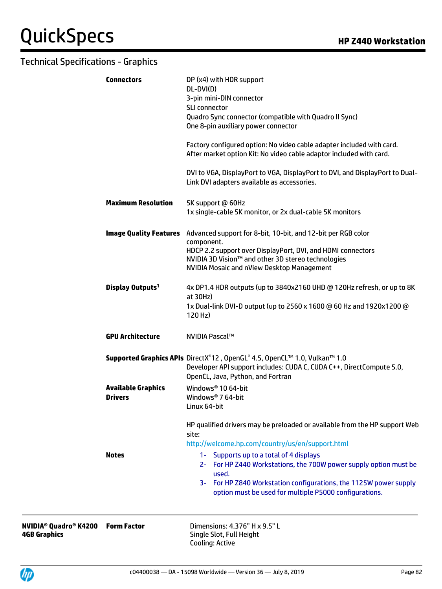| <b>Connectors</b>            | DP (x4) with HDR support<br>DL-DVI(D)<br>3-pin mini-DIN connector                                                                            |
|------------------------------|----------------------------------------------------------------------------------------------------------------------------------------------|
|                              | <b>SLI</b> connector                                                                                                                         |
|                              | Quadro Sync connector (compatible with Quadro II Sync)                                                                                       |
|                              | One 8-pin auxiliary power connector                                                                                                          |
|                              | Factory configured option: No video cable adapter included with card.<br>After market option Kit: No video cable adaptor included with card. |
|                              | DVI to VGA, DisplayPort to VGA, DisplayPort to DVI, and DisplayPort to Dual-<br>Link DVI adapters available as accessories.                  |
| <b>Maximum Resolution</b>    | 5K support @ 60Hz<br>1x single-cable 5K monitor, or 2x dual-cable 5K monitors                                                                |
|                              | Image Quality Features Advanced support for 8-bit, 10-bit, and 12-bit per RGB color                                                          |
|                              | component.<br>HDCP 2.2 support over DisplayPort, DVI, and HDMI connectors                                                                    |
|                              | NVIDIA 3D Vision™ and other 3D stereo technologies                                                                                           |
|                              | NVIDIA Mosaic and nView Desktop Management                                                                                                   |
| Display Outputs <sup>1</sup> | 4x DP1.4 HDR outputs (up to 3840x2160 UHD @ 120Hz refresh, or up to 8K                                                                       |
|                              | at $30Hz$ )<br>1x Dual-link DVI-D output (up to 2560 x 1600 @ 60 Hz and 1920x1200 @                                                          |
|                              | 120 Hz)                                                                                                                                      |
| <b>GPU Architecture</b>      | <b>NVIDIA Pascal™</b>                                                                                                                        |
|                              |                                                                                                                                              |
|                              | Supported Graphics APIs DirectX®12, OpenGL® 4.5, OpenCL™ 1.0, Vulkan™ 1.0                                                                    |
|                              | Developer API support includes: CUDA C, CUDA C++, DirectCompute 5.0,<br>OpenCL, Java, Python, and Fortran                                    |
| <b>Available Graphics</b>    | Windows <sup>®</sup> 10 64-bit                                                                                                               |
| <b>Drivers</b>               | Windows <sup>®</sup> 7 64-bit<br>Linux 64-bit                                                                                                |
|                              | HP qualified drivers may be preloaded or available from the HP support Web                                                                   |
|                              | site:                                                                                                                                        |
|                              | http://welcome.hp.com/country/us/en/support.html                                                                                             |
| <b>Notes</b>                 | 1- Supports up to a total of 4 displays                                                                                                      |
|                              | 2- For HP Z440 Workstations, the 700W power supply option must be<br>used.                                                                   |
|                              | 3- For HP Z840 Workstation configurations, the 1125W power supply                                                                            |

**NVIDIA® Quadro® K4200 4GB Graphics**

**Form Factor** Dimensions: 4.376" H x 9.5" L Single Slot, Full Height Cooling: Active

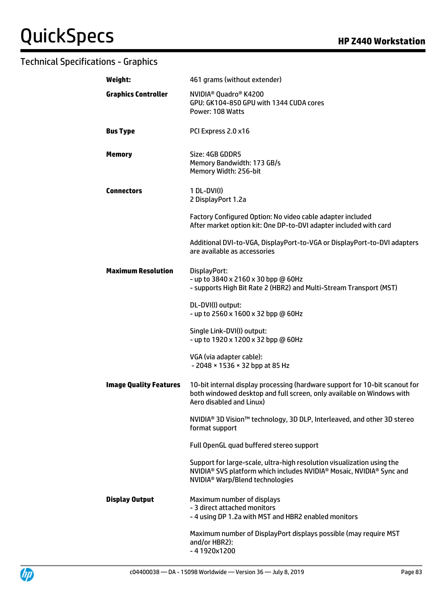| Weight:                       | 461 grams (without extender)                                                                                                                                                                              |
|-------------------------------|-----------------------------------------------------------------------------------------------------------------------------------------------------------------------------------------------------------|
| <b>Graphics Controller</b>    | NVIDIA <sup>®</sup> Quadro <sup>®</sup> K4200<br>GPU: GK104-850 GPU with 1344 CUDA cores<br>Power: 108 Watts                                                                                              |
| <b>Bus Type</b>               | PCI Express 2.0 x16                                                                                                                                                                                       |
| <b>Memory</b>                 | Size: 4GB GDDR5<br>Memory Bandwidth: 173 GB/s<br>Memory Width: 256-bit                                                                                                                                    |
| <b>Connectors</b>             | 1 DL-DVI(I)<br>2 DisplayPort 1.2a                                                                                                                                                                         |
|                               | Factory Configured Option: No video cable adapter included<br>After market option kit: One DP-to-DVI adapter included with card                                                                           |
|                               | Additional DVI-to-VGA, DisplayPort-to-VGA or DisplayPort-to-DVI adapters<br>are available as accessories                                                                                                  |
| <b>Maximum Resolution</b>     | DisplayPort:<br>- up to 3840 x 2160 x 30 bpp @ 60Hz<br>- supports High Bit Rate 2 (HBR2) and Multi-Stream Transport (MST)                                                                                 |
|                               | DL-DVI(I) output:<br>- up to 2560 x 1600 x 32 bpp @ 60Hz                                                                                                                                                  |
|                               | Single Link-DVI(I) output:<br>- up to 1920 x 1200 x 32 bpp @ 60Hz                                                                                                                                         |
|                               | VGA (via adapter cable):<br>- 2048 × 1536 × 32 bpp at 85 Hz                                                                                                                                               |
| <b>Image Quality Features</b> | 10-bit internal display processing (hardware support for 10-bit scanout for<br>both windowed desktop and full screen, only available on Windows with<br>Aero disabled and Linux)                          |
|                               | NVIDIA <sup>®</sup> 3D Vision™ technology, 3D DLP, Interleaved, and other 3D stereo<br>format support                                                                                                     |
|                               | Full OpenGL quad buffered stereo support                                                                                                                                                                  |
|                               | Support for large-scale, ultra-high resolution visualization using the<br>NVIDIA <sup>®</sup> SVS platform which includes NVIDIA® Mosaic, NVIDIA® Sync and<br>NVIDIA <sup>®</sup> Warp/Blend technologies |
| <b>Display Output</b>         | Maximum number of displays<br>- 3 direct attached monitors<br>- 4 using DP 1.2a with MST and HBR2 enabled monitors                                                                                        |
|                               | Maximum number of DisplayPort displays possible (may require MST<br>and/or HBR2):<br>$-41920x1200$                                                                                                        |

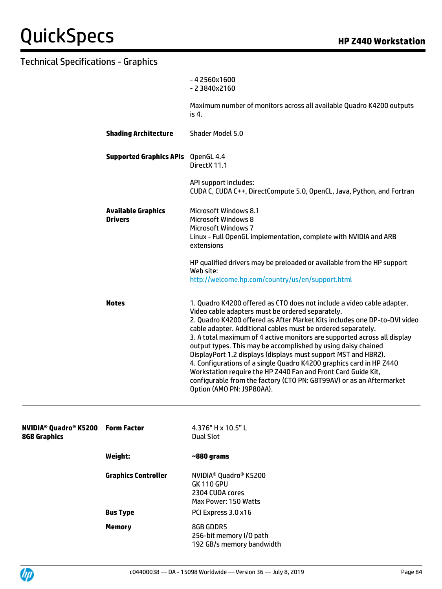|                                             | $-42560x1600$<br>$-23840x2160$                                                                                                                                                                                                                                                                                                                                                                                                                                                                                                                                                                                                                                                                                                      |
|---------------------------------------------|-------------------------------------------------------------------------------------------------------------------------------------------------------------------------------------------------------------------------------------------------------------------------------------------------------------------------------------------------------------------------------------------------------------------------------------------------------------------------------------------------------------------------------------------------------------------------------------------------------------------------------------------------------------------------------------------------------------------------------------|
|                                             | Maximum number of monitors across all available Quadro K4200 outputs<br>is 4.                                                                                                                                                                                                                                                                                                                                                                                                                                                                                                                                                                                                                                                       |
| <b>Shading Architecture</b>                 | Shader Model 5.0                                                                                                                                                                                                                                                                                                                                                                                                                                                                                                                                                                                                                                                                                                                    |
| <b>Supported Graphics APIs</b> OpenGL 4.4   | DirectX 11.1                                                                                                                                                                                                                                                                                                                                                                                                                                                                                                                                                                                                                                                                                                                        |
|                                             | API support includes:<br>CUDA C, CUDA C++, DirectCompute 5.0, OpenCL, Java, Python, and Fortran                                                                                                                                                                                                                                                                                                                                                                                                                                                                                                                                                                                                                                     |
| <b>Available Graphics</b><br><b>Drivers</b> | Microsoft Windows 8.1<br>Microsoft Windows 8<br><b>Microsoft Windows 7</b><br>Linux - Full OpenGL implementation, complete with NVIDIA and ARB<br>extensions                                                                                                                                                                                                                                                                                                                                                                                                                                                                                                                                                                        |
|                                             | HP qualified drivers may be preloaded or available from the HP support<br>Web site:<br>http://welcome.hp.com/country/us/en/support.html                                                                                                                                                                                                                                                                                                                                                                                                                                                                                                                                                                                             |
| <b>Notes</b>                                | 1. Quadro K4200 offered as CTO does not include a video cable adapter.<br>Video cable adapters must be ordered separately.<br>2. Quadro K4200 offered as After Market Kits includes one DP-to-DVI video<br>cable adapter. Additional cables must be ordered separately.<br>3. A total maximum of 4 active monitors are supported across all display<br>output types. This may be accomplished by using daisy chained<br>DisplayPort 1.2 displays (displays must support MST and HBR2).<br>4. Configurations of a single Quadro K4200 graphics card in HP Z440<br>Workstation require the HP Z440 Fan and Front Card Guide Kit,<br>configurable from the factory (CTO PN: G8T99AV) or as an Aftermarket<br>Option (AMO PN: J9P80AA). |

| NVIDIA® Quadro® K5200 Form Factor<br><b>8GB Graphics</b> |                            | 4.376" H x 10.5" L<br>Dual Slot                                                                               |
|----------------------------------------------------------|----------------------------|---------------------------------------------------------------------------------------------------------------|
|                                                          | Weight:                    | ~880 grams                                                                                                    |
|                                                          | <b>Graphics Controller</b> | NVIDIA <sup>®</sup> Quadro <sup>®</sup> K5200<br><b>GK 110 GPU</b><br>2304 CUDA cores<br>Max Power: 150 Watts |
|                                                          | <b>Bus Type</b>            | PCI Express 3.0 x16                                                                                           |
|                                                          | <b>Memory</b>              | 8GB GDDR5<br>256-bit memory I/O path<br>192 GB/s memory bandwidth                                             |

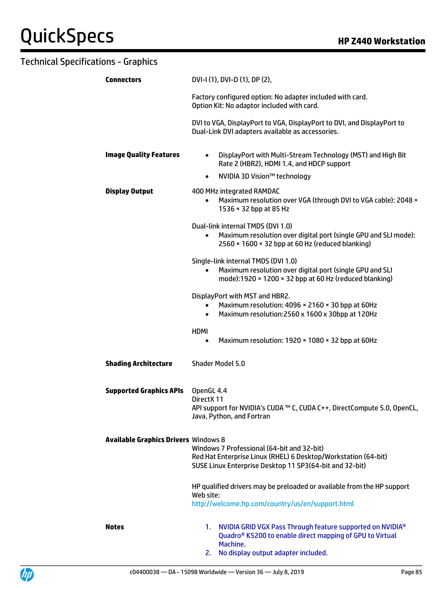| <b>Connectors</b>                           | DVI-I (1), DVI-D (1), DP (2),                                                                                                                                                        |  |
|---------------------------------------------|--------------------------------------------------------------------------------------------------------------------------------------------------------------------------------------|--|
|                                             | Factory configured option: No adapter included with card.<br>Option Kit: No adaptor included with card.                                                                              |  |
|                                             | DVI to VGA, DisplayPort to VGA, DisplayPort to DVI, and DisplayPort to<br>Dual-Link DVI adapters available as accessories.                                                           |  |
| <b>Image Quality Features</b>               | DisplayPort with Multi-Stream Technology (MST) and High Bit<br>$\bullet$<br>Rate 2 (HBR2), HDMI 1.4, and HDCP support                                                                |  |
|                                             | NVIDIA 3D Vision™ technology<br>$\bullet$                                                                                                                                            |  |
| <b>Display Output</b>                       | 400 MHz integrated RAMDAC<br>Maximum resolution over VGA (through DVI to VGA cable): 2048 ×<br>$\bullet$<br>1536 × 32 bpp at 85 Hz                                                   |  |
|                                             | Dual-link internal TMDS (DVI 1.0)<br>Maximum resolution over digital port (single GPU and SLI mode):<br>$\bullet$<br>2560 × 1600 × 32 bpp at 60 Hz (reduced blanking)                |  |
|                                             | Single-link internal TMDS (DVI 1.0)<br>Maximum resolution over digital port (single GPU and SLI<br>$\bullet$<br>mode):1920 $\times$ 1200 $\times$ 32 bpp at 60 Hz (reduced blanking) |  |
|                                             | DisplayPort with MST and HBR2.<br>Maximum resolution: 4096 × 2160 × 30 bpp at 60Hz<br>$\bullet$<br>Maximum resolution:2560 x 1600 x 30bpp at 120Hz<br>$\bullet$                      |  |
|                                             | <b>HDMI</b><br>Maximum resolution: 1920 × 1080 × 32 bpp at 60Hz<br>$\bullet$                                                                                                         |  |
| <b>Shading Architecture</b>                 | Shader Model 5.0                                                                                                                                                                     |  |
| <b>Supported Graphics APIs</b>              | OpenGL 4.4<br>DirectX 11<br>API support for NVIDIA's CUDA ™ C, CUDA C++, DirectCompute 5.0, OpenCL<br>Java, Python, and Fortran                                                      |  |
| <b>Available Graphics Drivers Windows 8</b> | Windows 7 Professional (64-bit and 32-bit)<br>Red Hat Enterprise Linux (RHEL) 6 Desktop/Workstation (64-bit)<br>SUSE Linux Enterprise Desktop 11 SP3(64-bit and 32-bit)              |  |
|                                             | HP qualified drivers may be preloaded or available from the HP support<br>Web site:                                                                                                  |  |
|                                             | http://welcome.hp.com/country/us/en/support.html                                                                                                                                     |  |
| Notes                                       | NVIDIA GRID VGX Pass Through feature supported on NVIDIA®<br>1.<br>Quadro <sup>®</sup> K5200 to enable direct mapping of GPU to Virtual<br>Machine.                                  |  |
|                                             | 2. No display output adapter included.                                                                                                                                               |  |

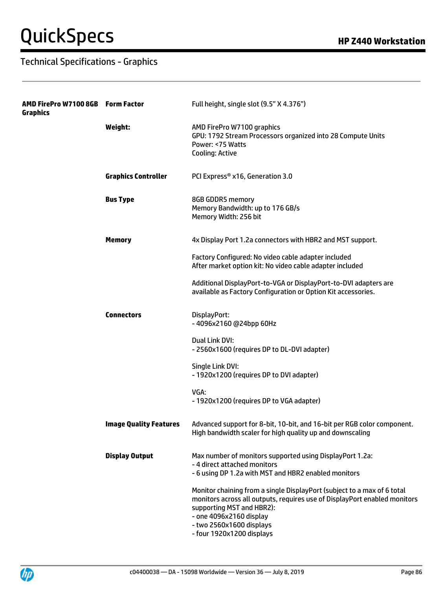| AMD FirePro W7100 8GB<br><b>Graphics</b> | <b>Form Factor</b>            | Full height, single slot (9.5" X 4.376")                                                                                                                                                                                                                              |
|------------------------------------------|-------------------------------|-----------------------------------------------------------------------------------------------------------------------------------------------------------------------------------------------------------------------------------------------------------------------|
|                                          | Weight:                       | AMD FirePro W7100 graphics<br>GPU: 1792 Stream Processors organized into 28 Compute Units<br>Power: <75 Watts<br><b>Cooling: Active</b>                                                                                                                               |
|                                          | <b>Graphics Controller</b>    | PCI Express® x16, Generation 3.0                                                                                                                                                                                                                                      |
|                                          | <b>Bus Type</b>               | 8GB GDDR5 memory<br>Memory Bandwidth: up to 176 GB/s<br>Memory Width: 256 bit                                                                                                                                                                                         |
|                                          | <b>Memory</b>                 | 4x Display Port 1.2a connectors with HBR2 and MST support.                                                                                                                                                                                                            |
|                                          |                               | Factory Configured: No video cable adapter included<br>After market option kit: No video cable adapter included                                                                                                                                                       |
|                                          |                               | Additional DisplayPort-to-VGA or DisplayPort-to-DVI adapters are<br>available as Factory Configuration or Option Kit accessories.                                                                                                                                     |
|                                          | <b>Connectors</b>             | DisplayPort:<br>-4096x2160@24bpp60Hz                                                                                                                                                                                                                                  |
|                                          |                               | Dual Link DVI:<br>- 2560x1600 (requires DP to DL-DVI adapter)                                                                                                                                                                                                         |
|                                          |                               | Single Link DVI:<br>- 1920x1200 (requires DP to DVI adapter)                                                                                                                                                                                                          |
|                                          |                               | VGA:<br>- 1920x1200 (requires DP to VGA adapter)                                                                                                                                                                                                                      |
|                                          | <b>Image Quality Features</b> | Advanced support for 8-bit, 10-bit, and 16-bit per RGB color component.<br>High bandwidth scaler for high quality up and downscaling                                                                                                                                  |
|                                          | <b>Display Output</b>         | Max number of monitors supported using DisplayPort 1.2a:<br>- 4 direct attached monitors<br>- 6 using DP 1.2a with MST and HBR2 enabled monitors                                                                                                                      |
|                                          |                               | Monitor chaining from a single DisplayPort (subject to a max of 6 total<br>monitors across all outputs, requires use of DisplayPort enabled monitors<br>supporting MST and HBR2):<br>- one 4096x2160 display<br>- two 2560x1600 displays<br>- four 1920x1200 displays |

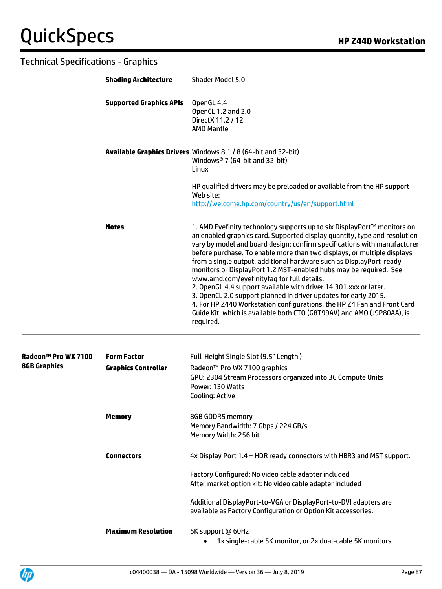| <b>Technical Specifications - Graphics</b> |                                |                                                                                                                                                                                                                                                                                                                                                                                                                                                                                                                                                                                                                                                                                                                                                                                                                |  |
|--------------------------------------------|--------------------------------|----------------------------------------------------------------------------------------------------------------------------------------------------------------------------------------------------------------------------------------------------------------------------------------------------------------------------------------------------------------------------------------------------------------------------------------------------------------------------------------------------------------------------------------------------------------------------------------------------------------------------------------------------------------------------------------------------------------------------------------------------------------------------------------------------------------|--|
|                                            | <b>Shading Architecture</b>    | Shader Model 5.0                                                                                                                                                                                                                                                                                                                                                                                                                                                                                                                                                                                                                                                                                                                                                                                               |  |
|                                            | <b>Supported Graphics APIs</b> | OpenGL 4.4<br>OpenCL 1.2 and 2.0<br>Direct X 11.2 / 12<br><b>AMD Mantle</b>                                                                                                                                                                                                                                                                                                                                                                                                                                                                                                                                                                                                                                                                                                                                    |  |
|                                            |                                | Available Graphics Drivers Windows 8.1 / 8 (64-bit and 32-bit)<br>Windows <sup>®</sup> 7 (64-bit and 32-bit)<br>Linux                                                                                                                                                                                                                                                                                                                                                                                                                                                                                                                                                                                                                                                                                          |  |
|                                            |                                | HP qualified drivers may be preloaded or available from the HP support<br>Web site:<br>http://welcome.hp.com/country/us/en/support.html                                                                                                                                                                                                                                                                                                                                                                                                                                                                                                                                                                                                                                                                        |  |
|                                            | <b>Notes</b>                   | 1. AMD Eyefinity technology supports up to six DisplayPort™ monitors on<br>an enabled graphics card. Supported display quantity, type and resolution<br>vary by model and board design; confirm specifications with manufacturer<br>before purchase. To enable more than two displays, or multiple displays<br>from a single output, additional hardware such as DisplayPort-ready<br>monitors or DisplayPort 1.2 MST-enabled hubs may be required. See<br>www.amd.com/eyefinityfaq for full details.<br>2. OpenGL 4.4 support available with driver 14.301.xxx or later.<br>3. OpenCL 2.0 support planned in driver updates for early 2015.<br>4. For HP Z440 Workstation configurations, the HP Z4 Fan and Front Card<br>Guide Kit, which is available both CTO (G8T99AV) and AMO (J9P80AA), is<br>required. |  |
| Radeon™ Pro WX 7100                        | <b>Form Factor</b>             | Full-Height Single Slot (9.5" Length)                                                                                                                                                                                                                                                                                                                                                                                                                                                                                                                                                                                                                                                                                                                                                                          |  |
| <b>8GB Graphics</b>                        | <b>Graphics Controller</b>     | Radeon™ Pro WX 7100 graphics<br>GPU: 2304 Stream Processors organized into 36 Compute Units<br>Power: 130 Watts<br>Cooling: Active                                                                                                                                                                                                                                                                                                                                                                                                                                                                                                                                                                                                                                                                             |  |
|                                            | <b>Memory</b>                  | 8GB GDDR5 memory<br>Memory Bandwidth: 7 Gbps / 224 GB/s<br>Memory Width: 256 bit                                                                                                                                                                                                                                                                                                                                                                                                                                                                                                                                                                                                                                                                                                                               |  |
|                                            | <b>Connectors</b>              | 4x Display Port 1.4 - HDR ready connectors with HBR3 and MST support.                                                                                                                                                                                                                                                                                                                                                                                                                                                                                                                                                                                                                                                                                                                                          |  |
|                                            |                                | Factory Configured: No video cable adapter included<br>After market option kit: No video cable adapter included                                                                                                                                                                                                                                                                                                                                                                                                                                                                                                                                                                                                                                                                                                |  |
|                                            |                                | Additional DisplayPort-to-VGA or DisplayPort-to-DVI adapters are<br>available as Factory Configuration or Option Kit accessories.                                                                                                                                                                                                                                                                                                                                                                                                                                                                                                                                                                                                                                                                              |  |
|                                            | <b>Maximum Resolution</b>      | 5K support @ 60Hz                                                                                                                                                                                                                                                                                                                                                                                                                                                                                                                                                                                                                                                                                                                                                                                              |  |

• 1x single-cable 5K monitor, or 2x dual-cable 5K monitors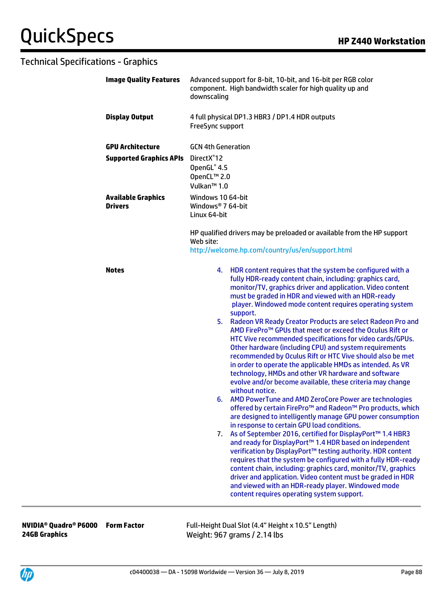| <b>Image Quality Features</b>        | Advanced support for 8-bit, 10-bit, and 16-bit per RGB color<br>component. High bandwidth scaler for high quality up and<br>downscaling                                                                                                                                                                                                                                                                                                                                                                                                                                                                                                                                                                                                                                                                                                                                                                                                                                                                                                                                                                                                                                                                                                                                                                                                                                                                                                                                                                                                                                                         |  |
|--------------------------------------|-------------------------------------------------------------------------------------------------------------------------------------------------------------------------------------------------------------------------------------------------------------------------------------------------------------------------------------------------------------------------------------------------------------------------------------------------------------------------------------------------------------------------------------------------------------------------------------------------------------------------------------------------------------------------------------------------------------------------------------------------------------------------------------------------------------------------------------------------------------------------------------------------------------------------------------------------------------------------------------------------------------------------------------------------------------------------------------------------------------------------------------------------------------------------------------------------------------------------------------------------------------------------------------------------------------------------------------------------------------------------------------------------------------------------------------------------------------------------------------------------------------------------------------------------------------------------------------------------|--|
| <b>Display Output</b>                | 4 full physical DP1.3 HBR3 / DP1.4 HDR outputs<br>FreeSync support                                                                                                                                                                                                                                                                                                                                                                                                                                                                                                                                                                                                                                                                                                                                                                                                                                                                                                                                                                                                                                                                                                                                                                                                                                                                                                                                                                                                                                                                                                                              |  |
| <b>GPU Architecture</b>              | <b>GCN 4th Generation</b>                                                                                                                                                                                                                                                                                                                                                                                                                                                                                                                                                                                                                                                                                                                                                                                                                                                                                                                                                                                                                                                                                                                                                                                                                                                                                                                                                                                                                                                                                                                                                                       |  |
| <b>Supported Graphics APIs</b>       | DirectX <sup>®</sup> 12<br>OpenGL® 4.5<br>OpenCL™ 2.0<br>Vulkan <sup>™</sup> 1.0                                                                                                                                                                                                                                                                                                                                                                                                                                                                                                                                                                                                                                                                                                                                                                                                                                                                                                                                                                                                                                                                                                                                                                                                                                                                                                                                                                                                                                                                                                                |  |
| <b>Available Graphics</b><br>Drivers | Windows 10 64-bit<br>Windows <sup>®</sup> 7 64-bit<br>Linux 64-bit                                                                                                                                                                                                                                                                                                                                                                                                                                                                                                                                                                                                                                                                                                                                                                                                                                                                                                                                                                                                                                                                                                                                                                                                                                                                                                                                                                                                                                                                                                                              |  |
|                                      | HP qualified drivers may be preloaded or available from the HP support<br>Web site:<br>http://welcome.hp.com/country/us/en/support.html                                                                                                                                                                                                                                                                                                                                                                                                                                                                                                                                                                                                                                                                                                                                                                                                                                                                                                                                                                                                                                                                                                                                                                                                                                                                                                                                                                                                                                                         |  |
| <b>Notes</b>                         | 4. HDR content requires that the system be configured with a<br>fully HDR-ready content chain, including: graphics card,<br>monitor/TV, graphics driver and application. Video content<br>must be graded in HDR and viewed with an HDR-ready<br>player. Windowed mode content requires operating system<br>support.<br>5. Radeon VR Ready Creator Products are select Radeon Pro and<br>AMD FirePro <sup>™</sup> GPUs that meet or exceed the Oculus Rift or<br>HTC Vive recommended specifications for video cards/GPUs.<br>Other hardware (including CPU) and system requirements<br>recommended by Oculus Rift or HTC Vive should also be met<br>in order to operate the applicable HMDs as intended. As VR<br>technology, HMDs and other VR hardware and software<br>evolve and/or become available, these criteria may change<br>without notice.<br>6. AMD PowerTune and AMD ZeroCore Power are technologies<br>offered by certain FirePro™ and Radeon™ Pro products, which<br>are designed to intelligently manage GPU power consumption<br>in response to certain GPU load conditions.<br>As of September 2016, certified for DisplayPort™ 1.4 HBR3<br>7.<br>and ready for DisplayPort™ 1.4 HDR based on independent<br>verification by DisplayPort™ testing authority. HDR content<br>requires that the system be configured with a fully HDR-ready<br>content chain, including: graphics card, monitor/TV, graphics<br>driver and application. Video content must be graded in HDR<br>and viewed with an HDR-ready player. Windowed mode<br>content requires operating system support. |  |

**NVIDIA® Quadro® P6000 24GB Graphics**

Full-Height Dual Slot (4.4" Height x 10.5" Length) Weight: 967 grams / 2.14 lbs

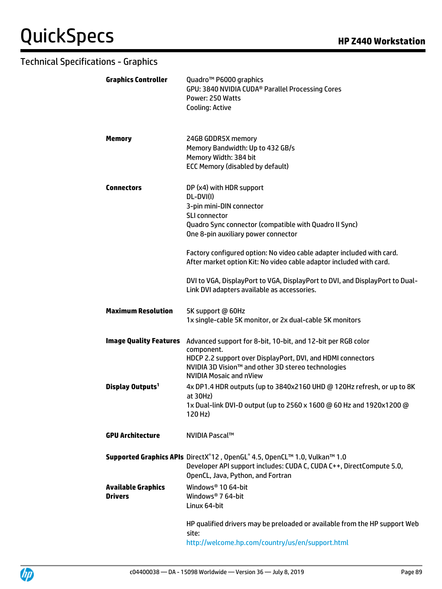| <b>Graphics Controller</b>                  | Quadro <sup>™</sup> P6000 graphics<br>GPU: 3840 NVIDIA CUDA <sup>®</sup> Parallel Processing Cores<br>Power: 250 Watts<br><b>Cooling: Active</b>                                                                                                                                                                                                                                                                                                                          |
|---------------------------------------------|---------------------------------------------------------------------------------------------------------------------------------------------------------------------------------------------------------------------------------------------------------------------------------------------------------------------------------------------------------------------------------------------------------------------------------------------------------------------------|
| <b>Memory</b>                               | 24GB GDDR5X memory<br>Memory Bandwidth: Up to 432 GB/s<br>Memory Width: 384 bit<br><b>ECC Memory (disabled by default)</b>                                                                                                                                                                                                                                                                                                                                                |
| <b>Connectors</b>                           | DP (x4) with HDR support<br>DL-DVI(I)<br>3-pin mini-DIN connector<br><b>SLI connector</b><br>Quadro Sync connector (compatible with Quadro II Sync)<br>One 8-pin auxiliary power connector<br>Factory configured option: No video cable adapter included with card.<br>After market option Kit: No video cable adaptor included with card.<br>DVI to VGA, DisplayPort to VGA, DisplayPort to DVI, and DisplayPort to Dual-<br>Link DVI adapters available as accessories. |
| <b>Maximum Resolution</b>                   | 5K support @ 60Hz<br>1x single-cable 5K monitor, or 2x dual-cable 5K monitors                                                                                                                                                                                                                                                                                                                                                                                             |
| <b>Image Quality Features</b>               | Advanced support for 8-bit, 10-bit, and 12-bit per RGB color<br>component.<br>HDCP 2.2 support over DisplayPort, DVI, and HDMI connectors<br>NVIDIA 3D Vision™ and other 3D stereo technologies<br><b>NVIDIA Mosaic and nView</b>                                                                                                                                                                                                                                         |
| Display Outputs <sup>1</sup>                | 4x DP1.4 HDR outputs (up to 3840x2160 UHD @ 120Hz refresh, or up to 8K<br>$at$ 30Hz)<br>1x Dual-link DVI-D output (up to 2560 x 1600 @ 60 Hz and 1920x1200 @<br>120 Hz)                                                                                                                                                                                                                                                                                                   |
| <b>GPU Architecture</b>                     | NVIDIA Pascal™                                                                                                                                                                                                                                                                                                                                                                                                                                                            |
|                                             | Supported Graphics APIs DirectX®12, OpenGL® 4.5, OpenCL™ 1.0, Vulkan™ 1.0<br>Developer API support includes: CUDA C, CUDA C++, DirectCompute 5.0,<br>OpenCL, Java, Python, and Fortran                                                                                                                                                                                                                                                                                    |
| <b>Available Graphics</b><br><b>Drivers</b> | Windows <sup>®</sup> 10 64-bit<br>Windows <sup>®</sup> 7 64-bit<br>Linux 64-bit                                                                                                                                                                                                                                                                                                                                                                                           |
|                                             | HP qualified drivers may be preloaded or available from the HP support Web<br>site:<br>http://welcome.hp.com/country/us/en/support.html                                                                                                                                                                                                                                                                                                                                   |

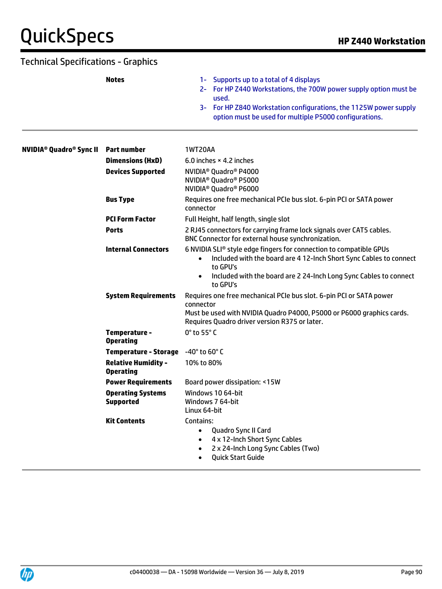# $QuickSpecs$

| Technical Specifications - Graphics                  |                                                |                                                                                                                                                                                                                                                            |
|------------------------------------------------------|------------------------------------------------|------------------------------------------------------------------------------------------------------------------------------------------------------------------------------------------------------------------------------------------------------------|
|                                                      | <b>Notes</b>                                   | Supports up to a total of 4 displays<br>$1 -$<br>2- For HP Z440 Workstations, the 700W power supply option must be<br>used.<br>3- For HP Z840 Workstation configurations, the 1125W power supply<br>option must be used for multiple P5000 configurations. |
| <b>NVIDIA<sup>®</sup> Quadro<sup>®</sup> Sync II</b> | <b>Part number</b>                             | 1WT20AA                                                                                                                                                                                                                                                    |
|                                                      | <b>Dimensions (HxD)</b>                        | 6.0 inches $\times$ 4.2 inches                                                                                                                                                                                                                             |
|                                                      | <b>Devices Supported</b>                       | NVIDIA <sup>®</sup> Quadro <sup>®</sup> P4000<br>NVIDIA <sup>®</sup> Quadro <sup>®</sup> P5000<br>NVIDIA <sup>®</sup> Quadro <sup>®</sup> P6000                                                                                                            |
|                                                      | <b>Bus Type</b>                                | Requires one free mechanical PCIe bus slot. 6-pin PCI or SATA power<br>connector                                                                                                                                                                           |
|                                                      | <b>PCI Form Factor</b>                         | Full Height, half length, single slot                                                                                                                                                                                                                      |
|                                                      | <b>Ports</b>                                   | 2 RJ45 connectors for carrying frame lock signals over CAT5 cables.<br>BNC Connector for external house synchronization.                                                                                                                                   |
|                                                      | <b>Internal Connectors</b>                     | 6 NVIDIA SLI® style edge fingers for connection to compatible GPUs<br>Included with the board are 4 12-Inch Short Sync Cables to connect<br>to GPU's<br>Included with the board are 2 24-Inch Long Sync Cables to connect<br>to GPU's                      |
|                                                      | <b>System Requirements</b>                     | Requires one free mechanical PCIe bus slot. 6-pin PCI or SATA power<br>connector<br>Must be used with NVIDIA Quadro P4000, P5000 or P6000 graphics cards.<br>Requires Quadro driver version R375 or later.                                                 |
|                                                      | Temperature -<br><b>Operating</b>              | 0° to 55° C                                                                                                                                                                                                                                                |
|                                                      | <b>Temperature - Storage</b>                   | -40° to 60° C                                                                                                                                                                                                                                              |
|                                                      | <b>Relative Humidity -</b><br><b>Operating</b> | 10% to 80%                                                                                                                                                                                                                                                 |
|                                                      | <b>Power Requirements</b>                      | Board power dissipation: <15W                                                                                                                                                                                                                              |
|                                                      | <b>Operating Systems</b><br><b>Supported</b>   | Windows 10 64-bit<br>Windows 7 64-bit<br>Linux 64-bit                                                                                                                                                                                                      |
|                                                      | <b>Kit Contents</b>                            | Contains:<br>Quadro Sync II Card<br>$\bullet$<br>4 x 12-Inch Short Sync Cables<br>$\bullet$<br>2 x 24-Inch Long Sync Cables (Two)<br>$\bullet$<br><b>Quick Start Guide</b>                                                                                 |

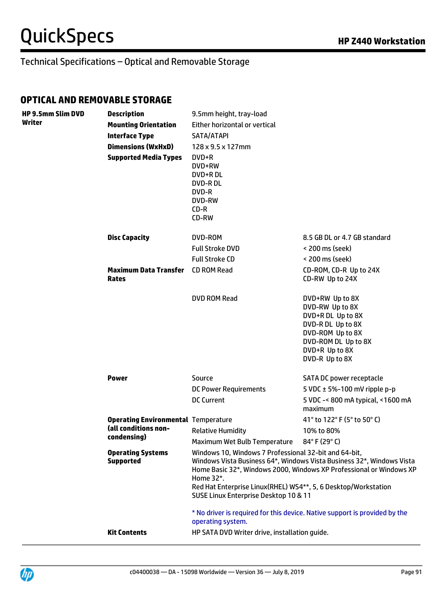**HP 9.5mm Slim DVD** 

### Technical Specifications – Optical and Removable Storage

#### **OPTICAL AND REMOVABLE STORAGE**

| <b>HP 9.5mm Slim DVD</b><br>Writer | <b>Description</b>                           | 9.5mm height, tray-load                                                                                                                                                                                                                                                                                                       |                                                                                                                                                             |
|------------------------------------|----------------------------------------------|-------------------------------------------------------------------------------------------------------------------------------------------------------------------------------------------------------------------------------------------------------------------------------------------------------------------------------|-------------------------------------------------------------------------------------------------------------------------------------------------------------|
|                                    | <b>Mounting Orientation</b>                  | Either horizontal or vertical                                                                                                                                                                                                                                                                                                 |                                                                                                                                                             |
|                                    | <b>Interface Type</b>                        | SATA/ATAPI                                                                                                                                                                                                                                                                                                                    |                                                                                                                                                             |
|                                    | <b>Dimensions (WxHxD)</b>                    | 128 x 9.5 x 127mm                                                                                                                                                                                                                                                                                                             |                                                                                                                                                             |
|                                    | <b>Supported Media Types</b>                 | DVD+R<br>DVD+RW<br>DVD+R DL<br>DVD-R DL<br>DVD-R<br><b>DVD-RW</b><br>$CD-R$<br>CD-RW                                                                                                                                                                                                                                          |                                                                                                                                                             |
|                                    | <b>Disc Capacity</b>                         | DVD-ROM                                                                                                                                                                                                                                                                                                                       | 8.5 GB DL or 4.7 GB standard                                                                                                                                |
|                                    |                                              | <b>Full Stroke DVD</b>                                                                                                                                                                                                                                                                                                        | < 200 ms (seek)                                                                                                                                             |
|                                    |                                              | <b>Full Stroke CD</b>                                                                                                                                                                                                                                                                                                         | < 200 ms (seek)                                                                                                                                             |
|                                    | <b>Maximum Data Transfer</b><br><b>Rates</b> | <b>CD ROM Read</b>                                                                                                                                                                                                                                                                                                            | CD-ROM, CD-R Up to 24X<br>CD-RW Up to 24X                                                                                                                   |
|                                    |                                              | DVD ROM Read                                                                                                                                                                                                                                                                                                                  | DVD+RW Up to 8X<br>DVD-RW Up to 8X<br>DVD+R DL Up to 8X<br>DVD-R DL Up to 8X<br>DVD-ROM Up to 8X<br>DVD-ROM DL Up to 8X<br>DVD+R Up to 8X<br>DVD-R Up to 8X |
|                                    | <b>Power</b>                                 | Source                                                                                                                                                                                                                                                                                                                        | SATA DC power receptacle                                                                                                                                    |
|                                    |                                              | <b>DC Power Requirements</b>                                                                                                                                                                                                                                                                                                  | 5 VDC $\pm$ 5%-100 mV ripple p-p                                                                                                                            |
|                                    |                                              | <b>DC Current</b>                                                                                                                                                                                                                                                                                                             | 5 VDC -< 800 mA typical, <1600 mA<br>maximum                                                                                                                |
|                                    | <b>Operating Environmental Temperature</b>   |                                                                                                                                                                                                                                                                                                                               | 41° to 122° F (5° to 50° C)                                                                                                                                 |
|                                    | (all conditions non-                         | <b>Relative Humidity</b>                                                                                                                                                                                                                                                                                                      | 10% to 80%                                                                                                                                                  |
|                                    | condensing)                                  | Maximum Wet Bulb Temperature                                                                                                                                                                                                                                                                                                  | 84°F (29°C)                                                                                                                                                 |
|                                    | <b>Operating Systems</b><br><b>Supported</b> | Windows 10, Windows 7 Professional 32-bit and 64-bit,<br>Windows Vista Business 64*, Windows Vista Business 32*, Windows Vista<br>Home Basic 32*, Windows 2000, Windows XP Professional or Windows XP<br>Home 32*.<br>Red Hat Enterprise Linux(RHEL) WS4**, 5, 6 Desktop/Workstation<br>SUSE Linux Enterprise Desktop 10 & 11 |                                                                                                                                                             |
|                                    |                                              | operating system.                                                                                                                                                                                                                                                                                                             | * No driver is required for this device. Native support is provided by the                                                                                  |
|                                    | <b>Kit Contents</b>                          | HP SATA DVD Writer drive, installation guide.                                                                                                                                                                                                                                                                                 |                                                                                                                                                             |

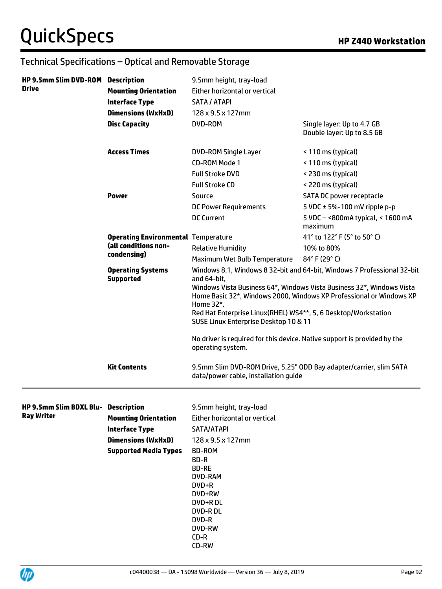| HP 9.5mm Slim DVD-ROM Description<br><b>Drive</b>        | <b>Mounting Orientation</b><br><b>Interface Type</b><br><b>Dimensions (WxHxD)</b><br><b>Disc Capacity</b>         | 9.5mm height, tray-load<br>Either horizontal or vertical<br>SATA / ATAPI<br>128 x 9.5 x 127mm<br>DVD-ROM                                                                                                                             | Single layer: Up to 4.7 GB<br>Double layer: Up to 8.5 GB                                                                                                                                                                |
|----------------------------------------------------------|-------------------------------------------------------------------------------------------------------------------|--------------------------------------------------------------------------------------------------------------------------------------------------------------------------------------------------------------------------------------|-------------------------------------------------------------------------------------------------------------------------------------------------------------------------------------------------------------------------|
|                                                          | <b>Access Times</b>                                                                                               | <b>DVD-ROM Single Layer</b><br>CD-ROM Mode 1<br><b>Full Stroke DVD</b><br><b>Full Stroke CD</b>                                                                                                                                      | < 110 ms (typical)<br>< 110 ms (typical)<br>< 230 ms (typical)<br>< 220 ms (typical)                                                                                                                                    |
|                                                          | <b>Power</b>                                                                                                      | Source<br><b>DC Power Requirements</b><br><b>DC Current</b>                                                                                                                                                                          | SATA DC power receptacle<br>5 VDC $\pm$ 5%-100 mV ripple p-p<br>5 VDC - < 800 m A typical, < 1600 m A<br>maximum                                                                                                        |
|                                                          | <b>Operating Environmental Temperature</b><br>(all conditions non-<br>condensing)                                 | <b>Relative Humidity</b><br>Maximum Wet Bulb Temperature                                                                                                                                                                             | 41° to 122° F (5° to 50° C)<br>10% to 80%<br>84°F (29°C)                                                                                                                                                                |
|                                                          | <b>Operating Systems</b><br><b>Supported</b>                                                                      | and 64-bit,<br>Home 32*.<br>Red Hat Enterprise Linux(RHEL) WS4**, 5, 6 Desktop/Workstation<br>SUSE Linux Enterprise Desktop 10 & 11<br>No driver is required for this device. Native support is provided by the<br>operating system. | Windows 8.1, Windows 8 32-bit and 64-bit, Windows 7 Professional 32-bit<br>Windows Vista Business 64*, Windows Vista Business 32*, Windows Vista<br>Home Basic 32*, Windows 2000, Windows XP Professional or Windows XP |
|                                                          | <b>Kit Contents</b>                                                                                               | 9.5mm Slim DVD-ROM Drive, 5.25" ODD Bay adapter/carrier, slim SATA<br>data/power cable, installation guide                                                                                                                           |                                                                                                                                                                                                                         |
| HP 9.5mm Slim BDXL Blu- Description<br><b>Ray Writer</b> | <b>Mounting Orientation</b><br><b>Interface Type</b><br><b>Dimensions (WxHxD)</b><br><b>Supported Media Types</b> | 9.5mm height, tray-load<br>Either horizontal or vertical<br>SATA/ATAPI<br>128 x 9.5 x 127mm<br>BD-ROM<br>BD-R<br><b>BD-RE</b><br>DVD-RAM<br>DVD+R<br>DVD+RW<br>DVD+R DL<br>DVD-R DL<br>DVD-R<br>DVD-RW<br>$CD-R$<br>CD-RW            |                                                                                                                                                                                                                         |

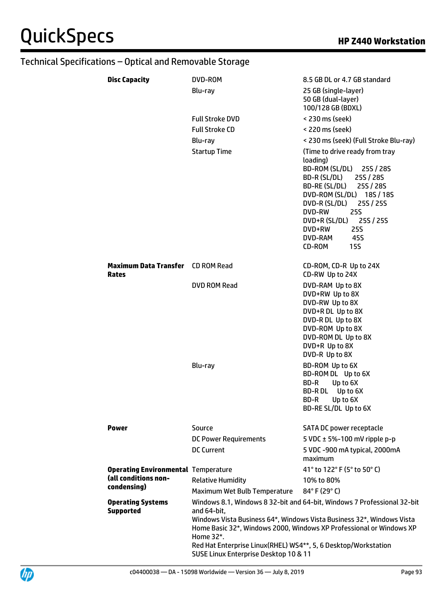| <b>Disc Capacity</b>                                     | DVD-ROM                                                                                                                             | 8.5 GB DL or 4.7 GB standard                                                                                                                                                                                                                                                                     |
|----------------------------------------------------------|-------------------------------------------------------------------------------------------------------------------------------------|--------------------------------------------------------------------------------------------------------------------------------------------------------------------------------------------------------------------------------------------------------------------------------------------------|
|                                                          | Blu-ray                                                                                                                             | 25 GB (single-layer)<br>50 GB (dual-layer)<br>100/128 GB (BDXL)                                                                                                                                                                                                                                  |
|                                                          | <b>Full Stroke DVD</b>                                                                                                              | < 230 ms (seek)                                                                                                                                                                                                                                                                                  |
|                                                          | <b>Full Stroke CD</b>                                                                                                               | < 220 ms (seek)                                                                                                                                                                                                                                                                                  |
|                                                          | Blu-ray                                                                                                                             | < 230 ms (seek) (Full Stroke Blu-ray)                                                                                                                                                                                                                                                            |
|                                                          | <b>Startup Time</b>                                                                                                                 | (Time to drive ready from tray<br>loading)<br>BD-ROM (SL/DL) 25S / 28S<br>BD-R (SL/DL)<br>25S / 28S<br>BD-RE (SL/DL)<br>25S / 28S<br>DVD-ROM (SL/DL) 18S / 18S<br>DVD-R (SL/DL) 25S / 25S<br>DVD-RW<br><b>25S</b><br>DVD+R (SL/DL) 25S / 25S<br>DVD+RW<br>25S<br>DVD-RAM<br>45S<br>CD-ROM<br>15S |
| <b>Maximum Data Transfer</b> CD ROM Read<br><b>Rates</b> |                                                                                                                                     | CD-ROM, CD-R Up to 24X<br>CD-RW Up to 24X                                                                                                                                                                                                                                                        |
|                                                          | DVD ROM Read                                                                                                                        | DVD-RAM Up to 8X<br>DVD+RW Up to 8X<br>DVD-RW Up to 8X<br>DVD+R DL Up to 8X<br>DVD-R DL Up to 8X<br>DVD-ROM Up to 8X<br>DVD-ROM DL Up to 8X<br>DVD+R Up to 8X<br>DVD-R Up to 8X                                                                                                                  |
|                                                          | Blu-ray                                                                                                                             | BD-ROM Up to 6X<br>BD-ROM DL Up to 6X<br>BD-R<br>Up to 6X<br>BD-R DL<br>Up to 6X<br>BD-R<br>Up to 6X<br>BD-RE SL/DL Up to 6X                                                                                                                                                                     |
| <b>Power</b>                                             | Source                                                                                                                              | SATA DC power receptacle                                                                                                                                                                                                                                                                         |
|                                                          | <b>DC Power Requirements</b>                                                                                                        | 5 VDC $\pm$ 5%-100 mV ripple p-p                                                                                                                                                                                                                                                                 |
|                                                          | <b>DC Current</b>                                                                                                                   | 5 VDC -900 mA typical, 2000mA<br>maximum                                                                                                                                                                                                                                                         |
| <b>Operating Environmental Temperature</b>               |                                                                                                                                     | 41° to 122° F (5° to 50° C)                                                                                                                                                                                                                                                                      |
| (all conditions non-<br>condensing)                      | <b>Relative Humidity</b>                                                                                                            | 10% to 80%                                                                                                                                                                                                                                                                                       |
|                                                          | Maximum Wet Bulb Temperature                                                                                                        | 84°F (29°C)                                                                                                                                                                                                                                                                                      |
| <b>Operating Systems</b><br><b>Supported</b>             | and 64-bit,<br>Home 32*.<br>Red Hat Enterprise Linux(RHEL) WS4**, 5, 6 Desktop/Workstation<br>SUSE Linux Enterprise Desktop 10 & 11 | Windows 8.1, Windows 8 32-bit and 64-bit, Windows 7 Professional 32-bit<br>Windows Vista Business 64*, Windows Vista Business 32*, Windows Vista<br>Home Basic 32*, Windows 2000, Windows XP Professional or Windows XP                                                                          |

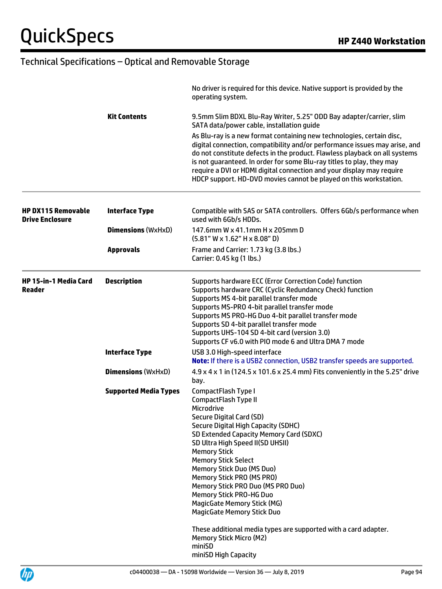|                                                     |                              | No driver is required for this device. Native support is provided by the<br>operating system.                                                                                                                                                                                                                                                                                                                                                                                                                                                                              |
|-----------------------------------------------------|------------------------------|----------------------------------------------------------------------------------------------------------------------------------------------------------------------------------------------------------------------------------------------------------------------------------------------------------------------------------------------------------------------------------------------------------------------------------------------------------------------------------------------------------------------------------------------------------------------------|
|                                                     | <b>Kit Contents</b>          | 9.5mm Slim BDXL Blu-Ray Writer, 5.25" ODD Bay adapter/carrier, slim<br>SATA data/power cable, installation quide                                                                                                                                                                                                                                                                                                                                                                                                                                                           |
|                                                     |                              | As Blu-ray is a new format containing new technologies, certain disc,<br>digital connection, compatibility and/or performance issues may arise, and<br>do not constitute defects in the product. Flawless playback on all systems<br>is not guaranteed. In order for some Blu-ray titles to play, they may<br>require a DVI or HDMI digital connection and your display may require<br>HDCP support. HD-DVD movies cannot be played on this workstation.                                                                                                                   |
| <b>HP DX115 Removable</b><br><b>Drive Enclosure</b> | <b>Interface Type</b>        | Compatible with SAS or SATA controllers. Offers 6Gb/s performance when<br>used with 6Gb/s HDDs.                                                                                                                                                                                                                                                                                                                                                                                                                                                                            |
|                                                     | <b>Dimensions (WxHxD)</b>    | 147.6mm W x 41.1mm H x 205mm D<br>$(5.81"$ W x 1.62" H x 8.08" D)                                                                                                                                                                                                                                                                                                                                                                                                                                                                                                          |
|                                                     | <b>Approvals</b>             | Frame and Carrier: 1.73 kg (3.8 lbs.)<br>Carrier: 0.45 kg (1 lbs.)                                                                                                                                                                                                                                                                                                                                                                                                                                                                                                         |
| <b>HP 15-in-1 Media Card</b><br>Reader              | <b>Description</b>           | Supports hardware ECC (Error Correction Code) function<br>Supports hardware CRC (Cyclic Redundancy Check) function<br>Supports MS 4-bit parallel transfer mode<br>Supports MS-PRO 4-bit parallel transfer mode<br>Supports MS PRO-HG Duo 4-bit parallel transfer mode<br>Supports SD 4-bit parallel transfer mode<br>Supports UHS-104 SD 4-bit card (version 3.0)<br>Supports CF v6.0 with PIO mode 6 and Ultra DMA 7 mode                                                                                                                                                 |
|                                                     | <b>Interface Type</b>        | USB 3.0 High-speed interface<br>Note: If there is a USB2 connection, USB2 transfer speeds are supported.                                                                                                                                                                                                                                                                                                                                                                                                                                                                   |
|                                                     | <b>Dimensions (WxHxD)</b>    | 4.9 x 4 x 1 in (124.5 x 101.6 x 25.4 mm) Fits conveniently in the 5.25" drive<br>bay.                                                                                                                                                                                                                                                                                                                                                                                                                                                                                      |
|                                                     | <b>Supported Media Types</b> | CompactFlash Type I<br>CompactFlash Type II<br>Microdrive<br>Secure Digital Card (SD)<br>Secure Digital High Capacity (SDHC)<br>SD Extended Capacity Memory Card (SDXC)<br>SD Ultra High Speed II(SD UHSII)<br><b>Memory Stick</b><br><b>Memory Stick Select</b><br>Memory Stick Duo (MS Duo)<br>Memory Stick PRO (MS PRO)<br>Memory Stick PRO Duo (MS PRO Duo)<br>Memory Stick PRO-HG Duo<br><b>MagicGate Memory Stick (MG)</b><br><b>MagicGate Memory Stick Duo</b><br>These additional media types are supported with a card adapter.<br><b>Memory Stick Micro (M2)</b> |
|                                                     |                              | miniSD<br>miniSD High Capacity                                                                                                                                                                                                                                                                                                                                                                                                                                                                                                                                             |

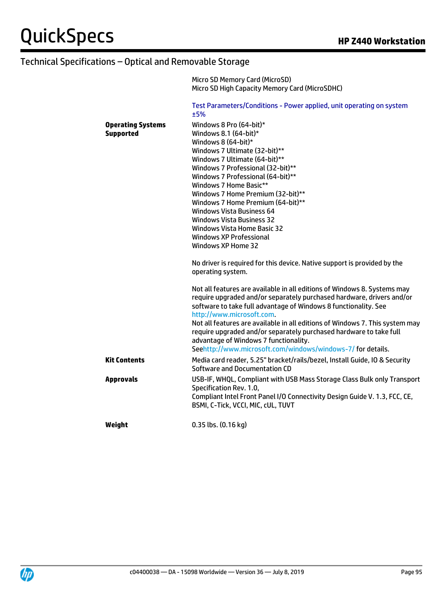|                                              | Micro SD Memory Card (MicroSD)<br>Micro SD High Capacity Memory Card (MicroSDHC)                                                                                                                                                                                                                                                                                                                                                                                                                                                                                          |
|----------------------------------------------|---------------------------------------------------------------------------------------------------------------------------------------------------------------------------------------------------------------------------------------------------------------------------------------------------------------------------------------------------------------------------------------------------------------------------------------------------------------------------------------------------------------------------------------------------------------------------|
|                                              | Test Parameters/Conditions - Power applied, unit operating on system<br>±5%                                                                                                                                                                                                                                                                                                                                                                                                                                                                                               |
| <b>Operating Systems</b><br><b>Supported</b> | Windows 8 Pro (64-bit)*<br>Windows 8.1 (64-bit)*<br>Windows 8 (64-bit)*<br>Windows 7 Ultimate (32-bit)**<br>Windows 7 Ultimate (64-bit)**<br>Windows 7 Professional (32-bit)**<br>Windows 7 Professional (64-bit)**<br>Windows 7 Home Basic**<br>Windows 7 Home Premium (32-bit)**<br>Windows 7 Home Premium (64-bit)**<br><b>Windows Vista Business 64</b><br><b>Windows Vista Business 32</b><br>Windows Vista Home Basic 32<br><b>Windows XP Professional</b><br><b>Windows XP Home 32</b><br>No driver is required for this device. Native support is provided by the |
|                                              | operating system.<br>Not all features are available in all editions of Windows 8. Systems may<br>require upgraded and/or separately purchased hardware, drivers and/or<br>software to take full advantage of Windows 8 functionality. See<br>http://www.microsoft.com.<br>Not all features are available in all editions of Windows 7. This system may                                                                                                                                                                                                                    |
|                                              | require upgraded and/or separately purchased hardware to take full<br>advantage of Windows 7 functionality.<br>Seehttp://www.microsoft.com/windows/windows-7/for details.                                                                                                                                                                                                                                                                                                                                                                                                 |
| <b>Kit Contents</b>                          | Media card reader, 5.25" bracket/rails/bezel, Install Guide, IO & Security<br>Software and Documentation CD                                                                                                                                                                                                                                                                                                                                                                                                                                                               |
| <b>Approvals</b>                             | USB-IF, WHQL, Compliant with USB Mass Storage Class Bulk only Transport<br>Specification Rev. 1.0,<br>Compliant Intel Front Panel I/O Connectivity Design Guide V. 1.3, FCC, CE,<br>BSMI, C-Tick, VCCI, MIC, cUL, TUVT                                                                                                                                                                                                                                                                                                                                                    |
| Weight                                       | 0.35 lbs. (0.16 kg)                                                                                                                                                                                                                                                                                                                                                                                                                                                                                                                                                       |

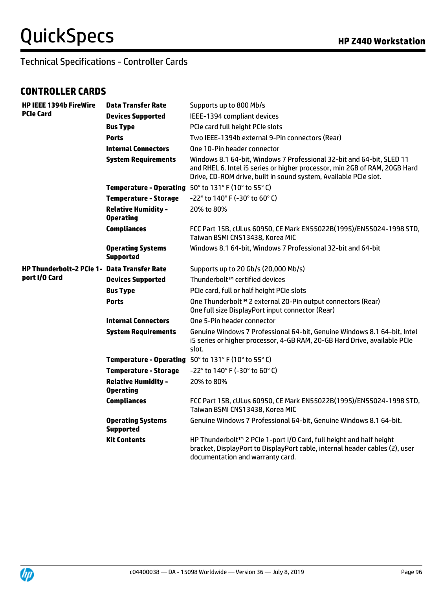Technical Specifications - Controller Cards

### **CONTROLLER CARDS**

| <b>HP IEEE 1394b FireWire</b>               | <b>Data Transfer Rate</b>                      | Supports up to 800 Mb/s                                                                                                                                                                                                 |
|---------------------------------------------|------------------------------------------------|-------------------------------------------------------------------------------------------------------------------------------------------------------------------------------------------------------------------------|
| <b>PCIe Card</b>                            | <b>Devices Supported</b>                       | IEEE-1394 compliant devices                                                                                                                                                                                             |
|                                             | <b>Bus Type</b>                                | PCIe card full height PCIe slots                                                                                                                                                                                        |
|                                             | <b>Ports</b>                                   | Two IEEE-1394b external 9-Pin connectors (Rear)                                                                                                                                                                         |
|                                             | <b>Internal Connectors</b>                     | One 10-Pin header connector                                                                                                                                                                                             |
|                                             | <b>System Requirements</b>                     | Windows 8.1 64-bit, Windows 7 Professional 32-bit and 64-bit, SLED 11<br>and RHEL 6. Intel i5 series or higher processor, min 2GB of RAM, 20GB Hard<br>Drive, CD-ROM drive, built in sound system, Available PCIe slot. |
|                                             |                                                | Temperature - Operating 50° to 131° F (10° to 55° C)                                                                                                                                                                    |
|                                             | <b>Temperature - Storage</b>                   | -22° to 140° F (-30° to 60° C)                                                                                                                                                                                          |
|                                             | <b>Relative Humidity -</b><br><b>Operating</b> | 20% to 80%                                                                                                                                                                                                              |
|                                             | <b>Compliances</b>                             | FCC Part 15B, cULus 60950, CE Mark EN55022B(1995)/EN55024-1998 STD,<br>Taiwan BSMI CNS13438, Korea MIC                                                                                                                  |
|                                             | <b>Operating Systems</b><br><b>Supported</b>   | Windows 8.1 64-bit, Windows 7 Professional 32-bit and 64-bit                                                                                                                                                            |
| HP Thunderbolt-2 PCIe 1- Data Transfer Rate |                                                | Supports up to 20 Gb/s (20,000 Mb/s)                                                                                                                                                                                    |
| port I/O Card                               | <b>Devices Supported</b>                       | Thunderbolt™ certified devices                                                                                                                                                                                          |
|                                             | <b>Bus Type</b>                                | PCIe card, full or half height PCIe slots                                                                                                                                                                               |
|                                             | <b>Ports</b>                                   | One Thunderbolt™ 2 external 20-Pin output connectors (Rear)<br>One full size DisplayPort input connector (Rear)                                                                                                         |
|                                             | <b>Internal Connectors</b>                     | One 5-Pin header connector                                                                                                                                                                                              |
|                                             | <b>System Requirements</b>                     | Genuine Windows 7 Professional 64-bit, Genuine Windows 8.1 64-bit, Intel<br>i5 series or higher processor, 4-GB RAM, 20-GB Hard Drive, available PCIe<br>slot.                                                          |
|                                             |                                                | Temperature - Operating 50° to 131° F (10° to 55° C)                                                                                                                                                                    |
|                                             | <b>Temperature - Storage</b>                   | -22° to 140° F (-30° to 60° C)                                                                                                                                                                                          |
|                                             | <b>Relative Humidity -</b><br><b>Operating</b> | 20% to 80%                                                                                                                                                                                                              |
|                                             | <b>Compliances</b>                             | FCC Part 15B, cULus 60950, CE Mark EN55022B(1995)/EN55024-1998 STD,<br>Taiwan BSMI CNS13438, Korea MIC                                                                                                                  |
|                                             | <b>Operating Systems</b><br><b>Supported</b>   | Genuine Windows 7 Professional 64-bit, Genuine Windows 8.1 64-bit.                                                                                                                                                      |
|                                             | <b>Kit Contents</b>                            | HP Thunderbolt™ 2 PCIe 1-port I/O Card, full height and half height<br>bracket, DisplayPort to DisplayPort cable, internal header cables (2), user<br>documentation and warranty card.                                  |

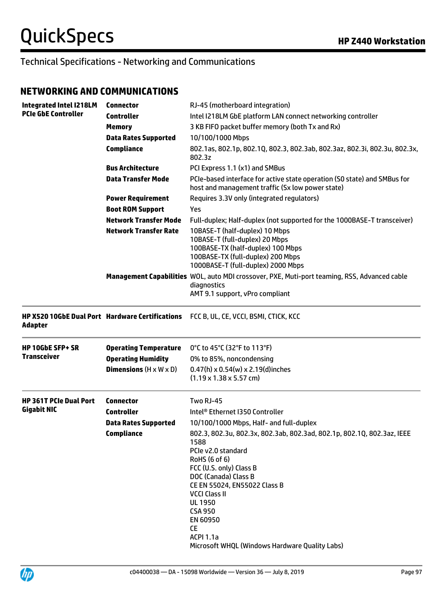#### **NETWORKING AND COMMUNICATIONS**

| <b>Integrated Intel I218LM</b>                                    | <b>Connector</b>                          | RJ-45 (motherboard integration)                                                                                                                                                                                                                                                                                                                                     |
|-------------------------------------------------------------------|-------------------------------------------|---------------------------------------------------------------------------------------------------------------------------------------------------------------------------------------------------------------------------------------------------------------------------------------------------------------------------------------------------------------------|
| <b>PCIe GbE Controller</b>                                        | <b>Controller</b>                         | Intel I218LM GbE platform LAN connect networking controller                                                                                                                                                                                                                                                                                                         |
|                                                                   | <b>Memory</b>                             | 3 KB FIFO packet buffer memory (both Tx and Rx)                                                                                                                                                                                                                                                                                                                     |
|                                                                   | <b>Data Rates Supported</b>               | 10/100/1000 Mbps                                                                                                                                                                                                                                                                                                                                                    |
|                                                                   | <b>Compliance</b>                         | 802.1as, 802.1p, 802.1Q, 802.3, 802.3ab, 802.3az, 802.3i, 802.3u, 802.3x,<br>802.3z                                                                                                                                                                                                                                                                                 |
|                                                                   | <b>Bus Architecture</b>                   | PCI Express 1.1 (x1) and SMBus                                                                                                                                                                                                                                                                                                                                      |
|                                                                   | <b>Data Transfer Mode</b>                 | PCIe-based interface for active state operation (SO state) and SMBus for<br>host and management traffic (Sx low power state)                                                                                                                                                                                                                                        |
|                                                                   | <b>Power Requirement</b>                  | Requires 3.3V only (integrated regulators)                                                                                                                                                                                                                                                                                                                          |
|                                                                   | <b>Boot ROM Support</b>                   | Yes                                                                                                                                                                                                                                                                                                                                                                 |
|                                                                   | <b>Network Transfer Mode</b>              | Full-duplex; Half-duplex (not supported for the 1000BASE-T transceiver)                                                                                                                                                                                                                                                                                             |
|                                                                   | <b>Network Transfer Rate</b>              | 10BASE-T (half-duplex) 10 Mbps<br>10BASE-T (full-duplex) 20 Mbps<br>100BASE-TX (half-duplex) 100 Mbps<br>100BASE-TX (full-duplex) 200 Mbps<br>1000BASE-T (full-duplex) 2000 Mbps                                                                                                                                                                                    |
|                                                                   |                                           | Management Capabilities WOL, auto MDI crossover, PXE, Muti-port teaming, RSS, Advanced cable<br>diagnostics<br>AMT 9.1 support, vPro compliant                                                                                                                                                                                                                      |
| <b>HP X520 10GbE Dual Port Hardware Certifications</b><br>Adapter |                                           | FCC B, UL, CE, VCCI, BSMI, CTICK, KCC                                                                                                                                                                                                                                                                                                                               |
| <b>HP 10GbE SFP+ SR</b>                                           | <b>Operating Temperature</b>              | 0°C to 45°C (32°F to 113°F)                                                                                                                                                                                                                                                                                                                                         |
| <b>Transceiver</b>                                                | <b>Operating Humidity</b>                 | 0% to 85%, noncondensing                                                                                                                                                                                                                                                                                                                                            |
|                                                                   | <b>Dimensions</b> $(H \times W \times D)$ | $0.47(h) \times 0.54(w) \times 2.19(d)$ inches<br>$(1.19 \times 1.38 \times 5.57$ cm)                                                                                                                                                                                                                                                                               |
| <b>HP 361T PCIe Dual Port</b>                                     | <b>Connector</b>                          | Two RJ-45                                                                                                                                                                                                                                                                                                                                                           |
| <b>Gigabit NIC</b>                                                | <b>Controller</b>                         | Intel <sup>®</sup> Ethernet I350 Controller                                                                                                                                                                                                                                                                                                                         |
|                                                                   | <b>Data Rates Supported</b>               | 10/100/1000 Mbps, Half- and full-duplex                                                                                                                                                                                                                                                                                                                             |
|                                                                   | <b>Compliance</b>                         | 802.3, 802.3u, 802.3x, 802.3ab, 802.3ad, 802.1p, 802.1Q, 802.3az, IEEE<br>1588<br>PCIe v2.0 standard<br>RoHS (6 of 6)<br>FCC (U.S. only) Class B<br>DOC (Canada) Class B<br>CE EN 55024, EN55022 Class B<br><b>VCCI Class II</b><br><b>UL 1950</b><br><b>CSA 950</b><br>EN 60950<br><b>CE</b><br><b>ACPI 1.1a</b><br>Microsoft WHQL (Windows Hardware Quality Labs) |

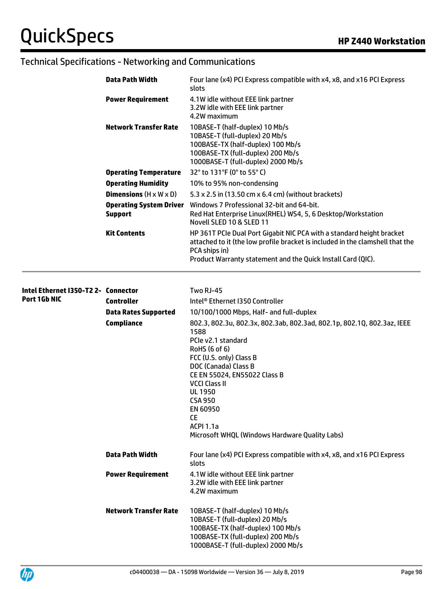| Data Path Width                                  | Four lane (x4) PCI Express compatible with x4, x8, and x16 PCI Express<br>slots                                                                                                                                                         |
|--------------------------------------------------|-----------------------------------------------------------------------------------------------------------------------------------------------------------------------------------------------------------------------------------------|
| <b>Power Requirement</b>                         | 4.1W idle without EEE link partner<br>3.2W idle with EEE link partner<br>4.2W maximum                                                                                                                                                   |
| <b>Network Transfer Rate</b>                     | 10BASE-T (half-duplex) 10 Mb/s<br>10BASE-T (full-duplex) 20 Mb/s<br>100BASE-TX (half-duplex) 100 Mb/s<br>100BASE-TX (full-duplex) 200 Mb/s<br>1000BASE-T (full-duplex) 2000 Mb/s                                                        |
| <b>Operating Temperature</b>                     | 32° to 131°F (0° to 55° C)                                                                                                                                                                                                              |
| <b>Operating Humidity</b>                        | 10% to 95% non-condensing                                                                                                                                                                                                               |
| <b>Dimensions</b> $(H \times W \times D)$        | 5.3 x 2.5 in (13.50 cm x 6.4 cm) (without brackets)                                                                                                                                                                                     |
| <b>Operating System Driver</b><br><b>Support</b> | Windows 7 Professional 32-bit and 64-bit.<br>Red Hat Enterprise Linux(RHEL) WS4, 5, 6 Desktop/Workstation<br>Novell SLED 10 & SLED 11                                                                                                   |
| <b>Kit Contents</b>                              | HP 361T PCIe Dual Port Gigabit NIC PCA with a standard height bracket<br>attached to it (the low profile bracket is included in the clamshell that the<br>PCA ships in)<br>Product Warranty statement and the Quick Install Card (QIC). |

| Intel Ethernet I350-T22- Connector<br>Port 1Gb NIC |                              | <b>Two RJ-45</b>                                                                                                                                                                                                                                                                                                                                                    |
|----------------------------------------------------|------------------------------|---------------------------------------------------------------------------------------------------------------------------------------------------------------------------------------------------------------------------------------------------------------------------------------------------------------------------------------------------------------------|
|                                                    | <b>Controller</b>            | Intel® Ethernet I350 Controller                                                                                                                                                                                                                                                                                                                                     |
|                                                    | <b>Data Rates Supported</b>  | 10/100/1000 Mbps, Half- and full-duplex                                                                                                                                                                                                                                                                                                                             |
|                                                    | Compliance                   | 802.3, 802.3u, 802.3x, 802.3ab, 802.3ad, 802.1p, 802.1Q, 802.3az, IEEE<br>1588<br>PCIe v2.1 standard<br>RoHS (6 of 6)<br>FCC (U.S. only) Class B<br>DOC (Canada) Class B<br>CE EN 55024, EN55022 Class B<br><b>VCCI Class II</b><br><b>UL 1950</b><br><b>CSA 950</b><br>EN 60950<br><b>CE</b><br><b>ACPI 1.1a</b><br>Microsoft WHQL (Windows Hardware Quality Labs) |
|                                                    | <b>Data Path Width</b>       | Four lane (x4) PCI Express compatible with x4, x8, and x16 PCI Express<br>slots                                                                                                                                                                                                                                                                                     |
|                                                    | <b>Power Requirement</b>     | 4.1W idle without EEE link partner<br>3.2W idle with EEE link partner<br>4.2W maximum                                                                                                                                                                                                                                                                               |
|                                                    | <b>Network Transfer Rate</b> | 10BASE-T (half-duplex) 10 Mb/s<br>10BASE-T (full-duplex) 20 Mb/s<br>100BASE-TX (half-duplex) 100 Mb/s<br>100BASE-TX (full-duplex) 200 Mb/s<br>1000BASE-T (full-duplex) 2000 Mb/s                                                                                                                                                                                    |

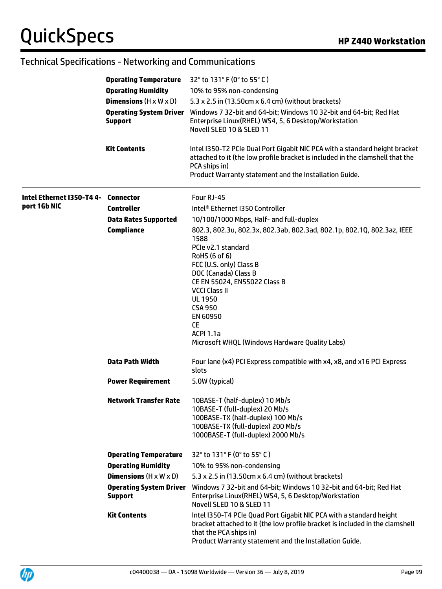|                           | <b>Operating Temperature</b><br><b>Operating Humidity</b><br><b>Dimensions</b> $(H \times W \times D)$<br><b>Support</b><br><b>Kit Contents</b> | 32 $^{\circ}$ to 131 $^{\circ}$ F (0 $^{\circ}$ to 55 $^{\circ}$ C)<br>10% to 95% non-condensing<br>5.3 x 2.5 in (13.50cm x 6.4 cm) (without brackets)<br>Operating System Driver Windows 7 32-bit and 64-bit; Windows 10 32-bit and 64-bit; Red Hat<br>Enterprise Linux(RHEL) WS4, 5, 6 Desktop/Workstation<br>Novell SLED 10 & SLED 11<br>Intel I350-T2 PCIe Dual Port Gigabit NIC PCA with a standard height bracket<br>attached to it (the low profile bracket is included in the clamshell that the<br>PCA ships in)<br>Product Warranty statement and the Installation Guide. |
|---------------------------|-------------------------------------------------------------------------------------------------------------------------------------------------|-------------------------------------------------------------------------------------------------------------------------------------------------------------------------------------------------------------------------------------------------------------------------------------------------------------------------------------------------------------------------------------------------------------------------------------------------------------------------------------------------------------------------------------------------------------------------------------|
|                           |                                                                                                                                                 |                                                                                                                                                                                                                                                                                                                                                                                                                                                                                                                                                                                     |
| Intel Ethernet I350-T4 4- | Connector                                                                                                                                       | Four RJ-45                                                                                                                                                                                                                                                                                                                                                                                                                                                                                                                                                                          |
| port 1Gb NIC              | <b>Controller</b>                                                                                                                               | Intel <sup>®</sup> Ethernet I350 Controller                                                                                                                                                                                                                                                                                                                                                                                                                                                                                                                                         |
|                           | <b>Data Rates Supported</b>                                                                                                                     | 10/100/1000 Mbps, Half- and full-duplex                                                                                                                                                                                                                                                                                                                                                                                                                                                                                                                                             |
|                           | Compliance                                                                                                                                      | 802.3, 802.3u, 802.3x, 802.3ab, 802.3ad, 802.1p, 802.1Q, 802.3az, IEEE<br>1588<br>PCIe v2.1 standard<br>RoHS (6 of 6)<br>FCC (U.S. only) Class B<br>DOC (Canada) Class B<br>CE EN 55024, EN55022 Class B<br><b>VCCI Class II</b><br><b>UL 1950</b><br><b>CSA 950</b><br>EN 60950<br><b>CE</b><br><b>ACPI 1.1a</b><br>Microsoft WHQL (Windows Hardware Quality Labs)                                                                                                                                                                                                                 |
|                           | <b>Data Path Width</b>                                                                                                                          | Four lane (x4) PCI Express compatible with x4, x8, and x16 PCI Express<br>slots                                                                                                                                                                                                                                                                                                                                                                                                                                                                                                     |
|                           | <b>Power Requirement</b>                                                                                                                        | 5.0W (typical)                                                                                                                                                                                                                                                                                                                                                                                                                                                                                                                                                                      |
|                           | <b>Network Transfer Rate</b>                                                                                                                    | 10BASE-T (half-duplex) 10 Mb/s<br>10BASE-T (full-duplex) 20 Mb/s<br>100BASE-TX (half-duplex) 100 Mb/s<br>100BASE-TX (full-duplex) 200 Mb/s<br>1000BASE-T (full-duplex) 2000 Mb/s                                                                                                                                                                                                                                                                                                                                                                                                    |
|                           | <b>Operating Temperature</b>                                                                                                                    | 32° to 131° F (0° to 55° C)                                                                                                                                                                                                                                                                                                                                                                                                                                                                                                                                                         |
|                           | <b>Operating Humidity</b>                                                                                                                       | 10% to 95% non-condensing                                                                                                                                                                                                                                                                                                                                                                                                                                                                                                                                                           |
|                           | <b>Dimensions</b> $(H \times W \times D)$                                                                                                       | 5.3 x 2.5 in (13.50cm x 6.4 cm) (without brackets)                                                                                                                                                                                                                                                                                                                                                                                                                                                                                                                                  |
|                           | <b>Operating System Driver</b><br><b>Support</b>                                                                                                | Windows 7 32-bit and 64-bit; Windows 10 32-bit and 64-bit; Red Hat<br>Enterprise Linux(RHEL) WS4, 5, 6 Desktop/Workstation<br>Novell SLED 10 & SLED 11                                                                                                                                                                                                                                                                                                                                                                                                                              |
|                           | <b>Kit Contents</b>                                                                                                                             | Intel I350-T4 PCIe Quad Port Gigabit NIC PCA with a standard height<br>bracket attached to it (the low profile bracket is included in the clamshell<br>that the PCA ships in)<br>Product Warranty statement and the Installation Guide.                                                                                                                                                                                                                                                                                                                                             |

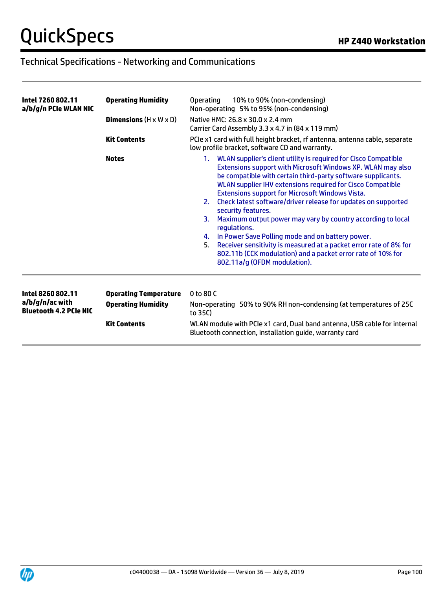| Intel 7260 802.11<br>a/b/g/n PCIe WLAN NIC                            | <b>Operating Humidity</b><br><b>Dimensions</b> $(H \times W \times D)$           | 10% to 90% (non-condensing)<br><b>Operating</b><br>Non-operating 5% to 95% (non-condensing)<br>Native HMC: 26.8 x 30.0 x 2.4 mm<br>Carrier Card Assembly 3.3 x 4.7 in (84 x 119 mm)                                                                                                                                                                                                                                                                                                                                                                                                                                                                                                                                                             |
|-----------------------------------------------------------------------|----------------------------------------------------------------------------------|-------------------------------------------------------------------------------------------------------------------------------------------------------------------------------------------------------------------------------------------------------------------------------------------------------------------------------------------------------------------------------------------------------------------------------------------------------------------------------------------------------------------------------------------------------------------------------------------------------------------------------------------------------------------------------------------------------------------------------------------------|
|                                                                       | <b>Kit Contents</b>                                                              | PCIe x1 card with full height bracket, rf antenna, antenna cable, separate<br>low profile bracket, software CD and warranty.                                                                                                                                                                                                                                                                                                                                                                                                                                                                                                                                                                                                                    |
|                                                                       | <b>Notes</b>                                                                     | 1. WLAN supplier's client utility is required for Cisco Compatible<br>Extensions support with Microsoft Windows XP. WLAN may also<br>be compatible with certain third-party software supplicants.<br>WLAN supplier IHV extensions required for Cisco Compatible<br><b>Extensions support for Microsoft Windows Vista.</b><br>Check latest software/driver release for updates on supported<br>2.<br>security features.<br>Maximum output power may vary by country according to local<br>3.<br>regulations.<br>In Power Save Polling mode and on battery power.<br>4.<br>Receiver sensitivity is measured at a packet error rate of 8% for<br>5.<br>802.11b (CCK modulation) and a packet error rate of 10% for<br>802.11a/g (OFDM modulation). |
| Intel 8260 802.11<br>a/b/g/n/ac with<br><b>Bluetooth 4.2 PCIe NIC</b> | <b>Operating Temperature</b><br><b>Operating Humidity</b><br><b>Kit Contents</b> | 0 to 80 C<br>Non-operating 50% to 90% RH non-condensing (at temperatures of 25C<br>to 35C)<br>WLAN module with PCIe x1 card, Dual band antenna, USB cable for internal<br>Bluetooth connection, installation quide, warranty card                                                                                                                                                                                                                                                                                                                                                                                                                                                                                                               |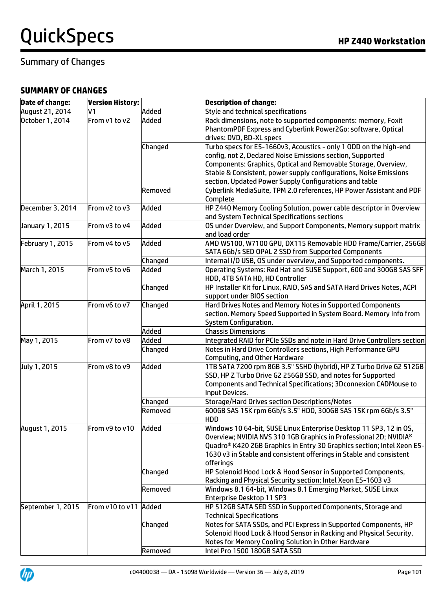### Summary of Changes

#### **SUMMARY OF CHANGES**

| <b>Date of change:</b>  | <b>Version History:</b> |         | <b>Description of change:</b>                                            |
|-------------------------|-------------------------|---------|--------------------------------------------------------------------------|
| August 21, 2014         | V1                      | Added   | Style and technical specifications                                       |
| October 1, 2014         | From v1 to v2           | Added   | Rack dimensions, note to supported components: memory, Foxit             |
|                         |                         |         | PhantomPDF Express and Cyberlink Power2Go: software, Optical             |
|                         |                         |         | drives: DVD, BD-XL specs                                                 |
|                         |                         | Changed | Turbo specs for E5-1660v3, Acoustics - only 1 ODD on the high-end        |
|                         |                         |         | config, not 2, Declared Noise Emissions section, Supported               |
|                         |                         |         | Components: Graphics, Optical and Removable Storage, Overview,           |
|                         |                         |         | Stable & Consistent, power supply configurations, Noise Emissions        |
|                         |                         |         | section, Updated Power Supply Configurations and table                   |
|                         |                         | Removed | Cyberlink MediaSuite, TPM 2.0 references, HP Power Assistant and PDF     |
|                         |                         |         | Complete                                                                 |
| December 3, 2014        | From v2 to v3           | Added   | HP Z440 Memory Cooling Solution, power cable descriptor in Overview      |
|                         |                         |         | and System Technical Specifications sections                             |
| January 1, 2015         | From v3 to v4           | Added   | OS under Overview, and Support Components, Memory support matrix         |
|                         |                         |         | and load order                                                           |
| <b>February 1, 2015</b> | From v4 to v5           | Added   | AMD W5100, W7100 GPU, DX115 Removable HDD Frame/Carrier, 256GB           |
|                         |                         |         | SATA 6Gb/s SED OPAL 2 SSD from Supported Components                      |
|                         |                         | Changed | Internal I/O USB, OS under overview, and Supported components.           |
|                         | From v5 to v6           |         |                                                                          |
| March 1, 2015           |                         | Added   | Operating Systems: Red Hat and SUSE Support, 600 and 300GB SAS SFF       |
|                         |                         |         | HDD, 4TB SATA HD, HD Controller                                          |
|                         |                         | Changed | HP Installer Kit for Linux, RAID, SAS and SATA Hard Drives Notes, ACPI   |
|                         |                         |         | support under BIOS section                                               |
| April 1, 2015           | From v6 to v7           | Changed | Hard Drives Notes and Memory Notes in Supported Components               |
|                         |                         |         | section. Memory Speed Supported in System Board. Memory Info from        |
|                         |                         |         | System Configuration.                                                    |
|                         |                         | Added   | <b>Chassis Dimensions</b>                                                |
| May 1, 2015             | From v7 to v8           | Added   | Integrated RAID for PCIe SSDs and note in Hard Drive Controllers section |
|                         |                         | Changed | Notes in Hard Drive Controllers sections, High Performance GPU           |
|                         |                         |         | Computing, and Other Hardware                                            |
| July 1, 2015            | From v8 to v9           | Added   | 1TB SATA 7200 rpm 8GB 3.5" SSHD (hybrid), HP Z Turbo Drive G2 512GB      |
|                         |                         |         | SSD, HP Z Turbo Drive G2 256GB SSD, and notes for Supported              |
|                         |                         |         | Components and Technical Specifications; 3Dconnexion CADMouse to         |
|                         |                         |         | Input Devices.                                                           |
|                         |                         | Changed | Storage/Hard Drives section Descriptions/Notes                           |
|                         |                         | Removed | 600GB SAS 15K rpm 6Gb/s 3.5" HDD, 300GB SAS 15K rpm 6Gb/s 3.5"           |
|                         |                         |         | <b>HDD</b>                                                               |
| August 1, 2015          | From v9 to v10          | Added   | Windows 10 64-bit, SUSE Linux Enterprise Desktop 11 SP3, 12 in 0S,       |
|                         |                         |         | Overview; NVIDIA NVS 310 1GB Graphics in Professional 2D; NVIDIA®        |
|                         |                         |         | Quadro® K420 2GB Graphics in Entry 3D Graphics section; Intel Xeon E5-   |
|                         |                         |         | 1630 v3 in Stable and consistent offerings in Stable and consistent      |
|                         |                         |         | offerings                                                                |
|                         |                         | Changed | HP Solenoid Hood Lock & Hood Sensor in Supported Components,             |
|                         |                         |         | Racking and Physical Security section; Intel Xeon E5-1603 v3             |
|                         |                         | Removed | Windows 8.1 64-bit, Windows 8.1 Emerging Market, SUSE Linux              |
|                         |                         |         | Enterprise Desktop 11 SP3                                                |
| September 1, 2015       | From v10 to v11         | Added   | HP 512GB SATA SED SSD in Supported Components, Storage and               |
|                         |                         |         | <b>Technical Specifications</b>                                          |
|                         |                         | Changed | Notes for SATA SSDs, and PCI Express in Supported Components, HP         |
|                         |                         |         | Solenoid Hood Lock & Hood Sensor in Racking and Physical Security,       |
|                         |                         |         | Notes for Memory Cooling Solution in Other Hardware                      |
|                         |                         |         |                                                                          |
|                         |                         | Removed | Intel Pro 1500 180GB SATA SSD                                            |

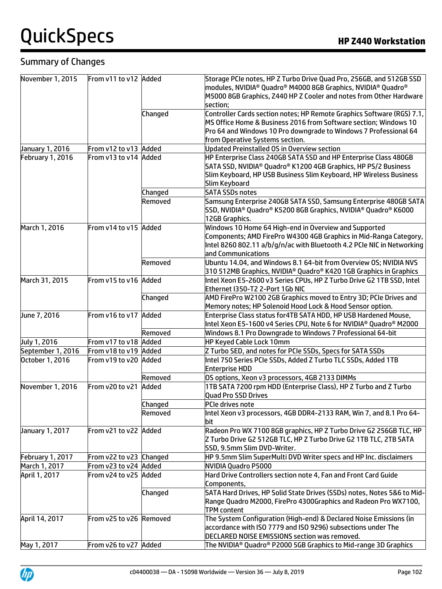### Summary of Changes

| November 1, 2015  | From v11 to v12 Added   |         | Storage PCIe notes, HP Z Turbo Drive Quad Pro, 256GB, and 512GB SSD     |
|-------------------|-------------------------|---------|-------------------------------------------------------------------------|
|                   |                         |         | modules, NVIDIA® Quadro® M4000 8GB Graphics, NVIDIA® Quadro®            |
|                   |                         |         | M5000 8GB Graphics, Z440 HP Z Cooler and notes from Other Hardware      |
|                   |                         |         | section;                                                                |
|                   |                         | Changed | Controller Cards section notes; HP Remote Graphics Software (RGS) 7.1,  |
|                   |                         |         | MS Office Home & Business 2016 from Software section; Windows 10        |
|                   |                         |         | Pro 64 and Windows 10 Pro downgrade to Windows 7 Professional 64        |
|                   |                         |         | from Operative Systems section.                                         |
| January 1, 2016   | From v12 to v13 Added   |         | <b>Updated Preinstalled OS in Overview section</b>                      |
| February 1, 2016  | From v13 to v14 Added   |         | HP Enterprise Class 240GB SATA SSD and HP Enterprise Class 480GB        |
|                   |                         |         | SATA SSD, NVIDIA® Quadro® K1200 4GB Graphics, HP PS/2 Business          |
|                   |                         |         | Slim Keyboard, HP USB Business Slim Keyboard, HP Wireless Business      |
|                   |                         |         | Slim Keyboard                                                           |
|                   |                         | Changed | <b>SATA SSDs notes</b>                                                  |
|                   |                         | Removed | Samsung Enterprise 240GB SATA SSD, Samsung Enterprise 480GB SATA        |
|                   |                         |         | SSD, NVIDIA® Quadro® K5200 8GB Graphics, NVIDIA® Quadro® K6000          |
|                   |                         |         | 12GB Graphics.                                                          |
| March 1, 2016     | From v14 to v15 Added   |         | Windows 10 Home 64 High-end in Overview and Supported                   |
|                   |                         |         | Components; AMD FirePro W4300 4GB Graphics in Mid-Ranga Category,       |
|                   |                         |         | Intel 8260 802.11 a/b/g/n/ac with Bluetooth 4.2 PCIe NIC in Networking  |
|                   |                         |         |                                                                         |
|                   |                         |         | and Communications                                                      |
|                   |                         | Removed | Ubuntu 14.04, and Windows 8.1 64-bit from Overview OS; NVIDIA NVS       |
|                   |                         |         | 310 512MB Graphics, NVIDIA® Quadro® K420 1GB Graphics in Graphics       |
| March 31, 2015    | From v15 to v16 Added   |         | Intel Xeon E5-2600 v3 Series CPUs, HP Z Turbo Drive G2 1TB SSD, Intel   |
|                   |                         |         | Ethernet I350-T2 2-Port 1Gb NIC                                         |
|                   |                         | Changed | AMD FirePro W2100 2GB Graphics moved to Entry 3D; PCIe Drives and       |
|                   |                         |         | Memory notes; HP Solenoid Hood Lock & Hood Sensor option.               |
| June 7, 2016      | From v16 to v17 Added   |         | Enterprise Class status for 4TB SATA HDD, HP USB Hardened Mouse,        |
|                   |                         |         | Intel Xeon E5-1600 v4 Series CPU, Note 6 for NVIDIA® Quadro® M2000      |
|                   |                         | Removed | Windows 8.1 Pro Downgrade to Windows 7 Professional 64-bit              |
| July 1, 2016      | From v17 to v18 Added   |         | HP Keyed Cable Lock 10mm                                                |
| September 1, 2016 | From v18 to v19 Added   |         | Z Turbo SED, and notes for PCIe SSDs, Specs for SATA SSDs               |
| October 1, 2016   | From v19 to v20 Added   |         | Intel 750 Series PCIe SSDs, Added Z Turbo TLC SSDs, Added 1TB           |
|                   |                         |         | <b>Enterprise HDD</b>                                                   |
|                   |                         | Removed | OS options, Xeon v3 processors, 4GB 2133 DIMMs                          |
| November 1, 2016  | From v20 to v21         | Added   | 1TB SATA 7200 rpm HDD (Enterprise Class), HP Z Turbo and Z Turbo        |
|                   |                         |         | Quad Pro SSD Drives                                                     |
|                   |                         | Changed | PCIe drives note                                                        |
|                   |                         | Removed | Intel Xeon v3 processors, 4GB DDR4-2133 RAM, Win 7, and 8.1 Pro 64-     |
|                   |                         |         | bit                                                                     |
| January 1, 2017   | From v21 to v22 Added   |         | Radeon Pro WX 7100 8GB graphics, HP Z Turbo Drive G2 256GB TLC, HP      |
|                   |                         |         | Z Turbo Drive G2 512GB TLC, HP Z Turbo Drive G2 1TB TLC, 2TB SATA       |
|                   |                         |         | SSD, 9.5mm Slim DVD-Writer.                                             |
| February 1, 2017  | From v22 to v23 Changed |         | HP 9.5mm Slim SuperMulti DVD Writer specs and HP Inc. disclaimers       |
| March 1, 2017     | From v23 to v24 Added   |         | <b>NVIDIA Quadro P5000</b>                                              |
| April 1, 2017     | From v24 to v25 Added   |         | Hard Drive Controllers section note 4, Fan and Front Card Guide         |
|                   |                         |         | Components,                                                             |
|                   |                         | Changed | SATA Hard Drives, HP Solid State Drives (SSDs) notes, Notes 5&6 to Mid- |
|                   |                         |         | Range Quadro M2000, FirePro 4300Graphics and Radeon Pro WX7100,         |
|                   |                         |         |                                                                         |
|                   |                         |         | <b>TPM</b> content                                                      |
| April 14, 2017    | From v25 to v26 Removed |         | The System Configuration (High-end) & Declared Noise Emissions (in      |
|                   |                         |         | accordance with ISO 7779 and ISO 9296) subsections under The            |
|                   |                         |         | DECLARED NOISE EMISSIONS section was removed.                           |
| May 1, 2017       | From v26 to v27 Added   |         | The NVIDIA® Quadro® P2000 5GB Graphics to Mid-range 3D Graphics         |

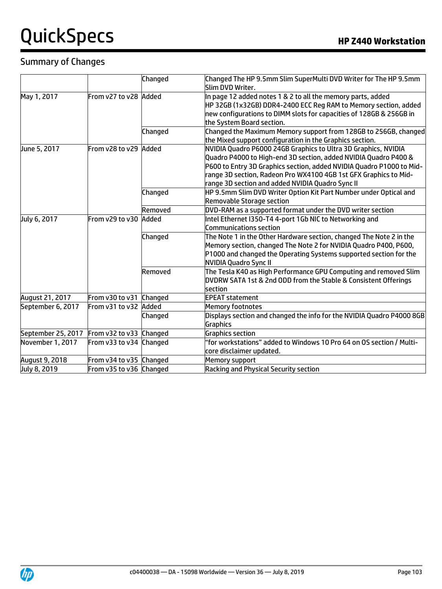#### Summary of Changes

|                    |                         | Changed | Changed The HP 9.5mm Slim SuperMulti DVD Writer for The HP 9.5mm                                                                                                                                                                                                                                                                  |
|--------------------|-------------------------|---------|-----------------------------------------------------------------------------------------------------------------------------------------------------------------------------------------------------------------------------------------------------------------------------------------------------------------------------------|
|                    |                         |         | Slim DVD Writer.                                                                                                                                                                                                                                                                                                                  |
| May 1, 2017        | From v27 to v28 Added   |         | In page 12 added notes 1 & 2 to all the memory parts, added<br>HP 32GB (1x32GB) DDR4-2400 ECC Reg RAM to Memory section, added<br>hew configurations to DIMM slots for capacities of 128GB & 256GB in<br>the System Board section.                                                                                                |
|                    |                         | Changed | Changed the Maximum Memory support from 128GB to 256GB, changed<br>the Mixed support configuration in the Graphics section.                                                                                                                                                                                                       |
| June 5, 2017       | From v28 to v29 Added   |         | NVIDIA Quadro P6000 24GB Graphics to Ultra 3D Graphics, NVIDIA<br>Quadro P4000 to High-end 3D section, added NVIDIA Quadro P400 &<br>P600 to Entry 3D Graphics section, added NVIDIA Quadro P1000 to Mid-<br>range 3D section, Radeon Pro WX4100 4GB 1st GFX Graphics to Mid-<br>range 3D section and added NVIDIA Quadro Sync II |
|                    |                         | Changed | HP 9.5mm Slim DVD Writer Option Kit Part Number under Optical and<br><b>Removable Storage section</b>                                                                                                                                                                                                                             |
|                    |                         | Removed | DVD-RAM as a supported format under the DVD writer section                                                                                                                                                                                                                                                                        |
| July 6, 2017       | From v29 to v30         | Added   | Intel Ethernet I350-T4 4-port 1Gb NIC to Networking and<br>Communications section                                                                                                                                                                                                                                                 |
|                    |                         | Changed | The Note 1 in the Other Hardware section, changed The Note 2 in the $\overline{\phantom{a}}$<br>Memory section, changed The Note 2 for NVIDIA Quadro P400, P600,<br>P1000 and changed the Operating Systems supported section for the<br>NVIDIA Quadro Sync II                                                                    |
|                    |                         | Removed | The Tesla K40 as High Performance GPU Computing and removed Slim $\,$<br>DVDRW SATA 1st & 2nd ODD from the Stable & Consistent Offerings<br>section                                                                                                                                                                               |
| August 21, 2017    | From v30 to v31 Changed |         | <b>EPEAT statement</b>                                                                                                                                                                                                                                                                                                            |
| September 6, 2017  | From v31 to v32 Added   |         | Memory footnotes                                                                                                                                                                                                                                                                                                                  |
|                    |                         | Changed | Displays section and changed the info for the NVIDIA Quadro P4000 8GB<br>Graphics                                                                                                                                                                                                                                                 |
| September 25, 2017 | From v32 to v33 Changed |         | <b>Graphics section</b>                                                                                                                                                                                                                                                                                                           |
| November 1, 2017   | From v33 to v34 Changed |         | "for workstations" added to Windows 10 Pro 64 on OS section / Multi-<br>core disclaimer updated.                                                                                                                                                                                                                                  |
| August 9, 2018     | From v34 to v35 Changed |         | Memory support                                                                                                                                                                                                                                                                                                                    |
| July 8, 2019       | From v35 to v36 Changed |         | <b>Racking and Physical Security section</b>                                                                                                                                                                                                                                                                                      |